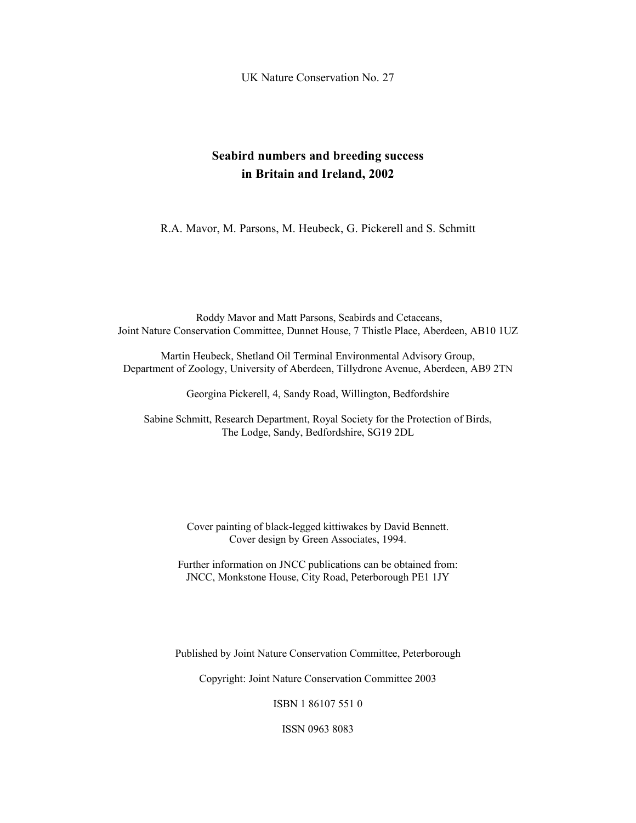UK Nature Conservation No. 27

# **Seabird numbers and breeding success in Britain and Ireland, 2002**

R.A. Mavor, M. Parsons, M. Heubeck, G. Pickerell and S. Schmitt

 Roddy Mavor and Matt Parsons, Seabirds and Cetaceans, Joint Nature Conservation Committee, Dunnet House, 7 Thistle Place, Aberdeen, AB10 1UZ

Martin Heubeck, Shetland Oil Terminal Environmental Advisory Group, Department of Zoology, University of Aberdeen, Tillydrone Avenue, Aberdeen, AB9 2TN

Georgina Pickerell, 4, Sandy Road, Willington, Bedfordshire

Sabine Schmitt, Research Department, Royal Society for the Protection of Birds, The Lodge, Sandy, Bedfordshire, SG19 2DL

> Cover painting of black-legged kittiwakes by David Bennett. Cover design by Green Associates, 1994.

Further information on JNCC publications can be obtained from: JNCC, Monkstone House, City Road, Peterborough PE1 1JY

Published by Joint Nature Conservation Committee, Peterborough

Copyright: Joint Nature Conservation Committee 2003

ISBN 1 86107 551 0

ISSN 0963 8083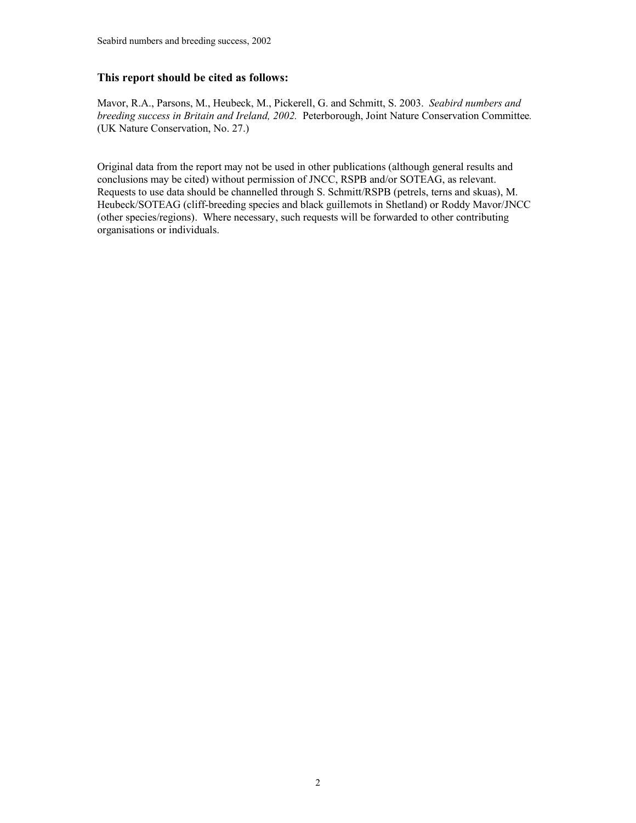### **This report should be cited as follows:**

Mavor, R.A., Parsons, M., Heubeck, M., Pickerell, G. and Schmitt, S. 2003. *Seabird numbers and breeding success in Britain and Ireland, 2002.* Peterborough, Joint Nature Conservation Committee*.*  (UK Nature Conservation, No. 27.)

Original data from the report may not be used in other publications (although general results and conclusions may be cited) without permission of JNCC, RSPB and/or SOTEAG, as relevant. Requests to use data should be channelled through S. Schmitt/RSPB (petrels, terns and skuas), M. Heubeck/SOTEAG (cliff-breeding species and black guillemots in Shetland) or Roddy Mavor/JNCC (other species/regions). Where necessary, such requests will be forwarded to other contributing organisations or individuals.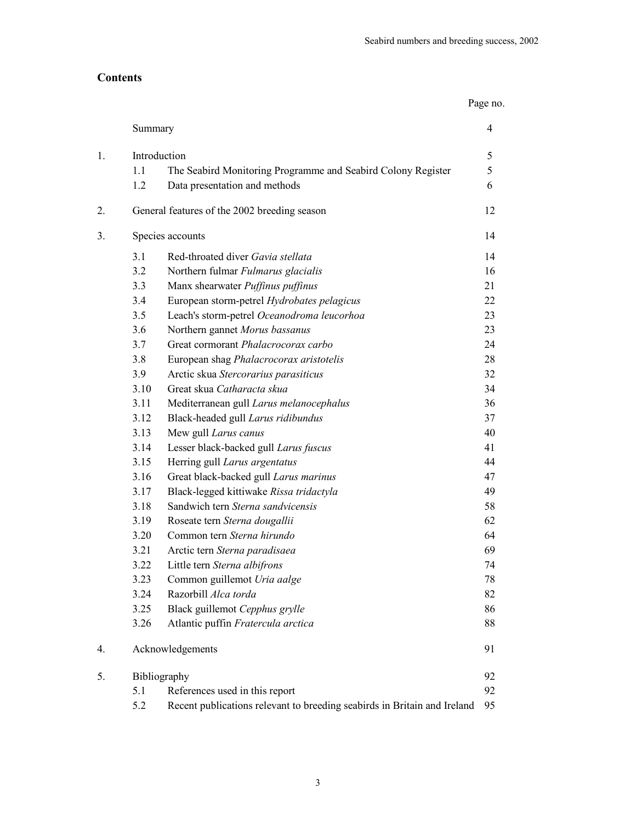# **Contents**

| Page no. |
|----------|

|    | Summary             |                                                                          | $\overline{4}$ |
|----|---------------------|--------------------------------------------------------------------------|----------------|
| 1. | Introduction<br>1.1 | The Seabird Monitoring Programme and Seabird Colony Register             | 5<br>5         |
|    | 1.2                 | Data presentation and methods                                            | 6              |
| 2. |                     | General features of the 2002 breeding season                             | 12             |
| 3. |                     | Species accounts                                                         | 14             |
|    | 3.1                 | Red-throated diver Gavia stellata                                        | 14             |
|    | 3.2                 | Northern fulmar Fulmarus glacialis                                       | 16             |
|    | 3.3                 | Manx shearwater Puffinus puffinus                                        | 21             |
|    | 3.4                 | European storm-petrel Hydrobates pelagicus                               | 22             |
|    | 3.5                 | Leach's storm-petrel Oceanodroma leucorhoa                               | 23             |
|    | 3.6                 | Northern gannet Morus bassanus                                           | 23             |
|    | 3.7                 | Great cormorant Phalacrocorax carbo                                      | 24             |
|    | 3.8                 | European shag Phalacrocorax aristotelis                                  | 28             |
|    | 3.9                 | Arctic skua Stercorarius parasiticus                                     | 32             |
|    | 3.10                | Great skua Catharacta skua                                               | 34             |
|    | 3.11                | Mediterranean gull Larus melanocephalus                                  | 36             |
|    | 3.12                | Black-headed gull Larus ridibundus                                       | 37             |
|    | 3.13                | Mew gull Larus canus                                                     | 40             |
|    | 3.14                | Lesser black-backed gull Larus fuscus                                    | 41             |
|    | 3.15                | Herring gull Larus argentatus                                            | 44             |
|    | 3.16                | Great black-backed gull Larus marinus                                    | 47             |
|    | 3.17                | Black-legged kittiwake Rissa tridactyla                                  | 49             |
|    | 3.18                | Sandwich tern Sterna sandvicensis                                        | 58             |
|    | 3.19                | Roseate tern Sterna dougallii                                            | 62             |
|    | 3.20                | Common tern Sterna hirundo                                               | 64             |
|    | 3.21                | Arctic tern Sterna paradisaea                                            | 69             |
|    | 3.22                | Little tern Sterna albifrons                                             | 74             |
|    | 3.23                | Common guillemot Uria aalge                                              | 78             |
|    | 3.24                | Razorbill Alca torda                                                     | 82             |
|    | 3.25                | Black guillemot Cepphus grylle                                           | 86             |
|    | 3.26                | Atlantic puffin Fratercula arctica                                       | 88             |
| 4. |                     | Acknowledgements                                                         | 91             |
| 5. |                     | Bibliography                                                             | 92             |
|    | 5.1                 | References used in this report                                           | 92             |
|    | 5.2                 | Recent publications relevant to breeding seabirds in Britain and Ireland | 95             |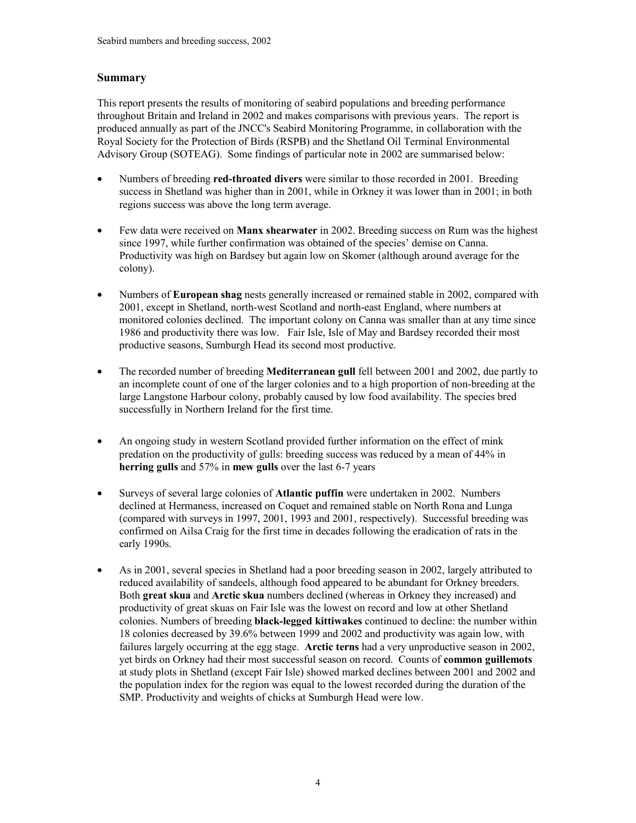### **Summary**

This report presents the results of monitoring of seabird populations and breeding performance throughout Britain and Ireland in 2002 and makes comparisons with previous years. The report is produced annually as part of the JNCC's Seabird Monitoring Programme, in collaboration with the Royal Society for the Protection of Birds (RSPB) and the Shetland Oil Terminal Environmental Advisory Group (SOTEAG). Some findings of particular note in 2002 are summarised below:

- Numbers of breeding **red-throated divers** were similar to those recorded in 2001. Breeding success in Shetland was higher than in 2001, while in Orkney it was lower than in 2001; in both regions success was above the long term average.
- Few data were received on **Manx shearwater** in 2002. Breeding success on Rum was the highest since 1997, while further confirmation was obtained of the species' demise on Canna. Productivity was high on Bardsey but again low on Skomer (although around average for the colony).
- Numbers of **European shag** nests generally increased or remained stable in 2002, compared with 2001, except in Shetland, north-west Scotland and north-east England, where numbers at monitored colonies declined. The important colony on Canna was smaller than at any time since 1986 and productivity there was low. Fair Isle, Isle of May and Bardsey recorded their most productive seasons, Sumburgh Head its second most productive.
- The recorded number of breeding **Mediterranean gull** fell between 2001 and 2002, due partly to an incomplete count of one of the larger colonies and to a high proportion of non-breeding at the large Langstone Harbour colony, probably caused by low food availability. The species bred successfully in Northern Ireland for the first time.
- An ongoing study in western Scotland provided further information on the effect of mink predation on the productivity of gulls: breeding success was reduced by a mean of 44% in **herring gulls** and 57% in **mew gulls** over the last 6-7 years
- Surveys of several large colonies of **Atlantic puffin** were undertaken in 2002. Numbers declined at Hermaness, increased on Coquet and remained stable on North Rona and Lunga (compared with surveys in 1997, 2001, 1993 and 2001, respectively). Successful breeding was confirmed on Ailsa Craig for the first time in decades following the eradication of rats in the early 1990s.
- As in 2001, several species in Shetland had a poor breeding season in 2002, largely attributed to reduced availability of sandeels, although food appeared to be abundant for Orkney breeders. Both **great skua** and **Arctic skua** numbers declined (whereas in Orkney they increased) and productivity of great skuas on Fair Isle was the lowest on record and low at other Shetland colonies. Numbers of breeding **black-legged kittiwakes** continued to decline: the number within 18 colonies decreased by 39.6% between 1999 and 2002 and productivity was again low, with failures largely occurring at the egg stage. **Arctic terns** had a very unproductive season in 2002, yet birds on Orkney had their most successful season on record. Counts of **common guillemots** at study plots in Shetland (except Fair Isle) showed marked declines between 2001 and 2002 and the population index for the region was equal to the lowest recorded during the duration of the SMP. Productivity and weights of chicks at Sumburgh Head were low.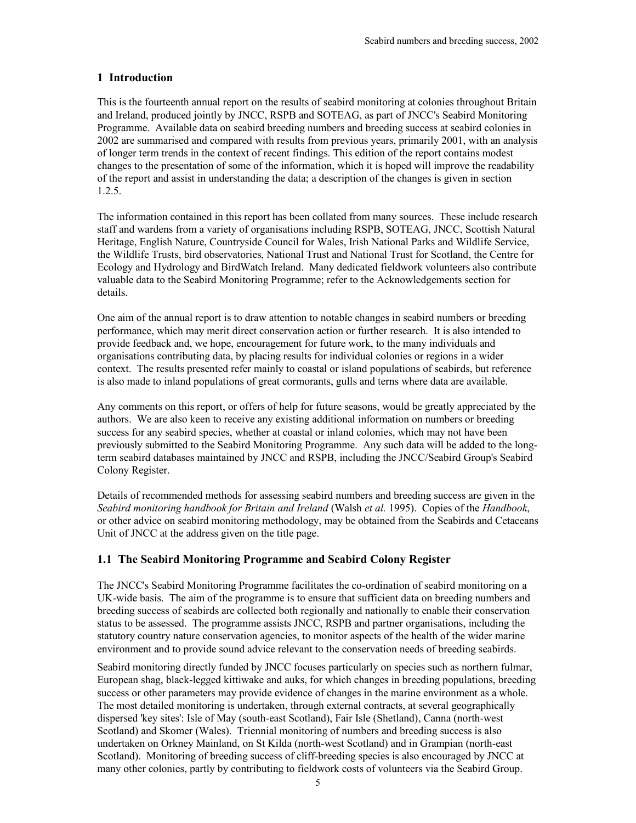### **1 Introduction**

This is the fourteenth annual report on the results of seabird monitoring at colonies throughout Britain and Ireland, produced jointly by JNCC, RSPB and SOTEAG, as part of JNCC's Seabird Monitoring Programme. Available data on seabird breeding numbers and breeding success at seabird colonies in 2002 are summarised and compared with results from previous years, primarily 2001, with an analysis of longer term trends in the context of recent findings. This edition of the report contains modest changes to the presentation of some of the information, which it is hoped will improve the readability of the report and assist in understanding the data; a description of the changes is given in section 1.2.5.

The information contained in this report has been collated from many sources. These include research staff and wardens from a variety of organisations including RSPB, SOTEAG, JNCC, Scottish Natural Heritage, English Nature, Countryside Council for Wales, Irish National Parks and Wildlife Service, the Wildlife Trusts, bird observatories, National Trust and National Trust for Scotland, the Centre for Ecology and Hydrology and BirdWatch Ireland. Many dedicated fieldwork volunteers also contribute valuable data to the Seabird Monitoring Programme; refer to the Acknowledgements section for details.

One aim of the annual report is to draw attention to notable changes in seabird numbers or breeding performance, which may merit direct conservation action or further research. It is also intended to provide feedback and, we hope, encouragement for future work, to the many individuals and organisations contributing data, by placing results for individual colonies or regions in a wider context. The results presented refer mainly to coastal or island populations of seabirds, but reference is also made to inland populations of great cormorants, gulls and terns where data are available.

Any comments on this report, or offers of help for future seasons, would be greatly appreciated by the authors. We are also keen to receive any existing additional information on numbers or breeding success for any seabird species, whether at coastal or inland colonies, which may not have been previously submitted to the Seabird Monitoring Programme. Any such data will be added to the longterm seabird databases maintained by JNCC and RSPB, including the JNCC/Seabird Group's Seabird Colony Register.

Details of recommended methods for assessing seabird numbers and breeding success are given in the *Seabird monitoring handbook for Britain and Ireland* (Walsh *et al.* 1995). Copies of the *Handbook*, or other advice on seabird monitoring methodology, may be obtained from the Seabirds and Cetaceans Unit of JNCC at the address given on the title page.

# **1.1 The Seabird Monitoring Programme and Seabird Colony Register**

The JNCC's Seabird Monitoring Programme facilitates the co-ordination of seabird monitoring on a UK-wide basis. The aim of the programme is to ensure that sufficient data on breeding numbers and breeding success of seabirds are collected both regionally and nationally to enable their conservation status to be assessed. The programme assists JNCC, RSPB and partner organisations, including the statutory country nature conservation agencies, to monitor aspects of the health of the wider marine environment and to provide sound advice relevant to the conservation needs of breeding seabirds.

Seabird monitoring directly funded by JNCC focuses particularly on species such as northern fulmar, European shag, black-legged kittiwake and auks, for which changes in breeding populations, breeding success or other parameters may provide evidence of changes in the marine environment as a whole. The most detailed monitoring is undertaken, through external contracts, at several geographically dispersed 'key sites': Isle of May (south-east Scotland), Fair Isle (Shetland), Canna (north-west Scotland) and Skomer (Wales). Triennial monitoring of numbers and breeding success is also undertaken on Orkney Mainland, on St Kilda (north-west Scotland) and in Grampian (north-east Scotland). Monitoring of breeding success of cliff-breeding species is also encouraged by JNCC at many other colonies, partly by contributing to fieldwork costs of volunteers via the Seabird Group.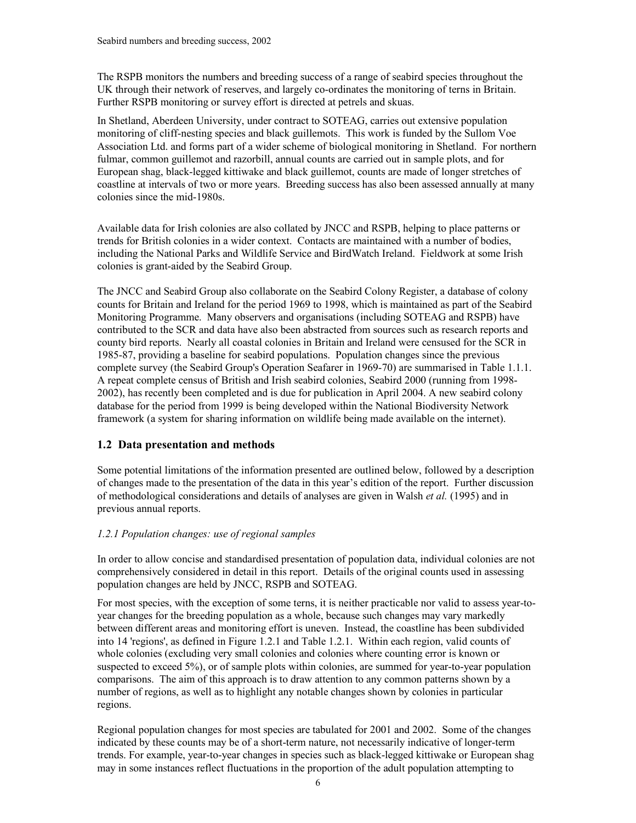The RSPB monitors the numbers and breeding success of a range of seabird species throughout the UK through their network of reserves, and largely co-ordinates the monitoring of terns in Britain. Further RSPB monitoring or survey effort is directed at petrels and skuas.

In Shetland, Aberdeen University, under contract to SOTEAG, carries out extensive population monitoring of cliff-nesting species and black guillemots. This work is funded by the Sullom Voe Association Ltd. and forms part of a wider scheme of biological monitoring in Shetland. For northern fulmar, common guillemot and razorbill, annual counts are carried out in sample plots, and for European shag, black-legged kittiwake and black guillemot, counts are made of longer stretches of coastline at intervals of two or more years. Breeding success has also been assessed annually at many colonies since the mid-1980s.

Available data for Irish colonies are also collated by JNCC and RSPB, helping to place patterns or trends for British colonies in a wider context. Contacts are maintained with a number of bodies, including the National Parks and Wildlife Service and BirdWatch Ireland. Fieldwork at some Irish colonies is grant-aided by the Seabird Group.

The JNCC and Seabird Group also collaborate on the Seabird Colony Register, a database of colony counts for Britain and Ireland for the period 1969 to 1998, which is maintained as part of the Seabird Monitoring Programme. Many observers and organisations (including SOTEAG and RSPB) have contributed to the SCR and data have also been abstracted from sources such as research reports and county bird reports. Nearly all coastal colonies in Britain and Ireland were censused for the SCR in 1985-87, providing a baseline for seabird populations. Population changes since the previous complete survey (the Seabird Group's Operation Seafarer in 1969-70) are summarised in Table 1.1.1. A repeat complete census of British and Irish seabird colonies, Seabird 2000 (running from 1998- 2002), has recently been completed and is due for publication in April 2004. A new seabird colony database for the period from 1999 is being developed within the National Biodiversity Network framework (a system for sharing information on wildlife being made available on the internet).

# **1.2 Data presentation and methods**

Some potential limitations of the information presented are outlined below, followed by a description of changes made to the presentation of the data in this year's edition of the report. Further discussion of methodological considerations and details of analyses are given in Walsh *et al.* (1995) and in previous annual reports.

### *1.2.1 Population changes: use of regional samples*

In order to allow concise and standardised presentation of population data, individual colonies are not comprehensively considered in detail in this report. Details of the original counts used in assessing population changes are held by JNCC, RSPB and SOTEAG.

For most species, with the exception of some terns, it is neither practicable nor valid to assess year-toyear changes for the breeding population as a whole, because such changes may vary markedly between different areas and monitoring effort is uneven. Instead, the coastline has been subdivided into 14 'regions', as defined in Figure 1.2.1 and Table 1.2.1. Within each region, valid counts of whole colonies (excluding very small colonies and colonies where counting error is known or suspected to exceed 5%), or of sample plots within colonies, are summed for year-to-year population comparisons. The aim of this approach is to draw attention to any common patterns shown by a number of regions, as well as to highlight any notable changes shown by colonies in particular regions.

Regional population changes for most species are tabulated for 2001 and 2002. Some of the changes indicated by these counts may be of a short-term nature, not necessarily indicative of longer-term trends. For example, year-to-year changes in species such as black-legged kittiwake or European shag may in some instances reflect fluctuations in the proportion of the adult population attempting to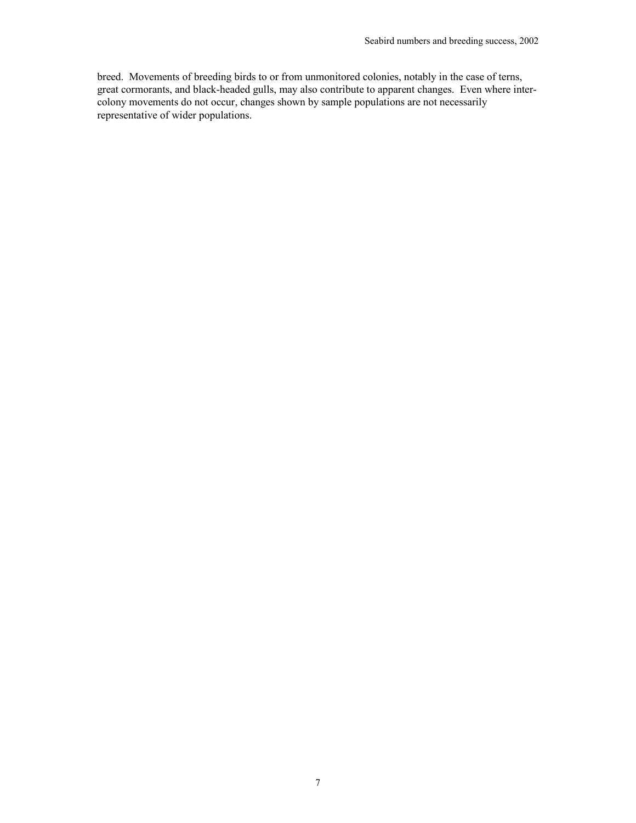breed. Movements of breeding birds to or from unmonitored colonies, notably in the case of terns, great cormorants, and black-headed gulls, may also contribute to apparent changes. Even where intercolony movements do not occur, changes shown by sample populations are not necessarily representative of wider populations.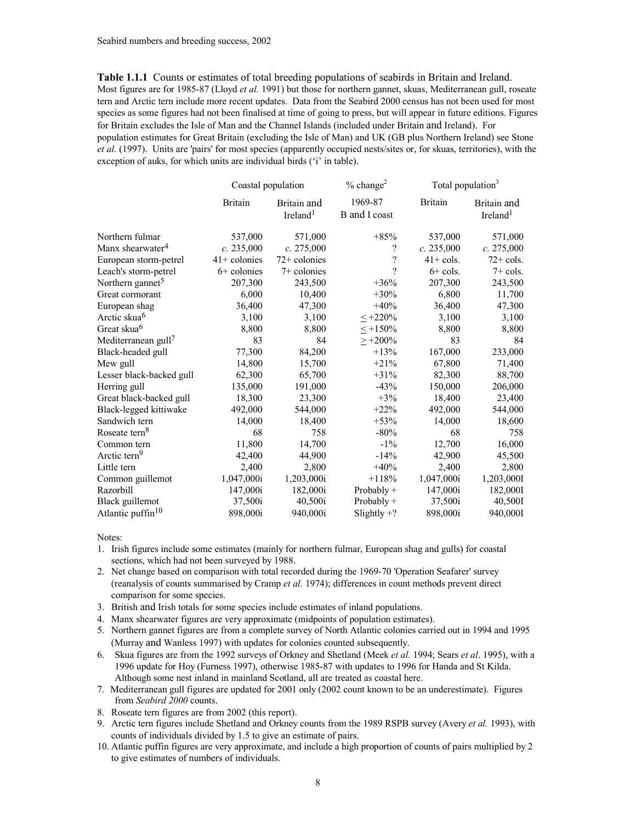**Table 1.1.1** Counts or estimates of total breeding populations of seabirds in Britain and Ireland. Most figures are for 1985-87 (Lloyd *et al.* 1991) but those for northern gannet, skuas, Mediterranean gull, roseate tern and Arctic tern include more recent updates. Data from the Seabird 2000 census has not been used for most species as some figures had not been finalised at time of going to press, but will appear in future editions. Figures for Britain excludes the Isle of Man and the Channel Islands (included under Britain and Ireland). For population estimates for Great Britain (excluding the Isle of Man) and UK (GB plus Northern Ireland) see Stone *et al.* (1997). Units are 'pairs' for most species (apparently occupied nests/sites or, for skuas, territories), with the exception of auks, for which units are individual birds ('i' in table).

|                                 | Coastal population |                                     | % change <sup>2</sup>           | Total population <sup>3</sup> |                                     |  |
|---------------------------------|--------------------|-------------------------------------|---------------------------------|-------------------------------|-------------------------------------|--|
|                                 | <b>Britain</b>     | Britain and<br>Ireland <sup>1</sup> | 1969-87<br><b>B</b> and I coast | <b>Britain</b>                | Britain and<br>Ireland <sup>1</sup> |  |
| Northern fulmar                 | 537,000            | 571,000                             | $+85%$                          | 537,000                       | 571,000                             |  |
| Manx shearwater <sup>4</sup>    | c. 235,000         | c. 275,000                          |                                 | c. 235,000                    | c. 275,000                          |  |
| European storm-petrel           | $41+$ colonies     | $72+$ colonies                      | $\gamma$                        | $41 + \cosh$                  | $72+$ cols.                         |  |
| Leach's storm-petrel            | $6+$ colonies      | 7+ colonies                         | $\gamma$                        | $6+$ cols.                    | $7+$ cols.                          |  |
| Northern gannet <sup>5</sup>    | 207,300            | 243,500                             | $+36%$                          | 207,300                       | 243,500                             |  |
| Great cormorant                 | 6,000              | 10,400                              | $+30%$                          | 6,800                         | 11,700                              |  |
| European shag                   | 36,400             | 47,300                              | $+40%$                          | 36,400                        | 47,300                              |  |
| Arctic skua <sup>6</sup>        | 3,100              | 3,100                               | $< +220%$                       | 3,100                         | 3,100                               |  |
| Great skua <sup>6</sup>         | 8,800              | 8,800                               | $< +150%$                       | 8,800                         | 8,800                               |  |
| Mediterranean gull <sup>7</sup> | 83                 | 84                                  | $> +200\%$                      | 83                            | 84                                  |  |
| Black-headed gull               | 77,300             | 84,200                              | $+13%$                          | 167,000                       | 233,000                             |  |
| Mew gull                        | 14,800             | 15,700                              | $+21%$                          | 67,800                        | 71,400                              |  |
| Lesser black-backed gull        | 62,300             | 65,700                              | $+31%$                          | 82,300                        | 88,700                              |  |
| Herring gull                    | 135,000            | 191,000                             | $-43%$                          | 150,000                       | 206,000                             |  |
| Great black-backed gull         | 18,300             | 23,300                              | $+3%$                           | 18,400                        | 23,400                              |  |
| Black-legged kittiwake          | 492,000            | 544,000                             | $+22%$                          | 492,000                       | 544,000                             |  |
| Sandwich tern                   | 14,000             | 18,400                              | $+53%$                          | 14,000                        | 18,600                              |  |
| Roseate tern <sup>8</sup>       | 68                 | 758                                 | $-80%$                          | 68                            | 758                                 |  |
| Common tern                     | 11,800             | 14,700                              | $-1\%$                          | 12,700                        | 16,000                              |  |
| Arctic tern <sup>9</sup>        | 42,400             | 44,900                              | $-14%$                          | 42,900                        | 45,500                              |  |
| Little tern                     | 2,400              | 2,800                               | $+40%$                          | 2,400                         | 2,800                               |  |
| Common guillemot                | 1,047,000i         | 1,203,000i                          | $+118%$                         | 1,047,000i                    | 1,203,000I                          |  |
| Razorbill                       | 147,000i           | 182,000i                            | $Probability +$                 | 147,000i                      | 182,000I                            |  |
| Black guillemot                 | 37,500i            | 40,500i                             | $Probability +$                 | 37,500i                       | 40,500I                             |  |
| Atlantic puffin <sup>10</sup>   | 898,000i           | 940,000i                            | Slightly $+$ ?                  | 898,000i                      | 940,000I                            |  |

Notes:

- 1. Irish figures include some estimates (mainly for northern fulmar, European shag and gulls) for coastal sections, which had not been surveyed by 1988.
- 2. Net change based on comparison with total recorded during the 1969-70 'Operation Seafarer' survey (reanalysis of counts summarised by Cramp *et al.* 1974); differences in count methods prevent direct comparison for some species.
- 3. British and Irish totals for some species include estimates of inland populations.
- 4. Manx shearwater figures are very approximate (midpoints of population estimates).
- 5. Northern gannet figures are from a complete survey of North Atlantic colonies carried out in 1994 and 1995 (Murray and Wanless 1997) with updates for colonies counted subsequently.
- 6. Skua figures are from the 1992 surveys of Orkney and Shetland (Meek *et al.* 1994; Sears *et al*. 1995), with a 1996 update for Hoy (Furness 1997), otherwise 1985-87 with updates to 1996 for Handa and St Kilda. Although some nest inland in mainland Scotland, all are treated as coastal here.
- 7. Mediterranean gull figures are updated for 2001 only (2002 count known to be an underestimate). Figures from *Seabird 2000* counts.
- 8. Roseate tern figures are from 2002 (this report).
- 9. Arctic tern figures include Shetland and Orkney counts from the 1989 RSPB survey (Avery *et al.* 1993), with counts of individuals divided by 1.5 to give an estimate of pairs.
- 10. Atlantic puffin figures are very approximate, and include a high proportion of counts of pairs multiplied by 2 to give estimates of numbers of individuals.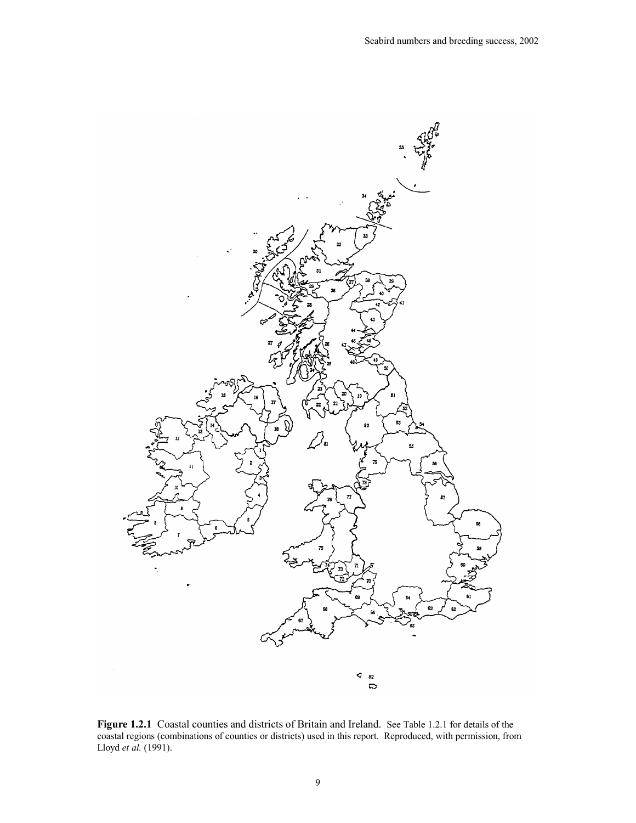

**Figure 1.2.1** Coastal counties and districts of Britain and Ireland. See Table 1.2.1 for details of the coastal regions (combinations of counties or districts) used in this report. Reproduced, with permission, from Lloyd *et al.* (1991).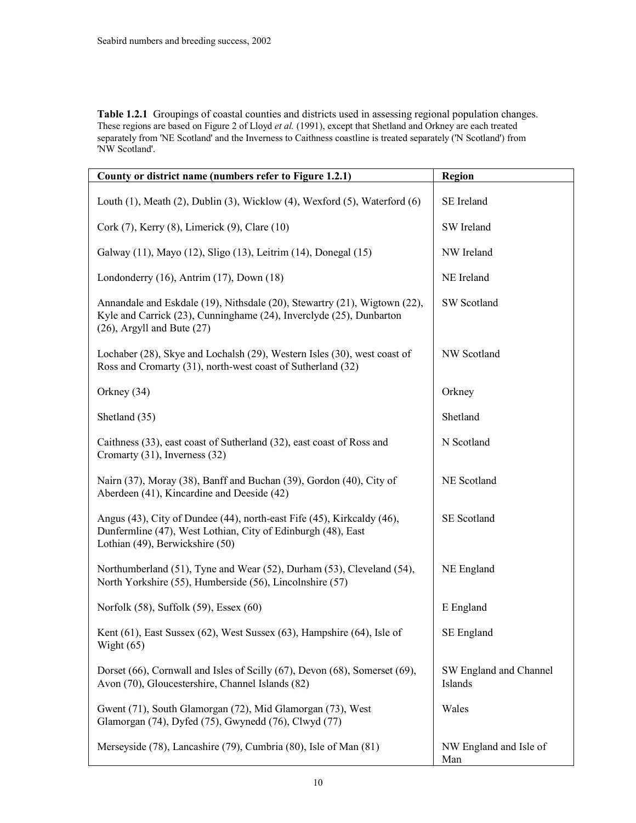**Table 1.2.1** Groupings of coastal counties and districts used in assessing regional population changes. These regions are based on Figure 2 of Lloyd *et al.* (1991), except that Shetland and Orkney are each treated separately from 'NE Scotland' and the Inverness to Caithness coastline is treated separately ('N Scotland') from 'NW Scotland'.

| County or district name (numbers refer to Figure 1.2.1)                                                                                                                             | Region                            |
|-------------------------------------------------------------------------------------------------------------------------------------------------------------------------------------|-----------------------------------|
| Louth (1), Meath (2), Dublin (3), Wicklow (4), Wexford (5), Waterford (6)                                                                                                           | SE Ireland                        |
| Cork (7), Kerry (8), Limerick (9), Clare (10)                                                                                                                                       | SW Ireland                        |
| Galway (11), Mayo (12), Sligo (13), Leitrim (14), Donegal (15)                                                                                                                      | NW Ireland                        |
| Londonderry $(16)$ , Antrim $(17)$ , Down $(18)$                                                                                                                                    | NE Ireland                        |
| Annandale and Eskdale (19), Nithsdale (20), Stewartry (21), Wigtown (22),<br>Kyle and Carrick (23), Cunninghame (24), Inverclyde (25), Dunbarton<br>$(26)$ , Argyll and Bute $(27)$ | SW Scotland                       |
| Lochaber (28), Skye and Lochalsh (29), Western Isles (30), west coast of<br>Ross and Cromarty (31), north-west coast of Sutherland (32)                                             | NW Scotland                       |
| Orkney (34)                                                                                                                                                                         | Orkney                            |
| Shetland (35)                                                                                                                                                                       | Shetland                          |
| Caithness (33), east coast of Sutherland (32), east coast of Ross and<br>Cromarty (31), Inverness (32)                                                                              | N Scotland                        |
| Nairn (37), Moray (38), Banff and Buchan (39), Gordon (40), City of<br>Aberdeen (41), Kincardine and Deeside (42)                                                                   | NE Scotland                       |
| Angus (43), City of Dundee (44), north-east Fife (45), Kirkcaldy (46),<br>Dunfermline (47), West Lothian, City of Edinburgh (48), East<br>Lothian (49), Berwickshire (50)           | SE Scotland                       |
| Northumberland (51), Tyne and Wear (52), Durham (53), Cleveland (54),<br>North Yorkshire (55), Humberside (56), Lincolnshire (57)                                                   | NE England                        |
| Norfolk (58), Suffolk (59), Essex (60)                                                                                                                                              | E England                         |
| Kent (61), East Sussex (62), West Sussex (63), Hampshire (64), Isle of<br>Wight $(65)$                                                                                              | SE England                        |
| Dorset (66), Cornwall and Isles of Scilly (67), Devon (68), Somerset (69),<br>Avon (70), Gloucestershire, Channel Islands (82)                                                      | SW England and Channel<br>Islands |
| Gwent (71), South Glamorgan (72), Mid Glamorgan (73), West<br>Glamorgan (74), Dyfed (75), Gwynedd (76), Clwyd (77)                                                                  | Wales                             |
| Merseyside (78), Lancashire (79), Cumbria (80), Isle of Man (81)                                                                                                                    | NW England and Isle of<br>Man     |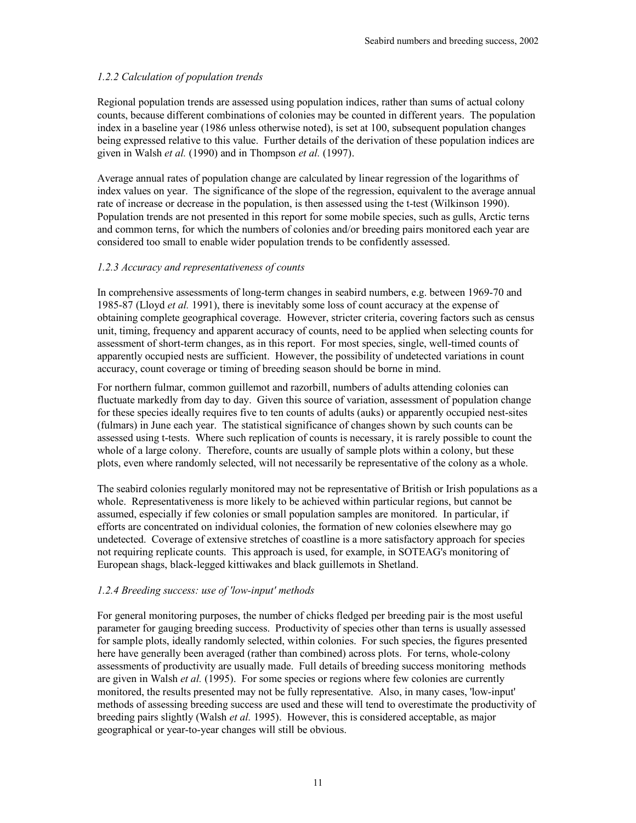### *1.2.2 Calculation of population trends*

Regional population trends are assessed using population indices, rather than sums of actual colony counts, because different combinations of colonies may be counted in different years. The population index in a baseline year (1986 unless otherwise noted), is set at 100, subsequent population changes being expressed relative to this value. Further details of the derivation of these population indices are given in Walsh *et al.* (1990) and in Thompson *et al.* (1997).

Average annual rates of population change are calculated by linear regression of the logarithms of index values on year. The significance of the slope of the regression, equivalent to the average annual rate of increase or decrease in the population, is then assessed using the t-test (Wilkinson 1990). Population trends are not presented in this report for some mobile species, such as gulls, Arctic terns and common terns, for which the numbers of colonies and/or breeding pairs monitored each year are considered too small to enable wider population trends to be confidently assessed.

### *1.2.3 Accuracy and representativeness of counts*

In comprehensive assessments of long-term changes in seabird numbers, e.g. between 1969-70 and 1985-87 (Lloyd *et al.* 1991), there is inevitably some loss of count accuracy at the expense of obtaining complete geographical coverage. However, stricter criteria, covering factors such as census unit, timing, frequency and apparent accuracy of counts, need to be applied when selecting counts for assessment of short-term changes, as in this report. For most species, single, well-timed counts of apparently occupied nests are sufficient. However, the possibility of undetected variations in count accuracy, count coverage or timing of breeding season should be borne in mind.

For northern fulmar, common guillemot and razorbill, numbers of adults attending colonies can fluctuate markedly from day to day. Given this source of variation, assessment of population change for these species ideally requires five to ten counts of adults (auks) or apparently occupied nest-sites (fulmars) in June each year. The statistical significance of changes shown by such counts can be assessed using t-tests. Where such replication of counts is necessary, it is rarely possible to count the whole of a large colony. Therefore, counts are usually of sample plots within a colony, but these plots, even where randomly selected, will not necessarily be representative of the colony as a whole.

The seabird colonies regularly monitored may not be representative of British or Irish populations as a whole. Representativeness is more likely to be achieved within particular regions, but cannot be assumed, especially if few colonies or small population samples are monitored. In particular, if efforts are concentrated on individual colonies, the formation of new colonies elsewhere may go undetected. Coverage of extensive stretches of coastline is a more satisfactory approach for species not requiring replicate counts. This approach is used, for example, in SOTEAG's monitoring of European shags, black-legged kittiwakes and black guillemots in Shetland.

### *1.2.4 Breeding success: use of 'low-input' methods*

For general monitoring purposes, the number of chicks fledged per breeding pair is the most useful parameter for gauging breeding success. Productivity of species other than terns is usually assessed for sample plots, ideally randomly selected, within colonies. For such species, the figures presented here have generally been averaged (rather than combined) across plots. For terns, whole-colony assessments of productivity are usually made. Full details of breeding success monitoring methods are given in Walsh *et al.* (1995). For some species or regions where few colonies are currently monitored, the results presented may not be fully representative. Also, in many cases, 'low-input' methods of assessing breeding success are used and these will tend to overestimate the productivity of breeding pairs slightly (Walsh *et al.* 1995). However, this is considered acceptable, as major geographical or year-to-year changes will still be obvious.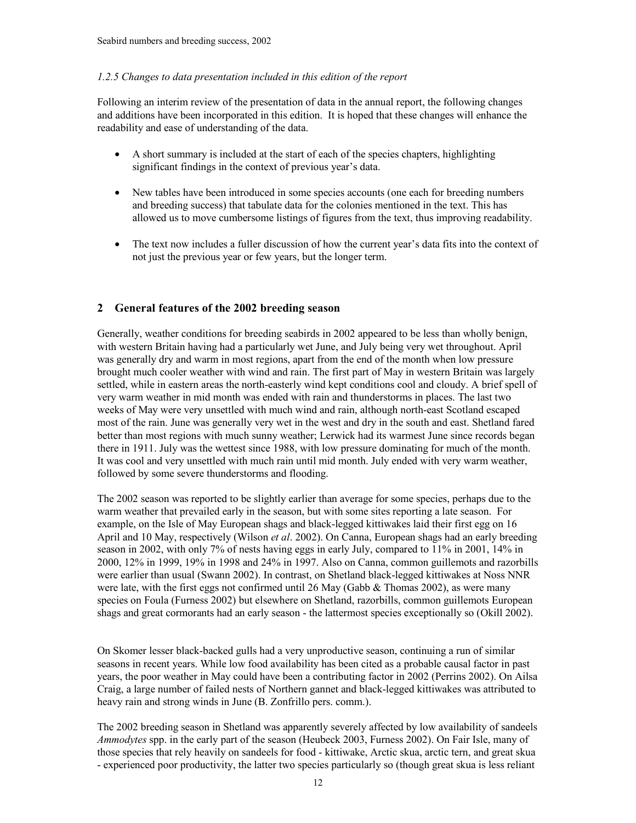### *1.2.5 Changes to data presentation included in this edition of the report*

Following an interim review of the presentation of data in the annual report, the following changes and additions have been incorporated in this edition. It is hoped that these changes will enhance the readability and ease of understanding of the data.

- A short summary is included at the start of each of the species chapters, highlighting significant findings in the context of previous year's data.
- New tables have been introduced in some species accounts (one each for breeding numbers and breeding success) that tabulate data for the colonies mentioned in the text. This has allowed us to move cumbersome listings of figures from the text, thus improving readability.
- The text now includes a fuller discussion of how the current year's data fits into the context of not just the previous year or few years, but the longer term.

### **2 General features of the 2002 breeding season**

Generally, weather conditions for breeding seabirds in 2002 appeared to be less than wholly benign, with western Britain having had a particularly wet June, and July being very wet throughout. April was generally dry and warm in most regions, apart from the end of the month when low pressure brought much cooler weather with wind and rain. The first part of May in western Britain was largely settled, while in eastern areas the north-easterly wind kept conditions cool and cloudy. A brief spell of very warm weather in mid month was ended with rain and thunderstorms in places. The last two weeks of May were very unsettled with much wind and rain, although north-east Scotland escaped most of the rain. June was generally very wet in the west and dry in the south and east. Shetland fared better than most regions with much sunny weather; Lerwick had its warmest June since records began there in 1911. July was the wettest since 1988, with low pressure dominating for much of the month. It was cool and very unsettled with much rain until mid month. July ended with very warm weather, followed by some severe thunderstorms and flooding.

The 2002 season was reported to be slightly earlier than average for some species, perhaps due to the warm weather that prevailed early in the season, but with some sites reporting a late season. For example, on the Isle of May European shags and black-legged kittiwakes laid their first egg on 16 April and 10 May, respectively (Wilson *et al*. 2002). On Canna, European shags had an early breeding season in 2002, with only 7% of nests having eggs in early July, compared to 11% in 2001, 14% in 2000, 12% in 1999, 19% in 1998 and 24% in 1997. Also on Canna, common guillemots and razorbills were earlier than usual (Swann 2002). In contrast, on Shetland black-legged kittiwakes at Noss NNR were late, with the first eggs not confirmed until 26 May (Gabb  $&$  Thomas 2002), as were many species on Foula (Furness 2002) but elsewhere on Shetland, razorbills, common guillemots European shags and great cormorants had an early season - the lattermost species exceptionally so (Okill 2002).

On Skomer lesser black-backed gulls had a very unproductive season, continuing a run of similar seasons in recent years. While low food availability has been cited as a probable causal factor in past years, the poor weather in May could have been a contributing factor in 2002 (Perrins 2002). On Ailsa Craig, a large number of failed nests of Northern gannet and black-legged kittiwakes was attributed to heavy rain and strong winds in June (B. Zonfrillo pers. comm.).

The 2002 breeding season in Shetland was apparently severely affected by low availability of sandeels *Ammodytes* spp. in the early part of the season (Heubeck 2003, Furness 2002). On Fair Isle, many of those species that rely heavily on sandeels for food - kittiwake, Arctic skua, arctic tern, and great skua - experienced poor productivity, the latter two species particularly so (though great skua is less reliant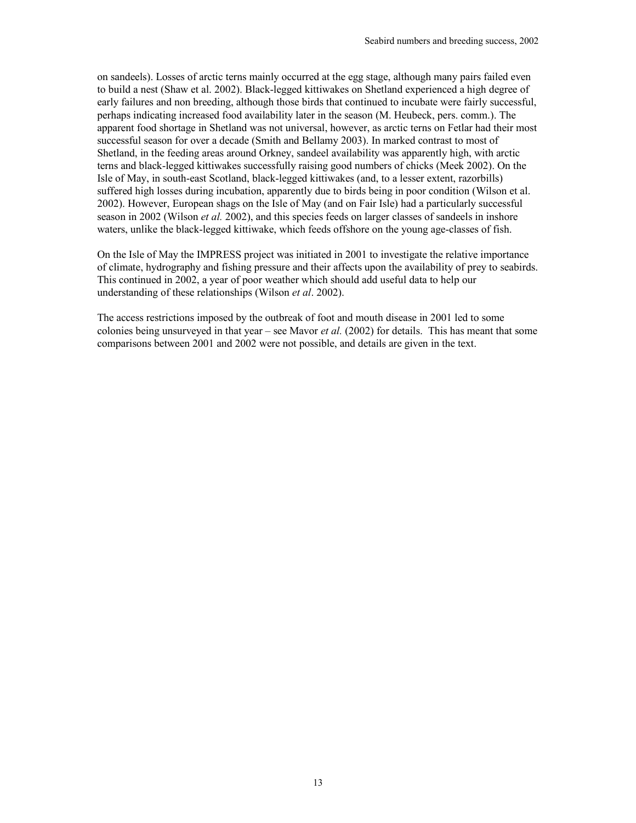on sandeels). Losses of arctic terns mainly occurred at the egg stage, although many pairs failed even to build a nest (Shaw et al. 2002). Black-legged kittiwakes on Shetland experienced a high degree of early failures and non breeding, although those birds that continued to incubate were fairly successful, perhaps indicating increased food availability later in the season (M. Heubeck, pers. comm.). The apparent food shortage in Shetland was not universal, however, as arctic terns on Fetlar had their most successful season for over a decade (Smith and Bellamy 2003). In marked contrast to most of Shetland, in the feeding areas around Orkney, sandeel availability was apparently high, with arctic terns and black-legged kittiwakes successfully raising good numbers of chicks (Meek 2002). On the Isle of May, in south-east Scotland, black-legged kittiwakes (and, to a lesser extent, razorbills) suffered high losses during incubation, apparently due to birds being in poor condition (Wilson et al. 2002). However, European shags on the Isle of May (and on Fair Isle) had a particularly successful season in 2002 (Wilson *et al.* 2002), and this species feeds on larger classes of sandeels in inshore waters, unlike the black-legged kittiwake, which feeds offshore on the young age-classes of fish.

On the Isle of May the IMPRESS project was initiated in 2001 to investigate the relative importance of climate, hydrography and fishing pressure and their affects upon the availability of prey to seabirds. This continued in 2002, a year of poor weather which should add useful data to help our understanding of these relationships (Wilson *et al*. 2002).

The access restrictions imposed by the outbreak of foot and mouth disease in 2001 led to some colonies being unsurveyed in that year – see Mavor *et al.* (2002) for details. This has meant that some comparisons between 2001 and 2002 were not possible, and details are given in the text.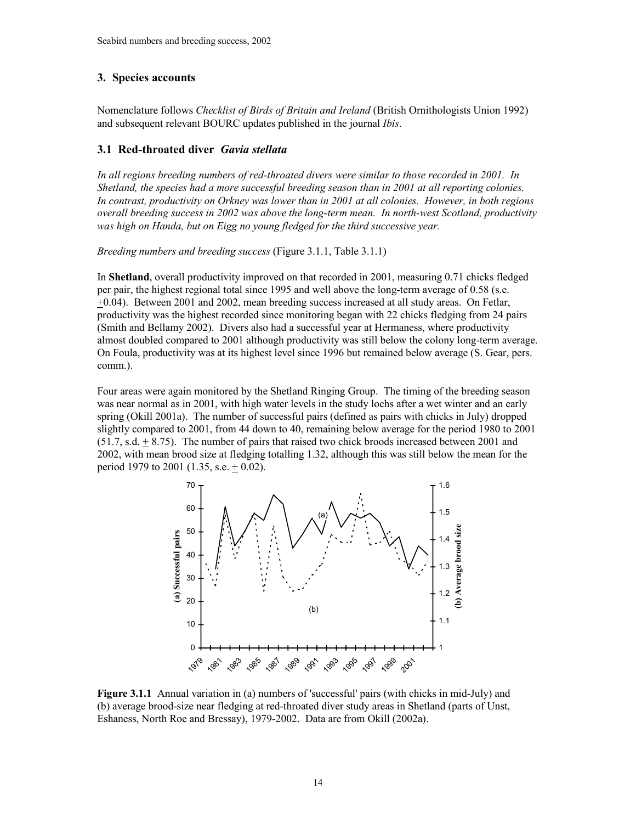### **3. Species accounts**

Nomenclature follows *Checklist of Birds of Britain and Ireland* (British Ornithologists Union 1992) and subsequent relevant BOURC updates published in the journal *Ibis*.

### **3.1 Red-throated diver** *Gavia stellata*

*In all regions breeding numbers of red-throated divers were similar to those recorded in 2001. In Shetland, the species had a more successful breeding season than in 2001 at all reporting colonies. In contrast, productivity on Orkney was lower than in 2001 at all colonies. However, in both regions overall breeding success in 2002 was above the long-term mean. In north-west Scotland, productivity*  was high on Handa, but on Eigg no young fledged for the third successive year.

*Breeding numbers and breeding success* (Figure 3.1.1, Table 3.1.1)

In **Shetland**, overall productivity improved on that recorded in 2001, measuring 0.71 chicks fledged per pair, the highest regional total since 1995 and well above the long-term average of 0.58 (s.e. +0.04). Between 2001 and 2002, mean breeding success increased at all study areas. On Fetlar, productivity was the highest recorded since monitoring began with 22 chicks fledging from 24 pairs (Smith and Bellamy 2002). Divers also had a successful year at Hermaness, where productivity almost doubled compared to 2001 although productivity was still below the colony long-term average. On Foula, productivity was at its highest level since 1996 but remained below average (S. Gear, pers. comm.).

Four areas were again monitored by the Shetland Ringing Group. The timing of the breeding season was near normal as in 2001, with high water levels in the study lochs after a wet winter and an early spring (Okill 2001a). The number of successful pairs (defined as pairs with chicks in July) dropped slightly compared to 2001, from 44 down to 40, remaining below average for the period 1980 to 2001 (51.7, s.d. + 8.75). The number of pairs that raised two chick broods increased between 2001 and 2002, with mean brood size at fledging totalling 1.32, although this was still below the mean for the period 1979 to 2001 (1.35, s.e.  $\pm$  0.02).



**Figure 3.1.1** Annual variation in (a) numbers of 'successful' pairs (with chicks in mid-July) and (b) average brood-size near fledging at red-throated diver study areas in Shetland (parts of Unst, Eshaness, North Roe and Bressay), 1979-2002. Data are from Okill (2002a).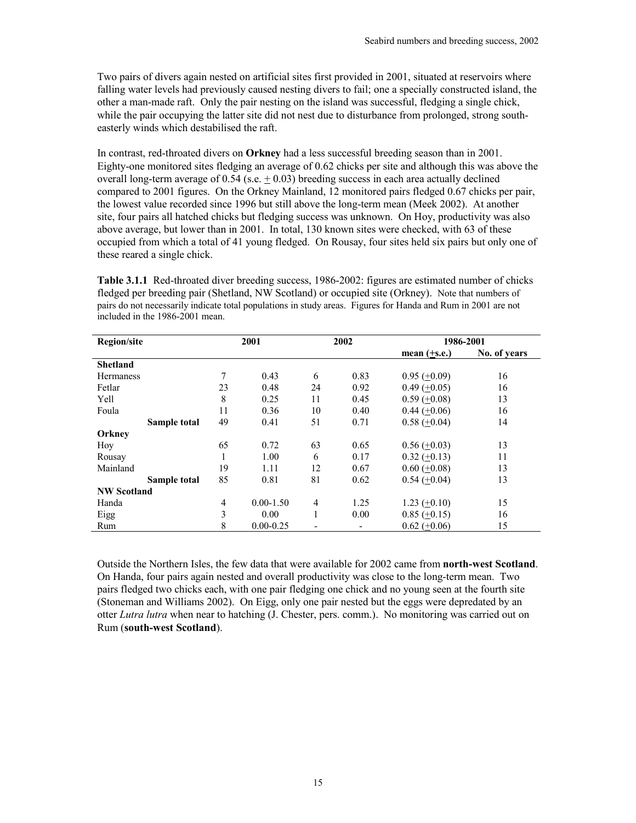Two pairs of divers again nested on artificial sites first provided in 2001, situated at reservoirs where falling water levels had previously caused nesting divers to fail; one a specially constructed island, the other a man-made raft. Only the pair nesting on the island was successful, fledging a single chick, while the pair occupying the latter site did not nest due to disturbance from prolonged, strong southeasterly winds which destabilised the raft.

In contrast, red-throated divers on **Orkney** had a less successful breeding season than in 2001. Eighty-one monitored sites fledging an average of 0.62 chicks per site and although this was above the overall long-term average of 0.54 (s.e.  $\pm$  0.03) breeding success in each area actually declined compared to 2001 figures. On the Orkney Mainland, 12 monitored pairs fledged 0.67 chicks per pair, the lowest value recorded since 1996 but still above the long-term mean (Meek 2002). At another site, four pairs all hatched chicks but fledging success was unknown. On Hoy, productivity was also above average, but lower than in 2001. In total, 130 known sites were checked, with 63 of these occupied from which a total of 41 young fledged. On Rousay, four sites held six pairs but only one of these reared a single chick.

**Table 3.1.1** Red-throated diver breeding success, 1986-2002: figures are estimated number of chicks fledged per breeding pair (Shetland, NW Scotland) or occupied site (Orkney). Note that numbers of pairs do not necessarily indicate total populations in study areas. Figures for Handa and Rum in 2001 are not included in the 1986-2001 mean.

| <b>Region/site</b> | 2001 |               |    | 2002 | 1986-2001                   |              |
|--------------------|------|---------------|----|------|-----------------------------|--------------|
|                    |      |               |    |      | mean $(+s.e.)$              | No. of years |
| <b>Shetland</b>    |      |               |    |      |                             |              |
| <b>Hermaness</b>   |      | 0.43          | 6  | 0.83 | $0.95 (+0.09)$              | 16           |
| Fetlar             | 23   | 0.48          | 24 | 0.92 | $0.49 \left( +0.05 \right)$ | 16           |
| Yell               | 8    | 0.25          | 11 | 0.45 | $0.59 \ (\pm 0.08)$         | 13           |
| Foula              | 11   | 0.36          | 10 | 0.40 | $0.44 (+0.06)$              | 16           |
| Sample total       | 49   | 0.41          | 51 | 0.71 | $0.58 \ (\pm 0.04)$         | 14           |
| Orkney             |      |               |    |      |                             |              |
| Hoy                | 65   | 0.72          | 63 | 0.65 | $0.56 (+0.03)$              | 13           |
| Rousay             | 1    | 1.00          | 6  | 0.17 | $0.32 (+0.13)$              | 11           |
| Mainland           | 19   | 1.11          | 12 | 0.67 | $0.60 (+0.08)$              | 13           |
| Sample total       | 85   | 0.81          | 81 | 0.62 | $0.54 (+0.04)$              | 13           |
| <b>NW Scotland</b> |      |               |    |      |                             |              |
| Handa              | 4    | $0.00 - 1.50$ | 4  | 1.25 | $1.23(+0.10)$               | 15           |
| Eigg               | 3    | 0.00          |    | 0.00 | $0.85 \ (\pm 0.15)$         | 16           |
| Rum                | 8    | $0.00 - 0.25$ | -  |      | $0.62 \ (\pm 0.06)$         | 15           |

Outside the Northern Isles, the few data that were available for 2002 came from **north-west Scotland**. On Handa, four pairs again nested and overall productivity was close to the long-term mean. Two pairs fledged two chicks each, with one pair fledging one chick and no young seen at the fourth site (Stoneman and Williams 2002). On Eigg, only one pair nested but the eggs were depredated by an otter *Lutra lutra* when near to hatching (J. Chester, pers. comm.). No monitoring was carried out on Rum (**south-west Scotland**).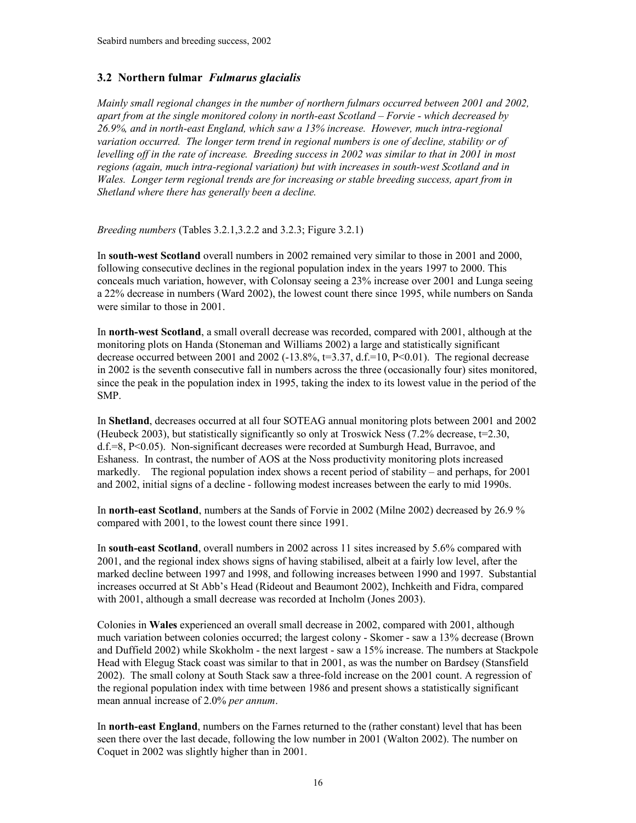# **3.2 Northern fulmar** *Fulmarus glacialis*

*Mainly small regional changes in the number of northern fulmars occurred between 2001 and 2002, apart from at the single monitored colony in north-east Scotland – Forvie - which decreased by 26.9%, and in north-east England, which saw a 13% increase. However, much intra-regional variation occurred. The longer term trend in regional numbers is one of decline, stability or of levelling off in the rate of increase. Breeding success in 2002 was similar to that in 2001 in most regions (again, much intra-regional variation) but with increases in south-west Scotland and in Wales. Longer term regional trends are for increasing or stable breeding success, apart from in Shetland where there has generally been a decline.* 

*Breeding numbers* (Tables 3.2.1,3.2.2 and 3.2.3; Figure 3.2.1)

In **south-west Scotland** overall numbers in 2002 remained very similar to those in 2001 and 2000, following consecutive declines in the regional population index in the years 1997 to 2000. This conceals much variation, however, with Colonsay seeing a 23% increase over 2001 and Lunga seeing a 22% decrease in numbers (Ward 2002), the lowest count there since 1995, while numbers on Sanda were similar to those in 2001.

In **north-west Scotland**, a small overall decrease was recorded, compared with 2001, although at the monitoring plots on Handa (Stoneman and Williams 2002) a large and statistically significant decrease occurred between 2001 and 2002  $(-13.8\%, t=3.37, d.f.=10, P<0.01)$ . The regional decrease in 2002 is the seventh consecutive fall in numbers across the three (occasionally four) sites monitored, since the peak in the population index in 1995, taking the index to its lowest value in the period of the SMP.

In **Shetland**, decreases occurred at all four SOTEAG annual monitoring plots between 2001 and 2002 (Heubeck 2003), but statistically significantly so only at Troswick Ness  $(7.2\%$  decrease,  $t=2.30$ , d.f.=8, P<0.05). Non-significant decreases were recorded at Sumburgh Head, Burravoe, and Eshaness. In contrast, the number of AOS at the Noss productivity monitoring plots increased markedly. The regional population index shows a recent period of stability – and perhaps, for 2001 and 2002, initial signs of a decline - following modest increases between the early to mid 1990s.

In **north-east Scotland**, numbers at the Sands of Forvie in 2002 (Milne 2002) decreased by 26.9 % compared with 2001, to the lowest count there since 1991.

In **south-east Scotland**, overall numbers in 2002 across 11 sites increased by 5.6% compared with 2001, and the regional index shows signs of having stabilised, albeit at a fairly low level, after the marked decline between 1997 and 1998, and following increases between 1990 and 1997. Substantial increases occurred at St Abb's Head (Rideout and Beaumont 2002), Inchkeith and Fidra, compared with 2001, although a small decrease was recorded at Incholm (Jones 2003).

Colonies in **Wales** experienced an overall small decrease in 2002, compared with 2001, although much variation between colonies occurred; the largest colony - Skomer - saw a 13% decrease (Brown and Duffield 2002) while Skokholm - the next largest - saw a 15% increase. The numbers at Stackpole Head with Elegug Stack coast was similar to that in 2001, as was the number on Bardsey (Stansfield 2002). The small colony at South Stack saw a three-fold increase on the 2001 count. A regression of the regional population index with time between 1986 and present shows a statistically significant mean annual increase of 2.0% *per annum*.

In **north-east England**, numbers on the Farnes returned to the (rather constant) level that has been seen there over the last decade, following the low number in 2001 (Walton 2002). The number on Coquet in 2002 was slightly higher than in 2001.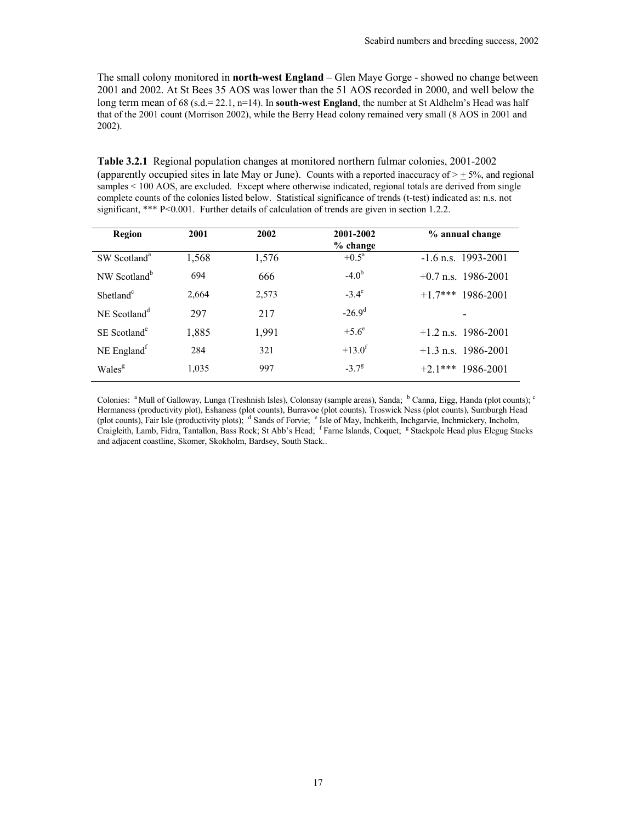The small colony monitored in **north-west England** – Glen Maye Gorge - showed no change between 2001 and 2002. At St Bees 35 AOS was lower than the 51 AOS recorded in 2000, and well below the long term mean of 68 (s.d.= 22.1, n=14). In **south-west England**, the number at St Aldhelm's Head was half that of the 2001 count (Morrison 2002), while the Berry Head colony remained very small (8 AOS in 2001 and 2002).

**Table 3.2.1** Regional population changes at monitored northern fulmar colonies, 2001-2002 (apparently occupied sites in late May or June). Counts with a reported inaccuracy of  $> +5\%$ , and regional samples < 100 AOS, are excluded. Except where otherwise indicated, regional totals are derived from single complete counts of the colonies listed below. Statistical significance of trends (t-test) indicated as: n.s. not significant, \*\*\* P<0.001. Further details of calculation of trends are given in section 1.2.2.

| Region                    | 2001  | 2002  | 2001-2002<br>$%$ change | % annual change        |
|---------------------------|-------|-------|-------------------------|------------------------|
| SW Scotland <sup>a</sup>  | 1,568 | 1,576 | $+0.5^{\circ}$          | $-1.6$ n.s. 1993-2001  |
| NW Scotland <sup>b</sup>  | 694   | 666   | $-4.0b$                 | $+0.7$ n.s. 1986-2001  |
| Shetland <sup>c</sup>     | 2,664 | 2,573 | $-3.4^{\circ}$          | 1986-2001<br>$+1.7***$ |
| NE Scotland <sup>d</sup>  | 297   | 217   | $-26.9^{d}$             |                        |
| SE Scotland <sup>e</sup>  | 1,885 | 1,991 | $+5.6^{\circ}$          | $+1.2$ n.s. 1986-2001  |
| $NE$ England <sup>f</sup> | 284   | 321   | $+13.0$ <sup>f</sup>    | $+1.3$ n.s. 1986-2001  |
| Wales <sup>g</sup>        | 1,035 | 997   | $-3.7^{8}$              | $+2.1***$ 1986-2001    |

Colonies: <sup>a</sup> Mull of Galloway, Lunga (Treshnish Isles), Colonsay (sample areas), Sanda; <sup>b</sup> Canna, Eigg, Handa (plot counts); <sup>c</sup> Hermaness (productivity plot), Eshaness (plot counts), Burravoe (plot counts), Troswick Ness (plot counts), Sumburgh Head (plot counts), Fair Isle (productivity plots); <sup>d</sup> Sands of Forvie; <sup>e</sup> Isle of May, Inchkeith, Inchgarvie, Inchmickery, Incholm, Craigleith, Lamb, Fidra, Tantallon, Bass Rock; St Abb's Head; f Farne Islands, Coquet; <sup>8</sup> Stackpole Head plus Elegug Stacks and adjacent coastline, Skomer, Skokholm, Bardsey, South Stack..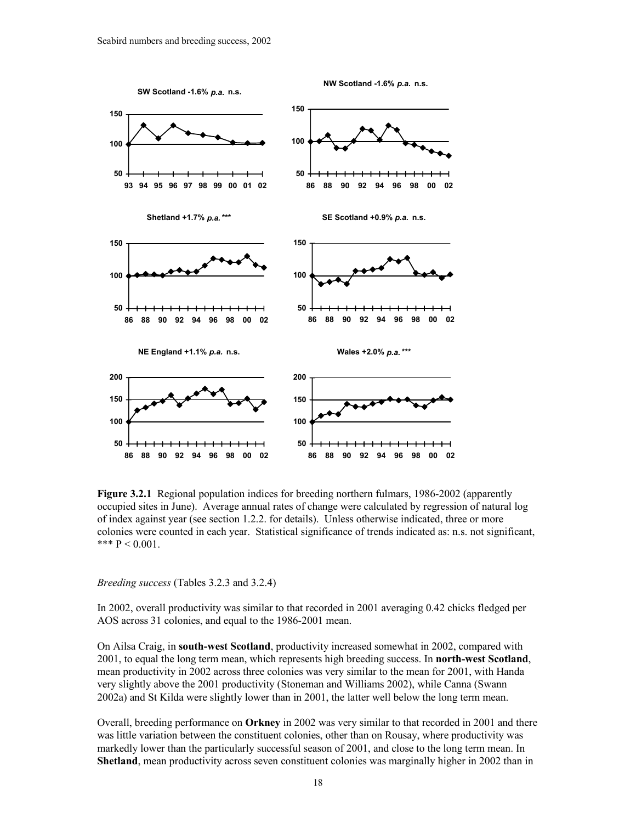

**Figure 3.2.1** Regional population indices for breeding northern fulmars, 1986-2002 (apparently occupied sites in June). Average annual rates of change were calculated by regression of natural log of index against year (see section 1.2.2. for details). Unless otherwise indicated, three or more colonies were counted in each year. Statistical significance of trends indicated as: n.s. not significant, \*\*\*  $P < 0.001$ .

*Breeding success* (Tables 3.2.3 and 3.2.4)

In 2002, overall productivity was similar to that recorded in 2001 averaging 0.42 chicks fledged per AOS across 31 colonies, and equal to the 1986-2001 mean.

On Ailsa Craig, in **south-west Scotland**, productivity increased somewhat in 2002, compared with 2001, to equal the long term mean, which represents high breeding success. In **north-west Scotland**, mean productivity in 2002 across three colonies was very similar to the mean for 2001, with Handa very slightly above the 2001 productivity (Stoneman and Williams 2002), while Canna (Swann 2002a) and St Kilda were slightly lower than in 2001, the latter well below the long term mean.

Overall, breeding performance on **Orkney** in 2002 was very similar to that recorded in 2001 and there was little variation between the constituent colonies, other than on Rousay, where productivity was markedly lower than the particularly successful season of 2001, and close to the long term mean. In **Shetland**, mean productivity across seven constituent colonies was marginally higher in 2002 than in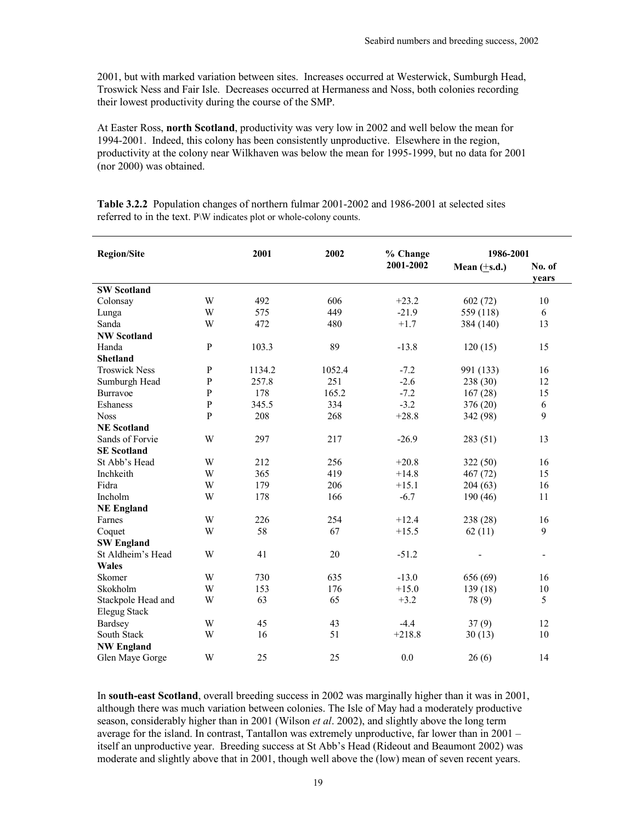2001, but with marked variation between sites. Increases occurred at Westerwick, Sumburgh Head, Troswick Ness and Fair Isle. Decreases occurred at Hermaness and Noss, both colonies recording their lowest productivity during the course of the SMP.

At Easter Ross, **north Scotland**, productivity was very low in 2002 and well below the mean for 1994-2001. Indeed, this colony has been consistently unproductive. Elsewhere in the region, productivity at the colony near Wilkhaven was below the mean for 1995-1999, but no data for 2001 (nor 2000) was obtained.

| <b>Region/Site</b>   |              | 2001   | 2002   | % Change  | 1986-2001         |                          |  |
|----------------------|--------------|--------|--------|-----------|-------------------|--------------------------|--|
|                      |              |        |        | 2001-2002 | Mean $(\pm s.d.)$ | No. of<br>years          |  |
| <b>SW Scotland</b>   |              |        |        |           |                   |                          |  |
| Colonsay             | W            | 492    | 606    | $+23.2$   | 602(72)           | 10                       |  |
| Lunga                | W            | 575    | 449    | $-21.9$   | 559 (118)         | 6                        |  |
| Sanda                | W            | 472    | 480    | $+1.7$    | 384 (140)         | 13                       |  |
| <b>NW Scotland</b>   |              |        |        |           |                   |                          |  |
| Handa                | $\, {\bf p}$ | 103.3  | 89     | $-13.8$   | 120(15)           | 15                       |  |
| <b>Shetland</b>      |              |        |        |           |                   |                          |  |
| <b>Troswick Ness</b> | ${\bf P}$    | 1134.2 | 1052.4 | $-7.2$    | 991 (133)         | 16                       |  |
| Sumburgh Head        | P            | 257.8  | 251    | $-2.6$    | 238 (30)          | 12                       |  |
| <b>Burravoe</b>      | P            | 178    | 165.2  | $-7.2$    | 167(28)           | 15                       |  |
| Eshaness             | ${\bf P}$    | 345.5  | 334    | $-3.2$    | 376 (20)          | 6                        |  |
| <b>Noss</b>          | $\mathbf{P}$ | 208    | 268    | $+28.8$   | 342 (98)          | 9                        |  |
| <b>NE</b> Scotland   |              |        |        |           |                   |                          |  |
| Sands of Forvie      | W            | 297    | 217    | $-26.9$   | 283 (51)          | 13                       |  |
| <b>SE Scotland</b>   |              |        |        |           |                   |                          |  |
| St Abb's Head        | W            | 212    | 256    | $+20.8$   | 322 (50)          | 16                       |  |
| Inchkeith            | W            | 365    | 419    | $+14.8$   | 467 (72)          | 15                       |  |
| Fidra                | W            | 179    | 206    | $+15.1$   | 204(63)           | 16                       |  |
| Incholm              | W            | 178    | 166    | $-6.7$    | 190 (46)          | 11                       |  |
| <b>NE England</b>    |              |        |        |           |                   |                          |  |
| Farnes               | W            | 226    | 254    | $+12.4$   | 238 (28)          | 16                       |  |
| Coquet               | W            | 58     | 67     | $+15.5$   | 62(11)            | 9                        |  |
| <b>SW England</b>    |              |        |        |           |                   |                          |  |
| St Aldheim's Head    | W            | 41     | 20     | $-51.2$   |                   | $\overline{\phantom{a}}$ |  |
| <b>Wales</b>         |              |        |        |           |                   |                          |  |
| Skomer               | W            | 730    | 635    | $-13.0$   | 656 (69)          | 16                       |  |
| Skokholm             | W            | 153    | 176    | $+15.0$   | 139(18)           | 10                       |  |
| Stackpole Head and   | W            | 63     | 65     | $+3.2$    | 78 (9)            | 5                        |  |
| <b>Elegug Stack</b>  |              |        |        |           |                   |                          |  |
| Bardsey              | W            | 45     | 43     | $-4.4$    | 37(9)             | 12                       |  |
| South Stack          | W            | 16     | 51     | $+218.8$  | 30(13)            | 10                       |  |
| <b>NW England</b>    |              |        |        |           |                   |                          |  |
| Glen Maye Gorge      | W            | 25     | 25     | 0.0       | 26(6)             | 14                       |  |

**Table 3.2.2** Population changes of northern fulmar 2001-2002 and 1986-2001 at selected sites referred to in the text. P\W indicates plot or whole-colony counts.

In **south-east Scotland**, overall breeding success in 2002 was marginally higher than it was in 2001, although there was much variation between colonies. The Isle of May had a moderately productive season, considerably higher than in 2001 (Wilson *et al*. 2002), and slightly above the long term average for the island. In contrast, Tantallon was extremely unproductive, far lower than in 2001 – itself an unproductive year. Breeding success at St Abb's Head (Rideout and Beaumont 2002) was moderate and slightly above that in 2001, though well above the (low) mean of seven recent years.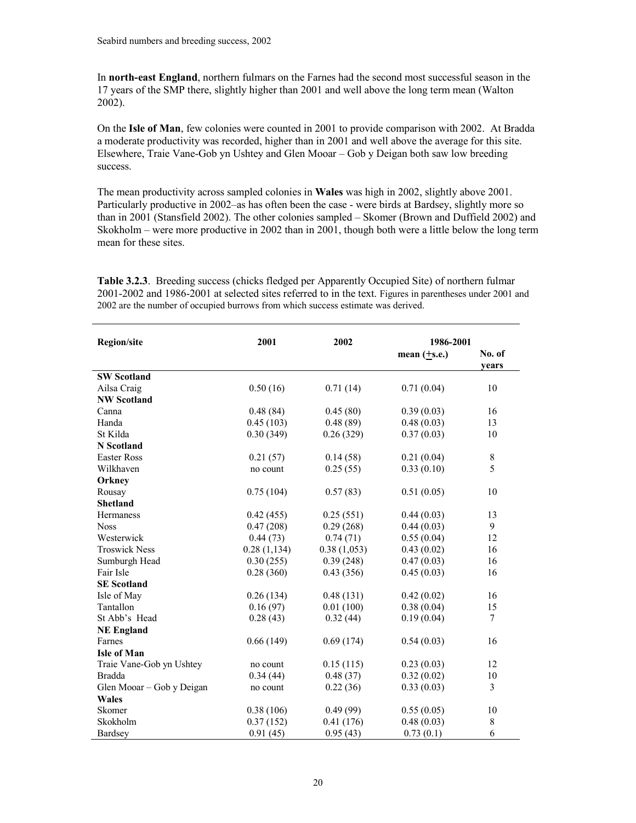In **north-east England**, northern fulmars on the Farnes had the second most successful season in the 17 years of the SMP there, slightly higher than 2001 and well above the long term mean (Walton 2002).

On the **Isle of Man**, few colonies were counted in 2001 to provide comparison with 2002. At Bradda a moderate productivity was recorded, higher than in 2001 and well above the average for this site. Elsewhere, Traie Vane-Gob yn Ushtey and Glen Mooar – Gob y Deigan both saw low breeding success.

The mean productivity across sampled colonies in **Wales** was high in 2002, slightly above 2001. Particularly productive in 2002–as has often been the case - were birds at Bardsey, slightly more so than in 2001 (Stansfield 2002). The other colonies sampled – Skomer (Brown and Duffield 2002) and Skokholm – were more productive in 2002 than in 2001, though both were a little below the long term mean for these sites.

**Table 3.2.3**. Breeding success (chicks fledged per Apparently Occupied Site) of northern fulmar 2001-2002 and 1986-2001 at selected sites referred to in the text. Figures in parentheses under 2001 and 2002 are the number of occupied burrows from which success estimate was derived.

| <b>Region/site</b>        | 2001        | 2002        | 1986-2001      |           |  |  |
|---------------------------|-------------|-------------|----------------|-----------|--|--|
|                           |             |             | mean $(+s.e.)$ | No. of    |  |  |
|                           |             |             |                | years     |  |  |
| <b>SW Scotland</b>        |             |             |                |           |  |  |
| Ailsa Craig               | 0.50(16)    | 0.71(14)    | 0.71(0.04)     | 10        |  |  |
| <b>NW Scotland</b>        |             |             |                |           |  |  |
| Canna                     | 0.48(84)    | 0.45(80)    | 0.39(0.03)     | 16        |  |  |
| Handa                     | 0.45(103)   | 0.48(89)    | 0.48(0.03)     | 13        |  |  |
| St Kilda                  | 0.30(349)   | 0.26(329)   | 0.37(0.03)     | 10        |  |  |
| <b>N</b> Scotland         |             |             |                |           |  |  |
| <b>Easter Ross</b>        | 0.21(57)    | 0.14(58)    | 0.21(0.04)     | $\,$ $\,$ |  |  |
| Wilkhaven                 | no count    | 0.25(55)    | 0.33(0.10)     | 5         |  |  |
| Orkney                    |             |             |                |           |  |  |
| Rousay                    | 0.75(104)   | 0.57(83)    | 0.51(0.05)     | 10        |  |  |
| <b>Shetland</b>           |             |             |                |           |  |  |
| Hermaness                 | 0.42(455)   | 0.25(551)   | 0.44(0.03)     | 13        |  |  |
| <b>Noss</b>               | 0.47(208)   | 0.29(268)   | 0.44(0.03)     | 9         |  |  |
| Westerwick                | 0.44(73)    | 0.74(71)    | 0.55(0.04)     | 12        |  |  |
| <b>Troswick Ness</b>      | 0.28(1,134) | 0.38(1,053) | 0.43(0.02)     | 16        |  |  |
| Sumburgh Head             | 0.30(255)   | 0.39(248)   | 0.47(0.03)     | 16        |  |  |
| Fair Isle                 | 0.28(360)   | 0.43(356)   | 0.45(0.03)     | 16        |  |  |
| <b>SE Scotland</b>        |             |             |                |           |  |  |
| Isle of May               | 0.26(134)   | 0.48(131)   | 0.42(0.02)     | 16        |  |  |
| Tantallon                 | 0.16(97)    | 0.01(100)   | 0.38(0.04)     | 15        |  |  |
| St Abb's Head             | 0.28(43)    | 0.32(44)    | 0.19(0.04)     | 7         |  |  |
| <b>NE</b> England         |             |             |                |           |  |  |
| Farnes                    | 0.66(149)   | 0.69(174)   | 0.54(0.03)     | 16        |  |  |
| <b>Isle of Man</b>        |             |             |                |           |  |  |
| Traie Vane-Gob yn Ushtey  | no count    | 0.15(115)   | 0.23(0.03)     | 12        |  |  |
| <b>Bradda</b>             | 0.34(44)    | 0.48(37)    | 0.32(0.02)     | 10        |  |  |
| Glen Mooar - Gob y Deigan | no count    | 0.22(36)    | 0.33(0.03)     | 3         |  |  |
| <b>Wales</b>              |             |             |                |           |  |  |
| Skomer                    | 0.38(106)   | 0.49(99)    | 0.55(0.05)     | 10        |  |  |
| Skokholm                  | 0.37(152)   | 0.41(176)   | 0.48(0.03)     | 8         |  |  |
| Bardsey                   | 0.91(45)    | 0.95(43)    | 0.73(0.1)      | 6         |  |  |
|                           |             |             |                |           |  |  |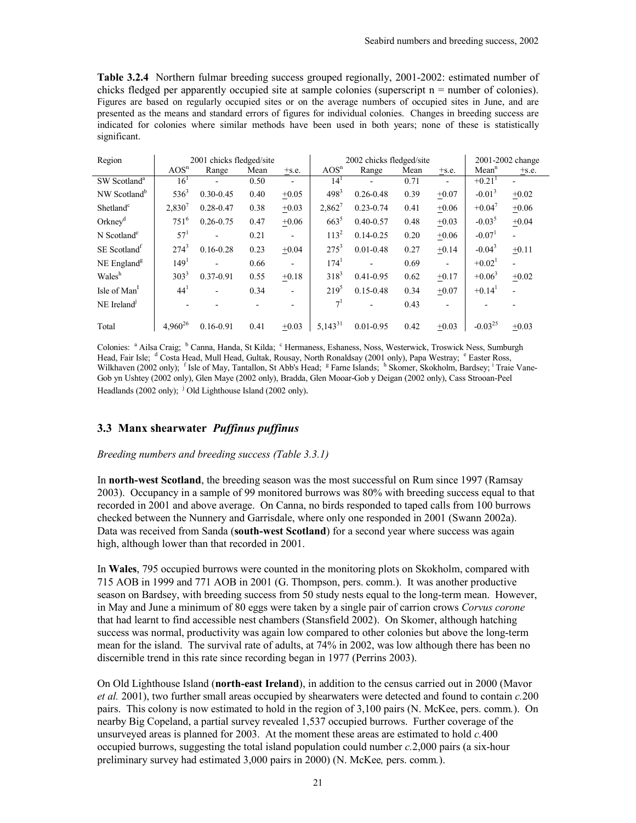**Table 3.2.4** Northern fulmar breeding success grouped regionally, 2001-2002: estimated number of chicks fledged per apparently occupied site at sample colonies (superscript  $n =$  number of colonies). Figures are based on regularly occupied sites or on the average numbers of occupied sites in June, and are presented as the means and standard errors of figures for individual colonies. Changes in breeding success are indicated for colonies where similar methods have been used in both years; none of these is statistically significant.

| Region                    | 2001 chicks fledged/site |               |      |                          | 2002 chicks fledged/site |                |      |                | 2001-2002 change     |            |
|---------------------------|--------------------------|---------------|------|--------------------------|--------------------------|----------------|------|----------------|----------------------|------------|
|                           | AOS <sup>n</sup>         | Range         | Mean | $\pm$ s.e.               | AOS <sup>n</sup>         | Range          | Mean | $\pm$ s.e.     | Mean <sup>n</sup>    | $\pm$ s.e. |
| SW Scotland <sup>a</sup>  | 16 <sup>1</sup>          |               | 0.50 | $\blacksquare$           | $14^{1}$                 |                | 0.71 |                | $+0.21$ <sup>1</sup> |            |
| NW Scotland <sup>b</sup>  | $536^3$                  | $0.30 - 0.45$ | 0.40 | $+0.05$                  | $498^{3}$                | $0.26 - 0.48$  | 0.39 | $+0.07$        | $-0.013$             | $+0.02$    |
| Shetland <sup>c</sup>     | 2,830'                   | $0.28 - 0.47$ | 0.38 | $+0.03$                  | 2,862'                   | $0.23 - 0.74$  | 0.41 | $+0.06$        | $+0.04^7$            | $+0.06$    |
| Orknev <sup>d</sup>       | $751^{6}$                | $0.26 - 0.75$ | 0.47 | $+0.06$                  | $663^{5}$                | $0.40 - 0.57$  | 0.48 | $+0.03$        | $-0.03^{5}$          | $+0.04$    |
| $N$ Scotland <sup>e</sup> | 57 <sup>1</sup>          |               | 0.21 | $\overline{\phantom{a}}$ | $113^2$                  | $0.14 - 0.25$  | 0.20 | $+0.06$        | $-0.071$             |            |
| SE Scotland <sup>t</sup>  | $274^3$                  | $0.16 - 0.28$ | 0.23 | $+0.04$                  | $275^3$                  | $0.01 - 0.48$  | 0.27 | $+0.14$        | $-0.04^3$            | $+0.11$    |
| $NE$ England <sup>g</sup> | 149 <sup>1</sup>         |               | 0.66 | $\overline{\phantom{a}}$ | $174^1$                  | $\blacksquare$ | 0.69 | $\blacksquare$ | $+0.02^1$            |            |
| Wales <sup>h</sup>        | $303^{3}$                | 0.37-0.91     | 0.55 | $+0.18$                  | $318^{3}$                | $0.41 - 0.95$  | 0.62 | $+0.17$        | $+0.06^3$            | $+0.02$    |
| Isle of Man <sup>1</sup>  | $44^{1}$                 |               | 0.34 | $\overline{\phantom{a}}$ | $219^5$                  | $0.15 - 0.48$  | 0.34 | $+0.07$        | $+0.14$ <sup>1</sup> |            |
| NE Ireland <sup>1</sup>   |                          |               |      |                          | 7 <sup>1</sup>           | $\blacksquare$ | 0.43 |                |                      |            |
| Total                     | $4,960^{26}$             | $0.16 - 0.91$ | 0.41 | $+0.03$                  | $5,143^{31}$             | $0.01 - 0.95$  | 0.42 | $+0.03$        | $-0.03^{25}$         | $+0.03$    |

Colonies: <sup>a</sup> Ailsa Craig; <sup>b</sup> Canna, Handa, St Kilda; <sup>c</sup> Hermaness, Eshaness, Noss, Westerwick, Troswick Ness, Sumburgh Head, Fair Isle; d Costa Head, Mull Head, Gultak, Rousay, North Ronaldsay (2001 only), Papa Westray; e Easter Ross, Wilkhaven (2002 only); <sup>f</sup> Isle of May, Tantallon, St Abb's Head; <sup>g</sup> Farne Islands; <sup>h</sup> Skomer, Skokholm, Bardsey; <sup>i</sup> Traie Vane-Gob yn Ushtey (2002 only), Glen Maye (2002 only), Bradda, Glen Mooar-Gob y Deigan (2002 only), Cass Strooan-Peel Headlands (2002 only);  $\frac{1}{3}$  Old Lighthouse Island (2002 only).

### **3.3 Manx shearwater** *Puffinus puffinus*

#### *Breeding numbers and breeding success (Table 3.3.1)*

In **north-west Scotland**, the breeding season was the most successful on Rum since 1997 (Ramsay 2003). Occupancy in a sample of 99 monitored burrows was 80% with breeding success equal to that recorded in 2001 and above average. On Canna, no birds responded to taped calls from 100 burrows checked between the Nunnery and Garrisdale, where only one responded in 2001 (Swann 2002a). Data was received from Sanda (**south-west Scotland**) for a second year where success was again high, although lower than that recorded in 2001.

In **Wales**, 795 occupied burrows were counted in the monitoring plots on Skokholm, compared with 715 AOB in 1999 and 771 AOB in 2001 (G. Thompson, pers. comm.). It was another productive season on Bardsey, with breeding success from 50 study nests equal to the long-term mean. However, in May and June a minimum of 80 eggs were taken by a single pair of carrion crows *Corvus corone*  that had learnt to find accessible nest chambers (Stansfield 2002). On Skomer, although hatching success was normal, productivity was again low compared to other colonies but above the long-term mean for the island. The survival rate of adults, at 74% in 2002, was low although there has been no discernible trend in this rate since recording began in 1977 (Perrins 2003).

On Old Lighthouse Island (**north-east Ireland**), in addition to the census carried out in 2000 (Mavor *et al.* 2001), two further small areas occupied by shearwaters were detected and found to contain *c.*200 pairs. This colony is now estimated to hold in the region of 3,100 pairs (N. McKee, pers. comm*.*). On nearby Big Copeland, a partial survey revealed 1,537 occupied burrows. Further coverage of the unsurveyed areas is planned for 2003. At the moment these areas are estimated to hold *c.*400 occupied burrows, suggesting the total island population could number *c.*2,000 pairs (a six-hour preliminary survey had estimated 3,000 pairs in 2000) (N. McKee*,* pers. comm*.*).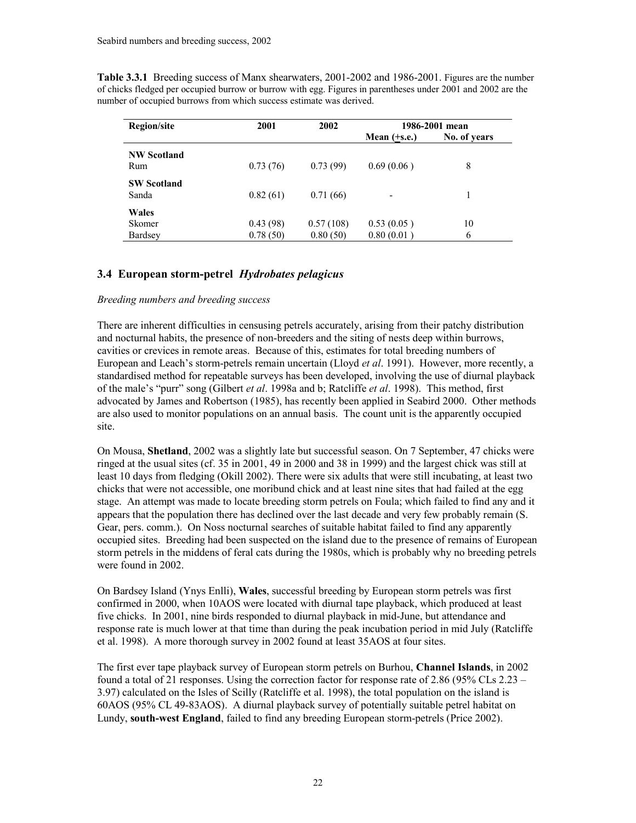| <b>Region/site</b> | 2001     | 2002      | 1986-2001 mean |              |  |  |
|--------------------|----------|-----------|----------------|--------------|--|--|
|                    |          |           | Mean $(+s.e.)$ | No. of years |  |  |
| <b>NW Scotland</b> |          |           |                |              |  |  |
| Rum                | 0.73(76) | 0.73(99)  | 0.69(0.06)     | 8            |  |  |
| <b>SW Scotland</b> |          |           |                |              |  |  |
| Sanda              | 0.82(61) | 0.71(66)  |                |              |  |  |
| Wales              |          |           |                |              |  |  |
| Skomer             | 0.43(98) | 0.57(108) | 0.53(0.05)     | 10           |  |  |
| Bardsey            | 0.78(50) | 0.80(50)  | 0.80(0.01)     | 6            |  |  |

**Table 3.3.1** Breeding success of Manx shearwaters, 2001-2002 and 1986-2001. Figures are the number of chicks fledged per occupied burrow or burrow with egg. Figures in parentheses under 2001 and 2002 are the number of occupied burrows from which success estimate was derived.

### **3.4 European storm-petrel** *Hydrobates pelagicus*

#### *Breeding numbers and breeding success*

There are inherent difficulties in censusing petrels accurately, arising from their patchy distribution and nocturnal habits, the presence of non-breeders and the siting of nests deep within burrows, cavities or crevices in remote areas. Because of this, estimates for total breeding numbers of European and Leach's storm-petrels remain uncertain (Lloyd *et al*. 1991). However, more recently, a standardised method for repeatable surveys has been developed, involving the use of diurnal playback of the male's "purr" song (Gilbert *et al*. 1998a and b; Ratcliffe *et al*. 1998). This method, first advocated by James and Robertson (1985), has recently been applied in Seabird 2000. Other methods are also used to monitor populations on an annual basis. The count unit is the apparently occupied site.

On Mousa, **Shetland**, 2002 was a slightly late but successful season. On 7 September, 47 chicks were ringed at the usual sites (cf. 35 in 2001, 49 in 2000 and 38 in 1999) and the largest chick was still at least 10 days from fledging (Okill 2002). There were six adults that were still incubating, at least two chicks that were not accessible, one moribund chick and at least nine sites that had failed at the egg stage. An attempt was made to locate breeding storm petrels on Foula; which failed to find any and it appears that the population there has declined over the last decade and very few probably remain (S. Gear, pers. comm.). On Noss nocturnal searches of suitable habitat failed to find any apparently occupied sites. Breeding had been suspected on the island due to the presence of remains of European storm petrels in the middens of feral cats during the 1980s, which is probably why no breeding petrels were found in 2002.

On Bardsey Island (Ynys Enlli), **Wales**, successful breeding by European storm petrels was first confirmed in 2000, when 10AOS were located with diurnal tape playback, which produced at least five chicks. In 2001, nine birds responded to diurnal playback in mid-June, but attendance and response rate is much lower at that time than during the peak incubation period in mid July (Ratcliffe et al. 1998). A more thorough survey in 2002 found at least 35AOS at four sites.

The first ever tape playback survey of European storm petrels on Burhou, **Channel Islands**, in 2002 found a total of 21 responses. Using the correction factor for response rate of 2.86 (95% CLs 2.23 – 3.97) calculated on the Isles of Scilly (Ratcliffe et al. 1998), the total population on the island is 60AOS (95% CL 49-83AOS). A diurnal playback survey of potentially suitable petrel habitat on Lundy, **south-west England**, failed to find any breeding European storm-petrels (Price 2002).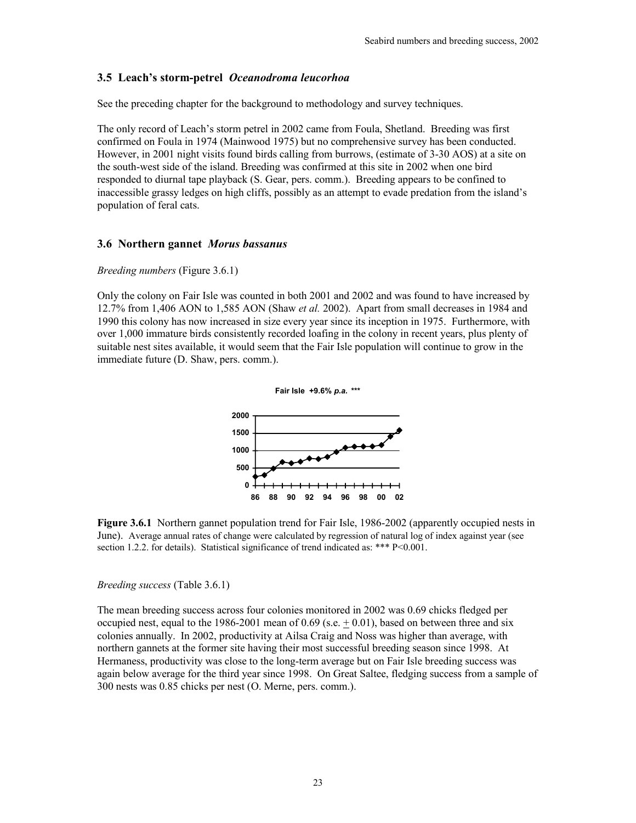### **3.5 Leach's storm-petrel** *Oceanodroma leucorhoa*

See the preceding chapter for the background to methodology and survey techniques.

The only record of Leach's storm petrel in 2002 came from Foula, Shetland. Breeding was first confirmed on Foula in 1974 (Mainwood 1975) but no comprehensive survey has been conducted. However, in 2001 night visits found birds calling from burrows, (estimate of 3-30 AOS) at a site on the south-west side of the island. Breeding was confirmed at this site in 2002 when one bird responded to diurnal tape playback (S. Gear, pers. comm.). Breeding appears to be confined to inaccessible grassy ledges on high cliffs, possibly as an attempt to evade predation from the island's population of feral cats.

### **3.6 Northern gannet** *Morus bassanus*

#### *Breeding numbers* (Figure 3.6.1)

Only the colony on Fair Isle was counted in both 2001 and 2002 and was found to have increased by 12.7% from 1,406 AON to 1,585 AON (Shaw *et al.* 2002). Apart from small decreases in 1984 and 1990 this colony has now increased in size every year since its inception in 1975. Furthermore, with over 1,000 immature birds consistently recorded loafing in the colony in recent years, plus plenty of suitable nest sites available, it would seem that the Fair Isle population will continue to grow in the immediate future (D. Shaw, pers. comm.).



**Figure 3.6.1** Northern gannet population trend for Fair Isle, 1986-2002 (apparently occupied nests in June). Average annual rates of change were calculated by regression of natural log of index against year (see section 1.2.2. for details). Statistical significance of trend indicated as: \*\*\* P<0.001.

#### *Breeding success* (Table 3.6.1)

The mean breeding success across four colonies monitored in 2002 was 0.69 chicks fledged per occupied nest, equal to the 1986-2001 mean of 0.69 (s.e.  $+$  0.01), based on between three and six colonies annually. In 2002, productivity at Ailsa Craig and Noss was higher than average, with northern gannets at the former site having their most successful breeding season since 1998. At Hermaness, productivity was close to the long-term average but on Fair Isle breeding success was again below average for the third year since 1998. On Great Saltee, fledging success from a sample of 300 nests was 0.85 chicks per nest (O. Merne, pers. comm.).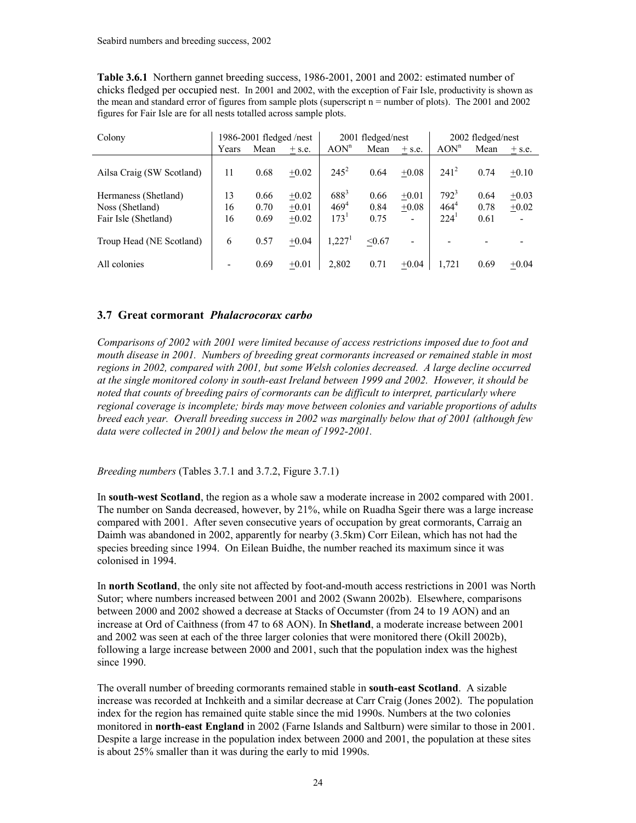| <b>Table 3.6.1</b> Northern gannet breeding success, 1986-2001, 2001 and 2002: estimated number of              |
|-----------------------------------------------------------------------------------------------------------------|
| chicks fledged per occupied nest. In 2001 and 2002, with the exception of Fair Isle, productivity is shown as   |
| the mean and standard error of figures from sample plots (superscript $n =$ number of plots). The 2001 and 2002 |
| figures for Fair Isle are for all nests totalled across sample plots.                                           |

| Colony                                                          | 1986-2001 fledged /nest  |                      | 2001 fledged/nest             |                                       |                      | 2002 fledged/nest                          |                              |                      |                                                      |
|-----------------------------------------------------------------|--------------------------|----------------------|-------------------------------|---------------------------------------|----------------------|--------------------------------------------|------------------------------|----------------------|------------------------------------------------------|
|                                                                 | Years                    | Mean                 | $+$ s.e.                      | $AON^n$                               | Mean                 | $+$ s.e.                                   | $AON^n$                      | Mean                 | $+$ s.e.                                             |
| Ailsa Craig (SW Scotland)                                       | 11                       | 0.68                 | $+0.02$                       | $245^2$                               | 0.64                 | $+0.08$                                    | $241^2$                      | 0.74                 | $+0.10$                                              |
| Hermaness (Shetland)<br>Noss (Shetland)<br>Fair Isle (Shetland) | 13<br>16<br>16           | 0.66<br>0.70<br>0.69 | $+0.02$<br>$+0.01$<br>$+0.02$ | 6883<br>$469^{4}$<br>173 <sup>1</sup> | 0.66<br>0.84<br>0.75 | $\pm 0.01$<br>$+0.08$<br>$\qquad \qquad =$ | $792^3$<br>$464^{4}$<br>224' | 0.64<br>0.78<br>0.61 | $\pm 0.03$<br>$\pm 0.02$<br>$\overline{\phantom{a}}$ |
| Troup Head (NE Scotland)                                        | 6                        | 0.57                 | $+0.04$                       | $1,227$ <sup>1</sup>                  | < 0.67               | $\qquad \qquad =$                          |                              |                      |                                                      |
| All colonies                                                    | $\overline{\phantom{0}}$ | 0.69                 | $+0.01$                       | 2,802                                 | 0.71                 | $+0.04$                                    | 1,721                        | 0.69                 | $+0.04$                                              |

### **3.7 Great cormorant** *Phalacrocorax carbo*

*Comparisons of 2002 with 2001 were limited because of access restrictions imposed due to foot and mouth disease in 2001. Numbers of breeding great cormorants increased or remained stable in most regions in 2002, compared with 2001, but some Welsh colonies decreased. A large decline occurred at the single monitored colony in south-east Ireland between 1999 and 2002. However, it should be noted that counts of breeding pairs of cormorants can be difficult to interpret, particularly where regional coverage is incomplete; birds may move between colonies and variable proportions of adults breed each year. Overall breeding success in 2002 was marginally below that of 2001 (although few data were collected in 2001) and below the mean of 1992-2001.* 

*Breeding numbers* (Tables 3.7.1 and 3.7.2, Figure 3.7.1)

In **south-west Scotland**, the region as a whole saw a moderate increase in 2002 compared with 2001. The number on Sanda decreased, however, by 21%, while on Ruadha Sgeir there was a large increase compared with 2001. After seven consecutive years of occupation by great cormorants, Carraig an Daimh was abandoned in 2002, apparently for nearby (3.5km) Corr Eilean, which has not had the species breeding since 1994. On Eilean Buidhe, the number reached its maximum since it was colonised in 1994.

In **north Scotland**, the only site not affected by foot-and-mouth access restrictions in 2001 was North Sutor; where numbers increased between 2001 and 2002 (Swann 2002b). Elsewhere, comparisons between 2000 and 2002 showed a decrease at Stacks of Occumster (from 24 to 19 AON) and an increase at Ord of Caithness (from 47 to 68 AON). In **Shetland**, a moderate increase between 2001 and 2002 was seen at each of the three larger colonies that were monitored there (Okill 2002b), following a large increase between 2000 and 2001, such that the population index was the highest since 1990.

The overall number of breeding cormorants remained stable in **south-east Scotland**. A sizable increase was recorded at Inchkeith and a similar decrease at Carr Craig (Jones 2002). The population index for the region has remained quite stable since the mid 1990s. Numbers at the two colonies monitored in **north-east England** in 2002 (Farne Islands and Saltburn) were similar to those in 2001. Despite a large increase in the population index between 2000 and 2001, the population at these sites is about 25% smaller than it was during the early to mid 1990s.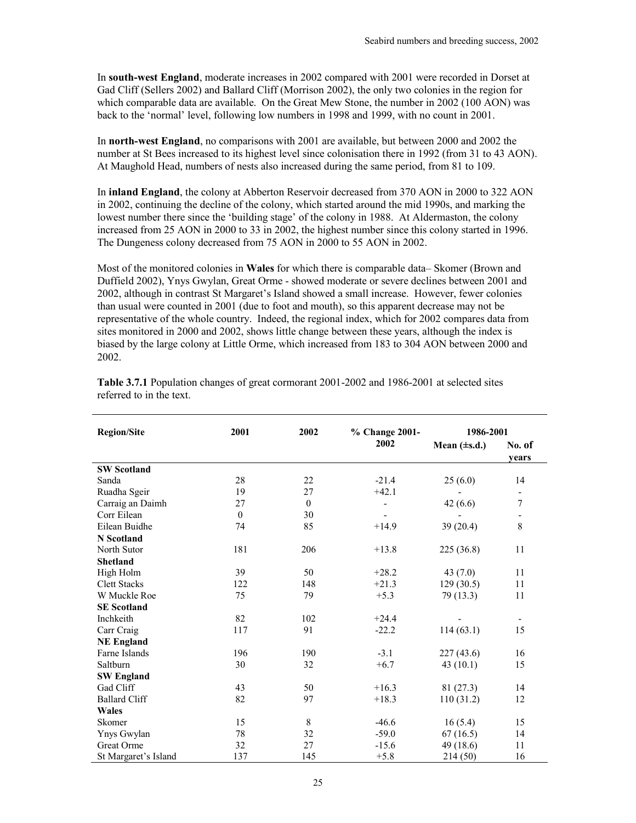In **south-west England**, moderate increases in 2002 compared with 2001 were recorded in Dorset at Gad Cliff (Sellers 2002) and Ballard Cliff (Morrison 2002), the only two colonies in the region for which comparable data are available. On the Great Mew Stone, the number in 2002 (100 AON) was back to the 'normal' level, following low numbers in 1998 and 1999, with no count in 2001.

In **north-west England**, no comparisons with 2001 are available, but between 2000 and 2002 the number at St Bees increased to its highest level since colonisation there in 1992 (from 31 to 43 AON). At Maughold Head, numbers of nests also increased during the same period, from 81 to 109.

In **inland England**, the colony at Abberton Reservoir decreased from 370 AON in 2000 to 322 AON in 2002, continuing the decline of the colony, which started around the mid 1990s, and marking the lowest number there since the 'building stage' of the colony in 1988. At Aldermaston, the colony increased from 25 AON in 2000 to 33 in 2002, the highest number since this colony started in 1996. The Dungeness colony decreased from 75 AON in 2000 to 55 AON in 2002.

Most of the monitored colonies in **Wales** for which there is comparable data– Skomer (Brown and Duffield 2002), Ynys Gwylan, Great Orme - showed moderate or severe declines between 2001 and 2002, although in contrast St Margaret's Island showed a small increase. However, fewer colonies than usual were counted in 2001 (due to foot and mouth), so this apparent decrease may not be representative of the whole country. Indeed, the regional index, which for 2002 compares data from sites monitored in 2000 and 2002, shows little change between these years, although the index is biased by the large colony at Little Orme, which increased from 183 to 304 AON between 2000 and 2002.

| <b>Region/Site</b>   | 2001<br>2002 |              | % Change 2001- | 1986-2001         |                  |  |
|----------------------|--------------|--------------|----------------|-------------------|------------------|--|
|                      |              |              | 2002           | Mean $(\pm s.d.)$ | No. of<br>vears  |  |
| <b>SW Scotland</b>   |              |              |                |                   |                  |  |
| Sanda                | 28           | 22           | $-21.4$        | 25(6.0)           | 14               |  |
| Ruadha Sgeir         | 19           | 27           | $+42.1$        |                   |                  |  |
| Carraig an Daimh     | 27           | $\mathbf{0}$ |                | 42(6.6)           | $\boldsymbol{7}$ |  |
| Corr Eilean          | $\theta$     | 30           |                |                   |                  |  |
| Eilean Buidhe        | 74           | 85           | $+14.9$        | 39(20.4)          | $\,8\,$          |  |
| N Scotland           |              |              |                |                   |                  |  |
| North Sutor          | 181          | 206          | $+13.8$        | 225 (36.8)        | 11               |  |
| <b>Shetland</b>      |              |              |                |                   |                  |  |
| High Holm            | 39           | 50           | $+28.2$        | 43(7.0)           | 11               |  |
| <b>Clett Stacks</b>  | 122          | 148          | $+21.3$        | 129(30.5)         | 11               |  |
| W Muckle Roe         | 75           | 79           | $+5.3$         | 79 (13.3)         | 11               |  |
| <b>SE Scotland</b>   |              |              |                |                   |                  |  |
| Inchkeith            | 82           | 102          | $+24.4$        |                   |                  |  |
| Carr Craig           | 117          | 91           | $-22.2$        | 114(63.1)         | 15               |  |
| <b>NE</b> England    |              |              |                |                   |                  |  |
| Farne Islands        | 196          | 190          | $-3.1$         | 227(43.6)         | 16               |  |
| Saltburn             | 30           | 32           | $+6.7$         | 43(10.1)          | 15               |  |
| <b>SW England</b>    |              |              |                |                   |                  |  |
| Gad Cliff            | 43           | 50           | $+16.3$        | 81(27.3)          | 14               |  |
| <b>Ballard Cliff</b> | 82           | 97           | $+18.3$        | 110(31.2)         | 12               |  |
| <b>Wales</b>         |              |              |                |                   |                  |  |
| Skomer               | 15           | 8            | $-46.6$        | 16(5.4)           | 15               |  |
| Ynys Gwylan          | 78           | 32           | $-59.0$        | 67(16.5)          | 14               |  |
| Great Orme           | 32           | 27           | $-15.6$        | 49 (18.6)         | 11               |  |
| St Margaret's Island | 137          | 145          | $+5.8$         | 214 (50)          | 16               |  |

**Table 3.7.1** Population changes of great cormorant 2001-2002 and 1986-2001 at selected sites referred to in the text.

25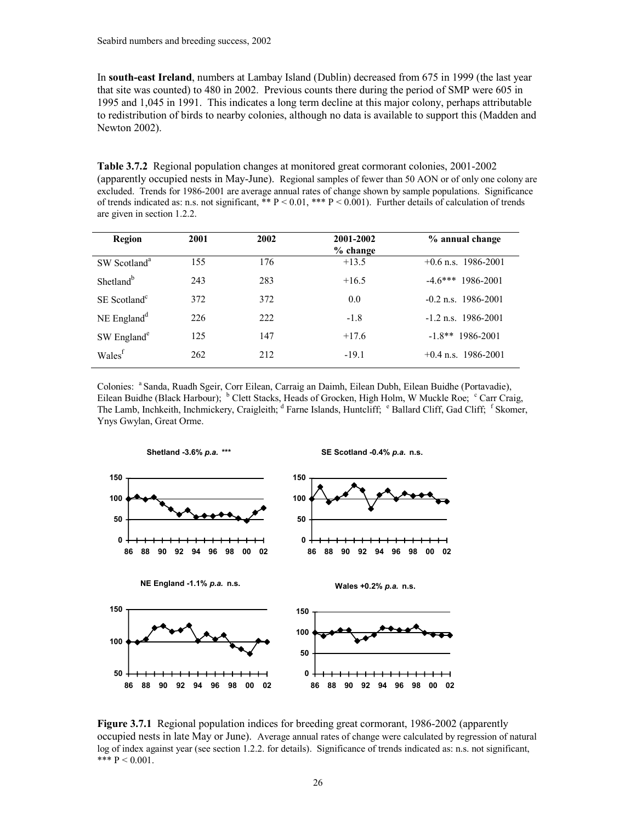In **south-east Ireland**, numbers at Lambay Island (Dublin) decreased from 675 in 1999 (the last year that site was counted) to 480 in 2002. Previous counts there during the period of SMP were 605 in 1995 and 1,045 in 1991. This indicates a long term decline at this major colony, perhaps attributable to redistribution of birds to nearby colonies, although no data is available to support this (Madden and Newton 2002).

**Table 3.7.2** Regional population changes at monitored great cormorant colonies, 2001-2002 (apparently occupied nests in May-June). Regional samples of fewer than 50 AON or of only one colony are excluded. Trends for 1986-2001 are average annual rates of change shown by sample populations. Significance of trends indicated as: n.s. not significant, \*\*  $P < 0.01$ , \*\*\*  $P < 0.001$ ). Further details of calculation of trends are given in section 1.2.2.

| Region                    | 2001 | 2002 | 2001-2002  | % annual change       |
|---------------------------|------|------|------------|-----------------------|
|                           |      |      | $%$ change |                       |
| SW Scotland <sup>a</sup>  | 155  | 176  | $+13.5$    | $+0.6$ n.s. 1986-2001 |
| Shetland <sup>b</sup>     | 243  | 283  | $+16.5$    | $-4.6***$ 1986-2001   |
| SE Scotland <sup>c</sup>  | 372  | 372  | 0.0        | $-0.2$ n.s. 1986-2001 |
| $NE$ England <sup>d</sup> | 226  | 222  | $-1.8$     | $-1.2$ n.s. 1986-2001 |
| $SW$ England <sup>e</sup> | 125  | 147  | $+17.6$    | $-1.8**$ 1986-2001    |
| Wales <sup>f</sup>        | 262  | 212  | $-19.1$    | $+0.4$ n.s. 1986-2001 |

Colonies: a Sanda, Ruadh Sgeir, Corr Eilean, Carraig an Daimh, Eilean Dubh, Eilean Buidhe (Portavadie), Eilean Buidhe (Black Harbour); <sup>b</sup> Clett Stacks, Heads of Grocken, High Holm, W Muckle Roe; <sup>c</sup> Carr Craig, The Lamb, Inchkeith, Inchmickery, Craigleith; <sup>d</sup> Farne Islands, Huntcliff; <sup>e</sup> Ballard Cliff, Gad Cliff; <sup>f</sup> Skomer, Ynys Gwylan, Great Orme.



**Figure 3.7.1** Regional population indices for breeding great cormorant, 1986-2002 (apparently occupied nests in late May or June). Average annual rates of change were calculated by regression of natural log of index against year (see section 1.2.2. for details). Significance of trends indicated as: n.s. not significant, \*\*\*  $P < 0.001$ .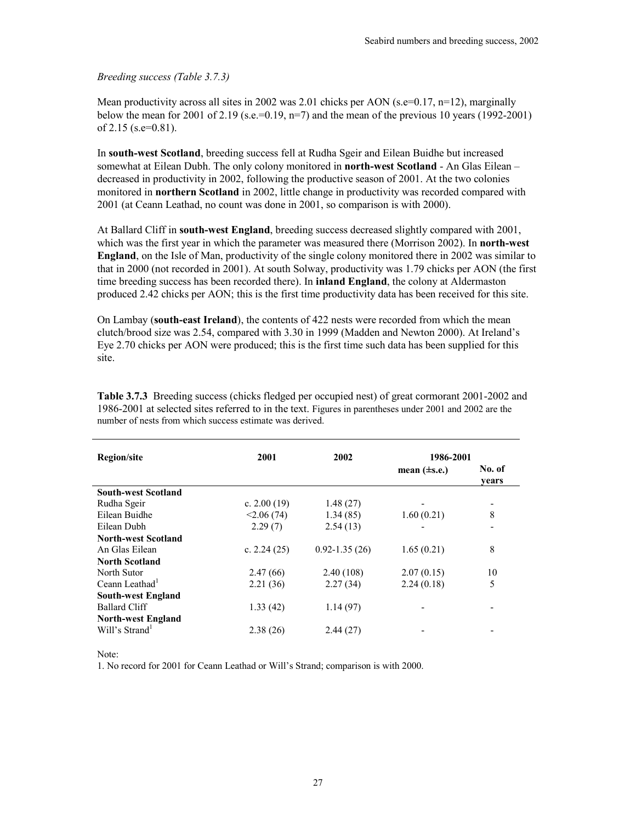*Breeding success (Table 3.7.3)* 

Mean productivity across all sites in 2002 was 2.01 chicks per AON (s.e=0.17, n=12), marginally below the mean for 2001 of 2.19 (s.e.=0.19, n=7) and the mean of the previous 10 years (1992-2001) of  $2.15$  (s.e= $0.81$ ).

In **south-west Scotland**, breeding success fell at Rudha Sgeir and Eilean Buidhe but increased somewhat at Eilean Dubh. The only colony monitored in **north-west Scotland** - An Glas Eilean – decreased in productivity in 2002, following the productive season of 2001. At the two colonies monitored in **northern Scotland** in 2002, little change in productivity was recorded compared with 2001 (at Ceann Leathad, no count was done in 2001, so comparison is with 2000).

At Ballard Cliff in **south-west England**, breeding success decreased slightly compared with 2001, which was the first year in which the parameter was measured there (Morrison 2002). In **north-west England**, on the Isle of Man, productivity of the single colony monitored there in 2002 was similar to that in 2000 (not recorded in 2001). At south Solway, productivity was 1.79 chicks per AON (the first time breeding success has been recorded there). In **inland England**, the colony at Aldermaston produced 2.42 chicks per AON; this is the first time productivity data has been received for this site.

On Lambay (**south-east Ireland**), the contents of 422 nests were recorded from which the mean clutch/brood size was 2.54, compared with 3.30 in 1999 (Madden and Newton 2000). At Ireland's Eye 2.70 chicks per AON were produced; this is the first time such data has been supplied for this site.

| <b>Region/site</b>         | 2001          | 2002              | 1986-2001         |        |  |
|----------------------------|---------------|-------------------|-------------------|--------|--|
|                            |               |                   | mean $(\pm s.e.)$ | No. of |  |
|                            |               |                   |                   | vears  |  |
| <b>South-west Scotland</b> |               |                   |                   |        |  |
| Rudha Sgeir                | c. $2.00(19)$ | 1.48(27)          |                   | -      |  |
| Eilean Buidhe              | < 2.06(74)    | 1.34(85)          | 1.60(0.21)        | 8      |  |
| Eilean Dubh                | 2.29(7)       | 2.54(13)          |                   | -      |  |
| <b>North-west Scotland</b> |               |                   |                   |        |  |
| An Glas Eilean             | c. $2.24(25)$ | $0.92 - 1.35(26)$ | 1.65(0.21)        | 8      |  |
| <b>North Scotland</b>      |               |                   |                   |        |  |
| North Sutor                | 2.47(66)      | 2.40(108)         | 2.07(0.15)        | 10     |  |
| Ceann Leathad <sup>1</sup> | 2.21(36)      | 2.27(34)          | 2.24(0.18)        | 5      |  |
| <b>South-west England</b>  |               |                   |                   |        |  |
| <b>Ballard Cliff</b>       | 1.33(42)      | 1.14(97)          |                   |        |  |
| <b>North-west England</b>  |               |                   |                   |        |  |
| Will's Strand <sup>1</sup> | 2.38(26)      | 2.44(27)          |                   |        |  |
|                            |               |                   |                   |        |  |

**Table 3.7.3** Breeding success (chicks fledged per occupied nest) of great cormorant 2001-2002 and 1986-2001 at selected sites referred to in the text. Figures in parentheses under 2001 and 2002 are the number of nests from which success estimate was derived.

Note:

1. No record for 2001 for Ceann Leathad or Will's Strand; comparison is with 2000.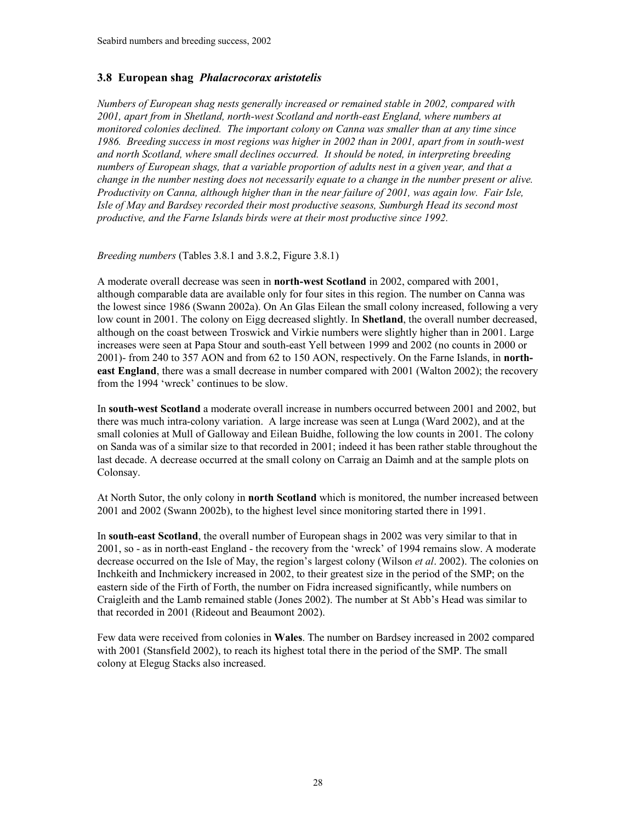### **3.8 European shag** *Phalacrocorax aristotelis*

*Numbers of European shag nests generally increased or remained stable in 2002, compared with 2001, apart from in Shetland, north-west Scotland and north-east England, where numbers at monitored colonies declined. The important colony on Canna was smaller than at any time since 1986. Breeding success in most regions was higher in 2002 than in 2001, apart from in south-west and north Scotland, where small declines occurred. It should be noted, in interpreting breeding numbers of European shags, that a variable proportion of adults nest in a given year, and that a change in the number nesting does not necessarily equate to a change in the number present or alive. Productivity on Canna, although higher than in the near failure of 2001, was again low. Fair Isle, Isle of May and Bardsey recorded their most productive seasons, Sumburgh Head its second most productive, and the Farne Islands birds were at their most productive since 1992.* 

### *Breeding numbers* (Tables 3.8.1 and 3.8.2, Figure 3.8.1)

A moderate overall decrease was seen in **north-west Scotland** in 2002, compared with 2001, although comparable data are available only for four sites in this region. The number on Canna was the lowest since 1986 (Swann 2002a). On An Glas Eilean the small colony increased, following a very low count in 2001. The colony on Eigg decreased slightly. In **Shetland**, the overall number decreased, although on the coast between Troswick and Virkie numbers were slightly higher than in 2001. Large increases were seen at Papa Stour and south-east Yell between 1999 and 2002 (no counts in 2000 or 2001)- from 240 to 357 AON and from 62 to 150 AON, respectively. On the Farne Islands, in **northeast England**, there was a small decrease in number compared with 2001 (Walton 2002); the recovery from the 1994 'wreck' continues to be slow.

In **south-west Scotland** a moderate overall increase in numbers occurred between 2001 and 2002, but there was much intra-colony variation. A large increase was seen at Lunga (Ward 2002), and at the small colonies at Mull of Galloway and Eilean Buidhe, following the low counts in 2001. The colony on Sanda was of a similar size to that recorded in 2001; indeed it has been rather stable throughout the last decade. A decrease occurred at the small colony on Carraig an Daimh and at the sample plots on Colonsay.

At North Sutor, the only colony in **north Scotland** which is monitored, the number increased between 2001 and 2002 (Swann 2002b), to the highest level since monitoring started there in 1991.

In **south-east Scotland**, the overall number of European shags in 2002 was very similar to that in 2001, so - as in north-east England - the recovery from the 'wreck' of 1994 remains slow. A moderate decrease occurred on the Isle of May, the region's largest colony (Wilson *et al*. 2002). The colonies on Inchkeith and Inchmickery increased in 2002, to their greatest size in the period of the SMP; on the eastern side of the Firth of Forth, the number on Fidra increased significantly, while numbers on Craigleith and the Lamb remained stable (Jones 2002). The number at St Abb's Head was similar to that recorded in 2001 (Rideout and Beaumont 2002).

Few data were received from colonies in **Wales**. The number on Bardsey increased in 2002 compared with 2001 (Stansfield 2002), to reach its highest total there in the period of the SMP. The small colony at Elegug Stacks also increased.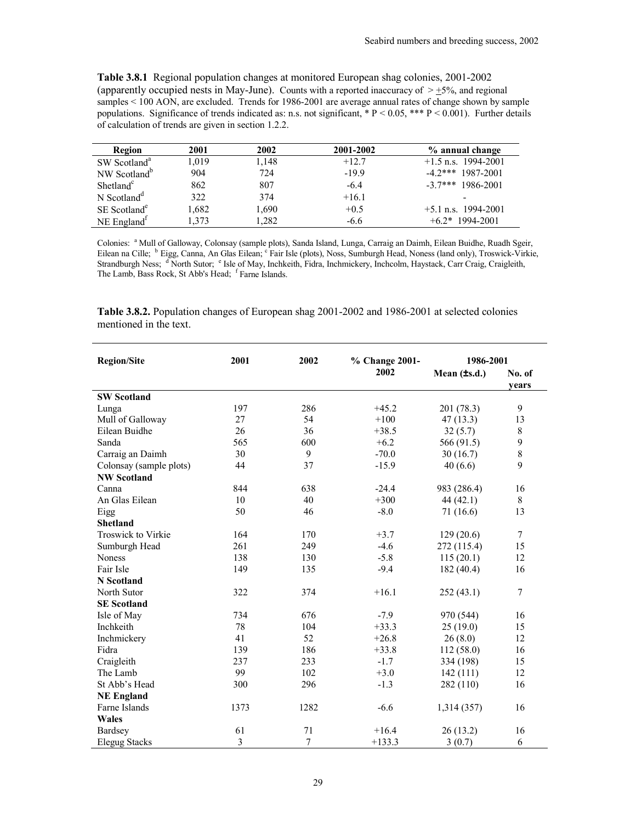| <b>Table 3.8.1</b> Regional population changes at monitored European shag colonies, 2001-2002                          |
|------------------------------------------------------------------------------------------------------------------------|
| (apparently occupied nests in May-June). Counts with a reported inaccuracy of $> \pm 5\%$ , and regional               |
| samples < 100 AON, are excluded. Trends for 1986-2001 are average annual rates of change shown by sample               |
| populations. Significance of trends indicated as: n.s. not significant, $*P < 0.05$ , $**P < 0.001$ ). Further details |
| of calculation of trends are given in section 1.2.2.                                                                   |

| Region                                      | 2001  | 2002  | 2001-2002 | % annual change       |
|---------------------------------------------|-------|-------|-----------|-----------------------|
| SW Scotland <sup>a</sup>                    | 1,019 | 1,148 | $+12.7$   | $+1.5$ n.s. 1994-2001 |
| NW Scotland <sup>b</sup>                    | 904   | 724   | $-19.9$   | $-4.2***$ 1987-2001   |
| Shetland <sup>c</sup>                       | 862   | 807   | $-6.4$    | $-3.7***$ 1986-2001   |
| $N$ Scotland <sup>d</sup>                   | 322   | 374   | $+16.1$   | -                     |
| SE Scotland <sup>e</sup>                    | 1,682 | 1,690 | $+0.5$    | $+5$ 1 n s 1994-2001  |
| $NE$ England <sup><math>\lceil</math></sup> | .373  | .282  | $-6.6$    | $+6.2*$ 1994-2001     |

Colonies: <sup>a</sup> Mull of Galloway, Colonsay (sample plots), Sanda Island, Lunga, Carraig an Daimh, Eilean Buidhe, Ruadh Sgeir, Eilean na Cille; <sup>b</sup> Eigg, Canna, An Glas Eilean; <sup>c</sup> Fair Isle (plots), Noss, Sumburgh Head, Noness (land only), Troswick-Virkie, Strandburgh Ness; <sup>d</sup> North Sutor; <sup>e</sup> Isle of May, Inchkeith, Fidra, Inchmickery, Inchcolm, Haystack, Carr Craig, Craigleith, The Lamb, Bass Rock, St Abb's Head; <sup>f</sup> Farne Islands.

**Table 3.8.2.** Population changes of European shag 2001-2002 and 1986-2001 at selected colonies mentioned in the text.

| <b>Region/Site</b>      | 2001 | 2002 | % Change 2001- | 1986-2001         |                |  |
|-------------------------|------|------|----------------|-------------------|----------------|--|
|                         |      |      | 2002           | Mean $(\pm s.d.)$ | No. of         |  |
|                         |      |      |                |                   | vears          |  |
| <b>SW Scotland</b>      |      |      |                |                   |                |  |
| Lunga                   | 197  | 286  | $+45.2$        | 201 (78.3)        | 9              |  |
| Mull of Galloway        | 27   | 54   | $+100$         | 47(13.3)          | 13             |  |
| Eilean Buidhe           | 26   | 36   | $+38.5$        | 32(5.7)           | 8              |  |
| Sanda                   | 565  | 600  | $+6.2$         | 566 (91.5)        | 9              |  |
| Carraig an Daimh        | 30   | 9    | $-70.0$        | 30(16.7)          | 8              |  |
| Colonsay (sample plots) | 44   | 37   | $-15.9$        | 40(6.6)           | 9              |  |
| <b>NW Scotland</b>      |      |      |                |                   |                |  |
| Canna                   | 844  | 638  | $-24.4$        | 983 (286.4)       | 16             |  |
| An Glas Eilean          | 10   | 40   | $+300$         | 44(42.1)          | 8              |  |
| Eigg                    | 50   | 46   | $-8.0$         | 71(16.6)          | 13             |  |
| <b>Shetland</b>         |      |      |                |                   |                |  |
| Troswick to Virkie      | 164  | 170  | $+3.7$         | 129(20.6)         | $\overline{7}$ |  |
| Sumburgh Head           | 261  | 249  | $-4.6$         | 272 (115.4)       | 15             |  |
| <b>Noness</b>           | 138  | 130  | $-5.8$         | 115(20.1)         | 12             |  |
| Fair Isle               | 149  | 135  | $-9.4$         | 182(40.4)         | 16             |  |
| <b>N</b> Scotland       |      |      |                |                   |                |  |
| North Sutor             | 322  | 374  | $+16.1$        | 252(43.1)         | 7              |  |
| <b>SE Scotland</b>      |      |      |                |                   |                |  |
| Isle of May             | 734  | 676  | $-7.9$         | 970 (544)         | 16             |  |
| Inchkeith               | 78   | 104  | $+33.3$        | 25(19.0)          | 15             |  |
| Inchmickery             | 41   | 52   | $+26.8$        | 26(8.0)           | 12             |  |
| Fidra                   | 139  | 186  | $+33.8$        | 112(58.0)         | 16             |  |
| Craigleith              | 237  | 233  | $-1.7$         | 334 (198)         | 15             |  |
| The Lamb                | 99   | 102  | $+3.0$         | 142(111)          | 12             |  |
| St Abb's Head           | 300  | 296  | $-1.3$         | 282 (110)         | 16             |  |
| <b>NE England</b>       |      |      |                |                   |                |  |
| Farne Islands           | 1373 | 1282 | $-6.6$         | 1,314 (357)       | 16             |  |
| <b>Wales</b>            |      |      |                |                   |                |  |
| Bardsey                 | 61   | 71   | $+16.4$        | 26(13.2)          | 16             |  |
| <b>Elegug Stacks</b>    | 3    | 7    | $+133.3$       | 3(0.7)            | 6              |  |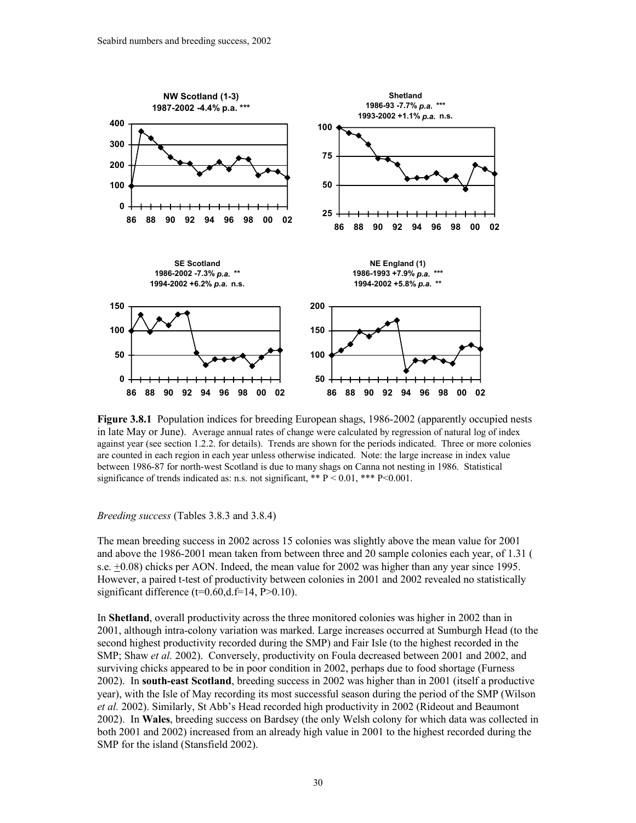

**Figure 3.8.1** Population indices for breeding European shags, 1986-2002 (apparently occupied nests in late May or June). Average annual rates of change were calculated by regression of natural log of index against year (see section 1.2.2. for details). Trends are shown for the periods indicated. Three or more colonies are counted in each region in each year unless otherwise indicated. Note: the large increase in index value between 1986-87 for north-west Scotland is due to many shags on Canna not nesting in 1986. Statistical significance of trends indicated as: n.s. not significant, \*\*  $P < 0.01$ , \*\*\*  $P < 0.001$ .

*Breeding success* (Tables 3.8.3 and 3.8.4)

The mean breeding success in 2002 across 15 colonies was slightly above the mean value for 2001 and above the 1986-2001 mean taken from between three and 20 sample colonies each year, of 1.31 ( s.e. +0.08) chicks per AON. Indeed, the mean value for 2002 was higher than any year since 1995. However, a paired t-test of productivity between colonies in 2001 and 2002 revealed no statistically significant difference  $(t=0.60,d.f=14, P>0.10)$ .

In **Shetland**, overall productivity across the three monitored colonies was higher in 2002 than in 2001, although intra-colony variation was marked. Large increases occurred at Sumburgh Head (to the second highest productivity recorded during the SMP) and Fair Isle (to the highest recorded in the SMP; Shaw *et al.* 2002). Conversely, productivity on Foula decreased between 2001 and 2002, and surviving chicks appeared to be in poor condition in 2002, perhaps due to food shortage (Furness 2002). In **south-east Scotland**, breeding success in 2002 was higher than in 2001 (itself a productive year), with the Isle of May recording its most successful season during the period of the SMP (Wilson *et al.* 2002). Similarly, St Abb's Head recorded high productivity in 2002 (Rideout and Beaumont 2002). In **Wales**, breeding success on Bardsey (the only Welsh colony for which data was collected in both 2001 and 2002) increased from an already high value in 2001 to the highest recorded during the SMP for the island (Stansfield 2002).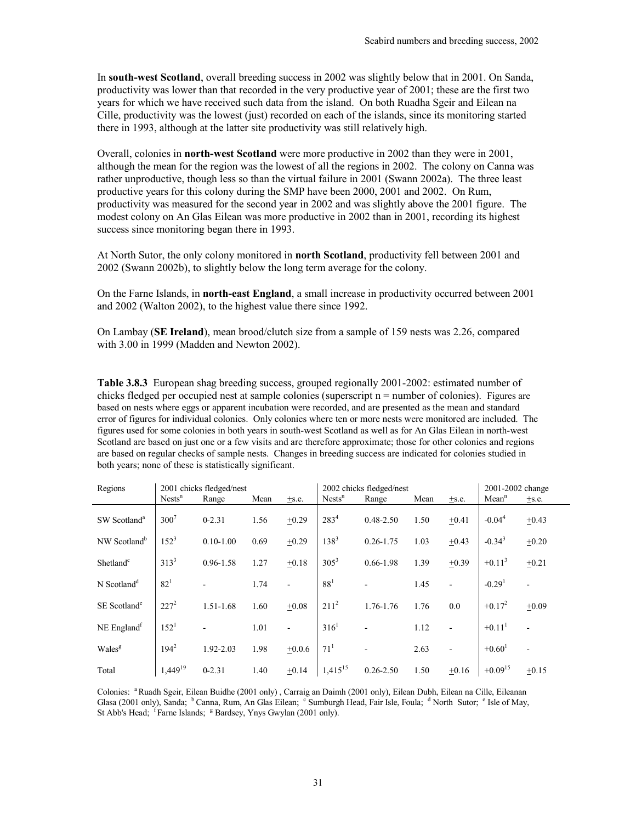In **south-west Scotland**, overall breeding success in 2002 was slightly below that in 2001. On Sanda, productivity was lower than that recorded in the very productive year of 2001; these are the first two years for which we have received such data from the island. On both Ruadha Sgeir and Eilean na Cille, productivity was the lowest (just) recorded on each of the islands, since its monitoring started there in 1993, although at the latter site productivity was still relatively high.

Overall, colonies in **north-west Scotland** were more productive in 2002 than they were in 2001, although the mean for the region was the lowest of all the regions in 2002. The colony on Canna was rather unproductive, though less so than the virtual failure in 2001 (Swann 2002a). The three least productive years for this colony during the SMP have been 2000, 2001 and 2002. On Rum, productivity was measured for the second year in 2002 and was slightly above the 2001 figure. The modest colony on An Glas Eilean was more productive in 2002 than in 2001, recording its highest success since monitoring began there in 1993.

At North Sutor, the only colony monitored in **north Scotland**, productivity fell between 2001 and 2002 (Swann 2002b), to slightly below the long term average for the colony.

On the Farne Islands, in **north-east England**, a small increase in productivity occurred between 2001 and 2002 (Walton 2002), to the highest value there since 1992.

On Lambay (**SE Ireland**), mean brood/clutch size from a sample of 159 nests was 2.26, compared with 3.00 in 1999 (Madden and Newton 2002).

**Table 3.8.3** European shag breeding success, grouped regionally 2001-2002: estimated number of chicks fledged per occupied nest at sample colonies (superscript n = number of colonies). Figures are based on nests where eggs or apparent incubation were recorded, and are presented as the mean and standard error of figures for individual colonies. Only colonies where ten or more nests were monitored are included. The figures used for some colonies in both years in south-west Scotland as well as for An Glas Eilean in north-west Scotland are based on just one or a few visits and are therefore approximate; those for other colonies and regions are based on regular checks of sample nests. Changes in breeding success are indicated for colonies studied in both years; none of these is statistically significant.

| Regions                   | 2001 chicks fledged/nest |               |      | 2002 chicks fledged/nest |                    |               | 2001-2002 change |                |                      |            |
|---------------------------|--------------------------|---------------|------|--------------------------|--------------------|---------------|------------------|----------------|----------------------|------------|
|                           | Nests <sup>n</sup>       | Range         | Mean | $\pm$ s.e.               | Nests <sup>n</sup> | Range         | Mean             | $\pm$ s.e.     | Mean <sup>n</sup>    | $\pm$ s.e. |
| SW Scotland <sup>a</sup>  | $300^{7}$                | $0 - 2.31$    | 1.56 | $+0.29$                  | $283^{4}$          | $0.48 - 2.50$ | 1.50             | $+0.41$        | $-0.044$             | $+0.43$    |
| NW Scotland <sup>b</sup>  | $152^3$                  | $0.10 - 1.00$ | 0.69 | $+0.29$                  | $138^{3}$          | $0.26 - 1.75$ | 1.03             | $\pm 0.43$     | $-0.34^{3}$          | ±0.20      |
| Shetland <sup>c</sup>     | $313^3$                  | $0.96 - 1.58$ | 1.27 | $+0.18$                  | $305^3$            | $0.66 - 1.98$ | 1.39             | $+0.39$        | $+0.113$             | ±0.21      |
| N Scotland <sup>d</sup>   | $82^{1}$                 |               | 1.74 | ۰                        | 88 <sup>1</sup>    |               | 1.45             | $\blacksquare$ | $-0.291$             |            |
| SE Scotland <sup>e</sup>  | $227^2$                  | 1.51-1.68     | 1.60 | $+0.08$                  | $211^2$            | 1.76-1.76     | 1.76             | 0.0            | $+0.17^{2}$          | $+0.09$    |
| $NE$ England <sup>f</sup> | $152^1$                  |               | 1.01 | $\overline{a}$           | $316^1$            |               | 1.12             |                | $+0.11$ <sup>1</sup> |            |
| Walesg                    | $194^2$                  | 1.92-2.03     | 1.98 | $+0.0.6$                 | $71^{1}$           | ۰             | 2.63             |                | $+0.601$             |            |
| Total                     | $1,449^{19}$             | $0 - 2.31$    | 1.40 | $+0.14$                  | $1,415^{15}$       | $0.26 - 2.50$ | 1.50             | $+0.16$        | $+0.09^{15}$         | $+0.15$    |

Colonies: <sup>a</sup> Ruadh Sgeir, Eilean Buidhe (2001 only), Carraig an Daimh (2001 only), Eilean Dubh, Eilean na Cille, Eileanan Glasa (2001 only), Sanda; <sup>b</sup> Canna, Rum, An Glas Eilean; <sup>c</sup> Sumburgh Head, Fair Isle, Foula; <sup>d</sup> North Sutor; <sup>e</sup> Isle of May, St Abb's Head; <sup>f</sup> Farne Islands; <sup>g</sup> Bardsey, Ynys Gwylan (2001 only).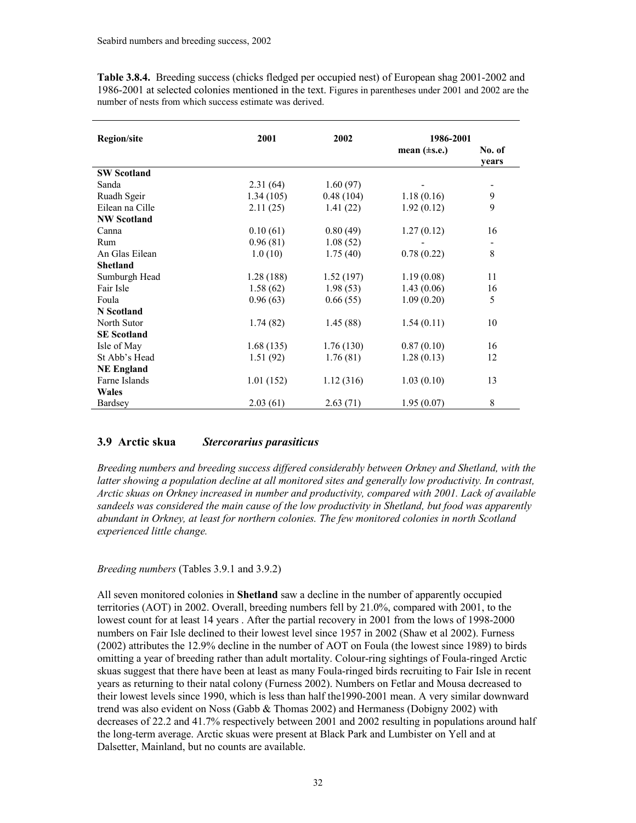**Table 3.8.4.** Breeding success (chicks fledged per occupied nest) of European shag 2001-2002 and 1986-2001 at selected colonies mentioned in the text. Figures in parentheses under 2001 and 2002 are the number of nests from which success estimate was derived.

| <b>Region/site</b> | 2001      | 2002      | 1986-2001         |                 |  |
|--------------------|-----------|-----------|-------------------|-----------------|--|
|                    |           |           | mean $(\pm s.e.)$ | No. of<br>years |  |
| <b>SW Scotland</b> |           |           |                   |                 |  |
| Sanda              | 2.31(64)  | 1.60(97)  |                   |                 |  |
| Ruadh Sgeir        | 1.34(105) | 0.48(104) | 1.18(0.16)        | 9               |  |
| Eilean na Cille    | 2.11(25)  | 1.41(22)  | 1.92(0.12)        | 9               |  |
| <b>NW Scotland</b> |           |           |                   |                 |  |
| Canna              | 0.10(61)  | 0.80(49)  | 1.27(0.12)        | 16              |  |
| Rum                | 0.96(81)  | 1.08(52)  |                   |                 |  |
| An Glas Eilean     | 1.0(10)   | 1.75(40)  | 0.78(0.22)        | 8               |  |
| <b>Shetland</b>    |           |           |                   |                 |  |
| Sumburgh Head      | 1.28(188) | 1.52(197) | 1.19(0.08)        | 11              |  |
| Fair Isle          | 1.58(62)  | 1.98(53)  | 1.43(0.06)        | 16              |  |
| Foula              | 0.96(63)  | 0.66(55)  | 1.09(0.20)        | 5               |  |
| <b>N</b> Scotland  |           |           |                   |                 |  |
| North Sutor        | 1.74(82)  | 1.45(88)  | 1.54(0.11)        | 10              |  |
| <b>SE Scotland</b> |           |           |                   |                 |  |
| Isle of May        | 1.68(135) | 1.76(130) | 0.87(0.10)        | 16              |  |
| St Abb's Head      | 1.51(92)  | 1.76(81)  | 1.28(0.13)        | 12              |  |
| <b>NE</b> England  |           |           |                   |                 |  |
| Farne Islands      | 1.01(152) | 1.12(316) | 1.03(0.10)        | 13              |  |
| <b>Wales</b>       |           |           |                   |                 |  |
| Bardsey            | 2.03(61)  | 2.63(71)  | 1.95(0.07)        | 8               |  |

#### **3.9 Arctic skua** *Stercorarius parasiticus*

*Breeding numbers and breeding success differed considerably between Orkney and Shetland, with the latter showing a population decline at all monitored sites and generally low productivity. In contrast, Arctic skuas on Orkney increased in number and productivity, compared with 2001. Lack of available sandeels was considered the main cause of the low productivity in Shetland, but food was apparently abundant in Orkney, at least for northern colonies. The few monitored colonies in north Scotland experienced little change.* 

#### *Breeding numbers* (Tables 3.9.1 and 3.9.2)

All seven monitored colonies in **Shetland** saw a decline in the number of apparently occupied territories (AOT) in 2002. Overall, breeding numbers fell by 21.0%, compared with 2001, to the lowest count for at least 14 years . After the partial recovery in 2001 from the lows of 1998-2000 numbers on Fair Isle declined to their lowest level since 1957 in 2002 (Shaw et al 2002). Furness (2002) attributes the 12.9% decline in the number of AOT on Foula (the lowest since 1989) to birds omitting a year of breeding rather than adult mortality. Colour-ring sightings of Foula-ringed Arctic skuas suggest that there have been at least as many Foula-ringed birds recruiting to Fair Isle in recent years as returning to their natal colony (Furness 2002). Numbers on Fetlar and Mousa decreased to their lowest levels since 1990, which is less than half the1990-2001 mean. A very similar downward trend was also evident on Noss (Gabb & Thomas 2002) and Hermaness (Dobigny 2002) with decreases of 22.2 and 41.7% respectively between 2001 and 2002 resulting in populations around half the long-term average. Arctic skuas were present at Black Park and Lumbister on Yell and at Dalsetter, Mainland, but no counts are available.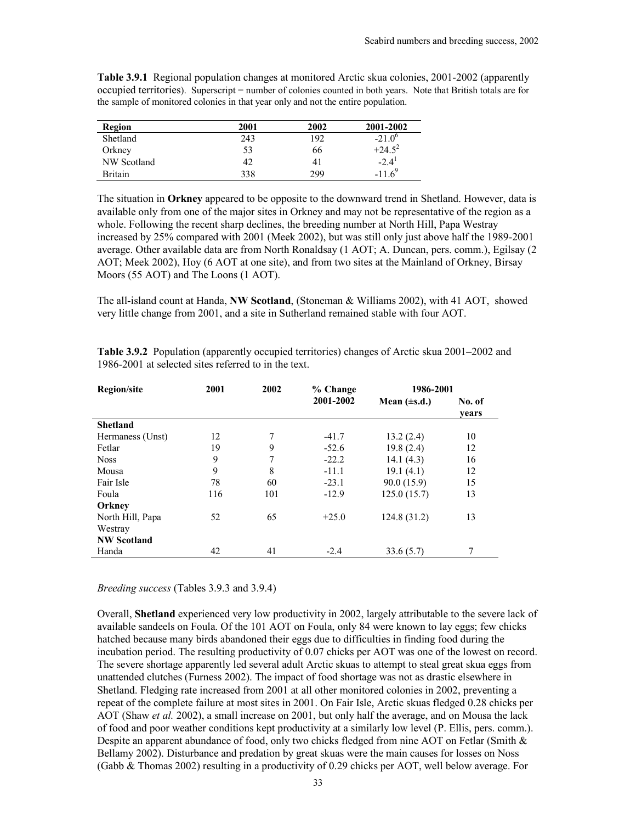**Table 3.9.1** Regional population changes at monitored Arctic skua colonies, 2001-2002 (apparently occupied territories). Superscript = number of colonies counted in both years. Note that British totals are for the sample of monitored colonies in that year only and not the entire population.

| Region         | 2001 | 2002 | 2001-2002       |
|----------------|------|------|-----------------|
| Shetland       | 243  | 192  | $-21.0^{\circ}$ |
| Orkney         | 53   | 66   | $+24.5^2$       |
| NW Scotland    | 42   | 41   | $-2.4^{1}$      |
| <b>Britain</b> | 338  | 299  | $-11.6^9$       |

The situation in **Orkney** appeared to be opposite to the downward trend in Shetland. However, data is available only from one of the major sites in Orkney and may not be representative of the region as a whole. Following the recent sharp declines, the breeding number at North Hill, Papa Westray increased by 25% compared with 2001 (Meek 2002), but was still only just above half the 1989-2001 average. Other available data are from North Ronaldsay (1 AOT; A. Duncan, pers. comm.), Egilsay (2 AOT; Meek 2002), Hoy (6 AOT at one site), and from two sites at the Mainland of Orkney, Birsay Moors (55 AOT) and The Loons (1 AOT).

The all-island count at Handa, **NW Scotland**, (Stoneman & Williams 2002), with 41 AOT, showed very little change from 2001, and a site in Sutherland remained stable with four AOT.

| <b>Region/site</b> | 2001 | 2002 | % Change  | 1986-2001         |        |  |
|--------------------|------|------|-----------|-------------------|--------|--|
|                    |      |      | 2001-2002 | Mean $(\pm s.d.)$ | No. of |  |
| <b>Shetland</b>    |      |      |           |                   | years  |  |
| Hermaness (Unst)   | 12   | 7    | $-41.7$   | 13.2(2.4)         | 10     |  |
| Fetlar             | 19   | 9    | $-52.6$   | 19.8(2.4)         | 12     |  |
| <b>Noss</b>        | 9    | 7    | $-22.2$   | 14.1(4.3)         | 16     |  |
| Mousa              | 9    | 8    | $-11.1$   | 19.1(4.1)         | 12     |  |
| Fair Isle          | 78   | 60   | $-23.1$   | 90.0(15.9)        | 15     |  |
| Foula              | 116  | 101  | $-12.9$   | 125.0(15.7)       | 13     |  |
| Orkney             |      |      |           |                   |        |  |
| North Hill, Papa   | 52   | 65   | $+25.0$   | 124.8(31.2)       | 13     |  |
| Westray            |      |      |           |                   |        |  |
| <b>NW Scotland</b> |      |      |           |                   |        |  |
| Handa              | 42   | 41   | $-2.4$    | 33.6(5.7)         | 7      |  |
|                    |      |      |           |                   |        |  |

**Table 3.9.2** Population (apparently occupied territories) changes of Arctic skua 2001–2002 and 1986-2001 at selected sites referred to in the text.

*Breeding success* (Tables 3.9.3 and 3.9.4)

Overall, **Shetland** experienced very low productivity in 2002, largely attributable to the severe lack of available sandeels on Foula. Of the 101 AOT on Foula, only 84 were known to lay eggs; few chicks hatched because many birds abandoned their eggs due to difficulties in finding food during the incubation period. The resulting productivity of 0.07 chicks per AOT was one of the lowest on record. The severe shortage apparently led several adult Arctic skuas to attempt to steal great skua eggs from unattended clutches (Furness 2002). The impact of food shortage was not as drastic elsewhere in Shetland. Fledging rate increased from 2001 at all other monitored colonies in 2002, preventing a repeat of the complete failure at most sites in 2001. On Fair Isle, Arctic skuas fledged 0.28 chicks per AOT (Shaw *et al.* 2002), a small increase on 2001, but only half the average, and on Mousa the lack of food and poor weather conditions kept productivity at a similarly low level (P. Ellis, pers. comm.). Despite an apparent abundance of food, only two chicks fledged from nine AOT on Fetlar (Smith  $\&$ Bellamy 2002). Disturbance and predation by great skuas were the main causes for losses on Noss (Gabb & Thomas 2002) resulting in a productivity of 0.29 chicks per AOT, well below average. For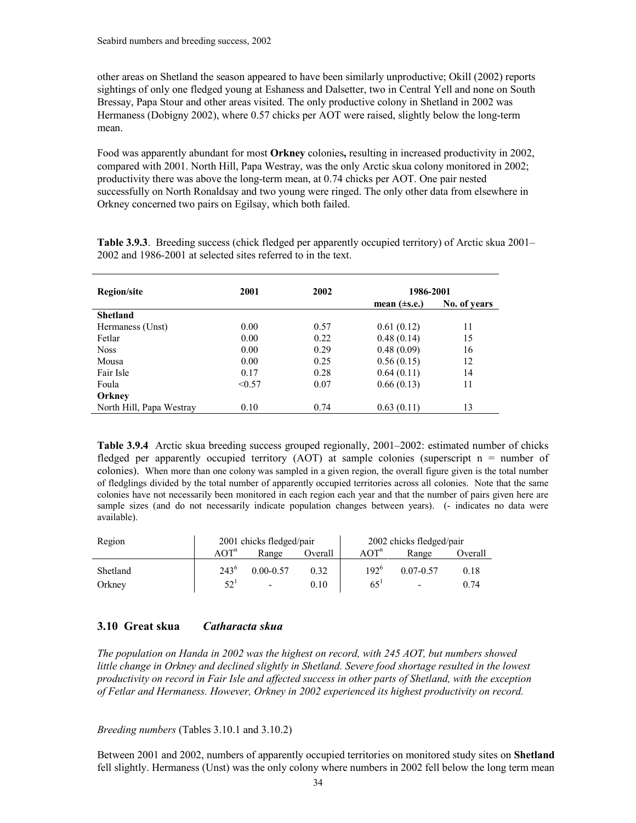other areas on Shetland the season appeared to have been similarly unproductive; Okill (2002) reports sightings of only one fledged young at Eshaness and Dalsetter, two in Central Yell and none on South Bressay, Papa Stour and other areas visited. The only productive colony in Shetland in 2002 was Hermaness (Dobigny 2002), where 0.57 chicks per AOT were raised, slightly below the long-term mean.

Food was apparently abundant for most **Orkney** colonies**,** resulting in increased productivity in 2002, compared with 2001. North Hill, Papa Westray, was the only Arctic skua colony monitored in 2002; productivity there was above the long-term mean, at 0.74 chicks per AOT. One pair nested successfully on North Ronaldsay and two young were ringed. The only other data from elsewhere in Orkney concerned two pairs on Egilsay, which both failed.

| <b>Region/site</b>       | 2001   | 2002 | 1986-2001         |              |  |
|--------------------------|--------|------|-------------------|--------------|--|
|                          |        |      | mean $(\pm s.e.)$ | No. of years |  |
| <b>Shetland</b>          |        |      |                   |              |  |
| Hermaness (Unst)         | 0.00   | 0.57 | 0.61(0.12)        | 11           |  |
| Fetlar                   | 0.00   | 0.22 | 0.48(0.14)        | 15           |  |
| <b>Noss</b>              | 0.00   | 0.29 | 0.48(0.09)        | 16           |  |
| Mousa                    | 0.00   | 0.25 | 0.56(0.15)        | 12           |  |
| Fair Isle                | 0.17   | 0.28 | 0.64(0.11)        | 14           |  |
| Foula                    | < 0.57 | 0.07 | 0.66(0.13)        | 11           |  |
| Orkney                   |        |      |                   |              |  |
| North Hill, Papa Westray | 0.10   | 0.74 | 0.63(0.11)        | 13           |  |

**Table 3.9.3**. Breeding success (chick fledged per apparently occupied territory) of Arctic skua 2001– 2002 and 1986-2001 at selected sites referred to in the text.

**Table 3.9.4** Arctic skua breeding success grouped regionally, 2001–2002: estimated number of chicks fledged per apparently occupied territory (AOT) at sample colonies (superscript n = number of colonies). When more than one colony was sampled in a given region, the overall figure given is the total number of fledglings divided by the total number of apparently occupied territories across all colonies. Note that the same colonies have not necessarily been monitored in each region each year and that the number of pairs given here are sample sizes (and do not necessarily indicate population changes between years). (- indicates no data were available).

| Region             | 2001 chicks fledged/pair  |                    |              | 2002 chicks fledged/pair |                    |              |  |
|--------------------|---------------------------|--------------------|--------------|--------------------------|--------------------|--------------|--|
|                    | AOT <sup>n</sup>          | Range              | Overall      | AOT <sup>n</sup>         | Range              | Overall      |  |
| Shetland<br>Orkney | $243^{\circ}$<br>$52^{1}$ | $0.00 - 0.57$<br>- | 0.32<br>0.10 | $192^{\circ}$<br>65'     | $0.07 - 0.57$<br>- | 0.18<br>0 74 |  |

### **3.10 Great skua** *Catharacta skua*

*The population on Handa in 2002 was the highest on record, with 245 AOT, but numbers showed little change in Orkney and declined slightly in Shetland. Severe food shortage resulted in the lowest productivity on record in Fair Isle and affected success in other parts of Shetland, with the exception of Fetlar and Hermaness. However, Orkney in 2002 experienced its highest productivity on record.* 

*Breeding numbers* (Tables 3.10.1 and 3.10.2)

Between 2001 and 2002, numbers of apparently occupied territories on monitored study sites on **Shetland** fell slightly. Hermaness (Unst) was the only colony where numbers in 2002 fell below the long term mean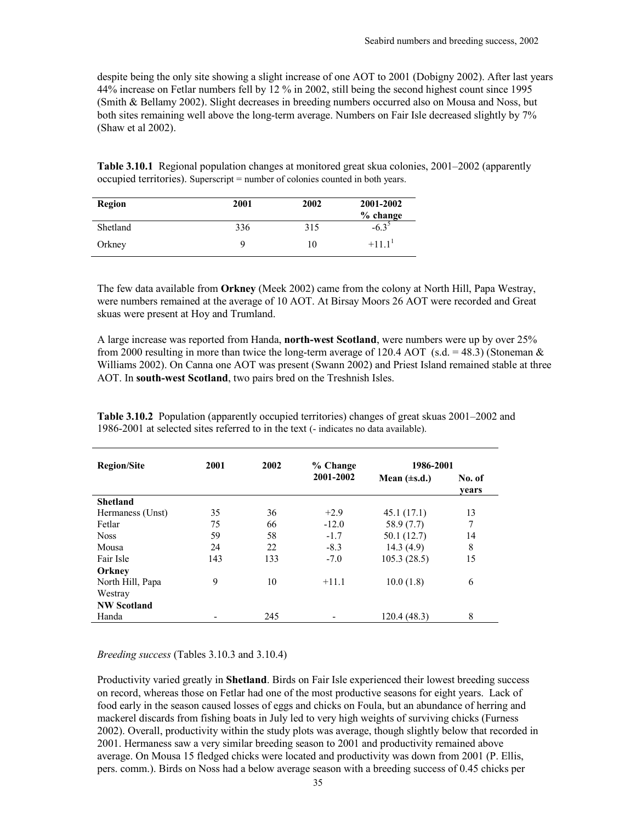despite being the only site showing a slight increase of one AOT to 2001 (Dobigny 2002). After last years 44% increase on Fetlar numbers fell by 12 % in 2002, still being the second highest count since 1995 (Smith & Bellamy 2002). Slight decreases in breeding numbers occurred also on Mousa and Noss, but both sites remaining well above the long-term average. Numbers on Fair Isle decreased slightly by 7% (Shaw et al 2002).

**Table 3.10.1** Regional population changes at monitored great skua colonies, 2001–2002 (apparently occupied territories). Superscript = number of colonies counted in both years.

| Region   | 2001 | 2002 | 2001-2002<br>$%$ change |
|----------|------|------|-------------------------|
| Shetland | 336  | 315  | $-6.3^{\circ}$          |
| Orkney   | Q    | 10   | $+11.1$ <sup>1</sup>    |

The few data available from **Orkney** (Meek 2002) came from the colony at North Hill, Papa Westray, were numbers remained at the average of 10 AOT. At Birsay Moors 26 AOT were recorded and Great skuas were present at Hoy and Trumland.

A large increase was reported from Handa, **north-west Scotland**, were numbers were up by over 25% from 2000 resulting in more than twice the long-term average of 120.4 AOT (s.d. = 48.3) (Stoneman  $\&$ Williams 2002). On Canna one AOT was present (Swann 2002) and Priest Island remained stable at three AOT. In **south-west Scotland**, two pairs bred on the Treshnish Isles.

| <b>Region/Site</b> | 2001 | 2002 | % Change  | 1986-2001         |                 |  |
|--------------------|------|------|-----------|-------------------|-----------------|--|
|                    |      |      | 2001-2002 | Mean $(\pm s.d.)$ | No. of<br>vears |  |
| <b>Shetland</b>    |      |      |           |                   |                 |  |
| Hermaness (Unst)   | 35   | 36   | $+2.9$    | 45.1 (17.1)       | 13              |  |
| Fetlar             | 75   | 66   | $-12.0$   | 58.9 (7.7)        | 7               |  |
| <b>Noss</b>        | 59   | 58   | $-1.7$    | 50.1(12.7)        | 14              |  |
| Mousa              | 24   | 22   | $-8.3$    | 14.3(4.9)         | 8               |  |
| Fair Isle          | 143  | 133  | $-7.0$    | 105.3(28.5)       | 15              |  |
| Orkney             |      |      |           |                   |                 |  |
| North Hill, Papa   | 9    | 10   | $+11.1$   | 10.0(1.8)         | 6               |  |
| Westray            |      |      |           |                   |                 |  |
| <b>NW Scotland</b> |      |      |           |                   |                 |  |
| Handa              |      | 245  |           | 120.4(48.3)       | 8               |  |

**Table 3.10.2** Population (apparently occupied territories) changes of great skuas 2001–2002 and 1986-2001 at selected sites referred to in the text (- indicates no data available).

*Breeding success* (Tables 3.10.3 and 3.10.4)

Productivity varied greatly in **Shetland**. Birds on Fair Isle experienced their lowest breeding success on record, whereas those on Fetlar had one of the most productive seasons for eight years. Lack of food early in the season caused losses of eggs and chicks on Foula, but an abundance of herring and mackerel discards from fishing boats in July led to very high weights of surviving chicks (Furness 2002). Overall, productivity within the study plots was average, though slightly below that recorded in 2001. Hermaness saw a very similar breeding season to 2001 and productivity remained above average. On Mousa 15 fledged chicks were located and productivity was down from 2001 (P. Ellis, pers. comm.). Birds on Noss had a below average season with a breeding success of 0.45 chicks per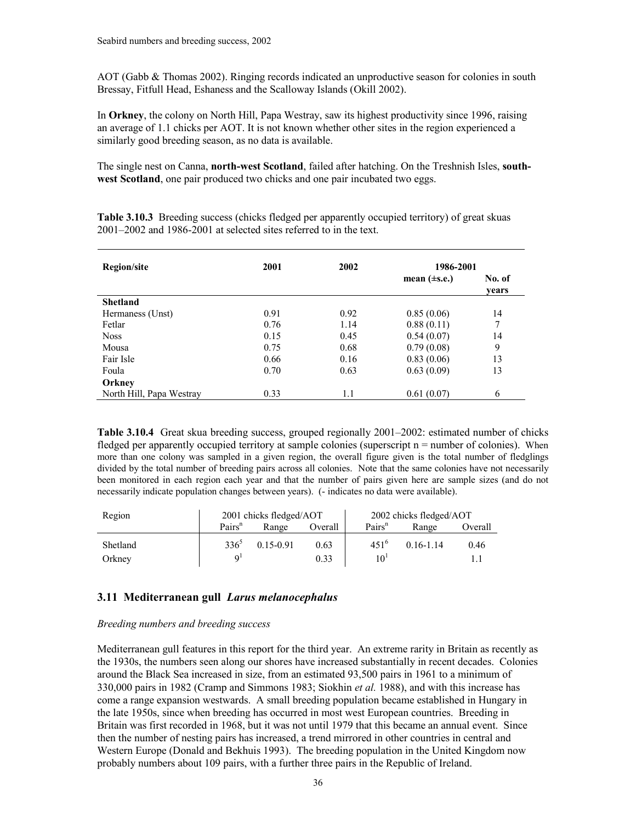AOT (Gabb & Thomas 2002). Ringing records indicated an unproductive season for colonies in south Bressay, Fitfull Head, Eshaness and the Scalloway Islands (Okill 2002).

In **Orkney**, the colony on North Hill, Papa Westray, saw its highest productivity since 1996, raising an average of 1.1 chicks per AOT. It is not known whether other sites in the region experienced a similarly good breeding season, as no data is available.

The single nest on Canna, **north-west Scotland**, failed after hatching. On the Treshnish Isles, **southwest Scotland**, one pair produced two chicks and one pair incubated two eggs.

**Table 3.10.3** Breeding success (chicks fledged per apparently occupied territory) of great skuas 2001–2002 and 1986-2001 at selected sites referred to in the text.

| <b>Region/site</b>       | 2001 | 2002    | 1986-2001         |        |  |
|--------------------------|------|---------|-------------------|--------|--|
|                          |      |         | mean $(\pm s.e.)$ | No. of |  |
| <b>Shetland</b>          |      |         |                   | years  |  |
| Hermaness (Unst)         | 0.91 | 0.92    | 0.85(0.06)        | 14     |  |
| Fetlar                   | 0.76 | 1.14    | 0.88(0.11)        | 7      |  |
| <b>Noss</b>              | 0.15 | 0.45    | 0.54(0.07)        | 14     |  |
| Mousa                    | 0.75 | 0.68    | 0.79(0.08)        | 9      |  |
| Fair Isle                | 0.66 | 0.16    | 0.83(0.06)        | 13     |  |
| Foula                    | 0.70 | 0.63    | 0.63(0.09)        | 13     |  |
| Orkney                   |      |         |                   |        |  |
| North Hill, Papa Westray | 0.33 | $1.1\,$ | 0.61(0.07)        | 6      |  |

**Table 3.10.4** Great skua breeding success, grouped regionally 2001–2002: estimated number of chicks fledged per apparently occupied territory at sample colonies (superscript n = number of colonies). When more than one colony was sampled in a given region, the overall figure given is the total number of fledglings divided by the total number of breeding pairs across all colonies. Note that the same colonies have not necessarily been monitored in each region each year and that the number of pairs given here are sample sizes (and do not necessarily indicate population changes between years). (- indicates no data were available).

| Region             | 2001 chicks fledged/AOT |               | 2002 chicks fledged/AOT |                      |               |         |
|--------------------|-------------------------|---------------|-------------------------|----------------------|---------------|---------|
|                    | Pairs <sup>n</sup>      | Range         | Overall                 | Pairs <sup>n</sup>   | Range         | Overall |
| Shetland<br>Orkney | $336^{\circ}$<br>Ωŀ     | $0.15 - 0.91$ | 0.63<br>0.33            | $451^{\circ}$<br>10' | $0.16 - 1.14$ | 0.46    |

# **3.11 Mediterranean gull** *Larus melanocephalus*

#### *Breeding numbers and breeding success*

Mediterranean gull features in this report for the third year. An extreme rarity in Britain as recently as the 1930s, the numbers seen along our shores have increased substantially in recent decades. Colonies around the Black Sea increased in size, from an estimated 93,500 pairs in 1961 to a minimum of 330,000 pairs in 1982 (Cramp and Simmons 1983; Siokhin *et al.* 1988), and with this increase has come a range expansion westwards. A small breeding population became established in Hungary in the late 1950s, since when breeding has occurred in most west European countries. Breeding in Britain was first recorded in 1968, but it was not until 1979 that this became an annual event. Since then the number of nesting pairs has increased, a trend mirrored in other countries in central and Western Europe (Donald and Bekhuis 1993). The breeding population in the United Kingdom now probably numbers about 109 pairs, with a further three pairs in the Republic of Ireland.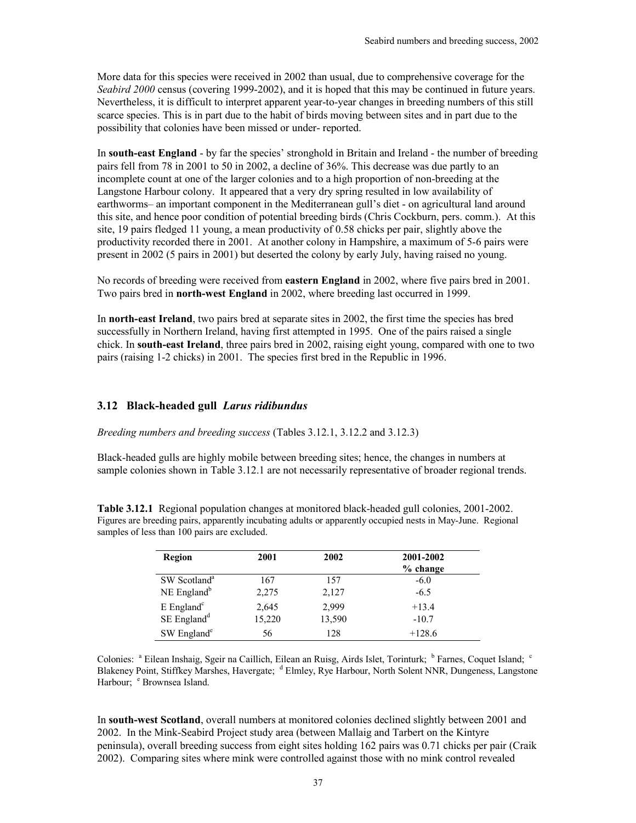More data for this species were received in 2002 than usual, due to comprehensive coverage for the Seabird 2000 census (covering 1999-2002), and it is hoped that this may be continued in future years. Nevertheless, it is difficult to interpret apparent year-to-year changes in breeding numbers of this still scarce species. This is in part due to the habit of birds moving between sites and in part due to the possibility that colonies have been missed or under- reported.

In **south-east England** - by far the species' stronghold in Britain and Ireland - the number of breeding pairs fell from 78 in 2001 to 50 in 2002, a decline of 36%. This decrease was due partly to an incomplete count at one of the larger colonies and to a high proportion of non-breeding at the Langstone Harbour colony. It appeared that a very dry spring resulted in low availability of earthworms– an important component in the Mediterranean gull's diet - on agricultural land around this site, and hence poor condition of potential breeding birds (Chris Cockburn, pers. comm.). At this site, 19 pairs fledged 11 young, a mean productivity of 0.58 chicks per pair, slightly above the productivity recorded there in 2001. At another colony in Hampshire, a maximum of 5-6 pairs were present in 2002 (5 pairs in 2001) but deserted the colony by early July, having raised no young.

No records of breeding were received from **eastern England** in 2002, where five pairs bred in 2001. Two pairs bred in **north-west England** in 2002, where breeding last occurred in 1999.

In **north-east Ireland**, two pairs bred at separate sites in 2002, the first time the species has bred successfully in Northern Ireland, having first attempted in 1995. One of the pairs raised a single chick. In **south-east Ireland**, three pairs bred in 2002, raising eight young, compared with one to two pairs (raising 1-2 chicks) in 2001. The species first bred in the Republic in 1996.

## **3.12 Black-headed gull** *Larus ridibundus*

*Breeding numbers and breeding success* (Tables 3.12.1, 3.12.2 and 3.12.3)

Black-headed gulls are highly mobile between breeding sites; hence, the changes in numbers at sample colonies shown in Table 3.12.1 are not necessarily representative of broader regional trends.

| <b>Table 3.12.1</b> Regional population changes at monitored black-headed gull colonies, 2001-2002.         |  |
|-------------------------------------------------------------------------------------------------------------|--|
| Figures are breeding pairs, apparently incubating adults or apparently occupied nests in May-June. Regional |  |
| samples of less than 100 pairs are excluded.                                                                |  |

| Region                                | 2001   | 2002   | 2001-2002<br>$%$ change |
|---------------------------------------|--------|--------|-------------------------|
| SW Scotland <sup>a</sup>              | 167    | 157    | $-6.0$                  |
| $NE$ England <sup>b</sup>             | 2,275  | 2,127  | $-6.5$                  |
| $E$ England <sup><math>c</math></sup> | 2,645  | 2,999  | $+13.4$                 |
| SE England <sup>d</sup>               | 15,220 | 13,590 | $-10.7$                 |
| $SW$ England <sup>e</sup>             | 56     | 128    | $+128.6$                |

Colonies: <sup>a</sup> Eilean Inshaig, Sgeir na Caillich, Eilean an Ruisg, Airds Islet, Torinturk; <sup>b</sup> Farnes, Coquet Island; <sup>c</sup> Blakeney Point, Stiffkey Marshes, Havergate; <sup>d</sup> Elmley, Rye Harbour, North Solent NNR, Dungeness, Langstone Harbour; <sup>e</sup> Brownsea Island.

In **south-west Scotland**, overall numbers at monitored colonies declined slightly between 2001 and 2002. In the Mink-Seabird Project study area (between Mallaig and Tarbert on the Kintyre peninsula), overall breeding success from eight sites holding 162 pairs was 0.71 chicks per pair (Craik 2002). Comparing sites where mink were controlled against those with no mink control revealed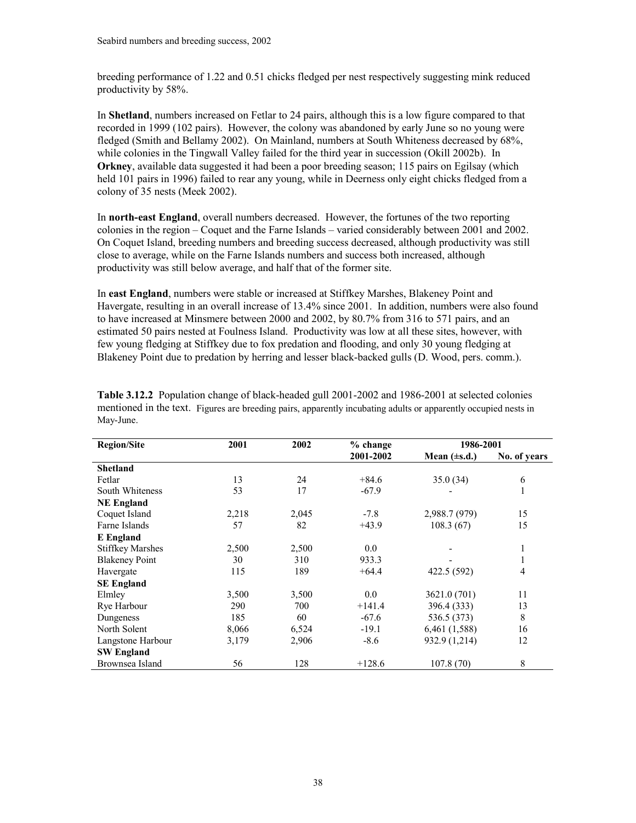breeding performance of 1.22 and 0.51 chicks fledged per nest respectively suggesting mink reduced productivity by 58%.

In **Shetland**, numbers increased on Fetlar to 24 pairs, although this is a low figure compared to that recorded in 1999 (102 pairs). However, the colony was abandoned by early June so no young were fledged (Smith and Bellamy 2002). On Mainland, numbers at South Whiteness decreased by 68%, while colonies in the Tingwall Valley failed for the third year in succession (Okill 2002b). In **Orkney**, available data suggested it had been a poor breeding season; 115 pairs on Egilsay (which held 101 pairs in 1996) failed to rear any young, while in Deerness only eight chicks fledged from a colony of 35 nests (Meek 2002).

In **north-east England**, overall numbers decreased. However, the fortunes of the two reporting colonies in the region – Coquet and the Farne Islands – varied considerably between 2001 and 2002. On Coquet Island, breeding numbers and breeding success decreased, although productivity was still close to average, while on the Farne Islands numbers and success both increased, although productivity was still below average, and half that of the former site.

In **east England**, numbers were stable or increased at Stiffkey Marshes, Blakeney Point and Havergate, resulting in an overall increase of 13.4% since 2001. In addition, numbers were also found to have increased at Minsmere between 2000 and 2002, by 80.7% from 316 to 571 pairs, and an estimated 50 pairs nested at Foulness Island. Productivity was low at all these sites, however, with few young fledging at Stiffkey due to fox predation and flooding, and only 30 young fledging at Blakeney Point due to predation by herring and lesser black-backed gulls (D. Wood, pers. comm.).

| <b>Region/Site</b>      | 2001  | 2002  | $%$ change | 1986-2001         |              |
|-------------------------|-------|-------|------------|-------------------|--------------|
|                         |       |       | 2001-2002  | Mean $(\pm s.d.)$ | No. of years |
| <b>Shetland</b>         |       |       |            |                   |              |
| Fetlar                  | 13    | 24    | $+84.6$    | 35.0(34)          | 6            |
| South Whiteness         | 53    | 17    | $-67.9$    |                   |              |
| <b>NE</b> England       |       |       |            |                   |              |
| Coquet Island           | 2,218 | 2,045 | $-7.8$     | 2,988.7 (979)     | 15           |
| Farne Islands           | 57    | 82    | $+43.9$    | 108.3(67)         | 15           |
| E England               |       |       |            |                   |              |
| <b>Stiffkey Marshes</b> | 2,500 | 2,500 | 0.0        |                   | 1            |
| <b>Blakeney Point</b>   | 30    | 310   | 933.3      |                   | 1            |
| Havergate               | 115   | 189   | $+64.4$    | 422.5 (592)       | 4            |
| <b>SE England</b>       |       |       |            |                   |              |
| Elmley                  | 3,500 | 3,500 | 0.0        | 3621.0 (701)      | 11           |
| Rye Harbour             | 290   | 700   | $+141.4$   | 396.4 (333)       | 13           |
| Dungeness               | 185   | 60    | $-67.6$    | 536.5 (373)       | 8            |
| North Solent            | 8,066 | 6,524 | $-19.1$    | 6,461 (1,588)     | 16           |
| Langstone Harbour       | 3,179 | 2,906 | $-8.6$     | 932.9 (1,214)     | 12           |
| <b>SW England</b>       |       |       |            |                   |              |
| Brownsea Island         | 56    | 128   | $+128.6$   | 107.8(70)         | 8            |

**Table 3.12.2** Population change of black-headed gull 2001-2002 and 1986-2001 at selected colonies mentioned in the text. Figures are breeding pairs, apparently incubating adults or apparently occupied nests in May-June.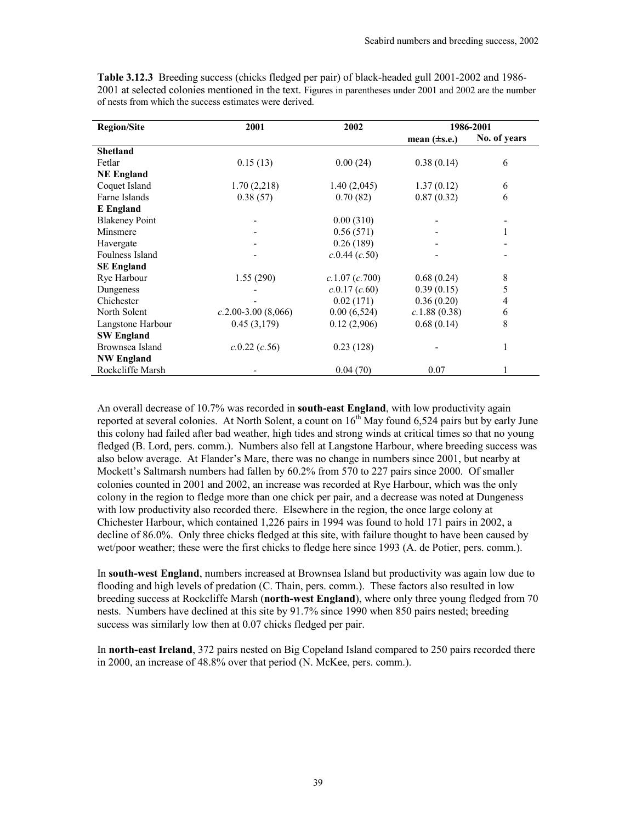| <b>Region/Site</b>    | 2001                 | 2002           | 1986-2001         |              |  |
|-----------------------|----------------------|----------------|-------------------|--------------|--|
|                       |                      |                | mean $(\pm s.e.)$ | No. of years |  |
| <b>Shetland</b>       |                      |                |                   |              |  |
| Fetlar                | 0.15(13)             | 0.00(24)       | 0.38(0.14)        | 6            |  |
| <b>NE England</b>     |                      |                |                   |              |  |
| Coquet Island         | 1.70(2,218)          | 1.40(2,045)    | 1.37(0.12)        | 6            |  |
| Farne Islands         | 0.38(57)             | 0.70(82)       | 0.87(0.32)        | 6            |  |
| E England             |                      |                |                   |              |  |
| <b>Blakeney Point</b> |                      | 0.00(310)      |                   |              |  |
| Minsmere              |                      | 0.56(571)      |                   | 1            |  |
| Havergate             |                      | 0.26(189)      |                   |              |  |
| Foulness Island       |                      | c.0.44 (c.50)  |                   |              |  |
| <b>SE England</b>     |                      |                |                   |              |  |
| Rye Harbour           | 1.55(290)            | c.1.07 (c.700) | 0.68(0.24)        | 8            |  |
| Dungeness             |                      | c.0.17(c.60)   | 0.39(0.15)        | 5            |  |
| Chichester            |                      | 0.02(171)      | 0.36(0.20)        | 4            |  |
| North Solent          | $c.2.00-3.00(8,066)$ | 0.00(6,524)    | c.1.88(0.38)      | 6            |  |
| Langstone Harbour     | 0.45(3,179)          | 0.12(2,906)    | 0.68(0.14)        | 8            |  |
| <b>SW England</b>     |                      |                |                   |              |  |
| Brownsea Island       | $c.0.22$ $(c.56)$    | 0.23(128)      |                   |              |  |
| <b>NW England</b>     |                      |                |                   |              |  |
| Rockcliffe Marsh      |                      | 0.04(70)       | 0.07              |              |  |

**Table 3.12.3** Breeding success (chicks fledged per pair) of black-headed gull 2001-2002 and 1986- 2001 at selected colonies mentioned in the text. Figures in parentheses under 2001 and 2002 are the number of nests from which the success estimates were derived.

An overall decrease of 10.7% was recorded in **south-east England**, with low productivity again reported at several colonies. At North Solent, a count on  $16<sup>th</sup>$  May found 6,524 pairs but by early June this colony had failed after bad weather, high tides and strong winds at critical times so that no young fledged (B. Lord, pers. comm.). Numbers also fell at Langstone Harbour, where breeding success was also below average. At Flander's Mare, there was no change in numbers since 2001, but nearby at Mockett's Saltmarsh numbers had fallen by 60.2% from 570 to 227 pairs since 2000. Of smaller colonies counted in 2001 and 2002, an increase was recorded at Rye Harbour, which was the only colony in the region to fledge more than one chick per pair, and a decrease was noted at Dungeness with low productivity also recorded there. Elsewhere in the region, the once large colony at Chichester Harbour, which contained 1,226 pairs in 1994 was found to hold 171 pairs in 2002, a decline of 86.0%. Only three chicks fledged at this site, with failure thought to have been caused by wet/poor weather; these were the first chicks to fledge here since 1993 (A. de Potier, pers. comm.).

In **south-west England**, numbers increased at Brownsea Island but productivity was again low due to flooding and high levels of predation (C. Thain, pers. comm.). These factors also resulted in low breeding success at Rockcliffe Marsh (**north-west England**), where only three young fledged from 70 nests. Numbers have declined at this site by 91.7% since 1990 when 850 pairs nested; breeding success was similarly low then at 0.07 chicks fledged per pair.

In **north-east Ireland**, 372 pairs nested on Big Copeland Island compared to 250 pairs recorded there in 2000, an increase of 48.8% over that period (N. McKee, pers. comm.).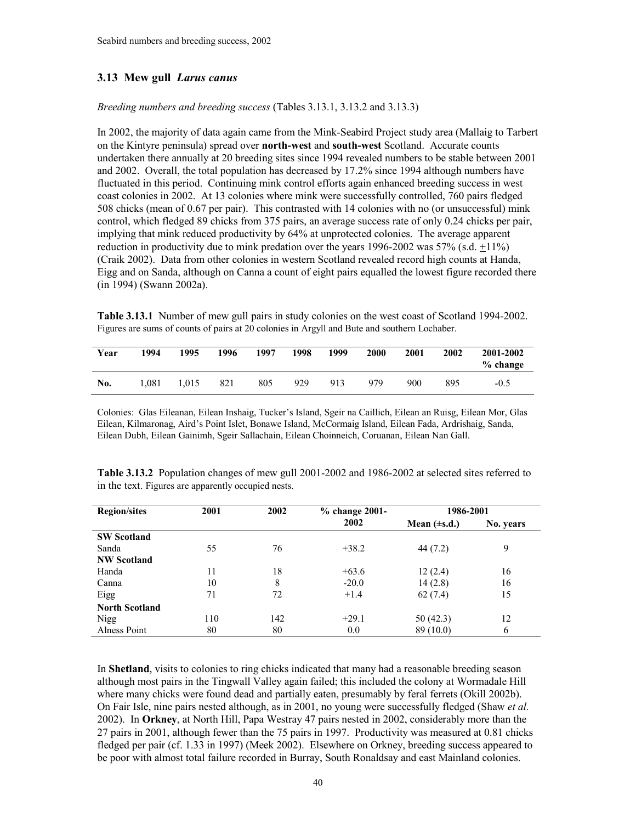## **3.13 Mew gull** *Larus canus*

### *Breeding numbers and breeding success* (Tables 3.13.1, 3.13.2 and 3.13.3)

In 2002, the majority of data again came from the Mink-Seabird Project study area (Mallaig to Tarbert on the Kintyre peninsula) spread over **north-west** and **south-west** Scotland. Accurate counts undertaken there annually at 20 breeding sites since 1994 revealed numbers to be stable between 2001 and 2002. Overall, the total population has decreased by 17.2% since 1994 although numbers have fluctuated in this period. Continuing mink control efforts again enhanced breeding success in west coast colonies in 2002. At 13 colonies where mink were successfully controlled, 760 pairs fledged 508 chicks (mean of 0.67 per pair). This contrasted with 14 colonies with no (or unsuccessful) mink control, which fledged 89 chicks from 375 pairs, an average success rate of only 0.24 chicks per pair, implying that mink reduced productivity by 64% at unprotected colonies. The average apparent reduction in productivity due to mink predation over the years  $1996-2002$  was  $57\%$  (s.d.  $+11\%$ ) (Craik 2002). Data from other colonies in western Scotland revealed record high counts at Handa, Eigg and on Sanda, although on Canna a count of eight pairs equalled the lowest figure recorded there (in 1994) (Swann 2002a).

**Table 3.13.1** Number of mew gull pairs in study colonies on the west coast of Scotland 1994-2002. Figures are sums of counts of pairs at 20 colonies in Argyll and Bute and southern Lochaber.

| Year | 1994 | 1995  | 1996 | 1997 | 1998 | 1999 | 2000 | 2001 | 2002 | 2001-2002<br>$%$ change |
|------|------|-------|------|------|------|------|------|------|------|-------------------------|
| No.  | .081 | 1.015 | 821  | 805  | 929  | 913  | 979  | 900  | 895  | $-0.5$                  |

Colonies: Glas Eileanan, Eilean Inshaig, Tucker's Island, Sgeir na Caillich, Eilean an Ruisg, Eilean Mor, Glas Eilean, Kilmaronag, Aird's Point Islet, Bonawe Island, McCormaig Island, Eilean Fada, Ardrishaig, Sanda, Eilean Dubh, Eilean Gainimh, Sgeir Sallachain, Eilean Choinneich, Coruanan, Eilean Nan Gall.

| <b>Region/sites</b>   | 2001<br>2002 |     | $%$ change 2001- | 1986-2001         |           |
|-----------------------|--------------|-----|------------------|-------------------|-----------|
|                       |              |     | 2002             | Mean $(\pm s.d.)$ | No. years |
| <b>SW Scotland</b>    |              |     |                  |                   |           |
| Sanda                 | 55           | 76  | $+38.2$          | 44 (7.2)          | 9         |
| <b>NW Scotland</b>    |              |     |                  |                   |           |
| Handa                 | 11           | 18  | $+63.6$          | 12(2.4)           | 16        |
| Canna                 | 10           | 8   | $-20.0$          | 14(2.8)           | 16        |
| Eigg                  | 71           | 72  | $+1.4$           | 62(7.4)           | 15        |
| <b>North Scotland</b> |              |     |                  |                   |           |
| <b>Nigg</b>           | 110          | 142 | $+29.1$          | 50 (42.3)         | 12        |
| Alness Point          | 80           | 80  | 0.0              | 89 (10.0)         | 6         |

**Table 3.13.2** Population changes of mew gull 2001-2002 and 1986-2002 at selected sites referred to in the text. Figures are apparently occupied nests.

In **Shetland**, visits to colonies to ring chicks indicated that many had a reasonable breeding season although most pairs in the Tingwall Valley again failed; this included the colony at Wormadale Hill where many chicks were found dead and partially eaten, presumably by feral ferrets (Okill 2002b). On Fair Isle, nine pairs nested although, as in 2001, no young were successfully fledged (Shaw *et al.*  2002). In **Orkney**, at North Hill, Papa Westray 47 pairs nested in 2002, considerably more than the 27 pairs in 2001, although fewer than the 75 pairs in 1997. Productivity was measured at 0.81 chicks fledged per pair (cf. 1.33 in 1997) (Meek 2002). Elsewhere on Orkney, breeding success appeared to be poor with almost total failure recorded in Burray, South Ronaldsay and east Mainland colonies.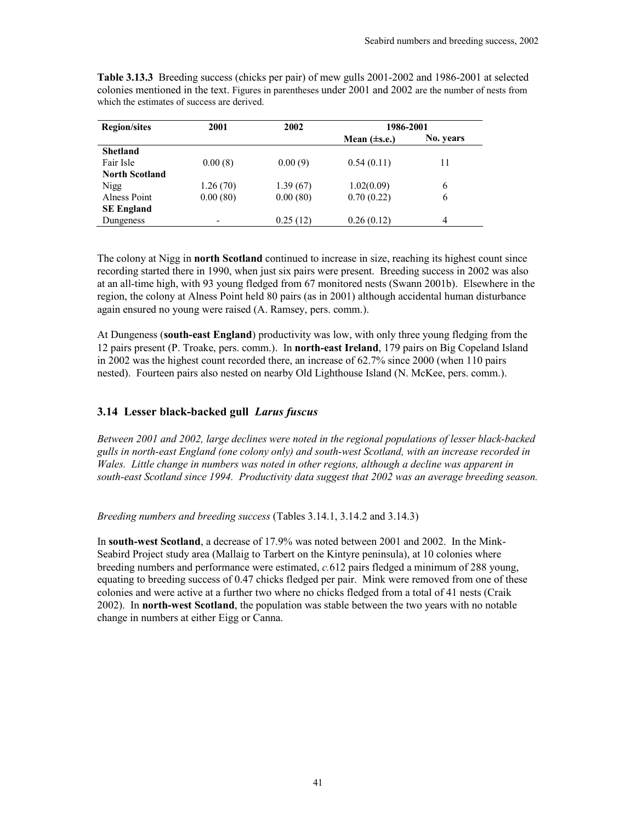| <b>Region/sites</b>   | 2001     | 2002     | 1986-2001         |           |
|-----------------------|----------|----------|-------------------|-----------|
|                       |          |          | Mean $(\pm s.e.)$ | No. years |
| <b>Shetland</b>       |          |          |                   |           |
| Fair Isle             | 0.00(8)  | 0.00(9)  | 0.54(0.11)        | 11        |
| <b>North Scotland</b> |          |          |                   |           |
| <b>Nigg</b>           | 1.26(70) | 1.39(67) | 1.02(0.09)        | 6         |
| Alness Point          | 0.00(80) | 0.00(80) | 0.70(0.22)        | 6         |
| <b>SE England</b>     |          |          |                   |           |
| Dungeness             | -        | 0.25(12) | 0.26(0.12)        | 4         |

**Table 3.13.3** Breeding success (chicks per pair) of mew gulls 2001-2002 and 1986-2001 at selected colonies mentioned in the text. Figures in parentheses under 2001 and 2002 are the number of nests from which the estimates of success are derived.

The colony at Nigg in **north Scotland** continued to increase in size, reaching its highest count since recording started there in 1990, when just six pairs were present. Breeding success in 2002 was also at an all-time high, with 93 young fledged from 67 monitored nests (Swann 2001b). Elsewhere in the region, the colony at Alness Point held 80 pairs (as in 2001) although accidental human disturbance again ensured no young were raised (A. Ramsey, pers. comm.).

At Dungeness (**south-east England**) productivity was low, with only three young fledging from the 12 pairs present (P. Troake, pers. comm.). In **north-east Ireland**, 179 pairs on Big Copeland Island in 2002 was the highest count recorded there, an increase of 62.7% since 2000 (when 110 pairs nested). Fourteen pairs also nested on nearby Old Lighthouse Island (N. McKee, pers. comm.).

# **3.14 Lesser black-backed gull** *Larus fuscus*

*Between 2001 and 2002, large declines were noted in the regional populations of lesser black-backed gulls in north-east England (one colony only) and south-west Scotland, with an increase recorded in Wales. Little change in numbers was noted in other regions, although a decline was apparent in south-east Scotland since 1994. Productivity data suggest that 2002 was an average breeding season.*

*Breeding numbers and breeding success* (Tables 3.14.1, 3.14.2 and 3.14.3)

In **south-west Scotland**, a decrease of 17.9% was noted between 2001 and 2002. In the Mink-Seabird Project study area (Mallaig to Tarbert on the Kintyre peninsula), at 10 colonies where breeding numbers and performance were estimated, *c.*612 pairs fledged a minimum of 288 young, equating to breeding success of 0.47 chicks fledged per pair. Mink were removed from one of these colonies and were active at a further two where no chicks fledged from a total of 41 nests (Craik 2002). In **north-west Scotland**, the population was stable between the two years with no notable change in numbers at either Eigg or Canna.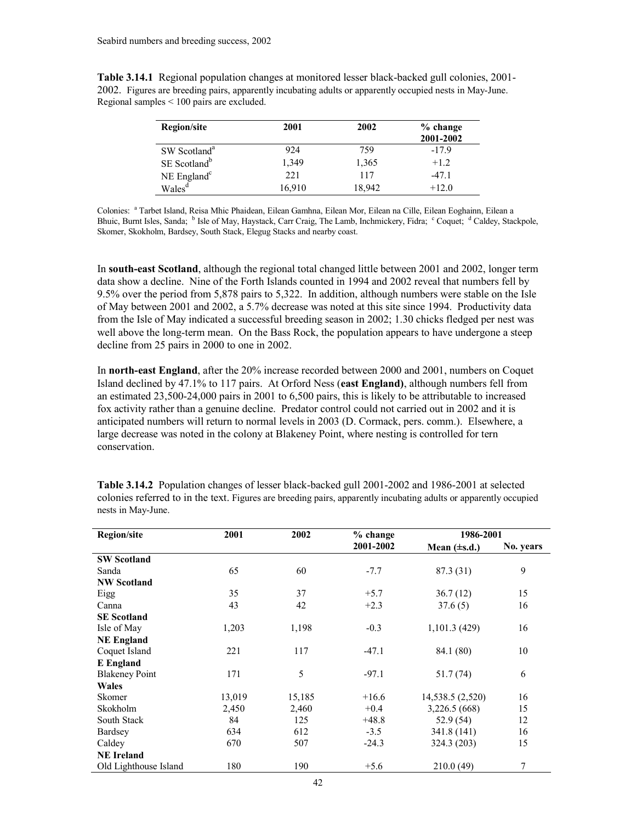| <b>Region/site</b>                              | 2001   | 2002   | $%$ change<br>2001-2002 |
|-------------------------------------------------|--------|--------|-------------------------|
| SW Scotland <sup>a</sup>                        | 924    | 759    | $-17.9$                 |
| SE Scotland <sup>b</sup>                        | 1,349  | 1,365  | $+1.2$                  |
|                                                 | 221    | 117    | $-47.1$                 |
| $NE$ England <sup>c</sup><br>Wales <sup>d</sup> | 16,910 | 18,942 | $+12.0$                 |

**Table 3.14.1** Regional population changes at monitored lesser black-backed gull colonies, 2001- 2002. Figures are breeding pairs, apparently incubating adults or apparently occupied nests in May-June. Regional samples < 100 pairs are excluded.

Colonies: <sup>a</sup> Tarbet Island, Reisa Mhic Phaidean, Eilean Gamhna, Eilean Mor, Eilean na Cille, Eilean Eoghainn, Eilean a Bhuic, Burnt Isles, Sanda; <sup>b</sup> Isle of May, Haystack, Carr Craig, The Lamb, Inchmickery, Fidra; <sup>c</sup> Coquet; <sup>d</sup> Caldey, Stackpole, Skomer, Skokholm, Bardsey, South Stack, Elegug Stacks and nearby coast.

In **south-east Scotland**, although the regional total changed little between 2001 and 2002, longer term data show a decline. Nine of the Forth Islands counted in 1994 and 2002 reveal that numbers fell by 9.5% over the period from 5,878 pairs to 5,322. In addition, although numbers were stable on the Isle of May between 2001 and 2002, a 5.7% decrease was noted at this site since 1994. Productivity data from the Isle of May indicated a successful breeding season in 2002; 1.30 chicks fledged per nest was well above the long-term mean. On the Bass Rock, the population appears to have undergone a steep decline from 25 pairs in 2000 to one in 2002.

In **north-east England**, after the 20% increase recorded between 2000 and 2001, numbers on Coquet Island declined by 47.1% to 117 pairs. At Orford Ness (**east England)**, although numbers fell from an estimated 23,500-24,000 pairs in 2001 to 6,500 pairs, this is likely to be attributable to increased fox activity rather than a genuine decline. Predator control could not carried out in 2002 and it is anticipated numbers will return to normal levels in 2003 (D. Cormack, pers. comm.). Elsewhere, a large decrease was noted in the colony at Blakeney Point, where nesting is controlled for tern conservation.

| <b>Region/site</b>    | 2001   | 2002   | $%$ change | 1986-2001         |           |
|-----------------------|--------|--------|------------|-------------------|-----------|
|                       |        |        | 2001-2002  | Mean $(\pm s.d.)$ | No. years |
| <b>SW Scotland</b>    |        |        |            |                   |           |
| Sanda                 | 65     | 60     | $-7.7$     | 87.3 (31)         | 9         |
| <b>NW Scotland</b>    |        |        |            |                   |           |
| Eigg                  | 35     | 37     | $+5.7$     | 36.7(12)          | 15        |
| Canna                 | 43     | 42     | $+2.3$     | 37.6(5)           | 16        |
| <b>SE Scotland</b>    |        |        |            |                   |           |
| Isle of May           | 1,203  | 1,198  | $-0.3$     | 1,101.3(429)      | 16        |
| <b>NE England</b>     |        |        |            |                   |           |
| Coquet Island         | 221    | 117    | $-47.1$    | 84.1 (80)         | 10        |
| E England             |        |        |            |                   |           |
| <b>Blakeney Point</b> | 171    | 5      | $-97.1$    | 51.7 (74)         | 6         |
| <b>Wales</b>          |        |        |            |                   |           |
| <b>Skomer</b>         | 13,019 | 15,185 | $+16.6$    | 14,538.5 (2,520)  | 16        |
| <b>Skokholm</b>       | 2,450  | 2,460  | $+0.4$     | 3,226.5 (668)     | 15        |
| South Stack           | 84     | 125    | $+48.8$    | 52.9 (54)         | 12        |
| Bardsey               | 634    | 612    | $-3.5$     | 341.8 (141)       | 16        |
| Caldey                | 670    | 507    | $-24.3$    | 324.3 (203)       | 15        |
| <b>NE</b> Ireland     |        |        |            |                   |           |
| Old Lighthouse Island | 180    | 190    | $+5.6$     | 210.0(49)         | 7         |

**Table 3.14.2** Population changes of lesser black-backed gull 2001-2002 and 1986-2001 at selected colonies referred to in the text. Figures are breeding pairs, apparently incubating adults or apparently occupied nests in May-June.

42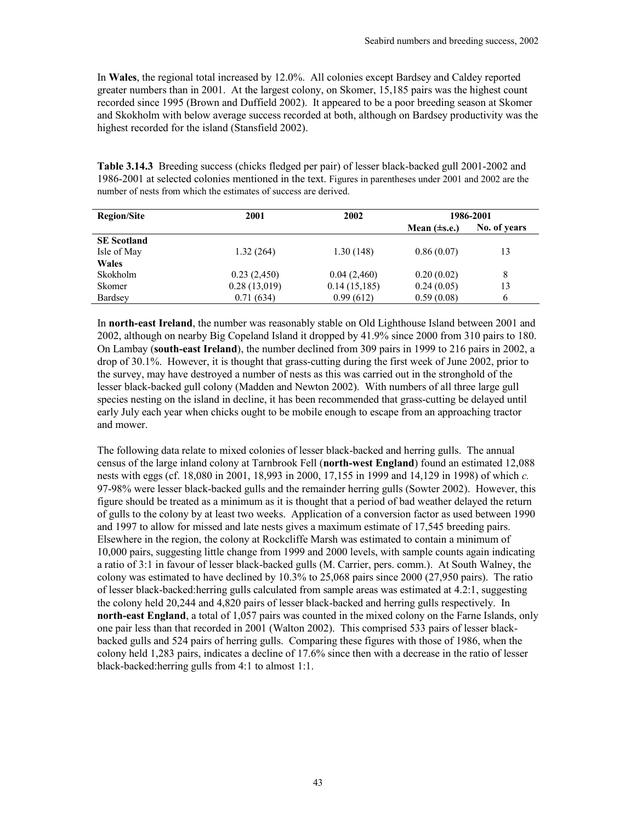In **Wales**, the regional total increased by 12.0%. All colonies except Bardsey and Caldey reported greater numbers than in 2001. At the largest colony, on Skomer, 15,185 pairs was the highest count recorded since 1995 (Brown and Duffield 2002). It appeared to be a poor breeding season at Skomer and Skokholm with below average success recorded at both, although on Bardsey productivity was the highest recorded for the island (Stansfield 2002).

**Table 3.14.3** Breeding success (chicks fledged per pair) of lesser black-backed gull 2001-2002 and 1986-2001 at selected colonies mentioned in the text. Figures in parentheses under 2001 and 2002 are the number of nests from which the estimates of success are derived.

| <b>Region/Site</b> | 2001         | 2002         | 1986-2001         |              |
|--------------------|--------------|--------------|-------------------|--------------|
|                    |              |              | Mean $(\pm s.e.)$ | No. of years |
| <b>SE Scotland</b> |              |              |                   |              |
| Isle of May        | 1.32(264)    | 1.30(148)    | 0.86(0.07)        | 13           |
| Wales              |              |              |                   |              |
| Skokholm           | 0.23(2,450)  | 0.04(2,460)  | 0.20(0.02)        | 8            |
| <b>Skomer</b>      | 0.28(13,019) | 0.14(15,185) | 0.24(0.05)        | 13           |
| Bardsey            | 0.71(634)    | 0.99(612)    | 0.59(0.08)        | 6            |

In **north-east Ireland**, the number was reasonably stable on Old Lighthouse Island between 2001 and 2002, although on nearby Big Copeland Island it dropped by 41.9% since 2000 from 310 pairs to 180. On Lambay (**south-east Ireland**), the number declined from 309 pairs in 1999 to 216 pairs in 2002, a drop of 30.1%. However, it is thought that grass-cutting during the first week of June 2002, prior to the survey, may have destroyed a number of nests as this was carried out in the stronghold of the lesser black-backed gull colony (Madden and Newton 2002). With numbers of all three large gull species nesting on the island in decline, it has been recommended that grass-cutting be delayed until early July each year when chicks ought to be mobile enough to escape from an approaching tractor and mower.

The following data relate to mixed colonies of lesser black-backed and herring gulls. The annual census of the large inland colony at Tarnbrook Fell (**north-west England**) found an estimated 12,088 nests with eggs (cf. 18,080 in 2001, 18,993 in 2000, 17,155 in 1999 and 14,129 in 1998) of which *c.*  97-98% were lesser black-backed gulls and the remainder herring gulls (Sowter 2002). However, this figure should be treated as a minimum as it is thought that a period of bad weather delayed the return of gulls to the colony by at least two weeks. Application of a conversion factor as used between 1990 and 1997 to allow for missed and late nests gives a maximum estimate of 17,545 breeding pairs. Elsewhere in the region, the colony at Rockcliffe Marsh was estimated to contain a minimum of 10,000 pairs, suggesting little change from 1999 and 2000 levels, with sample counts again indicating a ratio of 3:1 in favour of lesser black-backed gulls (M. Carrier, pers. comm.). At South Walney, the colony was estimated to have declined by 10.3% to 25,068 pairs since 2000 (27,950 pairs). The ratio of lesser black-backed:herring gulls calculated from sample areas was estimated at 4.2:1, suggesting the colony held 20,244 and 4,820 pairs of lesser black-backed and herring gulls respectively. In **north-east England**, a total of 1,057 pairs was counted in the mixed colony on the Farne Islands, only one pair less than that recorded in 2001 (Walton 2002). This comprised 533 pairs of lesser blackbacked gulls and 524 pairs of herring gulls. Comparing these figures with those of 1986, when the colony held 1,283 pairs, indicates a decline of 17.6% since then with a decrease in the ratio of lesser black-backed:herring gulls from 4:1 to almost 1:1.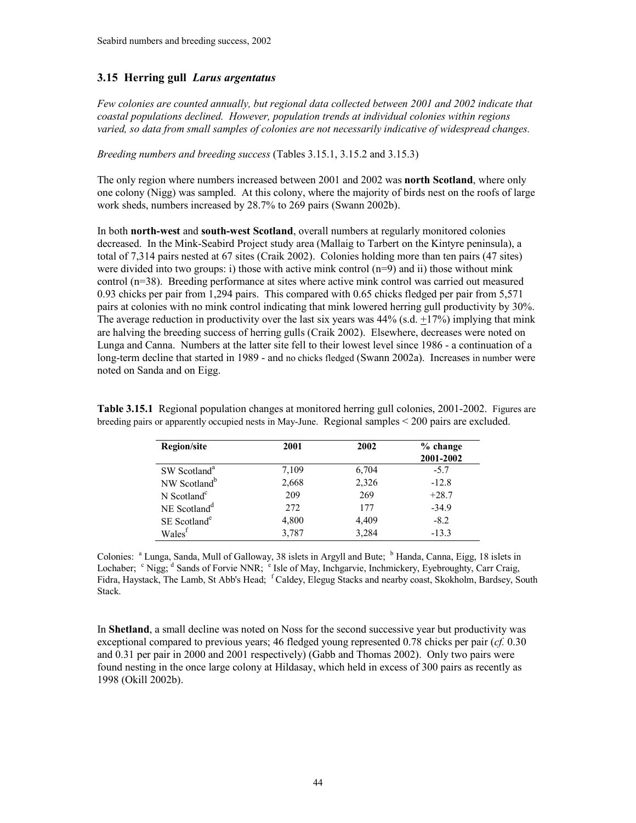## **3.15 Herring gull** *Larus argentatus*

*Few colonies are counted annually, but regional data collected between 2001 and 2002 indicate that coastal populations declined. However, population trends at individual colonies within regions varied, so data from small samples of colonies are not necessarily indicative of widespread changes.* 

*Breeding numbers and breeding success* (Tables 3.15.1, 3.15.2 and 3.15.3)

The only region where numbers increased between 2001 and 2002 was **north Scotland**, where only one colony (Nigg) was sampled. At this colony, where the majority of birds nest on the roofs of large work sheds, numbers increased by 28.7% to 269 pairs (Swann 2002b).

In both **north-west** and **south-west Scotland**, overall numbers at regularly monitored colonies decreased. In the Mink-Seabird Project study area (Mallaig to Tarbert on the Kintyre peninsula), a total of 7,314 pairs nested at 67 sites (Craik 2002). Colonies holding more than ten pairs (47 sites) were divided into two groups: i) those with active mink control  $(n=9)$  and ii) those without mink control (n=38). Breeding performance at sites where active mink control was carried out measured 0.93 chicks per pair from 1,294 pairs. This compared with 0.65 chicks fledged per pair from 5,571 pairs at colonies with no mink control indicating that mink lowered herring gull productivity by 30%. The average reduction in productivity over the last six years was  $44\%$  (s.d.  $+17\%$ ) implying that mink are halving the breeding success of herring gulls (Craik 2002). Elsewhere, decreases were noted on Lunga and Canna. Numbers at the latter site fell to their lowest level since 1986 - a continuation of a long-term decline that started in 1989 - and no chicks fledged (Swann 2002a). Increases in number were noted on Sanda and on Eigg.

| <b>Region/site</b>       | 2001  | 2002  | $%$ change<br>2001-2002 |
|--------------------------|-------|-------|-------------------------|
| SW Scotland <sup>a</sup> | 7,109 | 6,704 | $-5.7$                  |
| NW Scotland <sup>b</sup> | 2,668 | 2,326 | $-12.8$                 |
| N Scotland <sup>c</sup>  | 209   | 269   | $+28.7$                 |
| NE Scotland <sup>d</sup> | 272   | 177   | $-34.9$                 |
| SE Scotland <sup>e</sup> | 4,800 | 4,409 | $-8.2$                  |
| Wales <sup>f</sup>       | 3,787 | 3,284 | $-13.3$                 |

**Table 3.15.1** Regional population changes at monitored herring gull colonies, 2001-2002. Figures are breeding pairs or apparently occupied nests in May-June. Regional samples < 200 pairs are excluded.

Colonies: <sup>a</sup> Lunga, Sanda, Mull of Galloway, 38 islets in Argyll and Bute; <sup>b</sup> Handa, Canna, Eigg, 18 islets in Lochaber; <sup>c</sup> Nigg; <sup>d</sup> Sands of Forvie NNR; <sup>e</sup> Isle of May, Inchgarvie, Inchmickery, Eyebroughty, Carr Craig, Fidra, Haystack, The Lamb, St Abb's Head; <sup>f</sup> Caldey, Elegug Stacks and nearby coast, Skokholm, Bardsey, South Stack.

In **Shetland**, a small decline was noted on Noss for the second successive year but productivity was exceptional compared to previous years; 46 fledged young represented 0.78 chicks per pair (*cf.* 0.30 and 0.31 per pair in 2000 and 2001 respectively) (Gabb and Thomas 2002). Only two pairs were found nesting in the once large colony at Hildasay, which held in excess of 300 pairs as recently as 1998 (Okill 2002b).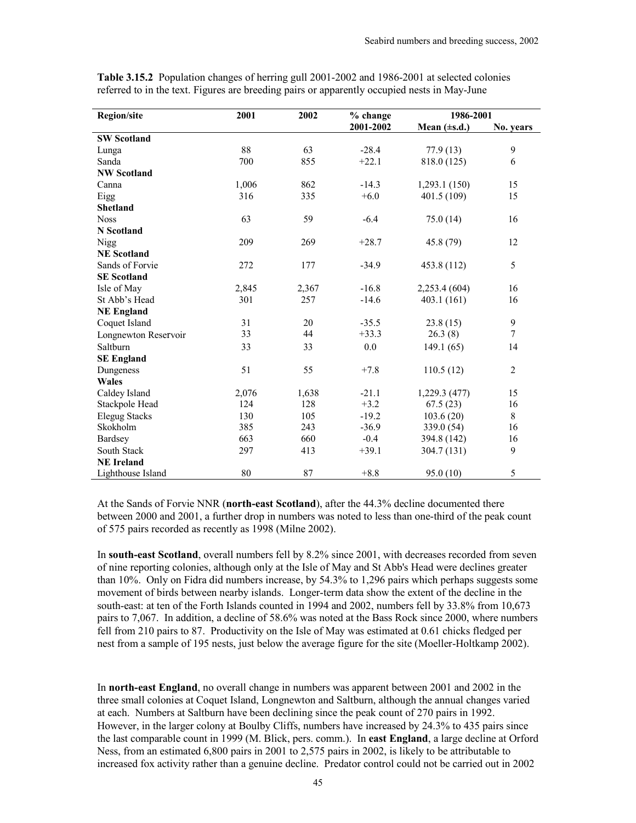| <b>Region/site</b>   | 2001  | 2002  | % change  | 1986-2001         |                |
|----------------------|-------|-------|-----------|-------------------|----------------|
|                      |       |       | 2001-2002 | Mean $(\pm s.d.)$ | No. years      |
| <b>SW Scotland</b>   |       |       |           |                   |                |
| Lunga                | 88    | 63    | $-28.4$   | 77.9(13)          | 9              |
| Sanda                | 700   | 855   | $+22.1$   | 818.0 (125)       | 6              |
| <b>NW Scotland</b>   |       |       |           |                   |                |
| Canna                | 1,006 | 862   | $-14.3$   | 1,293.1 (150)     | 15             |
| Eigg                 | 316   | 335   | $+6.0$    | 401.5 (109)       | 15             |
| <b>Shetland</b>      |       |       |           |                   |                |
| <b>Noss</b>          | 63    | 59    | $-6.4$    | 75.0(14)          | 16             |
| <b>N</b> Scotland    |       |       |           |                   |                |
| <b>Nigg</b>          | 209   | 269   | $+28.7$   | 45.8 (79)         | 12             |
| <b>NE</b> Scotland   |       |       |           |                   |                |
| Sands of Forvie      | 272   | 177   | $-34.9$   | 453.8 (112)       | 5              |
| <b>SE Scotland</b>   |       |       |           |                   |                |
| Isle of May          | 2,845 | 2,367 | $-16.8$   | 2,253.4 (604)     | 16             |
| St Abb's Head        | 301   | 257   | $-14.6$   | 403.1(161)        | 16             |
| <b>NE England</b>    |       |       |           |                   |                |
| Coquet Island        | 31    | 20    | $-35.5$   | 23.8(15)          | 9              |
| Longnewton Reservoir | 33    | 44    | $+33.3$   | 26.3(8)           | 7              |
| Saltburn             | 33    | 33    | 0.0       | 149.1 (65)        | 14             |
| <b>SE England</b>    |       |       |           |                   |                |
| Dungeness            | 51    | 55    | $+7.8$    | 110.5(12)         | $\overline{2}$ |
| Wales                |       |       |           |                   |                |
| Caldey Island        | 2,076 | 1,638 | $-21.1$   | 1,229.3 (477)     | 15             |
| Stackpole Head       | 124   | 128   | $+3.2$    | 67.5(23)          | 16             |
| <b>Elegug Stacks</b> | 130   | 105   | $-19.2$   | 103.6(20)         | 8              |
| Skokholm             | 385   | 243   | $-36.9$   | 339.0 (54)        | 16             |
| Bardsey              | 663   | 660   | $-0.4$    | 394.8 (142)       | 16             |
| South Stack          | 297   | 413   | $+39.1$   | 304.7 (131)       | 9              |
| <b>NE</b> Ireland    |       |       |           |                   |                |
| Lighthouse Island    | 80    | 87    | $+8.8$    | 95.0(10)          | 5              |

**Table 3.15.2** Population changes of herring gull 2001-2002 and 1986-2001 at selected colonies referred to in the text. Figures are breeding pairs or apparently occupied nests in May-June

At the Sands of Forvie NNR (**north-east Scotland**), after the 44.3% decline documented there between 2000 and 2001, a further drop in numbers was noted to less than one-third of the peak count of 575 pairs recorded as recently as 1998 (Milne 2002).

In **south-east Scotland**, overall numbers fell by 8.2% since 2001, with decreases recorded from seven of nine reporting colonies, although only at the Isle of May and St Abb's Head were declines greater than 10%. Only on Fidra did numbers increase, by 54.3% to 1,296 pairs which perhaps suggests some movement of birds between nearby islands. Longer-term data show the extent of the decline in the south-east: at ten of the Forth Islands counted in 1994 and 2002, numbers fell by 33.8% from 10,673 pairs to 7,067. In addition, a decline of 58.6% was noted at the Bass Rock since 2000, where numbers fell from 210 pairs to 87. Productivity on the Isle of May was estimated at 0.61 chicks fledged per nest from a sample of 195 nests, just below the average figure for the site (Moeller-Holtkamp 2002).

In **north-east England**, no overall change in numbers was apparent between 2001 and 2002 in the three small colonies at Coquet Island, Longnewton and Saltburn, although the annual changes varied at each. Numbers at Saltburn have been declining since the peak count of 270 pairs in 1992. However, in the larger colony at Boulby Cliffs, numbers have increased by 24.3% to 435 pairs since the last comparable count in 1999 (M. Blick, pers. comm.). In **east England**, a large decline at Orford Ness, from an estimated 6,800 pairs in 2001 to 2,575 pairs in 2002, is likely to be attributable to increased fox activity rather than a genuine decline. Predator control could not be carried out in 2002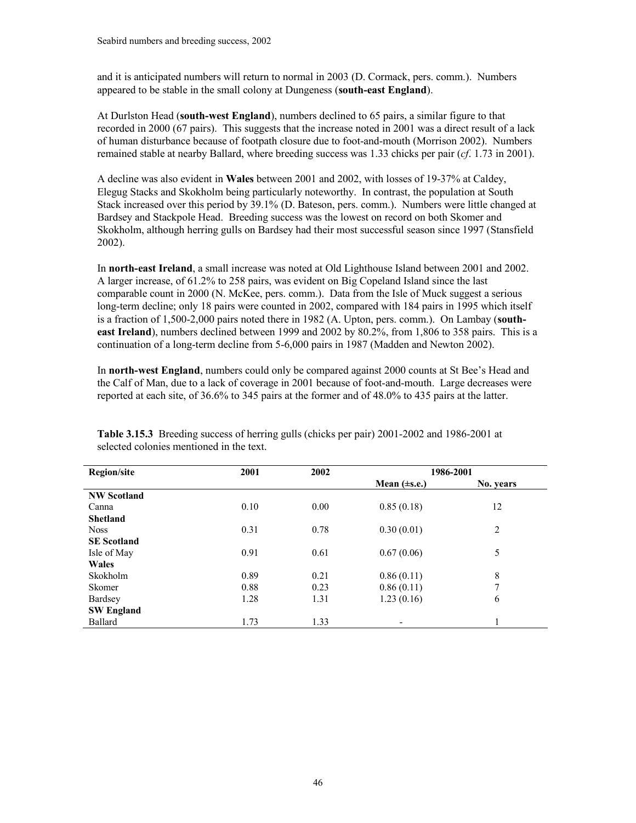and it is anticipated numbers will return to normal in 2003 (D. Cormack, pers. comm.). Numbers appeared to be stable in the small colony at Dungeness (**south-east England**).

At Durlston Head (**south-west England**), numbers declined to 65 pairs, a similar figure to that recorded in 2000 (67 pairs). This suggests that the increase noted in 2001 was a direct result of a lack of human disturbance because of footpath closure due to foot-and-mouth (Morrison 2002). Numbers remained stable at nearby Ballard, where breeding success was 1.33 chicks per pair (*cf*. 1.73 in 2001).

A decline was also evident in **Wales** between 2001 and 2002, with losses of 19-37% at Caldey, Elegug Stacks and Skokholm being particularly noteworthy. In contrast, the population at South Stack increased over this period by 39.1% (D. Bateson, pers. comm.). Numbers were little changed at Bardsey and Stackpole Head. Breeding success was the lowest on record on both Skomer and Skokholm, although herring gulls on Bardsey had their most successful season since 1997 (Stansfield 2002).

In **north-east Ireland**, a small increase was noted at Old Lighthouse Island between 2001 and 2002. A larger increase, of 61.2% to 258 pairs, was evident on Big Copeland Island since the last comparable count in 2000 (N. McKee, pers. comm.). Data from the Isle of Muck suggest a serious long-term decline; only 18 pairs were counted in 2002, compared with 184 pairs in 1995 which itself is a fraction of 1,500-2,000 pairs noted there in 1982 (A. Upton, pers. comm.). On Lambay (**southeast Ireland**), numbers declined between 1999 and 2002 by 80.2%, from 1,806 to 358 pairs. This is a continuation of a long-term decline from 5-6,000 pairs in 1987 (Madden and Newton 2002).

In **north-west England**, numbers could only be compared against 2000 counts at St Bee's Head and the Calf of Man, due to a lack of coverage in 2001 because of foot-and-mouth. Large decreases were reported at each site, of 36.6% to 345 pairs at the former and of 48.0% to 435 pairs at the latter.

| <b>Region/site</b> | 2001 | 2002 |                   | 1986-2001     |
|--------------------|------|------|-------------------|---------------|
|                    |      |      | Mean $(\pm s.e.)$ | No. years     |
| <b>NW Scotland</b> |      |      |                   |               |
| Canna              | 0.10 | 0.00 | 0.85(0.18)        | 12            |
| <b>Shetland</b>    |      |      |                   |               |
| <b>Noss</b>        | 0.31 | 0.78 | 0.30(0.01)        | 2             |
| <b>SE Scotland</b> |      |      |                   |               |
| Isle of May        | 0.91 | 0.61 | 0.67(0.06)        | 5             |
| <b>Wales</b>       |      |      |                   |               |
| Skokholm           | 0.89 | 0.21 | 0.86(0.11)        | 8             |
| Skomer             | 0.88 | 0.23 | 0.86(0.11)        | $\mathcal{I}$ |
| <b>Bardsey</b>     | 1.28 | 1.31 | 1.23(0.16)        | 6             |
| <b>SW England</b>  |      |      |                   |               |
| Ballard            | 1.73 | 1.33 |                   |               |

**Table 3.15.3** Breeding success of herring gulls (chicks per pair) 2001-2002 and 1986-2001 at selected colonies mentioned in the text.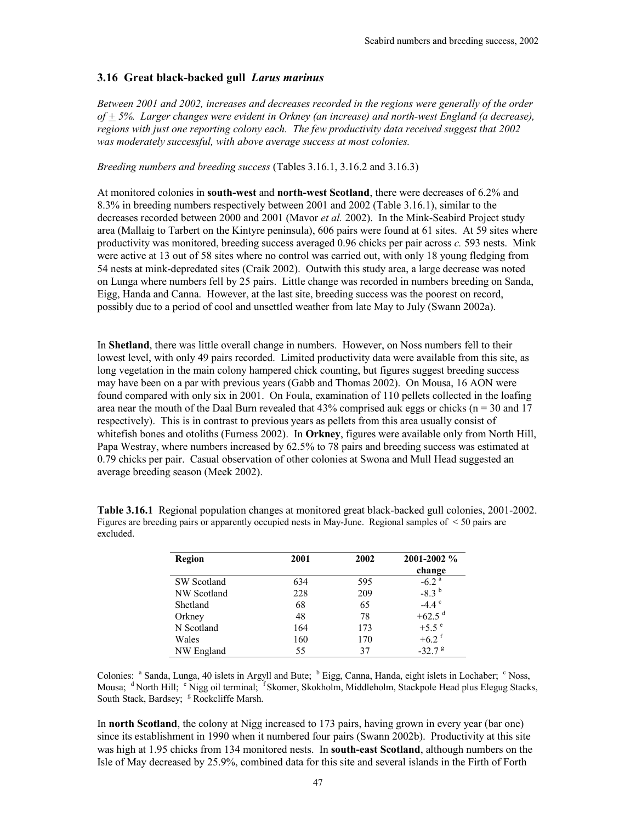## **3.16 Great black-backed gull** *Larus marinus*

*Between 2001 and 2002, increases and decreases recorded in the regions were generally of the order of + 5%. Larger changes were evident in Orkney (an increase) and north-west England (a decrease), regions with just one reporting colony each. The few productivity data received suggest that 2002 was moderately successful, with above average success at most colonies.* 

*Breeding numbers and breeding success* (Tables 3.16.1, 3.16.2 and 3.16.3)

At monitored colonies in **south-west** and **north-west Scotland**, there were decreases of 6.2% and 8.3% in breeding numbers respectively between 2001 and 2002 (Table 3.16.1), similar to the decreases recorded between 2000 and 2001 (Mavor *et al.* 2002). In the Mink-Seabird Project study area (Mallaig to Tarbert on the Kintyre peninsula), 606 pairs were found at 61 sites. At 59 sites where productivity was monitored, breeding success averaged 0.96 chicks per pair across *c.* 593 nests. Mink were active at 13 out of 58 sites where no control was carried out, with only 18 young fledging from 54 nests at mink-depredated sites (Craik 2002). Outwith this study area, a large decrease was noted on Lunga where numbers fell by 25 pairs. Little change was recorded in numbers breeding on Sanda, Eigg, Handa and Canna. However, at the last site, breeding success was the poorest on record, possibly due to a period of cool and unsettled weather from late May to July (Swann 2002a).

In **Shetland**, there was little overall change in numbers. However, on Noss numbers fell to their lowest level, with only 49 pairs recorded. Limited productivity data were available from this site, as long vegetation in the main colony hampered chick counting, but figures suggest breeding success may have been on a par with previous years (Gabb and Thomas 2002). On Mousa, 16 AON were found compared with only six in 2001. On Foula, examination of 110 pellets collected in the loafing area near the mouth of the Daal Burn revealed that  $43\%$  comprised auk eggs or chicks ( $n = 30$  and 17 respectively). This is in contrast to previous years as pellets from this area usually consist of whitefish bones and otoliths (Furness 2002). In **Orkney**, figures were available only from North Hill, Papa Westray, where numbers increased by 62.5% to 78 pairs and breeding success was estimated at 0.79 chicks per pair. Casual observation of other colonies at Swona and Mull Head suggested an average breeding season (Meek 2002).

| <b>Region</b>      | 2001 | 2002 | 2001-2002 %<br>change |
|--------------------|------|------|-----------------------|
| <b>SW</b> Scotland | 634  | 595  | $-6.2a$               |
| NW Scotland        | 228  | 209  | $-8.3b$               |
| Shetland           | 68   | 65   | $-4.4$ $\degree$      |
| Orkney             | 48   | 78   | $+62.5$ <sup>d</sup>  |
| N Scotland         | 164  | 173  | $+5.5$ <sup>e</sup>   |
| Wales              | 160  | 170  | $+6.2$ <sup>f</sup>   |
| NW England         | 55   | 37   | $-32.78$              |

**Table 3.16.1** Regional population changes at monitored great black-backed gull colonies, 2001-2002. Figures are breeding pairs or apparently occupied nests in May-June. Regional samples of < 50 pairs are excluded.

Colonies: <sup>a</sup> Sanda, Lunga, 40 islets in Argyll and Bute; <sup>b</sup> Eigg, Canna, Handa, eight islets in Lochaber; <sup>c</sup> Noss, Mousa; <sup>d</sup> North Hill; <sup>e</sup> Nigg oil terminal; <sup>f</sup> Skomer, Skokholm, Middleholm, Stackpole Head plus Elegug Stacks, South Stack, Bardsey; <sup>g</sup> Rockcliffe Marsh.

In **north Scotland**, the colony at Nigg increased to 173 pairs, having grown in every year (bar one) since its establishment in 1990 when it numbered four pairs (Swann 2002b). Productivity at this site was high at 1.95 chicks from 134 monitored nests. In **south-east Scotland**, although numbers on the Isle of May decreased by 25.9%, combined data for this site and several islands in the Firth of Forth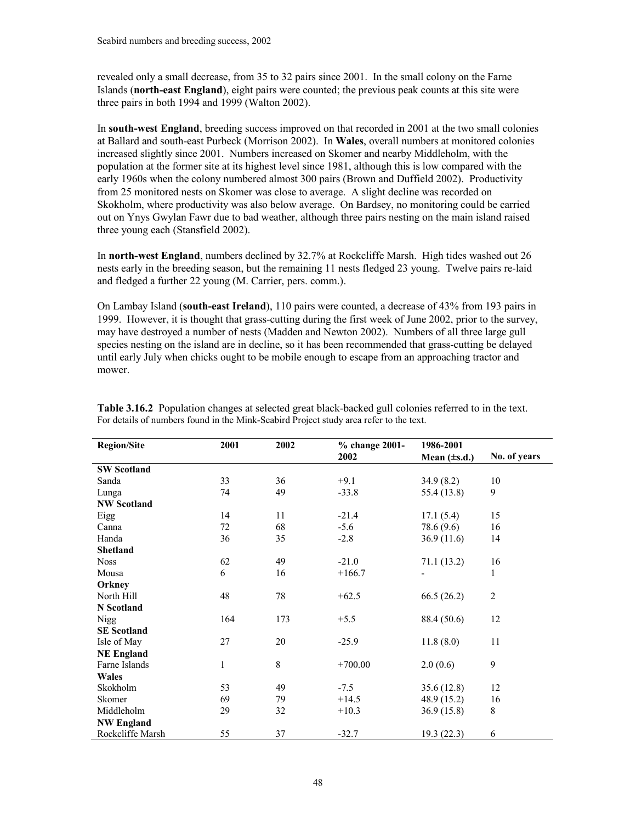revealed only a small decrease, from 35 to 32 pairs since 2001. In the small colony on the Farne Islands (**north-east England**), eight pairs were counted; the previous peak counts at this site were three pairs in both 1994 and 1999 (Walton 2002).

In **south-west England**, breeding success improved on that recorded in 2001 at the two small colonies at Ballard and south-east Purbeck (Morrison 2002). In **Wales**, overall numbers at monitored colonies increased slightly since 2001. Numbers increased on Skomer and nearby Middleholm, with the population at the former site at its highest level since 1981, although this is low compared with the early 1960s when the colony numbered almost 300 pairs (Brown and Duffield 2002). Productivity from 25 monitored nests on Skomer was close to average. A slight decline was recorded on Skokholm, where productivity was also below average. On Bardsey, no monitoring could be carried out on Ynys Gwylan Fawr due to bad weather, although three pairs nesting on the main island raised three young each (Stansfield 2002).

In **north-west England**, numbers declined by 32.7% at Rockcliffe Marsh. High tides washed out 26 nests early in the breeding season, but the remaining 11 nests fledged 23 young. Twelve pairs re-laid and fledged a further 22 young (M. Carrier, pers. comm.).

On Lambay Island (**south-east Ireland**), 110 pairs were counted, a decrease of 43% from 193 pairs in 1999. However, it is thought that grass-cutting during the first week of June 2002, prior to the survey, may have destroyed a number of nests (Madden and Newton 2002). Numbers of all three large gull species nesting on the island are in decline, so it has been recommended that grass-cutting be delayed until early July when chicks ought to be mobile enough to escape from an approaching tractor and mower.

| <b>Region/Site</b> | 2001         | 2002 | % change 2001- | 1986-2001         |                |
|--------------------|--------------|------|----------------|-------------------|----------------|
|                    |              |      | 2002           | Mean $(\pm s.d.)$ | No. of years   |
| <b>SW Scotland</b> |              |      |                |                   |                |
| Sanda              | 33           | 36   | $+9.1$         | 34.9(8.2)         | 10             |
| Lunga              | 74           | 49   | $-33.8$        | 55.4 (13.8)       | 9              |
| <b>NW Scotland</b> |              |      |                |                   |                |
| Eigg               | 14           | 11   | $-21.4$        | 17.1(5.4)         | 15             |
| Canna              | 72           | 68   | $-5.6$         | 78.6 (9.6)        | 16             |
| Handa              | 36           | 35   | $-2.8$         | 36.9(11.6)        | 14             |
| <b>Shetland</b>    |              |      |                |                   |                |
| <b>Noss</b>        | 62           | 49   | $-21.0$        | 71.1(13.2)        | 16             |
| Mousa              | 6            | 16   | $+166.7$       |                   | 1              |
| Orkney             |              |      |                |                   |                |
| North Hill         | 48           | 78   | $+62.5$        | 66.5(26.2)        | $\overline{2}$ |
| <b>N</b> Scotland  |              |      |                |                   |                |
| <b>Nigg</b>        | 164          | 173  | $+5.5$         | 88.4 (50.6)       | 12             |
| <b>SE Scotland</b> |              |      |                |                   |                |
| Isle of May        | 27           | 20   | $-25.9$        | 11.8(8.0)         | 11             |
| <b>NE England</b>  |              |      |                |                   |                |
| Farne Islands      | $\mathbf{1}$ | 8    | $+700.00$      | 2.0(0.6)          | 9              |
| <b>Wales</b>       |              |      |                |                   |                |
| Skokholm           | 53           | 49   | $-7.5$         | 35.6(12.8)        | 12             |
| <b>Skomer</b>      | 69           | 79   | $+14.5$        | 48.9 (15.2)       | 16             |
| Middleholm         | 29           | 32   | $+10.3$        | 36.9(15.8)        | 8              |
| <b>NW England</b>  |              |      |                |                   |                |
| Rockcliffe Marsh   | 55           | 37   | $-32.7$        | 19.3(22.3)        | 6              |

**Table 3.16.2** Population changes at selected great black-backed gull colonies referred to in the text. For details of numbers found in the Mink-Seabird Project study area refer to the text.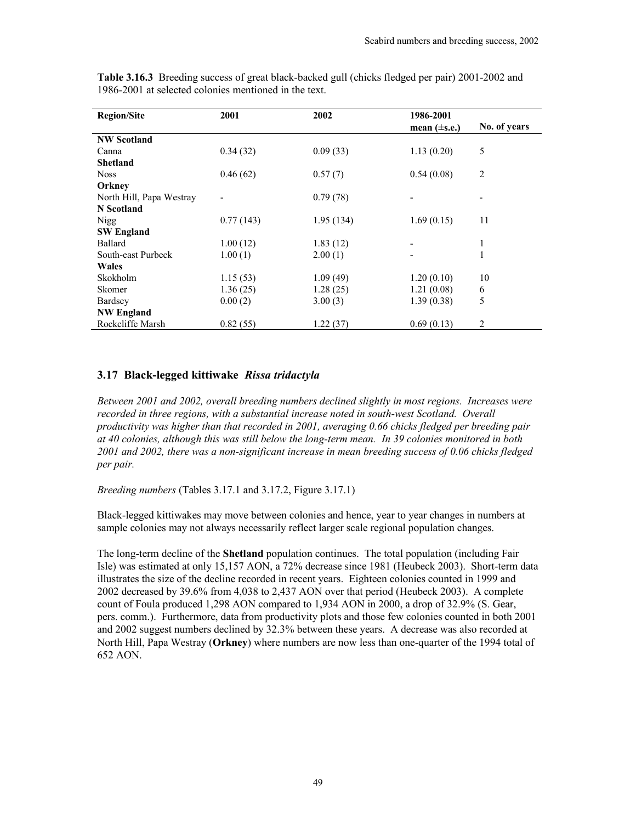| <b>Region/Site</b>       | 2001      | 2002      | 1986-2001         |              |
|--------------------------|-----------|-----------|-------------------|--------------|
|                          |           |           | mean $(\pm s.e.)$ | No. of years |
| <b>NW Scotland</b>       |           |           |                   |              |
| Canna                    | 0.34(32)  | 0.09(33)  | 1.13(0.20)        | 5            |
| <b>Shetland</b>          |           |           |                   |              |
| <b>Noss</b>              | 0.46(62)  | 0.57(7)   | 0.54(0.08)        | 2            |
| Orkney                   |           |           |                   |              |
| North Hill, Papa Westray |           | 0.79(78)  |                   |              |
| <b>N</b> Scotland        |           |           |                   |              |
| <b>Nigg</b>              | 0.77(143) | 1.95(134) | 1.69(0.15)        | 11           |
| <b>SW England</b>        |           |           |                   |              |
| <b>Ballard</b>           | 1.00(12)  | 1.83(12)  |                   | 1            |
| South-east Purbeck       | 1.00(1)   | 2.00(1)   |                   | 1            |
| Wales                    |           |           |                   |              |
| <b>Skokholm</b>          | 1.15(53)  | 1.09(49)  | 1.20(0.10)        | 10           |
| <b>Skomer</b>            | 1.36(25)  | 1.28(25)  | 1.21(0.08)        | 6            |
| Bardsey                  | 0.00(2)   | 3.00(3)   | 1.39(0.38)        | 5            |
| <b>NW England</b>        |           |           |                   |              |
| Rockcliffe Marsh         | 0.82(55)  | 1.22(37)  | 0.69(0.13)        | 2            |

**Table 3.16.3** Breeding success of great black-backed gull (chicks fledged per pair) 2001-2002 and 1986-2001 at selected colonies mentioned in the text.

## **3.17 Black-legged kittiwake** *Rissa tridactyla*

*Between 2001 and 2002, overall breeding numbers declined slightly in most regions. Increases were recorded in three regions, with a substantial increase noted in south-west Scotland. Overall productivity was higher than that recorded in 2001, averaging 0.66 chicks fledged per breeding pair at 40 colonies, although this was still below the long-term mean. In 39 colonies monitored in both 2001 and 2002, there was a non-significant increase in mean breeding success of 0.06 chicks fledged per pair.* 

*Breeding numbers* (Tables 3.17.1 and 3.17.2, Figure 3.17.1)

Black-legged kittiwakes may move between colonies and hence, year to year changes in numbers at sample colonies may not always necessarily reflect larger scale regional population changes.

The long-term decline of the **Shetland** population continues. The total population (including Fair Isle) was estimated at only 15,157 AON, a 72% decrease since 1981 (Heubeck 2003). Short-term data illustrates the size of the decline recorded in recent years. Eighteen colonies counted in 1999 and 2002 decreased by 39.6% from 4,038 to 2,437 AON over that period (Heubeck 2003). A complete count of Foula produced 1,298 AON compared to 1,934 AON in 2000, a drop of 32.9% (S. Gear, pers. comm.). Furthermore, data from productivity plots and those few colonies counted in both 2001 and 2002 suggest numbers declined by 32.3% between these years. A decrease was also recorded at North Hill, Papa Westray (**Orkney**) where numbers are now less than one-quarter of the 1994 total of 652 AON.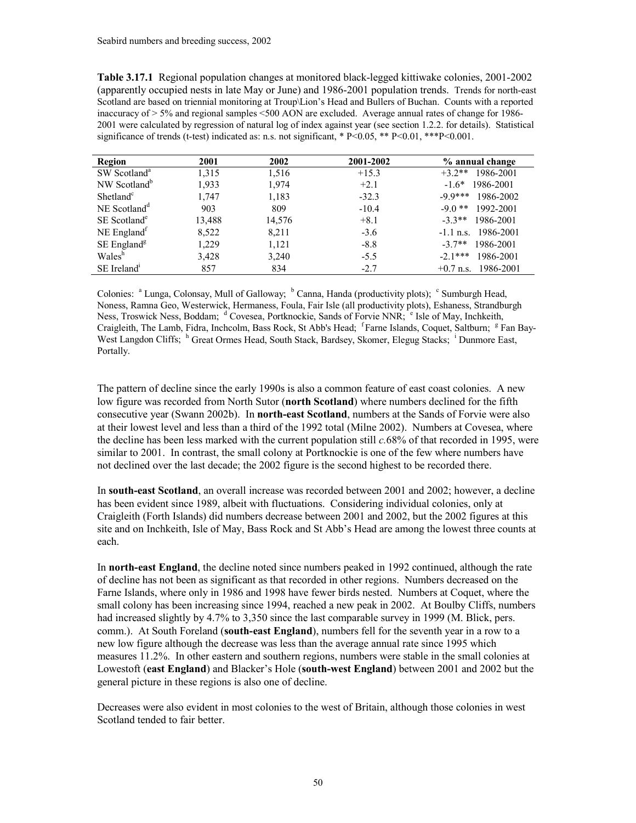| <b>Table 3.17.1</b> Regional population changes at monitored black-legged kittiwake colonies, 2001-2002               |
|-----------------------------------------------------------------------------------------------------------------------|
| (apparently occupied nests in late May or June) and 1986-2001 population trends. Trends for north-east                |
| Scotland are based on triennial monitoring at Troup\Lion's Head and Bullers of Buchan. Counts with a reported         |
| inaccuracy of $> 5\%$ and regional samples $\leq 500$ AON are excluded. Average annual rates of change for 1986-      |
| 2001 were calculated by regression of natural log of index against year (see section 1.2.2, for details). Statistical |
| significance of trends (t-test) indicated as: n.s. not significant, * $P < 0.05$ , ** $P < 0.01$ , *** $P < 0.001$ .  |

| Region                                  | 2001   | 2002   | 2001-2002 | % annual change          |
|-----------------------------------------|--------|--------|-----------|--------------------------|
| SW Scotland <sup>a</sup>                | 1,315  | 1,516  | $+15.3$   | $+3.2**$<br>1986-2001    |
| NW Scotland <sup>b</sup>                | 1,933  | 1,974  | $+2.1$    | 1986-2001<br>$-1.6*$     |
| Shetland <sup>c</sup>                   | 1,747  | 1,183  | $-32.3$   | $-9.9***$<br>1986-2002   |
| $NE$ Scotland <sup><math>d</math></sup> | 903    | 809    | $-10.4$   | $-9.0**$<br>1992-2001    |
| SE Scotland <sup>e</sup>                | 13,488 | 14,576 | $+8.1$    | 1986-2001<br>$-3.3**$    |
| $NE$ England <sup>f</sup>               | 8,522  | 8,211  | $-3.6$    | 1986-2001<br>$-1.1$ n.s. |
| $SE$ England <sup>g</sup>               | 1,229  | 1,121  | $-8.8$    | $-3.7**$<br>1986-2001    |
| Wales <sup>n</sup>                      | 3,428  | 3,240  | $-5.5$    | $-2.1***$<br>1986-2001   |
| $SE$ Ireland <sup>1</sup>               | 857    | 834    | $-2.7$    | $+0.7$ n.s. 1986-2001    |

Colonies: <sup>a</sup> Lunga, Colonsay, Mull of Galloway; <sup>b</sup> Canna, Handa (productivity plots); <sup>c</sup> Sumburgh Head, Noness, Ramna Geo, Westerwick, Hermaness, Foula, Fair Isle (all productivity plots), Eshaness, Strandburgh Ness, Troswick Ness, Boddam; <sup>d</sup> Covesea, Portknockie, Sands of Forvie NNR; <sup>e</sup> Isle of May, Inchkeith, Craigleith, The Lamb, Fidra, Inchcolm, Bass Rock, St Abb's Head; <sup>f</sup> Farne Islands, Coquet, Saltburn; <sup>g</sup> Fan Bay-West Langdon Cliffs; <sup>h</sup> Great Ormes Head, South Stack, Bardsey, Skomer, Elegug Stacks; <sup>i</sup> Dunmore East, Portally.

The pattern of decline since the early 1990s is also a common feature of east coast colonies. A new low figure was recorded from North Sutor (**north Scotland**) where numbers declined for the fifth consecutive year (Swann 2002b). In **north-east Scotland**, numbers at the Sands of Forvie were also at their lowest level and less than a third of the 1992 total (Milne 2002). Numbers at Covesea, where the decline has been less marked with the current population still *c.*68% of that recorded in 1995, were similar to 2001. In contrast, the small colony at Portknockie is one of the few where numbers have not declined over the last decade; the 2002 figure is the second highest to be recorded there.

In **south-east Scotland**, an overall increase was recorded between 2001 and 2002; however, a decline has been evident since 1989, albeit with fluctuations. Considering individual colonies, only at Craigleith (Forth Islands) did numbers decrease between 2001 and 2002, but the 2002 figures at this site and on Inchkeith, Isle of May, Bass Rock and St Abb's Head are among the lowest three counts at each.

In **north-east England**, the decline noted since numbers peaked in 1992 continued, although the rate of decline has not been as significant as that recorded in other regions. Numbers decreased on the Farne Islands, where only in 1986 and 1998 have fewer birds nested. Numbers at Coquet, where the small colony has been increasing since 1994, reached a new peak in 2002. At Boulby Cliffs, numbers had increased slightly by 4.7% to 3,350 since the last comparable survey in 1999 (M. Blick, pers. comm.). At South Foreland (**south-east England**), numbers fell for the seventh year in a row to a new low figure although the decrease was less than the average annual rate since 1995 which measures 11.2%. In other eastern and southern regions, numbers were stable in the small colonies at Lowestoft (**east England**) and Blacker's Hole (**south-west England**) between 2001 and 2002 but the general picture in these regions is also one of decline.

Decreases were also evident in most colonies to the west of Britain, although those colonies in west Scotland tended to fair better.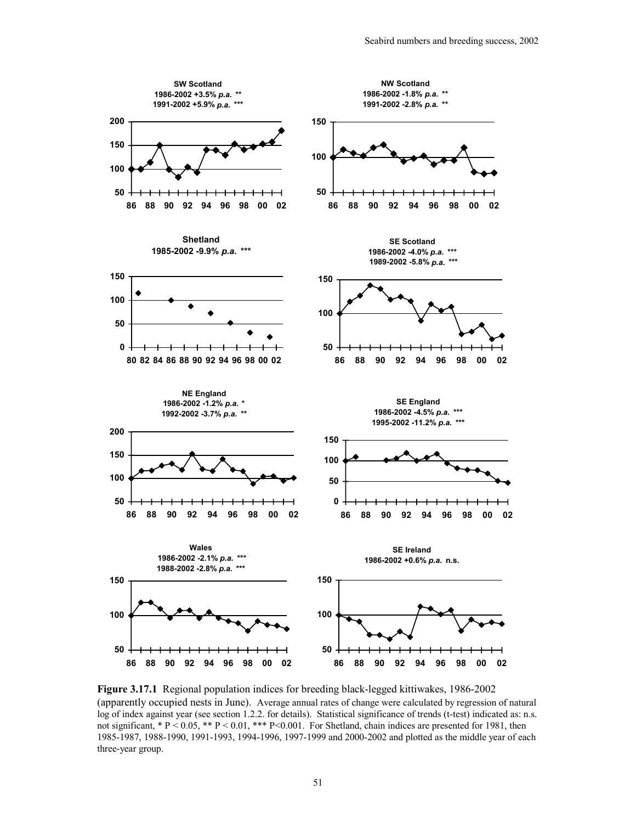

**Figure 3.17.1** Regional population indices for breeding black-legged kittiwakes, 1986-2002 (apparently occupied nests in June). Average annual rates of change were calculated by regression of natural log of index against year (see section 1.2.2. for details). Statistical significance of trends (t-test) indicated as: n.s. not significant, \* P < 0.05, \*\* P < 0.01, \*\*\* P<0.001. For Shetland, chain indices are presented for 1981, then 1985-1987, 1988-1990, 1991-1993, 1994-1996, 1997-1999 and 2000-2002 and plotted as the middle year of each three-year group.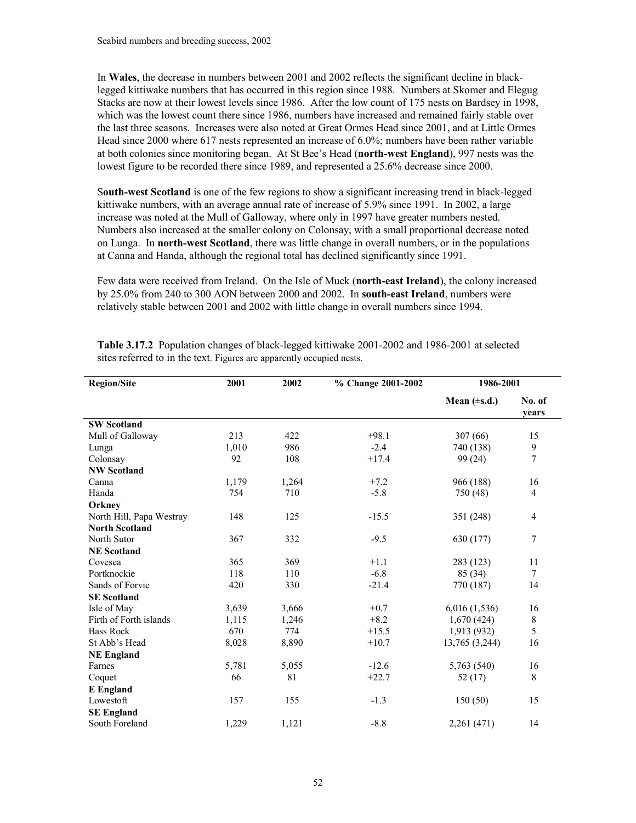In **Wales**, the decrease in numbers between 2001 and 2002 reflects the significant decline in blacklegged kittiwake numbers that has occurred in this region since 1988. Numbers at Skomer and Elegug Stacks are now at their lowest levels since 1986. After the low count of 175 nests on Bardsey in 1998, which was the lowest count there since 1986, numbers have increased and remained fairly stable over the last three seasons. Increases were also noted at Great Ormes Head since 2001, and at Little Ormes Head since 2000 where 617 nests represented an increase of 6.0%; numbers have been rather variable at both colonies since monitoring began. At St Bee's Head (**north-west England**), 997 nests was the lowest figure to be recorded there since 1989, and represented a 25.6% decrease since 2000.

S**outh-west Scotland** is one of the few regions to show a significant increasing trend in black-legged kittiwake numbers, with an average annual rate of increase of 5.9% since 1991. In 2002, a large increase was noted at the Mull of Galloway, where only in 1997 have greater numbers nested. Numbers also increased at the smaller colony on Colonsay, with a small proportional decrease noted on Lunga. In **north-west Scotland**, there was little change in overall numbers, or in the populations at Canna and Handa, although the regional total has declined significantly since 1991.

Few data were received from Ireland. On the Isle of Muck (**north-east Ireland**), the colony increased by 25.0% from 240 to 300 AON between 2000 and 2002. In **south-east Ireland**, numbers were relatively stable between 2001 and 2002 with little change in overall numbers since 1994.

| <b>Region/Site</b>       | 2001  | 2002  | % Change 2001-2002 | 1986-2001         |                  |
|--------------------------|-------|-------|--------------------|-------------------|------------------|
|                          |       |       |                    | Mean $(\pm s.d.)$ | No. of<br>vears  |
| <b>SW Scotland</b>       |       |       |                    |                   |                  |
| Mull of Galloway         | 213   | 422   | $+98.1$            | 307(66)           | 15               |
| Lunga                    | 1,010 | 986   | $-2.4$             | 740 (138)         | 9                |
| Colonsay                 | 92    | 108   | $+17.4$            | 99 (24)           | $\overline{7}$   |
| <b>NW Scotland</b>       |       |       |                    |                   |                  |
| Canna                    | 1,179 | 1,264 | $+7.2$             | 966 (188)         | 16               |
| Handa                    | 754   | 710   | $-5.8$             | 750 (48)          | $\overline{4}$   |
| Orkney                   |       |       |                    |                   |                  |
| North Hill, Papa Westray | 148   | 125   | $-15.5$            | 351 (248)         | $\overline{4}$   |
| <b>North Scotland</b>    |       |       |                    |                   |                  |
| North Sutor              | 367   | 332   | $-9.5$             | 630 (177)         | $\boldsymbol{7}$ |
| <b>NE Scotland</b>       |       |       |                    |                   |                  |
| Covesea                  | 365   | 369   | $+1.1$             | 283 (123)         | 11               |
| Portknockie              | 118   | 110   | $-6.8$             | 85 (34)           | $\overline{7}$   |
| Sands of Forvie          | 420   | 330   | $-21.4$            | 770 (187)         | 14               |
| <b>SE Scotland</b>       |       |       |                    |                   |                  |
| Isle of May              | 3,639 | 3,666 | $+0.7$             | 6,016 (1,536)     | 16               |
| Firth of Forth islands   | 1,115 | 1,246 | $+8.2$             | 1,670(424)        | $\,$ $\,$        |
| <b>Bass Rock</b>         | 670   | 774   | $+15.5$            | 1,913 (932)       | 5                |
| St Abb's Head            | 8,028 | 8,890 | $+10.7$            | 13,765 (3,244)    | 16               |
| <b>NE</b> England        |       |       |                    |                   |                  |
| Farnes                   | 5,781 | 5,055 | $-12.6$            | 5,763 (540)       | 16               |
| Coquet                   | 66    | 81    | $+22.7$            | 52 (17)           | $8\,$            |
| E England                |       |       |                    |                   |                  |
| Lowestoft                | 157   | 155   | $-1.3$             | 150(50)           | 15               |
| <b>SE England</b>        |       |       |                    |                   |                  |
| South Foreland           | 1,229 | 1,121 | $-8.8$             | 2,261 (471)       | 14               |

**Table 3.17.2** Population changes of black-legged kittiwake 2001-2002 and 1986-2001 at selected sites referred to in the text. Figures are apparently occupied nests.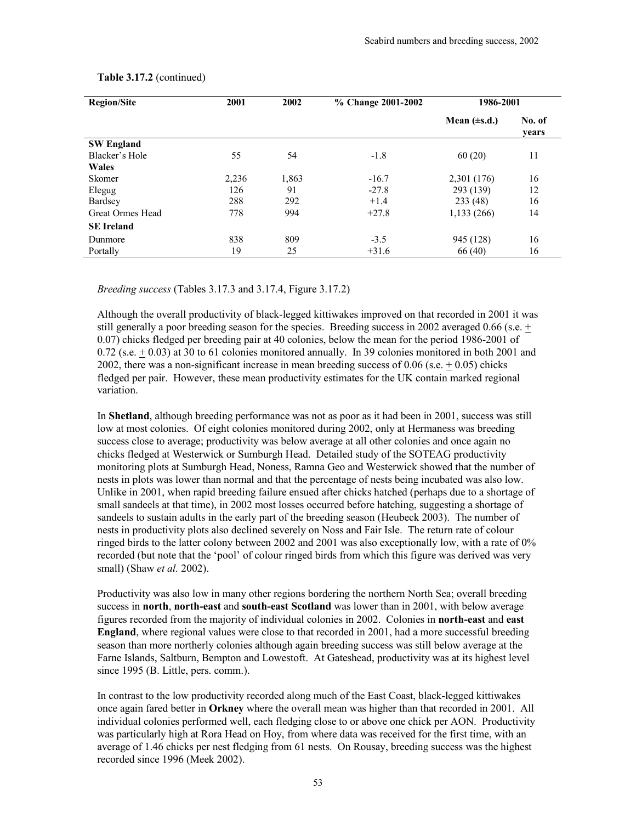| <b>Region/Site</b> | 2001  | 2002  | % Change 2001-2002 | 1986-2001         |                 |
|--------------------|-------|-------|--------------------|-------------------|-----------------|
|                    |       |       |                    | Mean $(\pm s.d.)$ | No. of<br>years |
| <b>SW England</b>  |       |       |                    |                   |                 |
| Blacker's Hole     | 55    | 54    | $-1.8$             | 60(20)            | 11              |
| <b>Wales</b>       |       |       |                    |                   |                 |
| <b>Skomer</b>      | 2,236 | 1,863 | $-16.7$            | 2,301 (176)       | 16              |
| Elegug             | 126   | 91    | $-27.8$            | 293 (139)         | 12              |
| Bardsey            | 288   | 292   | $+1.4$             | 233 (48)          | 16              |
| Great Ormes Head   | 778   | 994   | $+27.8$            | 1,133(266)        | 14              |
| <b>SE</b> Ireland  |       |       |                    |                   |                 |
| Dunmore            | 838   | 809   | $-3.5$             | 945 (128)         | 16              |
| Portally           | 19    | 25    | $+31.6$            | 66 (40)           | 16              |

#### **Table 3.17.2** (continued)

*Breeding success* (Tables 3.17.3 and 3.17.4, Figure 3.17.2)

Although the overall productivity of black-legged kittiwakes improved on that recorded in 2001 it was still generally a poor breeding season for the species. Breeding success in 2002 averaged 0.66 (s.e. + 0.07) chicks fledged per breeding pair at 40 colonies, below the mean for the period 1986-2001 of  $0.72$  (s.e.  $+0.03$ ) at 30 to 61 colonies monitored annually. In 39 colonies monitored in both 2001 and 2002, there was a non-significant increase in mean breeding success of 0.06 (s.e.  $+0.05$ ) chicks fledged per pair. However, these mean productivity estimates for the UK contain marked regional variation.

In **Shetland**, although breeding performance was not as poor as it had been in 2001, success was still low at most colonies. Of eight colonies monitored during 2002, only at Hermaness was breeding success close to average; productivity was below average at all other colonies and once again no chicks fledged at Westerwick or Sumburgh Head. Detailed study of the SOTEAG productivity monitoring plots at Sumburgh Head, Noness, Ramna Geo and Westerwick showed that the number of nests in plots was lower than normal and that the percentage of nests being incubated was also low. Unlike in 2001, when rapid breeding failure ensued after chicks hatched (perhaps due to a shortage of small sandeels at that time), in 2002 most losses occurred before hatching, suggesting a shortage of sandeels to sustain adults in the early part of the breeding season (Heubeck 2003). The number of nests in productivity plots also declined severely on Noss and Fair Isle. The return rate of colour ringed birds to the latter colony between 2002 and 2001 was also exceptionally low, with a rate of 0% recorded (but note that the 'pool' of colour ringed birds from which this figure was derived was very small) (Shaw *et al.* 2002).

Productivity was also low in many other regions bordering the northern North Sea; overall breeding success in **north**, **north-east** and **south-east Scotland** was lower than in 2001, with below average figures recorded from the majority of individual colonies in 2002. Colonies in **north-east** and **east England**, where regional values were close to that recorded in 2001, had a more successful breeding season than more northerly colonies although again breeding success was still below average at the Farne Islands, Saltburn, Bempton and Lowestoft. At Gateshead, productivity was at its highest level since 1995 (B. Little, pers. comm.).

In contrast to the low productivity recorded along much of the East Coast, black-legged kittiwakes once again fared better in **Orkney** where the overall mean was higher than that recorded in 2001. All individual colonies performed well, each fledging close to or above one chick per AON. Productivity was particularly high at Rora Head on Hoy, from where data was received for the first time, with an average of 1.46 chicks per nest fledging from 61 nests. On Rousay, breeding success was the highest recorded since 1996 (Meek 2002).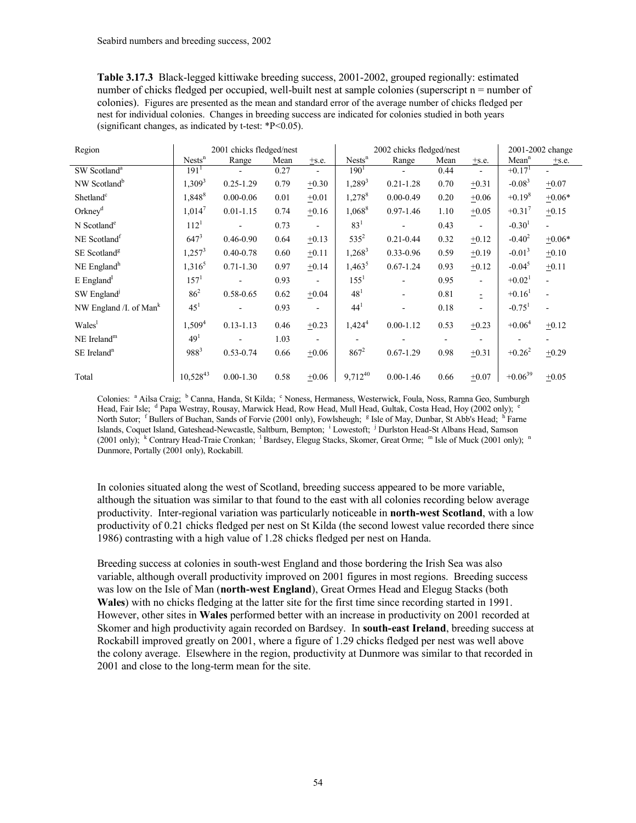| <b>Table 3.17.3</b> Black-legged kittiwake breeding success, 2001-2002, grouped regionally: estimated       |
|-------------------------------------------------------------------------------------------------------------|
| number of chicks fledged per occupied, well-built nest at sample colonies (superscript n = number of        |
| colonies). Figures are presented as the mean and standard error of the average number of chicks fledged per |
| nest for individual colonies. Changes in breeding success are indicated for colonies studied in both years  |
| (significant changes, as indicated by t-test: $*P<0.05$ ).                                                  |

| Region                    |                    | 2001 chicks fledged/nest |      |                          |                    | 2002 chicks fledged/nest |      |                          |                      | 2001-2002 change |
|---------------------------|--------------------|--------------------------|------|--------------------------|--------------------|--------------------------|------|--------------------------|----------------------|------------------|
|                           | Nests <sup>n</sup> | Range                    | Mean | $+$ s.e.                 | Nests <sup>n</sup> | Range                    | Mean | $+$ s.e.                 | Mean <sup>n</sup>    | $+$ s.e.         |
| SW Scotland <sup>a</sup>  | 191 <sup>1</sup>   |                          | 0.27 | $\blacksquare$           | $190^1$            |                          | 0.44 | $\blacksquare$           | $+0.17$ <sup>1</sup> |                  |
| NW Scotland <sup>b</sup>  | $1,309^3$          | $0.25 - 1.29$            | 0.79 | $+0.30$                  | $1,289^3$          | $0.21 - 1.28$            | 0.70 | $+0.31$                  | $-0.08^{3}$          | ±0.07            |
| Shetland <sup>c</sup>     | 1,848 <sup>8</sup> | $0.00 - 0.06$            | 0.01 | $+0.01$                  | 1,278 <sup>8</sup> | $0.00 - 0.49$            | 0.20 | $+0.06$                  | $+0.19^{8}$          | $+0.06*$         |
| Orkney <sup>d</sup>       | $1,014^7$          | $0.01 - 1.15$            | 0.74 | $+0.16$                  | $1,068^8$          | $0.97 - 1.46$            | 1.10 | $+0.05$                  | $+0.31$ <sup>7</sup> | $\pm 0.15$       |
| $N$ Scotland <sup>e</sup> | 112 <sup>1</sup>   |                          | 0.73 | $\overline{\phantom{a}}$ | 83 <sup>1</sup>    |                          | 0.43 | $\blacksquare$           | $-0.301$             |                  |
| NE Scotland <sup>t</sup>  | $647^3$            | $0.46 - 0.90$            | 0.64 | $+0.13$                  | $535^2$            | $0.21 - 0.44$            | 0.32 | $+0.12$                  | $-0.40^{2}$          | $±0.06*$         |
| SE Scotland <sup>g</sup>  | $1,257^3$          | $0.40 - 0.78$            | 0.60 | $+0.11$                  | $1,268^3$          | 0.33-0.96                | 0.59 | $+0.19$                  | $-0.013$             | $\pm 0.10$       |
| $NE$ England <sup>h</sup> | $1,316^5$          | $0.71 - 1.30$            | 0.97 | $+0.14$                  | $1,463^5$          | $0.67 - 1.24$            | 0.93 | $+0.12$                  | $-0.04^5$            | $\pm 0.11$       |
| E England <sup>1</sup>    | $157^1$            |                          | 0.93 | $\blacksquare$           | $155^1$            |                          | 0.95 | $\overline{\phantom{a}}$ | $+0.021$             |                  |
| SW England <sup>1</sup>   | $86^{2}$           | $0.58 - 0.65$            | 0.62 | $+0.04$                  | 48 <sup>1</sup>    |                          | 0.81 | ÷.                       | $+0.16$ <sup>1</sup> |                  |
| NW England /I. of $Mank$  | 45 <sup>1</sup>    |                          | 0.93 | $\blacksquare$           | 44 <sup>1</sup>    |                          | 0.18 | $\blacksquare$           | $-0.75$ <sup>1</sup> | ÷.               |
| Wales <sup>1</sup>        | 1,509 <sup>4</sup> | $0.13 - 1.13$            | 0.46 | ±0.23                    | $1,424^{4}$        | $0.00 - 1.12$            | 0.53 | $\pm 0.23$               | $+0.06^4$            | $\pm 0.12$       |
| $NE$ Ireland <sup>m</sup> | 49 <sup>1</sup>    |                          | 1.03 | $\blacksquare$           |                    |                          |      |                          |                      |                  |
| $SE$ Ireland <sup>n</sup> | $988^{3}$          | $0.53 - 0.74$            | 0.66 | $+0.06$                  | $867^2$            | $0.67 - 1.29$            | 0.98 | $+0.31$                  | $+0.26^2$            | $+0.29$          |
| Total                     | $10,528^{43}$      | $0.00 - 1.30$            | 0.58 | $+0.06$                  | 9,71240            | $0.00 - 1.46$            | 0.66 | $+0.07$                  | $+0.06^{39}$         | $+0.05$          |

Colonies: <sup>a</sup> Ailsa Craig; <sup>b</sup> Canna, Handa, St Kilda; <sup>c</sup> Noness, Hermaness, Westerwick, Foula, Noss, Ramna Geo, Sumburgh Head, Fair Isle; d Papa Westray, Rousay, Marwick Head, Row Head, Mull Head, Gultak, Costa Head, Hoy (2002 only); c North Sutor; <sup>f</sup> Bullers of Buchan, Sands of Forvie (2001 only), Fowlsheugh; <sup>g</sup> Isle of May, Dunbar, St Abb's Head; <sup>h</sup> Farne Islands, Coquet Island, Gateshead-Newcastle, Saltburn, Bempton; <sup>i</sup> Lowestoft; <sup>j</sup> Durlston Head-St Albans Head, Samson (2001 only); <sup>k</sup> Contrary Head-Traie Cronkan; <sup>1</sup> Bardsey, Elegug Stacks, Skomer, Great Orme; <sup>m</sup> Isle of Muck (2001 only); <sup>n</sup> Dunmore, Portally (2001 only), Rockabill.

In colonies situated along the west of Scotland, breeding success appeared to be more variable, although the situation was similar to that found to the east with all colonies recording below average productivity. Inter-regional variation was particularly noticeable in **north-west Scotland**, with a low productivity of 0.21 chicks fledged per nest on St Kilda (the second lowest value recorded there since 1986) contrasting with a high value of 1.28 chicks fledged per nest on Handa.

Breeding success at colonies in south-west England and those bordering the Irish Sea was also variable, although overall productivity improved on 2001 figures in most regions. Breeding success was low on the Isle of Man (**north-west England**), Great Ormes Head and Elegug Stacks (both **Wales**) with no chicks fledging at the latter site for the first time since recording started in 1991. However, other sites in **Wales** performed better with an increase in productivity on 2001 recorded at Skomer and high productivity again recorded on Bardsey. In **south-east Ireland**, breeding success at Rockabill improved greatly on 2001, where a figure of 1.29 chicks fledged per nest was well above the colony average. Elsewhere in the region, productivity at Dunmore was similar to that recorded in 2001 and close to the long-term mean for the site.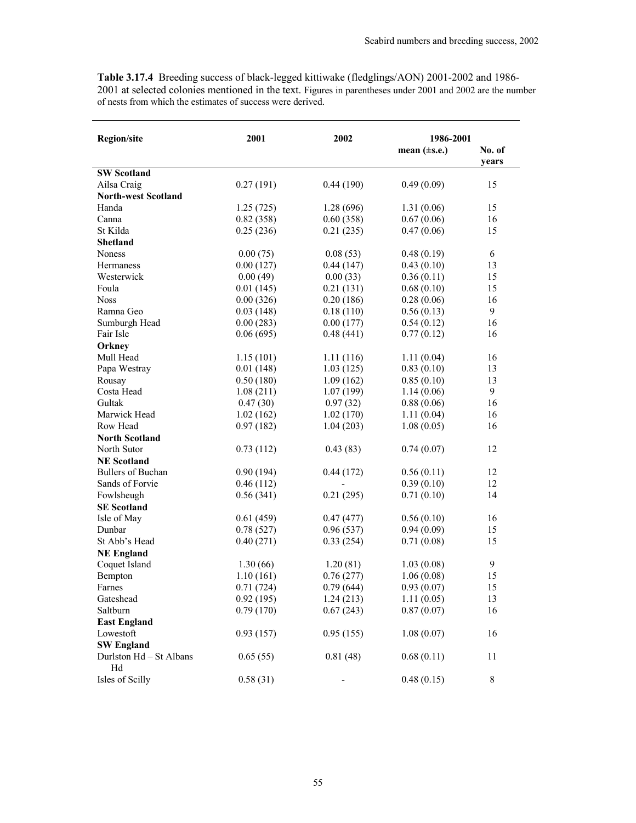**Table 3.17.4** Breeding success of black-legged kittiwake (fledglings/AON) 2001-2002 and 1986- 2001 at selected colonies mentioned in the text. Figures in parentheses under 2001 and 2002 are the number of nests from which the estimates of success were derived.

| <b>Region/site</b>            | 2001      | 2002      | 1986-2001         |        |  |
|-------------------------------|-----------|-----------|-------------------|--------|--|
|                               |           |           | mean $(\pm s.e.)$ | No. of |  |
|                               |           |           |                   | vears  |  |
| <b>SW Scotland</b>            |           |           |                   |        |  |
| Ailsa Craig                   | 0.27(191) | 0.44(190) | 0.49(0.09)        | 15     |  |
| <b>North-west Scotland</b>    |           |           |                   |        |  |
| Handa                         | 1.25(725) | 1.28(696) | 1.31(0.06)        | 15     |  |
| Canna                         | 0.82(358) | 0.60(358) | 0.67(0.06)        | 16     |  |
| St Kilda                      | 0.25(236) | 0.21(235) | 0.47(0.06)        | 15     |  |
| <b>Shetland</b>               |           |           |                   |        |  |
| <b>Noness</b>                 | 0.00(75)  | 0.08(53)  | 0.48(0.19)        | 6      |  |
| Hermaness                     | 0.00(127) | 0.44(147) | 0.43(0.10)        | 13     |  |
| Westerwick                    | 0.00(49)  | 0.00(33)  | 0.36(0.11)        | 15     |  |
| Foula                         | 0.01(145) | 0.21(131) | 0.68(0.10)        | 15     |  |
| <b>Noss</b>                   | 0.00(326) | 0.20(186) | 0.28(0.06)        | 16     |  |
| Ramna Geo                     | 0.03(148) | 0.18(110) | 0.56(0.13)        | 9      |  |
| Sumburgh Head                 | 0.00(283) | 0.00(177) | 0.54(0.12)        | 16     |  |
| Fair Isle                     | 0.06(695) | 0.48(441) | 0.77(0.12)        | 16     |  |
| Orkney                        |           |           |                   |        |  |
| Mull Head                     | 1.15(101) | 1.11(116) | 1.11(0.04)        | 16     |  |
| Papa Westray                  | 0.01(148) | 1.03(125) | 0.83(0.10)        | 13     |  |
| Rousay                        | 0.50(180) | 1.09(162) | 0.85(0.10)        | 13     |  |
| Costa Head                    | 1.08(211) | 1.07(199) | 1.14(0.06)        | 9      |  |
| Gultak                        | 0.47(30)  | 0.97(32)  | 0.88(0.06)        | 16     |  |
| Marwick Head                  | 1.02(162) | 1.02(170) | 1.11(0.04)        | 16     |  |
| Row Head                      | 0.97(182) | 1.04(203) | 1.08(0.05)        | 16     |  |
| <b>North Scotland</b>         |           |           |                   |        |  |
| North Sutor                   | 0.73(112) | 0.43(83)  | 0.74(0.07)        | 12     |  |
| <b>NE</b> Scotland            |           |           |                   |        |  |
| <b>Bullers of Buchan</b>      | 0.90(194) | 0.44(172) | 0.56(0.11)        | 12     |  |
| Sands of Forvie               | 0.46(112) |           | 0.39(0.10)        | 12     |  |
| Fowlsheugh                    | 0.56(341) | 0.21(295) | 0.71(0.10)        | 14     |  |
| <b>SE Scotland</b>            |           |           |                   |        |  |
| Isle of May                   | 0.61(459) | 0.47(477) | 0.56(0.10)        | 16     |  |
| Dunbar                        | 0.78(527) | 0.96(537) | 0.94(0.09)        | 15     |  |
| St Abb's Head                 | 0.40(271) | 0.33(254) | 0.71(0.08)        | 15     |  |
| <b>NE</b> England             |           |           |                   |        |  |
| Coquet Island                 | 1.30(66)  | 1.20(81)  | 1.03(0.08)        | 9      |  |
| Bempton                       | 1.10(161) | 0.76(277) | 1.06(0.08)        | 15     |  |
| Farnes                        | 0.71(724) | 0.79(644) | 0.93(0.07)        | 15     |  |
| Gateshead                     | 0.92(195) | 1.24(213) | 1.11(0.05)        | 13     |  |
| Saltburn                      | 0.79(170) | 0.67(243) | 0.87(0.07)        | 16     |  |
| <b>East England</b>           |           |           |                   |        |  |
| Lowestoft                     | 0.93(157) | 0.95(155) | 1.08(0.07)        | 16     |  |
|                               |           |           |                   |        |  |
| <b>SW England</b>             |           | 0.81(48)  |                   |        |  |
| Durlston Hd - St Albans<br>Hd | 0.65(55)  |           | 0.68(0.11)        | 11     |  |
| Isles of Scilly               | 0.58(31)  |           | 0.48(0.15)        | $8\,$  |  |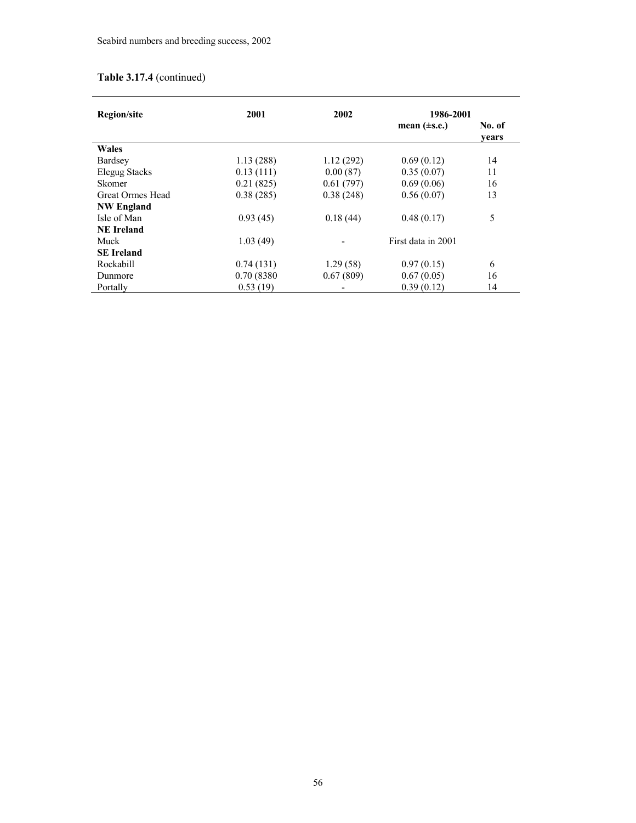# **Table 3.17.4** (continued)

| <b>Region/site</b>   | 2001        | 2002      | 1986-2001          |                 |  |
|----------------------|-------------|-----------|--------------------|-----------------|--|
|                      |             |           | mean $(\pm s.e.)$  | No. of<br>years |  |
| Wales                |             |           |                    |                 |  |
| <b>Bardsey</b>       | 1.13(288)   | 1.12(292) | 0.69(0.12)         | 14              |  |
| <b>Elegug Stacks</b> | 0.13(111)   | 0.00(87)  | 0.35(0.07)         | 11              |  |
| <b>Skomer</b>        | 0.21(825)   | 0.61(797) | 0.69(0.06)         | 16              |  |
| Great Ormes Head     | 0.38(285)   | 0.38(248) | 0.56(0.07)         | 13              |  |
| <b>NW England</b>    |             |           |                    |                 |  |
| Isle of Man          | 0.93(45)    | 0.18(44)  | 0.48(0.17)         | 5               |  |
| <b>NE</b> Ireland    |             |           |                    |                 |  |
| Muck                 | 1.03(49)    |           | First data in 2001 |                 |  |
| <b>SE</b> Ireland    |             |           |                    |                 |  |
| Rockabill            | 0.74(131)   | 1.29(58)  | 0.97(0.15)         | 6               |  |
| Dunmore              | 0.70 (8380) | 0.67(809) | 0.67(0.05)         | 16              |  |
| Portally             | 0.53(19)    |           | 0.39(0.12)         | 14              |  |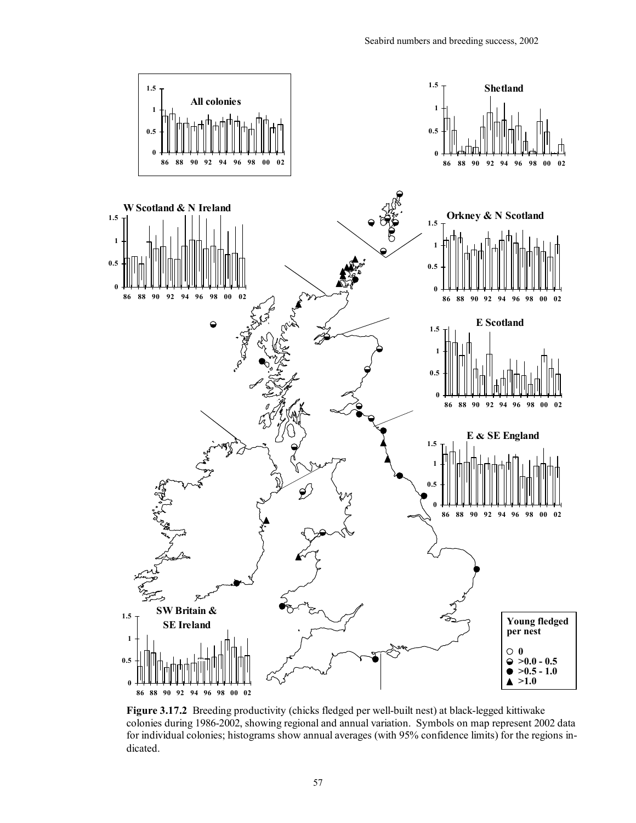

**Figure 3.17.2** Breeding productivity (chicks fledged per well-built nest) at black-legged kittiwake colonies during 1986-2002, showing regional and annual variation. Symbols on map represent 2002 data for individual colonies; histograms show annual averages (with 95% confidence limits) for the regions indicated.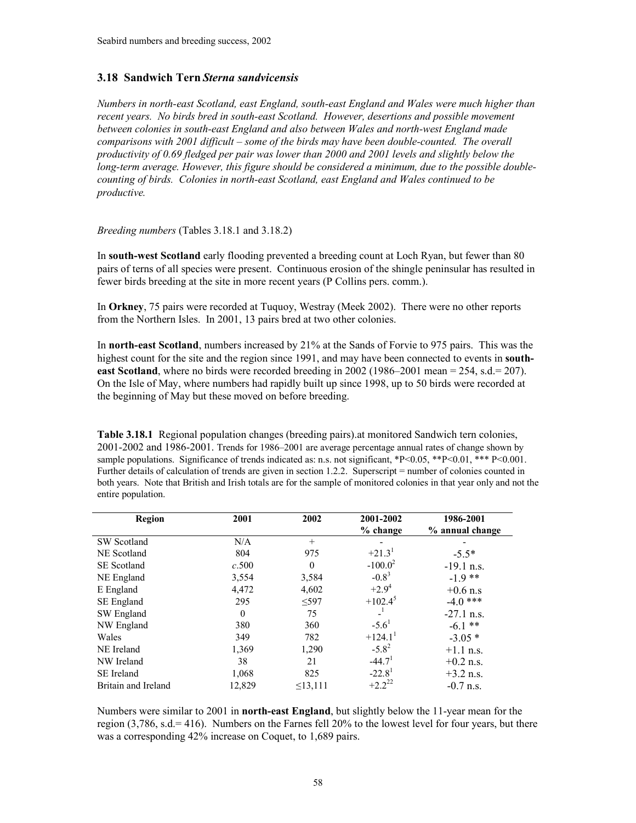## **3.18 Sandwich Tern** *Sterna sandvicensis*

*Numbers in north-east Scotland, east England, south-east England and Wales were much higher than recent years. No birds bred in south-east Scotland. However, desertions and possible movement between colonies in south-east England and also between Wales and north-west England made comparisons with 2001 difficult – some of the birds may have been double-counted. The overall productivity of 0.69 fledged per pair was lower than 2000 and 2001 levels and slightly below the long-term average. However, this figure should be considered a minimum, due to the possible doublecounting of birds. Colonies in north-east Scotland, east England and Wales continued to be productive.* 

### *Breeding numbers* (Tables 3.18.1 and 3.18.2)

In **south-west Scotland** early flooding prevented a breeding count at Loch Ryan, but fewer than 80 pairs of terns of all species were present. Continuous erosion of the shingle peninsular has resulted in fewer birds breeding at the site in more recent years (P Collins pers. comm.).

In **Orkney**, 75 pairs were recorded at Tuquoy, Westray (Meek 2002). There were no other reports from the Northern Isles. In 2001, 13 pairs bred at two other colonies.

In **north-east Scotland**, numbers increased by 21% at the Sands of Forvie to 975 pairs. This was the highest count for the site and the region since 1991, and may have been connected to events in **southeast Scotland**, where no birds were recorded breeding in 2002 (1986–2001 mean = 254, s.d.= 207). On the Isle of May, where numbers had rapidly built up since 1998, up to 50 birds were recorded at the beginning of May but these moved on before breeding.

**Table 3.18.1** Regional population changes (breeding pairs).at monitored Sandwich tern colonies, 2001-2002 and 1986-2001. Trends for 1986–2001 are average percentage annual rates of change shown by sample populations. Significance of trends indicated as: n.s. not significant, \*P<0.05, \*\*P<0.01, \*\*\* P<0.001. Further details of calculation of trends are given in section 1.2.2. Superscript = number of colonies counted in both years. Note that British and Irish totals are for the sample of monitored colonies in that year only and not the entire population.

| <b>Region</b>       | 2001     | 2002          | 2001-2002             | 1986-2001       |
|---------------------|----------|---------------|-----------------------|-----------------|
|                     |          |               | $%$ change            | % annual change |
| SW Scotland         | N/A      | $+$           |                       |                 |
| <b>NE</b> Scotland  | 804      | 975           | $+21.3$ <sup>1</sup>  | $-5.5*$         |
| <b>SE</b> Scotland  | c.500    | $\theta$      | $-100.0^2$            | $-19.1$ n.s.    |
| NE England          | 3,554    | 3,584         | $-0.8^{3}$            | $-1.9**$        |
| E England           | 4,472    | 4,602         | $+2.9^{4}$            | $+0.6$ n.s      |
| SE England          | 295      | $<$ 597       | $+102.4^{\circ}$      | $-4.0$ ***      |
| SW England          | $\Omega$ | 75            | $\mathbf{L}^{\perp}$  | $-27.1$ n.s.    |
| NW England          | 380      | 360           | $-5.61$               | $-6.1$ **       |
| Wales               | 349      | 782           | $+124.1$ <sup>1</sup> | $-3.05*$        |
| NE Ireland          | 1,369    | 1,290         | $-5.8^{2}$            | $+1.1$ n.s.     |
| NW Ireland          | 38       | 21            | $-44.7$ <sup>1</sup>  | $+0.2$ n.s.     |
| <b>SE</b> Ireland   | 1,068    | 825           | $-22.81$              | $+3.2$ n.s.     |
| Britain and Ireland | 12,829   | $\leq$ 13,111 | $+2.2^{22}$           | $-0.7$ n.s.     |

Numbers were similar to 2001 in **north-east England**, but slightly below the 11-year mean for the region (3,786, s.d.= 416). Numbers on the Farnes fell 20% to the lowest level for four years, but there was a corresponding 42% increase on Coquet, to 1,689 pairs.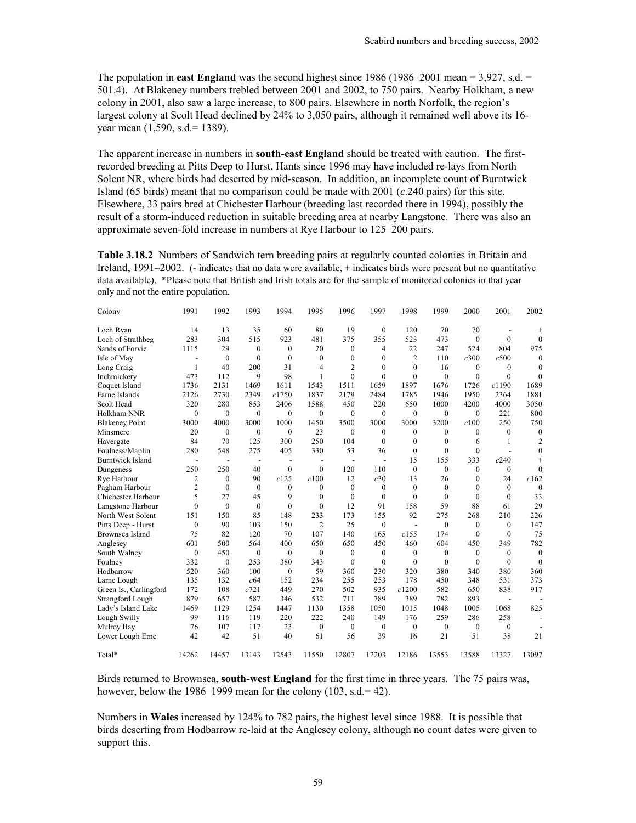The population in **east England** was the second highest since 1986 (1986–2001 mean =  $3,927$ , s.d. = 501.4). At Blakeney numbers trebled between 2001 and 2002, to 750 pairs. Nearby Holkham, a new colony in 2001, also saw a large increase, to 800 pairs. Elsewhere in north Norfolk, the region's largest colony at Scolt Head declined by 24% to 3,050 pairs, although it remained well above its 16 year mean (1,590, s.d.= 1389).

The apparent increase in numbers in **south-east England** should be treated with caution. The firstrecorded breeding at Pitts Deep to Hurst, Hants since 1996 may have included re-lays from North Solent NR, where birds had deserted by mid-season. In addition, an incomplete count of Burntwick Island (65 birds) meant that no comparison could be made with 2001 (*c*.240 pairs) for this site. Elsewhere, 33 pairs bred at Chichester Harbour (breeding last recorded there in 1994), possibly the result of a storm-induced reduction in suitable breeding area at nearby Langstone. There was also an approximate seven-fold increase in numbers at Rye Harbour to 125–200 pairs.

**Table 3.18.2** Numbers of Sandwich tern breeding pairs at regularly counted colonies in Britain and Ireland,  $1991-2002$ . (- indicates that no data were available, + indicates birds were present but no quantitative data available). \*Please note that British and Irish totals are for the sample of monitored colonies in that year only and not the entire population.

| Colony                  | 1991             | 1992                     | 1993                     | 1994                     | 1995           | 1996           | 1997                     | 1998                     | 1999             | 2000         | 2001                     | 2002                    |
|-------------------------|------------------|--------------------------|--------------------------|--------------------------|----------------|----------------|--------------------------|--------------------------|------------------|--------------|--------------------------|-------------------------|
| Loch Ryan               | 14               | 13                       | 35                       | 60                       | 80             | 19             | $\mathbf{0}$             | 120                      | 70               | 70           |                          | $^{+}$                  |
| Loch of Strathbeg       | 283              | 304                      | 515                      | 923                      | 481            | 375            | 355                      | 523                      | 473              | $\mathbf{0}$ | $\Omega$                 | $\mathbf{0}$            |
| Sands of Forvie         | 1115             | 29                       | $\mathbf{0}$             | $\bf{0}$                 | 20             | $\bf{0}$       | 4                        | 22                       | 247              | 524          | 804                      | 975                     |
| Isle of May             |                  | $\theta$                 | $\theta$                 | $\mathbf{0}$             | $\Omega$       | $\mathbf{0}$   | $\mathbf{0}$             | $\overline{2}$           | 110              | c300         | c500                     | $\Omega$                |
| Long Craig              | $\mathbf{1}$     | 40                       | 200                      | 31                       | 4              | $\overline{2}$ | $\mathbf{0}$             | $\mathbf{0}$             | 16               | $\mathbf{0}$ | $\mathbf{0}$             | $\mathbf{0}$            |
| Inchmickery             | 473              | 112                      | 9                        | 98                       | $\mathbf{1}$   | $\mathbf{0}$   | $\theta$                 | $\theta$                 | $\mathbf{0}$     | $\mathbf{0}$ | $\theta$                 | $\mathbf{0}$            |
| Coquet Island           | 1736             | 2131                     | 1469                     | 1611                     | 1543           | 1511           | 1659                     | 1897                     | 1676             | 1726         | c1190                    | 1689                    |
| Farne Islands           | 2126             | 2730                     | 2349                     | c1750                    | 1837           | 2179           | 2484                     | 1785                     | 1946             | 1950         | 2364                     | 1881                    |
| Scolt Head              | 320              | 280                      | 853                      | 2406                     | 1588           | 450            | 220                      | 650                      | 1000             | 4200         | 4000                     | 3050                    |
| Holkham NNR             | $\mathbf{0}$     | $\mathbf{0}$             | $\mathbf{0}$             | $\mathbf{0}$             | $\mathbf{0}$   | $\mathbf{0}$   | $\mathbf{0}$             | $\mathbf{0}$             | $\mathbf{0}$     | $\mathbf{0}$ | 221                      | 800                     |
| <b>Blakeney Point</b>   | 3000             | 4000                     | 3000                     | 1000                     | 1450           | 3500           | 3000                     | 3000                     | 3200             | c100         | 250                      | 750                     |
| Minsmere                | 20               | $\theta$                 | $\mathbf{0}$             | $\mathbf{0}$             | 23             | $\theta$       | $\theta$                 | $\Omega$                 | $\mathbf{0}$     | $\theta$     | $\mathbf{0}$             | $\bf{0}$                |
| Havergate               | 84               | 70                       | 125                      | 300                      | 250            | 104            | $\mathbf{0}$             | $\boldsymbol{0}$         | $\mathbf{0}$     | 6            | 1                        | $\overline{\mathbf{c}}$ |
| Foulness/Maplin         | 280              | 548                      | 275                      | 405                      | 330            | 53             | 36                       | $\mathbf{0}$             | $\mathbf{0}$     | $\mathbf{0}$ |                          | $\boldsymbol{0}$        |
| <b>Burntwick Island</b> | $\overline{a}$   | $\overline{\phantom{a}}$ | $\overline{\phantom{a}}$ | $\overline{\phantom{a}}$ |                |                | $\overline{\phantom{a}}$ | 15                       | 155              | 333          | c240                     | $^{+}$                  |
| Dungeness               | 250              | 250                      | 40                       | $\mathbf{0}$             | $\theta$       | 120            | 110                      | $\Omega$                 | $\mathbf{0}$     | $\mathbf{0}$ | $\mathbf{0}$             | $\mathbf{0}$            |
| Rye Harbour             | 2                | $\theta$                 | 90                       | c125                     | c100           | 12             | c30                      | 13                       | 26               | $\theta$     | 24                       | c162                    |
| Pagham Harbour          | $\overline{c}$   | $\theta$                 | $\theta$                 | $\Omega$                 | $\theta$       | $\mathbf{0}$   | $\Omega$                 | $\Omega$                 | $\mathbf{0}$     | $\theta$     | $\theta$                 | $\mathbf{0}$            |
| Chichester Harbour      | 5                | 27                       | 45                       | 9                        | $\theta$       | $\mathbf{0}$   | $\Omega$                 | $\theta$                 | $\mathbf{0}$     | $\theta$     | $\theta$                 | 33                      |
| Langstone Harbour       | $\mathbf{0}$     | $\theta$                 | $\mathbf{0}$             | $\theta$                 | $\theta$       | 12             | 91                       | 158                      | 59               | 88           | 61                       | 29                      |
| North West Solent       | 151              | 150                      | 85                       | 148                      | 233            | 173            | 155                      | 92                       | 275              | 268          | 210                      | 226                     |
| Pitts Deep - Hurst      | $\boldsymbol{0}$ | 90                       | 103                      | 150                      | $\overline{2}$ | 25             | $\mathbf{0}$             | $\overline{\phantom{a}}$ | $\theta$         | $\theta$     | $\theta$                 | 147                     |
| Brownsea Island         | 75               | 82                       | 120                      | 70                       | 107            | 140            | 165                      | c155                     | 174              | $\theta$     | $\theta$                 | 75                      |
| Anglesey                | 601              | 500                      | 564                      | 400                      | 650            | 650            | 450                      | 460                      | 604              | 450          | 349                      | 782                     |
| South Walney            | $\mathbf{0}$     | 450                      | $\mathbf{0}$             | $\mathbf{0}$             | $\Omega$       | $\Omega$       | $\theta$                 | $\theta$                 | $\mathbf{0}$     | $\Omega$     | $\theta$                 | $\mathbf{0}$            |
| Foulney                 | 332              | $\mathbf{0}$             | 253                      | 380                      | 343            | $\mathbf{0}$   | $\mathbf{0}$             | $\mathbf{0}$             | $\mathbf{0}$     | $\mathbf{0}$ | $\Omega$                 | $\mathbf{0}$            |
| Hodbarrow               | 520              | 360                      | 100                      | $\mathbf{0}$             | 59             | 360            | 230                      | 320                      | 380              | 340          | 380                      | 360                     |
| Larne Lough             | 135              | 132                      | c64                      | 152                      | 234            | 255            | 253                      | 178                      | 450              | 348          | 531                      | 373                     |
| Green Is., Carlingford  | 172              | 108                      | c721                     | 449                      | 270            | 502            | 935                      | c1200                    | 582              | 650          | 838                      | 917                     |
| Strangford Lough        | 879              | 657                      | 587                      | 346                      | 532            | 711            | 789                      | 389                      | 782              | 893          | $\overline{\phantom{a}}$ |                         |
| Lady's Island Lake      | 1469             | 1129                     | 1254                     | 1447                     | 1130           | 1358           | 1050                     | 1015                     | 1048             | 1005         | 1068                     | 825                     |
| Lough Swilly            | 99               | 116                      | 119                      | 220                      | 222            | 240            | 149                      | 176                      | 259              | 286          | 258                      |                         |
| Mulroy Bay              | 76               | 107                      | 117                      | 23                       | $\mathbf{0}$   | $\mathbf{0}$   | $\mathbf{0}$             | $\mathbf{0}$             | $\boldsymbol{0}$ | $\mathbf{0}$ | $\mathbf{0}$             |                         |
| Lower Lough Erne        | 42               | 42                       | 51                       | 40                       | 61             | 56             | 39                       | 16                       | 21               | 51           | 38                       | 21                      |
| Total*                  | 14262            | 14457                    | 13143                    | 12543                    | 11550          | 12807          | 12203                    | 12186                    | 13553            | 13588        | 13327                    | 13097                   |

Birds returned to Brownsea, **south-west England** for the first time in three years. The 75 pairs was, however, below the 1986–1999 mean for the colony  $(103, s.d. = 42)$ .

Numbers in **Wales** increased by 124% to 782 pairs, the highest level since 1988. It is possible that birds deserting from Hodbarrow re-laid at the Anglesey colony, although no count dates were given to support this.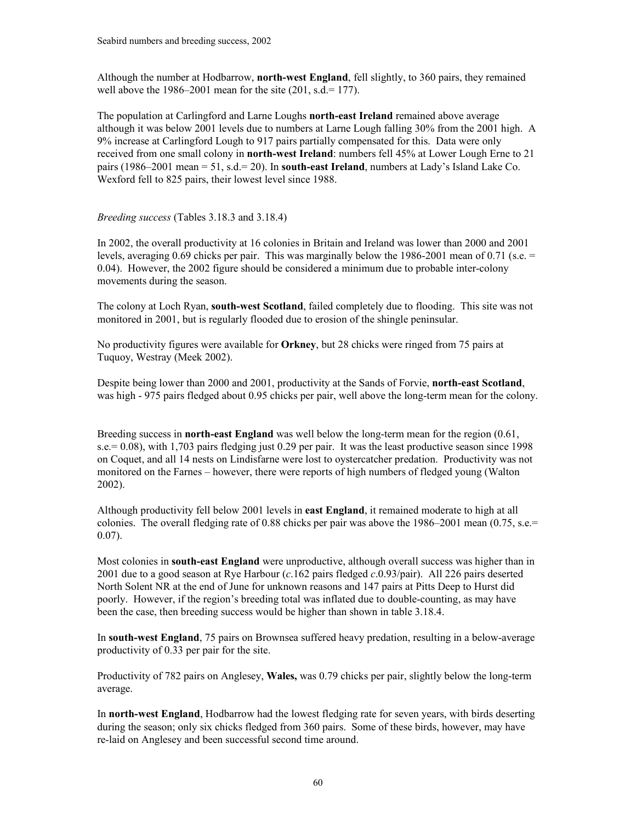Although the number at Hodbarrow, **north-west England**, fell slightly, to 360 pairs, they remained well above the 1986–2001 mean for the site  $(201, s.d = 177)$ .

The population at Carlingford and Larne Loughs **north-east Ireland** remained above average although it was below 2001 levels due to numbers at Larne Lough falling 30% from the 2001 high. A 9% increase at Carlingford Lough to 917 pairs partially compensated for this. Data were only received from one small colony in **north-west Ireland**: numbers fell 45% at Lower Lough Erne to 21 pairs (1986–2001 mean = 51, s.d.= 20). In **south-east Ireland**, numbers at Lady's Island Lake Co. Wexford fell to 825 pairs, their lowest level since 1988.

*Breeding success* (Tables 3.18.3 and 3.18.4)

In 2002, the overall productivity at 16 colonies in Britain and Ireland was lower than 2000 and 2001 levels, averaging 0.69 chicks per pair. This was marginally below the  $1986-2001$  mean of 0.71 (s.e.  $=$ 0.04). However, the 2002 figure should be considered a minimum due to probable inter-colony movements during the season.

The colony at Loch Ryan, **south-west Scotland**, failed completely due to flooding. This site was not monitored in 2001, but is regularly flooded due to erosion of the shingle peninsular.

No productivity figures were available for **Orkney**, but 28 chicks were ringed from 75 pairs at Tuquoy, Westray (Meek 2002).

Despite being lower than 2000 and 2001, productivity at the Sands of Forvie, **north-east Scotland**, was high - 975 pairs fledged about 0.95 chicks per pair, well above the long-term mean for the colony.

Breeding success in **north-east England** was well below the long-term mean for the region (0.61, s.e.= 0.08), with 1,703 pairs fledging just 0.29 per pair. It was the least productive season since 1998 on Coquet, and all 14 nests on Lindisfarne were lost to oystercatcher predation. Productivity was not monitored on the Farnes – however, there were reports of high numbers of fledged young (Walton 2002).

Although productivity fell below 2001 levels in **east England**, it remained moderate to high at all colonies. The overall fledging rate of 0.88 chicks per pair was above the 1986–2001 mean (0.75, s.e.= 0.07).

Most colonies in **south-east England** were unproductive, although overall success was higher than in 2001 due to a good season at Rye Harbour (*c*.162 pairs fledged *c*.0.93/pair). All 226 pairs deserted North Solent NR at the end of June for unknown reasons and 147 pairs at Pitts Deep to Hurst did poorly. However, if the region's breeding total was inflated due to double-counting, as may have been the case, then breeding success would be higher than shown in table 3.18.4.

In **south-west England**, 75 pairs on Brownsea suffered heavy predation, resulting in a below-average productivity of 0.33 per pair for the site.

Productivity of 782 pairs on Anglesey, **Wales,** was 0.79 chicks per pair, slightly below the long-term average.

In **north-west England**, Hodbarrow had the lowest fledging rate for seven years, with birds deserting during the season; only six chicks fledged from 360 pairs. Some of these birds, however, may have re-laid on Anglesey and been successful second time around.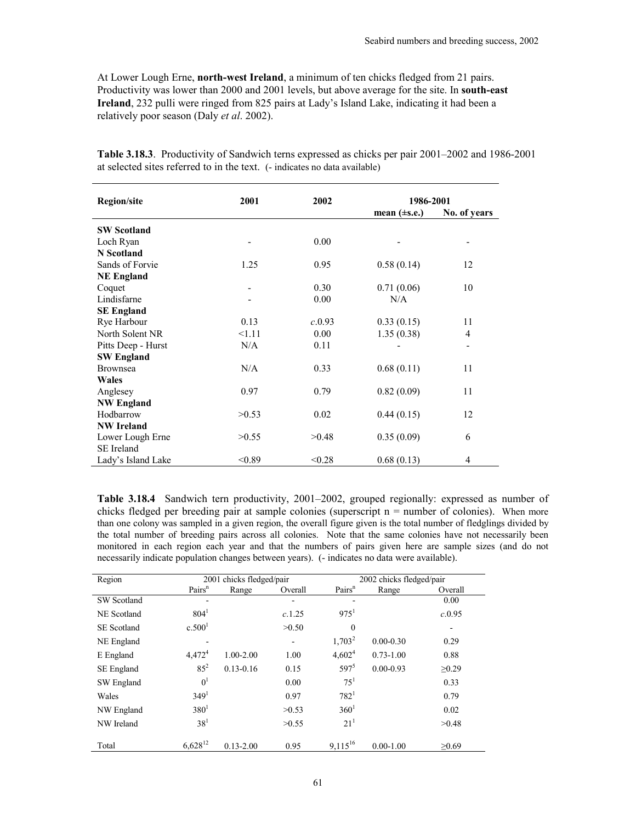At Lower Lough Erne, **north-west Ireland**, a minimum of ten chicks fledged from 21 pairs. Productivity was lower than 2000 and 2001 levels, but above average for the site. In **south-east Ireland**, 232 pulli were ringed from 825 pairs at Lady's Island Lake, indicating it had been a relatively poor season (Daly *et al*. 2002).

| <b>Region/site</b> | 2001                         | 2002   | 1986-2001         |              |
|--------------------|------------------------------|--------|-------------------|--------------|
|                    |                              |        | mean $(\pm s.e.)$ | No. of years |
| <b>SW Scotland</b> |                              |        |                   |              |
| Loch Ryan          |                              | 0.00   |                   |              |
| N Scotland         |                              |        |                   |              |
| Sands of Forvie    | 1.25                         | 0.95   | 0.58(0.14)        | 12           |
| <b>NE</b> England  |                              |        |                   |              |
| Coquet             | $\qquad \qquad \blacksquare$ | 0.30   | 0.71(0.06)        | 10           |
| Lindisfarne        |                              | 0.00   | N/A               |              |
| <b>SE England</b>  |                              |        |                   |              |
| Rye Harbour        | 0.13                         | c.0.93 | 0.33(0.15)        | 11           |
| North Solent NR    | <1.11                        | 0.00   | 1.35(0.38)        | 4            |
| Pitts Deep - Hurst | N/A                          | 0.11   |                   |              |
| <b>SW England</b>  |                              |        |                   |              |
| <b>Brownsea</b>    | N/A                          | 0.33   | 0.68(0.11)        | 11           |
| <b>Wales</b>       |                              |        |                   |              |
| Anglesey           | 0.97                         | 0.79   | 0.82(0.09)        | 11           |
| <b>NW England</b>  |                              |        |                   |              |
| Hodbarrow          | >0.53                        | 0.02   | 0.44(0.15)        | 12           |
| <b>NW Ireland</b>  |                              |        |                   |              |
| Lower Lough Erne   | >0.55                        | >0.48  | 0.35(0.09)        | 6            |
| SE Ireland         |                              |        |                   |              |
| Lady's Island Lake | < 0.89                       | < 0.28 | 0.68(0.13)        | 4            |

**Table 3.18.3**. Productivity of Sandwich terns expressed as chicks per pair 2001–2002 and 1986-2001 at selected sites referred to in the text. (- indicates no data available)

**Table 3.18.4** Sandwich tern productivity, 2001–2002, grouped regionally: expressed as number of chicks fledged per breeding pair at sample colonies (superscript  $n =$  number of colonies). When more than one colony was sampled in a given region, the overall figure given is the total number of fledglings divided by the total number of breeding pairs across all colonies. Note that the same colonies have not necessarily been monitored in each region each year and that the numbers of pairs given here are sample sizes (and do not necessarily indicate population changes between years). (- indicates no data were available).

| Region             |                    | 2001 chicks fledged/pair |         | 2002 chicks fledged/pair |               |                              |  |
|--------------------|--------------------|--------------------------|---------|--------------------------|---------------|------------------------------|--|
|                    | Pairs <sup>n</sup> | Range                    | Overall | Pairs <sup>n</sup>       | Range         | Overall                      |  |
| <b>SW</b> Scotland |                    |                          |         |                          |               | 0.00                         |  |
| NE Scotland        | $804^1$            |                          | c.1.25  | $975^1$                  |               | c.0.95                       |  |
| <b>SE</b> Scotland | c.500 <sup>1</sup> |                          | >0.50   | $\mathbf{0}$             |               | $\qquad \qquad \blacksquare$ |  |
| NE England         |                    |                          |         | $1,703^2$                | $0.00 - 0.30$ | 0.29                         |  |
| E England          | 4,472 <sup>4</sup> | $1.00 - 2.00$            | 1.00    | 4.602 <sup>4</sup>       | $0.73 - 1.00$ | 0.88                         |  |
| SE England         | $85^{2}$           | $0.13 - 0.16$            | 0.15    | $597^5$                  | $0.00 - 0.93$ | >0.29                        |  |
| SW England         | 0 <sup>1</sup>     |                          | 0.00    | $75^1$                   |               | 0.33                         |  |
| Wales              | 349 <sup>1</sup>   |                          | 0.97    | $782^1$                  |               | 0.79                         |  |
| NW England         | $380^1$            |                          | >0.53   | $360^1$                  |               | 0.02                         |  |
| NW Ireland         | $38^{1}$           |                          | >0.55   | 21 <sup>1</sup>          |               | >0.48                        |  |
| Total              | $6.628^{12}$       | $0.13 - 2.00$            | 0.95    | $9,115^{16}$             | $0.00 - 1.00$ | >0.69                        |  |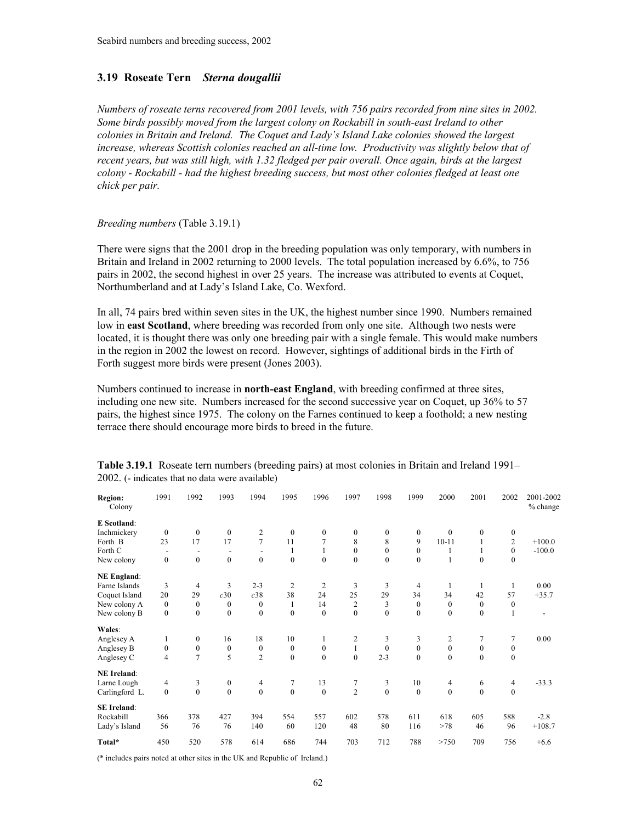## **3.19 Roseate Tern** *Sterna dougallii*

*Numbers of roseate terns recovered from 2001 levels, with 756 pairs recorded from nine sites in 2002. Some birds possibly moved from the largest colony on Rockabill in south-east Ireland to other colonies in Britain and Ireland. The Coquet and Lady's Island Lake colonies showed the largest increase, whereas Scottish colonies reached an all-time low. Productivity was slightly below that of recent years, but was still high, with 1.32 fledged per pair overall. Once again, birds at the largest colony - Rockabill - had the highest breeding success, but most other colonies fledged at least one chick per pair.* 

### *Breeding numbers* (Table 3.19.1)

There were signs that the 2001 drop in the breeding population was only temporary, with numbers in Britain and Ireland in 2002 returning to 2000 levels. The total population increased by 6.6%, to 756 pairs in 2002, the second highest in over 25 years. The increase was attributed to events at Coquet, Northumberland and at Lady's Island Lake, Co. Wexford.

In all, 74 pairs bred within seven sites in the UK, the highest number since 1990. Numbers remained low in **east Scotland**, where breeding was recorded from only one site. Although two nests were located, it is thought there was only one breeding pair with a single female. This would make numbers in the region in 2002 the lowest on record. However, sightings of additional birds in the Firth of Forth suggest more birds were present (Jones 2003).

Numbers continued to increase in **north-east England**, with breeding confirmed at three sites, including one new site. Numbers increased for the second successive year on Coquet, up 36% to 57 pairs, the highest since 1975. The colony on the Farnes continued to keep a foothold; a new nesting terrace there should encourage more birds to breed in the future.

| <b>Region:</b><br>Colony | 1991                     | 1992                     | 1993             | 1994                     | 1995                    | 1996                    | 1997                    | 1998             | 1999             | 2000                                  | 2001             | 2002             | 2001-2002<br>% change |
|--------------------------|--------------------------|--------------------------|------------------|--------------------------|-------------------------|-------------------------|-------------------------|------------------|------------------|---------------------------------------|------------------|------------------|-----------------------|
| E Scotland:              |                          |                          |                  |                          |                         |                         |                         |                  |                  |                                       |                  |                  |                       |
| Inchmickery              | $\boldsymbol{0}$         | $\boldsymbol{0}$         | $\mathbf{0}$     | $\boldsymbol{2}$         | $\boldsymbol{0}$        | $\boldsymbol{0}$        | $\boldsymbol{0}$        | $\boldsymbol{0}$ | $\boldsymbol{0}$ | $\boldsymbol{0}$                      | $\boldsymbol{0}$ | $\mathbf{0}$     |                       |
| Forth B                  | 23                       | 17                       | 17               | $\overline{7}$           | 11                      | $\overline{7}$          | 8                       | 8                | 9                | $10 - 11$                             |                  | $\overline{c}$   | $+100.0$              |
| Forth C                  | $\overline{\phantom{a}}$ | $\overline{\phantom{a}}$ |                  | $\overline{\phantom{a}}$ | $\mathbf{1}$            | $\mathbf{1}$            | $\mathbf{0}$            | $\mathbf{0}$     | $\mathbf{0}$     | 1                                     | 1                | $\mathbf{0}$     | $-100.0$              |
| New colony               | $\boldsymbol{0}$         | $\boldsymbol{0}$         | $\boldsymbol{0}$ | $\boldsymbol{0}$         | $\boldsymbol{0}$        | $\boldsymbol{0}$        | $\overline{0}$          | $\boldsymbol{0}$ | $\boldsymbol{0}$ | 1                                     | $\mathbf{0}$     | $\mathbf{0}$     |                       |
| <b>NE England:</b>       |                          |                          |                  |                          |                         |                         |                         |                  |                  |                                       |                  |                  |                       |
| Farne Islands            | 3                        | 4                        | 3                | $2 - 3$                  | $\overline{\mathbf{c}}$ | $\overline{\mathbf{c}}$ | 3                       | 3                | 4                | 1                                     | 1                | -1               | 0.00                  |
| Coquet Island            | 20                       | 29                       | c30              | c38                      | 38                      | 24                      | 25                      | 29               | 34               | 34                                    | 42               | 57               | $+35.7$               |
| New colony A             | $\boldsymbol{0}$         | $\boldsymbol{0}$         | $\mathbf{0}$     | $\boldsymbol{0}$         | 1                       | 14                      | $\overline{c}$          | 3                | $\mathbf{0}$     | $\mathbf{0}$                          | $\mathbf{0}$     | $\mathbf{0}$     |                       |
| New colony B             | $\boldsymbol{0}$         | $\boldsymbol{0}$         | $\mathbf{0}$     | $\boldsymbol{0}$         | $\mathbf{0}$            | $\boldsymbol{0}$        | $\overline{0}$          | $\mathbf{0}$     | $\mathbf{0}$     | $\mathbf{0}$                          | $\mathbf{0}$     | 1                |                       |
| Wales:                   |                          |                          |                  |                          |                         |                         |                         |                  |                  |                                       |                  |                  |                       |
| Anglesey A               | 1                        | $\boldsymbol{0}$         | 16               | 18                       | 10                      | $\mathbf{1}$            | $\overline{\mathbf{c}}$ | 3                | 3                |                                       | $\overline{7}$   | $\overline{7}$   | 0.00                  |
| Anglesey B               | $\boldsymbol{0}$         | $\boldsymbol{0}$         | $\boldsymbol{0}$ | $\boldsymbol{0}$         | $\boldsymbol{0}$        | $\boldsymbol{0}$        | $\mathbf{1}$            | $\boldsymbol{0}$ | $\boldsymbol{0}$ | $\begin{array}{c} 2 \\ 0 \end{array}$ | $\boldsymbol{0}$ | $\boldsymbol{0}$ |                       |
| Anglesey C               | $\overline{4}$           | $\overline{7}$           | 5                | $\overline{2}$           | $\mathbf{0}$            | $\mathbf{0}$            | $\mathbf{0}$            | $2 - 3$          | $\theta$         | $\mathbf{0}$                          | $\theta$         | $\mathbf{0}$     |                       |
| <b>NE</b> Ireland:       |                          |                          |                  |                          |                         |                         |                         |                  |                  |                                       |                  |                  |                       |
| Larne Lough              | 4                        | 3                        | $\boldsymbol{0}$ | 4                        | 7                       | 13                      | 7                       | 3                | 10               | 4                                     | 6                | 4                | $-33.3$               |
| Carlingford L.           | $\overline{0}$           | $\mathbf{0}$             | $\mathbf{0}$     | $\mathbf{0}$             | $\mathbf{0}$            | $\mathbf{0}$            | $\overline{2}$          | $\mathbf{0}$     | $\mathbf{0}$     | $\mathbf{0}$                          | $\mathbf{0}$     | $\mathbf{0}$     |                       |
| <b>SE</b> Ireland:       |                          |                          |                  |                          |                         |                         |                         |                  |                  |                                       |                  |                  |                       |
| Rockabill                | 366                      | 378                      | 427              | 394                      | 554                     | 557                     | 602                     | 578              | 611              | 618                                   | 605              | 588              | $-2.8$                |
| Lady's Island            | 56                       | 76                       | 76               | 140                      | 60                      | 120                     | 48                      | 80               | 116              | >78                                   | 46               | 96               | $+108.7$              |
| Total*                   | 450                      | 520                      | 578              | 614                      | 686                     | 744                     | 703                     | 712              | 788              | >750                                  | 709              | 756              | $+6.6$                |

**Table 3.19.1** Roseate tern numbers (breeding pairs) at most colonies in Britain and Ireland 1991– 2002. (- indicates that no data were available)

(\* includes pairs noted at other sites in the UK and Republic of Ireland.)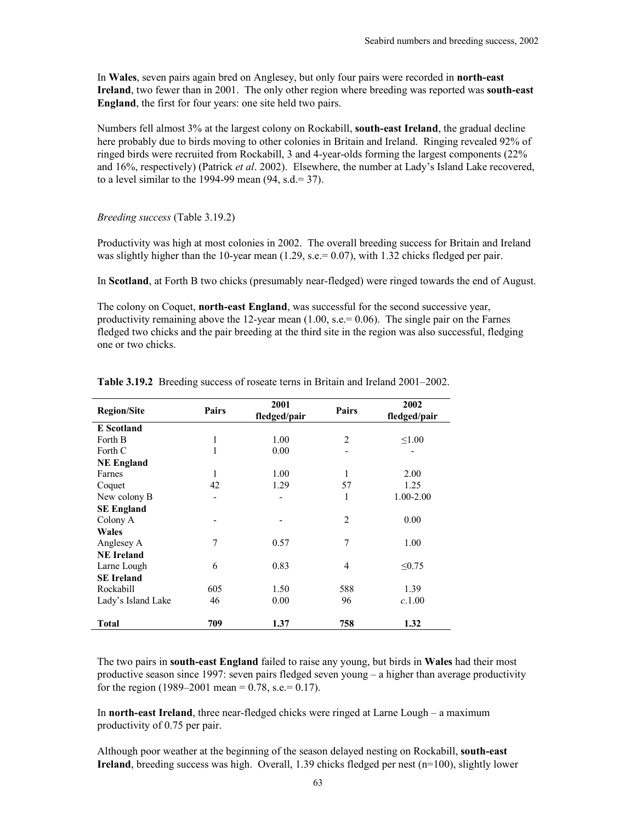In **Wales**, seven pairs again bred on Anglesey, but only four pairs were recorded in **north-east Ireland**, two fewer than in 2001. The only other region where breeding was reported was **south-east England**, the first for four years: one site held two pairs.

Numbers fell almost 3% at the largest colony on Rockabill, **south-east Ireland**, the gradual decline here probably due to birds moving to other colonies in Britain and Ireland. Ringing revealed 92% of ringed birds were recruited from Rockabill, 3 and 4-year-olds forming the largest components (22% and 16%, respectively) (Patrick *et al*. 2002). Elsewhere, the number at Lady's Island Lake recovered, to a level similar to the 1994-99 mean  $(94, s.d. = 37)$ .

### *Breeding success* (Table 3.19.2)

Productivity was high at most colonies in 2002. The overall breeding success for Britain and Ireland was slightly higher than the 10-year mean  $(1.29, s.e. = 0.07)$ , with 1.32 chicks fledged per pair.

In **Scotland**, at Forth B two chicks (presumably near-fledged) were ringed towards the end of August.

The colony on Coquet, **north-east England**, was successful for the second successive year, productivity remaining above the 12-year mean  $(1.00, s.e. = 0.06)$ . The single pair on the Farnes fledged two chicks and the pair breeding at the third site in the region was also successful, fledging one or two chicks.

| <b>Region/Site</b> | <b>Pairs</b> | 2001<br>fledged/pair | Pairs          | 2002<br>fledged/pair |
|--------------------|--------------|----------------------|----------------|----------------------|
| <b>E</b> Scotland  |              |                      |                |                      |
| Forth B            | 1            | 1.00                 | $\overline{2}$ | < 1.00               |
| Forth C            | 1            | 0.00                 |                |                      |
| <b>NE England</b>  |              |                      |                |                      |
| Farnes             | 1            | 1.00                 | 1              | 2.00                 |
| Coquet             | 42           | 1.29                 | 57             | 1.25                 |
| New colony B       |              |                      | 1              | $1.00 - 2.00$        |
| <b>SE England</b>  |              |                      |                |                      |
| Colony A           |              |                      | 2              | 0.00                 |
| <b>Wales</b>       |              |                      |                |                      |
| Anglesey A         | 7            | 0.57                 | $\overline{7}$ | 1.00                 |
| <b>NE</b> Ireland  |              |                      |                |                      |
| Larne Lough        | 6            | 0.83                 | $\overline{4}$ | $\leq 0.75$          |
| <b>SE</b> Ireland  |              |                      |                |                      |
| Rockabill          | 605          | 1.50                 | 588            | 1.39                 |
| Lady's Island Lake | 46           | 0.00                 | 96             | c.1.00               |
| Total              | 709          | 1.37                 | 758            | 1.32                 |

**Table 3.19.2** Breeding success of roseate terns in Britain and Ireland 2001–2002.

The two pairs in **south-east England** failed to raise any young, but birds in **Wales** had their most productive season since 1997: seven pairs fledged seven young – a higher than average productivity for the region  $(1989-2001 \text{ mean} = 0.78, \text{ s.e.} = 0.17)$ .

In **north-east Ireland**, three near-fledged chicks were ringed at Larne Lough – a maximum productivity of 0.75 per pair.

Although poor weather at the beginning of the season delayed nesting on Rockabill, **south-east Ireland**, breeding success was high. Overall, 1.39 chicks fledged per nest (n=100), slightly lower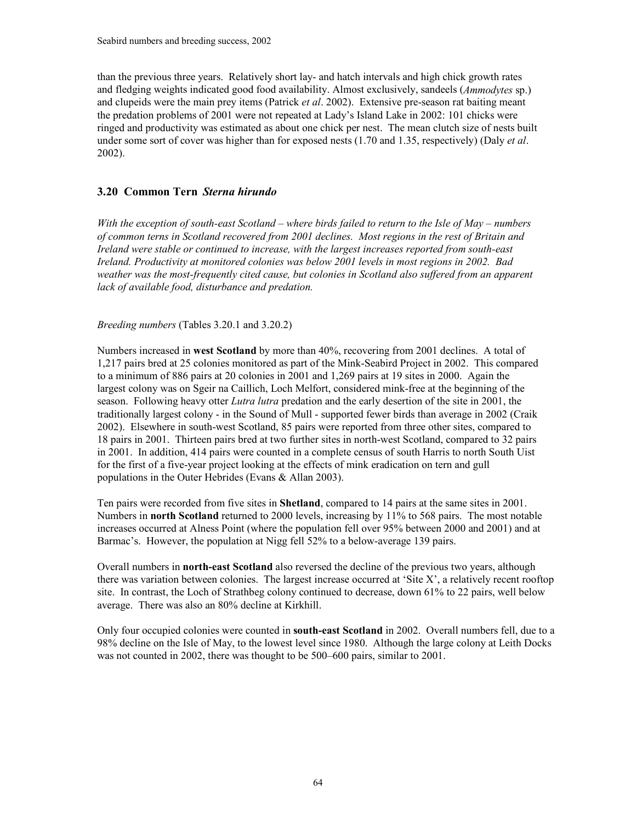than the previous three years. Relatively short lay- and hatch intervals and high chick growth rates and fledging weights indicated good food availability. Almost exclusively, sandeels (*Ammodytes* sp.) and clupeids were the main prey items (Patrick *et al*. 2002). Extensive pre-season rat baiting meant the predation problems of 2001 were not repeated at Lady's Island Lake in 2002: 101 chicks were ringed and productivity was estimated as about one chick per nest. The mean clutch size of nests built under some sort of cover was higher than for exposed nests (1.70 and 1.35, respectively) (Daly *et al*. 2002).

## **3.20 Common Tern** *Sterna hirundo*

*With the exception of south-east Scotland – where birds failed to return to the Isle of May – numbers of common terns in Scotland recovered from 2001 declines. Most regions in the rest of Britain and Ireland were stable or continued to increase, with the largest increases reported from south-east Ireland. Productivity at monitored colonies was below 2001 levels in most regions in 2002. Bad weather was the most-frequently cited cause, but colonies in Scotland also suffered from an apparent lack of available food, disturbance and predation.* 

## *Breeding numbers* (Tables 3.20.1 and 3.20.2)

Numbers increased in **west Scotland** by more than 40%, recovering from 2001 declines. A total of 1,217 pairs bred at 25 colonies monitored as part of the Mink-Seabird Project in 2002. This compared to a minimum of 886 pairs at 20 colonies in 2001 and 1,269 pairs at 19 sites in 2000. Again the largest colony was on Sgeir na Caillich, Loch Melfort, considered mink-free at the beginning of the season. Following heavy otter *Lutra lutra* predation and the early desertion of the site in 2001, the traditionally largest colony - in the Sound of Mull - supported fewer birds than average in 2002 (Craik 2002). Elsewhere in south-west Scotland, 85 pairs were reported from three other sites, compared to 18 pairs in 2001. Thirteen pairs bred at two further sites in north-west Scotland, compared to 32 pairs in 2001. In addition, 414 pairs were counted in a complete census of south Harris to north South Uist for the first of a five-year project looking at the effects of mink eradication on tern and gull populations in the Outer Hebrides (Evans & Allan 2003).

Ten pairs were recorded from five sites in **Shetland**, compared to 14 pairs at the same sites in 2001. Numbers in **north Scotland** returned to 2000 levels, increasing by 11% to 568 pairs. The most notable increases occurred at Alness Point (where the population fell over 95% between 2000 and 2001) and at Barmac's. However, the population at Nigg fell 52% to a below-average 139 pairs.

Overall numbers in **north-east Scotland** also reversed the decline of the previous two years, although there was variation between colonies. The largest increase occurred at 'Site X', a relatively recent rooftop site. In contrast, the Loch of Strathbeg colony continued to decrease, down 61% to 22 pairs, well below average. There was also an 80% decline at Kirkhill.

Only four occupied colonies were counted in **south-east Scotland** in 2002. Overall numbers fell, due to a 98% decline on the Isle of May, to the lowest level since 1980. Although the large colony at Leith Docks was not counted in 2002, there was thought to be 500–600 pairs, similar to 2001.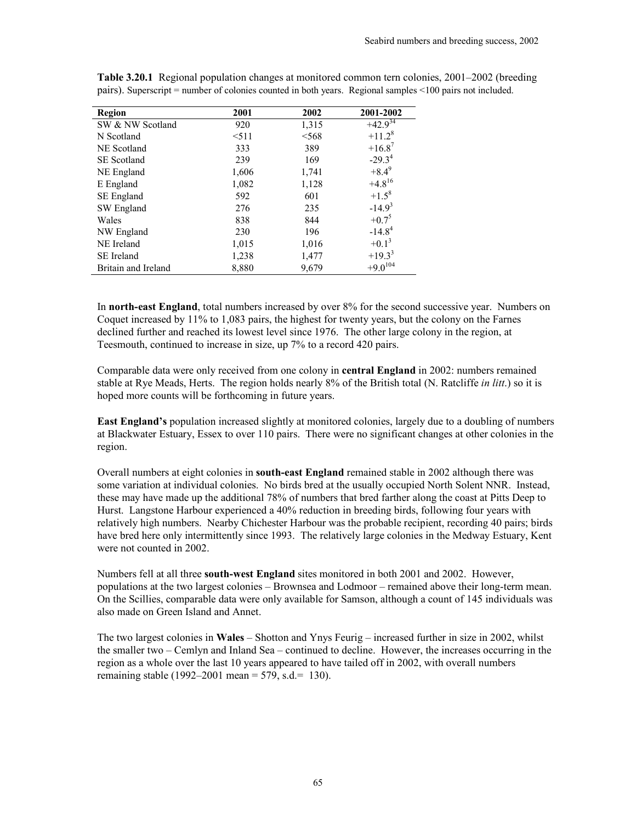| <b>Region</b>       | 2001  | 2002  | 2001-2002               |
|---------------------|-------|-------|-------------------------|
| SW & NW Scotland    | 920   | 1,315 | $+42.9^{3\overline{4}}$ |
| N Scotland          | 511   | < 568 | $+11.2^8$               |
| <b>NE</b> Scotland  | 333   | 389   | $+16.8^{7}$             |
| <b>SE</b> Scotland  | 239   | 169   | $-29.3^4$               |
| NE England          | 1,606 | 1,741 | $+8.4^9$                |
| E England           | 1,082 | 1,128 | $+4.8^{16}$             |
| SE England          | 592   | 601   | $+1.5^{8}$              |
| SW England          | 276   | 235   | $-14.9^{3}$             |
| Wales               | 838   | 844   | $+0.7^{5}$              |
| NW England          | 230   | 196   | $-14.8^{4}$             |
| NE Ireland          | 1,015 | 1,016 | $+0.1^3$                |
| <b>SE</b> Ireland   | 1,238 | 1,477 | $+19.3^3$               |
| Britain and Ireland | 8,880 | 9,679 | $+9.0^{104}$            |

**Table 3.20.1** Regional population changes at monitored common tern colonies, 2001–2002 (breeding pairs). Superscript = number of colonies counted in both years. Regional samples <100 pairs not included.

In **north-east England**, total numbers increased by over 8% for the second successive year. Numbers on Coquet increased by 11% to 1,083 pairs, the highest for twenty years, but the colony on the Farnes declined further and reached its lowest level since 1976. The other large colony in the region, at Teesmouth, continued to increase in size, up 7% to a record 420 pairs.

Comparable data were only received from one colony in **central England** in 2002: numbers remained stable at Rye Meads, Herts. The region holds nearly 8% of the British total (N. Ratcliffe *in litt*.) so it is hoped more counts will be forthcoming in future years.

**East England's** population increased slightly at monitored colonies, largely due to a doubling of numbers at Blackwater Estuary, Essex to over 110 pairs. There were no significant changes at other colonies in the region.

Overall numbers at eight colonies in **south-east England** remained stable in 2002 although there was some variation at individual colonies. No birds bred at the usually occupied North Solent NNR. Instead, these may have made up the additional 78% of numbers that bred farther along the coast at Pitts Deep to Hurst. Langstone Harbour experienced a 40% reduction in breeding birds, following four years with relatively high numbers. Nearby Chichester Harbour was the probable recipient, recording 40 pairs; birds have bred here only intermittently since 1993. The relatively large colonies in the Medway Estuary, Kent were not counted in 2002.

Numbers fell at all three **south-west England** sites monitored in both 2001 and 2002. However, populations at the two largest colonies – Brownsea and Lodmoor – remained above their long-term mean. On the Scillies, comparable data were only available for Samson, although a count of 145 individuals was also made on Green Island and Annet.

The two largest colonies in **Wales** – Shotton and Ynys Feurig – increased further in size in 2002, whilst the smaller two – Cemlyn and Inland Sea – continued to decline. However, the increases occurring in the region as a whole over the last 10 years appeared to have tailed off in 2002, with overall numbers remaining stable (1992–2001 mean = 579, s.d. = 130).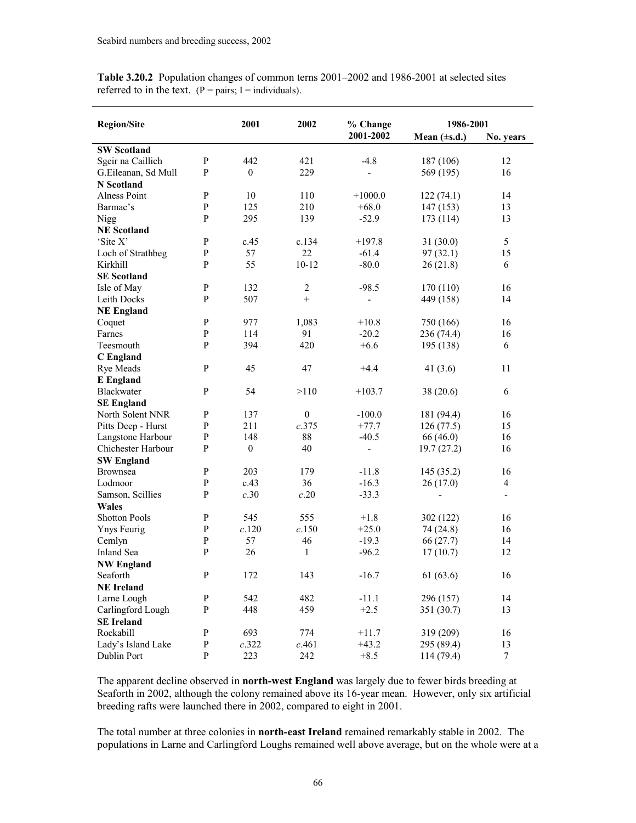**Table 3.20.2** Population changes of common terns 2001–2002 and 1986-2001 at selected sites referred to in the text.  $(P = pairs; I = individuals)$ .

| <b>Region/Site</b>                   |              | 2001         | 2002             | % Change<br>2001-2002        | 1986-2001<br>Mean $(\pm s.d.)$<br>No. years |                          |
|--------------------------------------|--------------|--------------|------------------|------------------------------|---------------------------------------------|--------------------------|
| <b>SW Scotland</b>                   |              |              |                  |                              |                                             |                          |
| Sgeir na Caillich                    | P            | 442          | 421              | $-4.8$                       | 187 (106)                                   | 12                       |
| G.Eileanan, Sd Mull                  | P            | $\mathbf{0}$ | 229              | $\blacksquare$               | 569 (195)                                   | 16                       |
| N Scotland                           |              |              |                  |                              |                                             |                          |
| Alness Point                         | P            | 10           | 110              | $+1000.0$                    | 122(74.1)                                   | 14                       |
| Barmac's                             | ${\bf P}$    | 125          | 210              | $+68.0$                      | 147(153)                                    | 13                       |
| Nigg                                 | P            | 295          | 139              | $-52.9$                      | 173 (114)                                   | 13                       |
| <b>NE</b> Scotland                   |              |              |                  |                              |                                             |                          |
| 'Site X'                             | P            | c.45         | c.134            | $+197.8$                     | 31(30.0)                                    | 5                        |
| Loch of Strathbeg                    | P            | 57           | 22               | $-61.4$                      | 97(32.1)                                    | 15                       |
| Kirkhill                             | P            | 55           | $10 - 12$        | $-80.0$                      | 26(21.8)                                    | 6                        |
| <b>SE Scotland</b>                   |              |              |                  |                              |                                             |                          |
| Isle of May                          | ${\bf P}$    | 132          | $\overline{2}$   | $-98.5$                      | 170 (110)                                   | 16                       |
| Leith Docks                          | P            | 507          | $\ddot{}$        | $\overline{\phantom{0}}$     | 449 (158)                                   | 14                       |
| <b>NE England</b>                    |              |              |                  |                              |                                             |                          |
| Coquet                               | P            | 977          | 1,083            | $+10.8$                      | 750 (166)                                   | 16                       |
| Farnes                               | P            | 114          | 91               | $-20.2$                      | 236 (74.4)                                  | 16                       |
| Teesmouth                            | P            | 394          | 420              | $+6.6$                       | 195 (138)                                   | 6                        |
| <b>C</b> England                     |              |              |                  |                              |                                             |                          |
| Rye Meads                            | ${\bf P}$    | 45           | 47               | $+4.4$                       | 41 $(3.6)$                                  | 11                       |
| <b>E</b> England                     |              |              |                  |                              |                                             |                          |
| Blackwater                           | ${\bf P}$    | 54           | >110             | $+103.7$                     | 38 (20.6)                                   | 6                        |
| <b>SE England</b>                    |              |              |                  |                              |                                             |                          |
| North Solent NNR                     | P            | 137          | $\boldsymbol{0}$ | $-100.0$                     | 181 (94.4)                                  | 16                       |
| Pitts Deep - Hurst                   | P            | 211          | c.375            | $+77.7$                      | 126(77.5)                                   | 15                       |
| Langstone Harbour                    | ${\bf P}$    | 148          | 88               | $-40.5$                      | 66(46.0)                                    | 16                       |
| Chichester Harbour                   | P            | $\mathbf{0}$ | 40               |                              | 19.7(27.2)                                  | 16                       |
|                                      |              |              |                  | $\qquad \qquad \blacksquare$ |                                             |                          |
| <b>SW England</b><br><b>Brownsea</b> | P            | 203          | 179              | $-11.8$                      |                                             | 16                       |
|                                      | P            |              | 36               |                              | 145(35.2)                                   |                          |
| Lodmoor                              | ${\bf P}$    | c.43<br>c.30 | c.20             | $-16.3$<br>$-33.3$           | 26(17.0)                                    | $\overline{4}$           |
| Samson, Scillies<br><b>Wales</b>     |              |              |                  |                              |                                             | $\overline{\phantom{0}}$ |
| <b>Shotton Pools</b>                 | P            | 545          | 555              | $+1.8$                       |                                             | 16                       |
|                                      | ${\bf P}$    | c.120        |                  |                              | 302 (122)                                   |                          |
| Ynys Feurig                          | P            | 57           | c.150<br>46      | $+25.0$<br>$-19.3$           | 74 (24.8)                                   | 16<br>14                 |
| Cemlyn                               | P            |              |                  |                              | 66 (27.7)                                   |                          |
| Inland Sea                           |              | 26           | $\mathbf{1}$     | $-96.2$                      | 17(10.7)                                    | 12                       |
| <b>NW England</b>                    |              |              |                  |                              |                                             |                          |
| Seaforth                             | ${\bf P}$    | 172          | 143              | $-16.7$                      | 61(63.6)                                    | 16                       |
| <b>NE</b> Ireland                    |              |              |                  |                              |                                             |                          |
| Larne Lough                          | ${\bf P}$    | 542          | 482              | $-11.1$                      | 296 (157)                                   | 14                       |
| Carlingford Lough                    | ${\bf P}$    | 448          | 459              | $+2.5$                       | 351 (30.7)                                  | 13                       |
| <b>SE</b> Ireland                    |              |              |                  |                              |                                             |                          |
| Rockabill                            | $\mathbf{P}$ | 693          | 774              | $+11.7$                      | 319 (209)                                   | 16                       |
| Lady's Island Lake                   | ${\bf P}$    | c.322        | c.461            | $+43.2$                      | 295 (89.4)                                  | 13                       |
| Dublin Port                          | $\mathbf{P}$ | 223          | 242              | $+8.5$                       | 114 (79.4)                                  | $\boldsymbol{7}$         |

The apparent decline observed in **north-west England** was largely due to fewer birds breeding at Seaforth in 2002, although the colony remained above its 16-year mean. However, only six artificial breeding rafts were launched there in 2002, compared to eight in 2001.

The total number at three colonies in **north-east Ireland** remained remarkably stable in 2002. The populations in Larne and Carlingford Loughs remained well above average, but on the whole were at a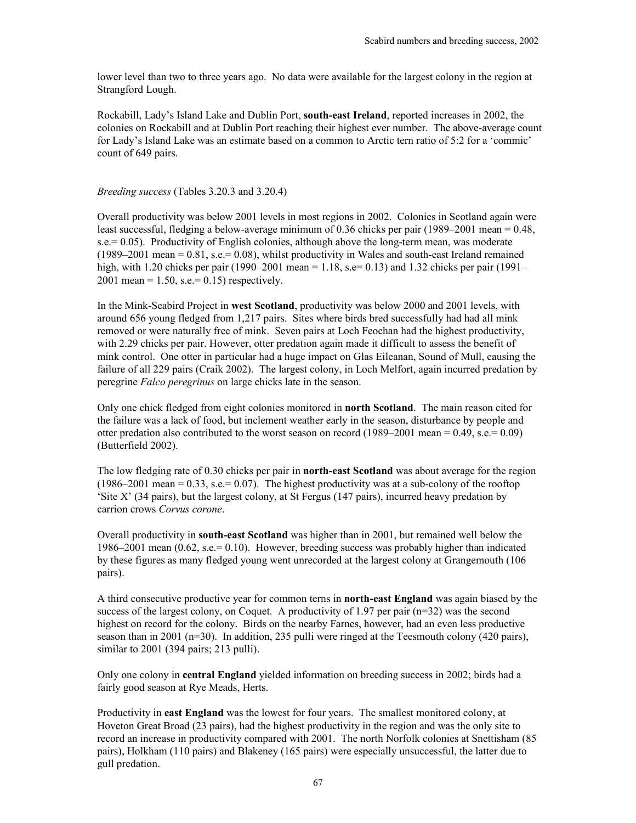lower level than two to three years ago. No data were available for the largest colony in the region at Strangford Lough.

Rockabill, Lady's Island Lake and Dublin Port, **south-east Ireland**, reported increases in 2002, the colonies on Rockabill and at Dublin Port reaching their highest ever number. The above-average count for Lady's Island Lake was an estimate based on a common to Arctic tern ratio of 5:2 for a 'commic' count of 649 pairs.

#### *Breeding success* (Tables 3.20.3 and 3.20.4)

Overall productivity was below 2001 levels in most regions in 2002. Colonies in Scotland again were least successful, fledging a below-average minimum of 0.36 chicks per pair (1989–2001 mean = 0.48,  $s.e. = 0.05$ ). Productivity of English colonies, although above the long-term mean, was moderate  $(1989–2001 \text{ mean} = 0.81, s.e. = 0.08)$ , whilst productivity in Wales and south-east Ireland remained high, with 1.20 chicks per pair (1990–2001 mean = 1.18, s.e= 0.13) and 1.32 chicks per pair (1991–  $2001$  mean = 1.50, s.e. = 0.15) respectively.

In the Mink-Seabird Project in **west Scotland**, productivity was below 2000 and 2001 levels, with around 656 young fledged from 1,217 pairs. Sites where birds bred successfully had had all mink removed or were naturally free of mink. Seven pairs at Loch Feochan had the highest productivity, with 2.29 chicks per pair. However, otter predation again made it difficult to assess the benefit of mink control. One otter in particular had a huge impact on Glas Eileanan, Sound of Mull, causing the failure of all 229 pairs (Craik 2002). The largest colony, in Loch Melfort, again incurred predation by peregrine *Falco peregrinus* on large chicks late in the season.

Only one chick fledged from eight colonies monitored in **north Scotland**. The main reason cited for the failure was a lack of food, but inclement weather early in the season, disturbance by people and otter predation also contributed to the worst season on record  $(1989-2001 \text{ mean} = 0.49, \text{s.e.} = 0.09)$ (Butterfield 2002).

The low fledging rate of 0.30 chicks per pair in **north-east Scotland** was about average for the region  $(1986–2001 \text{ mean} = 0.33, \text{s.e.} = 0.07)$ . The highest productivity was at a sub-colony of the rooftop 'Site X' (34 pairs), but the largest colony, at St Fergus (147 pairs), incurred heavy predation by carrion crows *Corvus corone*.

Overall productivity in **south-east Scotland** was higher than in 2001, but remained well below the 1986–2001 mean (0.62, s.e.= 0.10). However, breeding success was probably higher than indicated by these figures as many fledged young went unrecorded at the largest colony at Grangemouth (106 pairs).

A third consecutive productive year for common terns in **north-east England** was again biased by the success of the largest colony, on Coquet. A productivity of 1.97 per pair  $(n=32)$  was the second highest on record for the colony. Birds on the nearby Farnes, however, had an even less productive season than in 2001 (n=30). In addition, 235 pulli were ringed at the Teesmouth colony (420 pairs), similar to 2001 (394 pairs; 213 pulli).

Only one colony in **central England** yielded information on breeding success in 2002; birds had a fairly good season at Rye Meads, Herts.

Productivity in **east England** was the lowest for four years. The smallest monitored colony, at Hoveton Great Broad (23 pairs), had the highest productivity in the region and was the only site to record an increase in productivity compared with 2001. The north Norfolk colonies at Snettisham (85 pairs), Holkham (110 pairs) and Blakeney (165 pairs) were especially unsuccessful, the latter due to gull predation.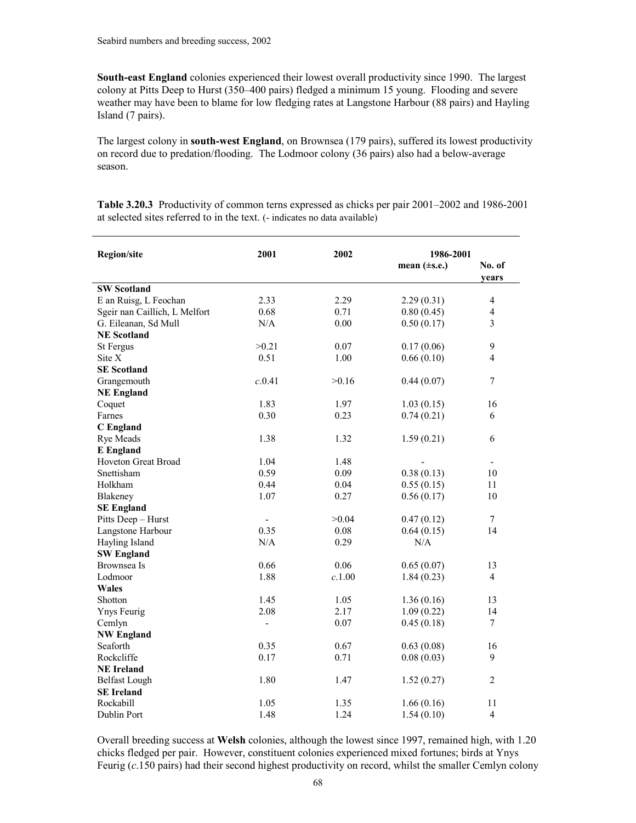**South-east England** colonies experienced their lowest overall productivity since 1990. The largest colony at Pitts Deep to Hurst (350–400 pairs) fledged a minimum 15 young. Flooding and severe weather may have been to blame for low fledging rates at Langstone Harbour (88 pairs) and Hayling Island (7 pairs).

The largest colony in **south-west England**, on Brownsea (179 pairs), suffered its lowest productivity on record due to predation/flooding. The Lodmoor colony (36 pairs) also had a below-average season.

| <b>Region/site</b>            | 2001                     | 2002     | 1986-2001         |                          |  |
|-------------------------------|--------------------------|----------|-------------------|--------------------------|--|
|                               |                          |          | mean $(\pm s.e.)$ | No. of                   |  |
|                               |                          |          |                   | years                    |  |
| <b>SW Scotland</b>            |                          |          |                   |                          |  |
| E an Ruisg, L Feochan         | 2.33                     | 2.29     | 2.29(0.31)        | $\overline{4}$           |  |
| Sgeir nan Caillich, L Melfort | 0.68                     | 0.71     | 0.80(0.45)        | $\overline{4}$           |  |
| G. Eileanan, Sd Mull          | N/A                      | 0.00     | 0.50(0.17)        | 3                        |  |
| <b>NE</b> Scotland            |                          |          |                   |                          |  |
| St Fergus                     | >0.21                    | 0.07     | 0.17(0.06)        | 9                        |  |
| Site X                        | 0.51                     | 1.00     | 0.66(0.10)        | $\overline{4}$           |  |
| <b>SE Scotland</b>            |                          |          |                   |                          |  |
| Grangemouth                   | c.0.41                   | >0.16    | 0.44(0.07)        | $\tau$                   |  |
| <b>NE England</b>             |                          |          |                   |                          |  |
| Coquet                        | 1.83                     | 1.97     | 1.03(0.15)        | 16                       |  |
| Farnes                        | 0.30                     | 0.23     | 0.74(0.21)        | 6                        |  |
| <b>C</b> England              |                          |          |                   |                          |  |
| <b>Rye Meads</b>              | 1.38                     | 1.32     | 1.59(0.21)        | 6                        |  |
| <b>E</b> England              |                          |          |                   |                          |  |
| <b>Hoveton Great Broad</b>    | 1.04                     | 1.48     |                   | $\overline{\phantom{a}}$ |  |
| Snettisham                    | 0.59                     | 0.09     | 0.38(0.13)        | 10                       |  |
| Holkham                       | 0.44                     | 0.04     | 0.55(0.15)        | 11                       |  |
| Blakeney                      | 1.07                     | 0.27     | 0.56(0.17)        | 10                       |  |
| <b>SE England</b>             |                          |          |                   |                          |  |
| Pitts Deep - Hurst            |                          | >0.04    | 0.47(0.12)        | 7                        |  |
| Langstone Harbour             | 0.35                     | 0.08     | 0.64(0.15)        | 14                       |  |
| Hayling Island                | N/A                      | 0.29     | N/A               |                          |  |
| <b>SW England</b>             |                          |          |                   |                          |  |
| Brownsea Is                   | 0.66                     | 0.06     | 0.65(0.07)        | 13                       |  |
| Lodmoor                       | 1.88                     | $c.1.00$ | 1.84(0.23)        | $\overline{4}$           |  |
| Wales                         |                          |          |                   |                          |  |
| Shotton                       | 1.45                     | 1.05     | 1.36(0.16)        | 13                       |  |
| <b>Ynys Feurig</b>            | 2.08                     | 2.17     | 1.09(0.22)        | 14                       |  |
| Cemlyn                        | $\overline{\phantom{0}}$ | 0.07     | 0.45(0.18)        | $\boldsymbol{7}$         |  |
| <b>NW England</b>             |                          |          |                   |                          |  |
| Seaforth                      | 0.35                     | 0.67     | 0.63(0.08)        | 16                       |  |
| Rockcliffe                    | 0.17                     | 0.71     | 0.08(0.03)        | 9                        |  |
| <b>NE</b> Ireland             |                          |          |                   |                          |  |
| <b>Belfast Lough</b>          | 1.80                     | 1.47     | 1.52(0.27)        | $\overline{2}$           |  |
| <b>SE</b> Ireland             |                          |          |                   |                          |  |
| Rockabill                     | 1.05                     | 1.35     | 1.66(0.16)        | 11                       |  |
| Dublin Port                   | 1.48                     | 1.24     | 1.54(0.10)        | $\overline{4}$           |  |

**Table 3.20.3** Productivity of common terns expressed as chicks per pair 2001–2002 and 1986-2001 at selected sites referred to in the text. (- indicates no data available)

Overall breeding success at **Welsh** colonies, although the lowest since 1997, remained high, with 1.20 chicks fledged per pair. However, constituent colonies experienced mixed fortunes; birds at Ynys Feurig (*c*.150 pairs) had their second highest productivity on record, whilst the smaller Cemlyn colony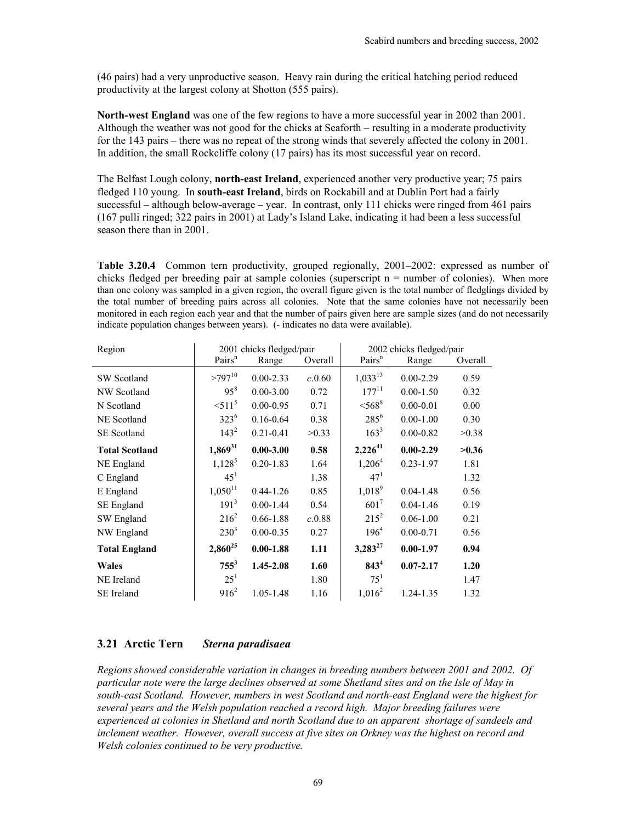(46 pairs) had a very unproductive season. Heavy rain during the critical hatching period reduced productivity at the largest colony at Shotton (555 pairs).

**North-west England** was one of the few regions to have a more successful year in 2002 than 2001. Although the weather was not good for the chicks at Seaforth – resulting in a moderate productivity for the 143 pairs – there was no repeat of the strong winds that severely affected the colony in 2001. In addition, the small Rockcliffe colony (17 pairs) has its most successful year on record.

The Belfast Lough colony, **north-east Ireland**, experienced another very productive year; 75 pairs fledged 110 young. In **south-east Ireland**, birds on Rockabill and at Dublin Port had a fairly successful – although below-average – year. In contrast, only 111 chicks were ringed from 461 pairs (167 pulli ringed; 322 pairs in 2001) at Lady's Island Lake, indicating it had been a less successful season there than in 2001.

**Table 3.20.4** Common tern productivity, grouped regionally, 2001–2002: expressed as number of chicks fledged per breeding pair at sample colonies (superscript  $n =$  number of colonies). When more than one colony was sampled in a given region, the overall figure given is the total number of fledglings divided by the total number of breeding pairs across all colonies. Note that the same colonies have not necessarily been monitored in each region each year and that the number of pairs given here are sample sizes (and do not necessarily indicate population changes between years). (- indicates no data were available).

| Region                | 2001 chicks fledged/pair |               |         | 2002 chicks fledged/pair |               |         |  |
|-----------------------|--------------------------|---------------|---------|--------------------------|---------------|---------|--|
|                       | Pairs <sup>n</sup>       | Range         | Overall | Pairs <sup>n</sup>       | Range         | Overall |  |
| SW Scotland           | $>797^{10}$              | $0.00 - 2.33$ | c.0.60  | $1,033^{13}$             | $0.00 - 2.29$ | 0.59    |  |
| NW Scotland           | $95^{8}$                 | $0.00 - 3.00$ | 0.72    | $177^{11}$               | $0.00 - 1.50$ | 0.32    |  |
| N Scotland            | $511^5$                  | $0.00 - 0.95$ | 0.71    | $< 568^8$                | $0.00 - 0.01$ | 0.00    |  |
| NE Scotland           | $323^{6}$                | $0.16 - 0.64$ | 0.38    | $285^{6}$                | $0.00 - 1.00$ | 0.30    |  |
| <b>SE</b> Scotland    | $143^2$                  | $0.21 - 0.41$ | >0.33   | $163^3$                  | $0.00 - 0.82$ | >0.38   |  |
| <b>Total Scotland</b> | $1,869^{31}$             | $0.00 - 3.00$ | 0.58    | $2,226^{41}$             | $0.00 - 2.29$ | >0.36   |  |
| NE England            | $1,128^5$                | $0.20 - 1.83$ | 1.64    | $1,206^4$                | $0.23 - 1.97$ | 1.81    |  |
| C England             | 45 <sup>1</sup>          |               | 1.38    | 47 <sup>1</sup>          |               | 1.32    |  |
| E England             | $1,050^{11}$             | $0.44 - 1.26$ | 0.85    | $1,018^9$                | $0.04 - 1.48$ | 0.56    |  |
| SE England            | $191^3$                  | $0.00 - 1.44$ | 0.54    | 601'                     | $0.04 - 1.46$ | 0.19    |  |
| SW England            | $216^2$                  | $0.66 - 1.88$ | c.0.88  | $215^2$                  | $0.06 - 1.00$ | 0.21    |  |
| NW England            | $230^3$                  | $0.00 - 0.35$ | 0.27    | $196^{4}$                | $0.00 - 0.71$ | 0.56    |  |
| <b>Total England</b>  | $2,860^{25}$             | $0.00 - 1.88$ | 1.11    | $3,283^{27}$             | $0.00 - 1.97$ | 0.94    |  |
| <b>Wales</b>          | $755^3$                  | 1.45-2.08     | 1.60    | $843^4$                  | $0.07 - 2.17$ | 1.20    |  |
| NE Ireland            | $25^{1}$                 |               | 1.80    | $75^1$                   |               | 1.47    |  |
| SE Ireland            | $916^2$                  | 1.05-1.48     | 1.16    | $1,016^2$                | 1.24-1.35     | 1.32    |  |

## **3.21 Arctic Tern** *Sterna paradisaea*

*Regions showed considerable variation in changes in breeding numbers between 2001 and 2002. Of particular note were the large declines observed at some Shetland sites and on the Isle of May in south-east Scotland. However, numbers in west Scotland and north-east England were the highest for several years and the Welsh population reached a record high. Major breeding failures were experienced at colonies in Shetland and north Scotland due to an apparent shortage of sandeels and inclement weather. However, overall success at five sites on Orkney was the highest on record and Welsh colonies continued to be very productive.*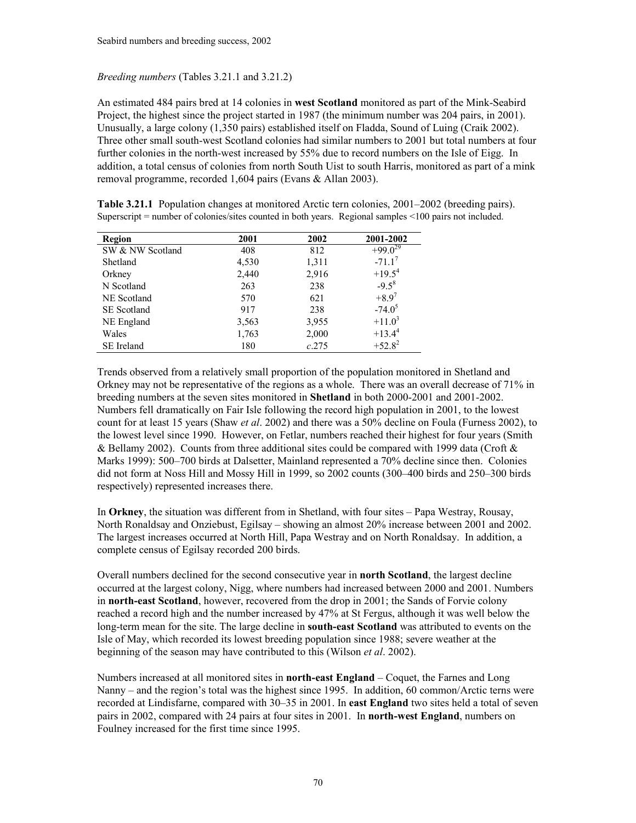## *Breeding numbers* (Tables 3.21.1 and 3.21.2)

An estimated 484 pairs bred at 14 colonies in **west Scotland** monitored as part of the Mink-Seabird Project, the highest since the project started in 1987 (the minimum number was 204 pairs, in 2001). Unusually, a large colony (1,350 pairs) established itself on Fladda, Sound of Luing (Craik 2002). Three other small south-west Scotland colonies had similar numbers to 2001 but total numbers at four further colonies in the north-west increased by 55% due to record numbers on the Isle of Eigg. In addition, a total census of colonies from north South Uist to south Harris, monitored as part of a mink removal programme, recorded 1,604 pairs (Evans & Allan 2003).

| <b>Table 3.21.1</b> Population changes at monitored Arctic tern colonies, 2001–2002 (breeding pairs).           |
|-----------------------------------------------------------------------------------------------------------------|
| Superscript $=$ number of colonies/sites counted in both years. Regional samples $\leq 100$ pairs not included. |

| Region             | 2001  | 2002  | 2001-2002    |
|--------------------|-------|-------|--------------|
| SW & NW Scotland   | 408   | 812   | $+99.0^{29}$ |
| Shetland           | 4,530 | 1,311 | $-71.1'$     |
| Orkney             | 2,440 | 2,916 | $+19.5^4$    |
| N Scotland         | 263   | 238   | $-9.5^8$     |
| NE Scotland        | 570   | 621   | $+8.9^{7}$   |
| <b>SE</b> Scotland | 917   | 238   | $-74.0^{5}$  |
| NE England         | 3,563 | 3,955 | $+11.0^3$    |
| Wales              | 1,763 | 2,000 | $+13.4^4$    |
| SE Ireland         | 180   | c.275 | $+52.8^{2}$  |

Trends observed from a relatively small proportion of the population monitored in Shetland and Orkney may not be representative of the regions as a whole. There was an overall decrease of 71% in breeding numbers at the seven sites monitored in **Shetland** in both 2000-2001 and 2001-2002. Numbers fell dramatically on Fair Isle following the record high population in 2001, to the lowest count for at least 15 years (Shaw *et al*. 2002) and there was a 50% decline on Foula (Furness 2002), to the lowest level since 1990. However, on Fetlar, numbers reached their highest for four years (Smith & Bellamy 2002). Counts from three additional sites could be compared with 1999 data (Croft  $\&$ Marks 1999): 500–700 birds at Dalsetter, Mainland represented a 70% decline since then. Colonies did not form at Noss Hill and Mossy Hill in 1999, so 2002 counts (300–400 birds and 250–300 birds respectively) represented increases there.

In **Orkney**, the situation was different from in Shetland, with four sites – Papa Westray, Rousay, North Ronaldsay and Onziebust, Egilsay – showing an almost 20% increase between 2001 and 2002. The largest increases occurred at North Hill, Papa Westray and on North Ronaldsay. In addition, a complete census of Egilsay recorded 200 birds.

Overall numbers declined for the second consecutive year in **north Scotland**, the largest decline occurred at the largest colony, Nigg, where numbers had increased between 2000 and 2001. Numbers in **north-east Scotland**, however, recovered from the drop in 2001; the Sands of Forvie colony reached a record high and the number increased by 47% at St Fergus, although it was well below the long-term mean for the site. The large decline in **south-east Scotland** was attributed to events on the Isle of May, which recorded its lowest breeding population since 1988; severe weather at the beginning of the season may have contributed to this (Wilson *et al*. 2002).

Numbers increased at all monitored sites in **north-east England** – Coquet, the Farnes and Long Nanny – and the region's total was the highest since 1995. In addition, 60 common/Arctic terns were recorded at Lindisfarne, compared with 30–35 in 2001. In **east England** two sites held a total of seven pairs in 2002, compared with 24 pairs at four sites in 2001. In **north-west England**, numbers on Foulney increased for the first time since 1995.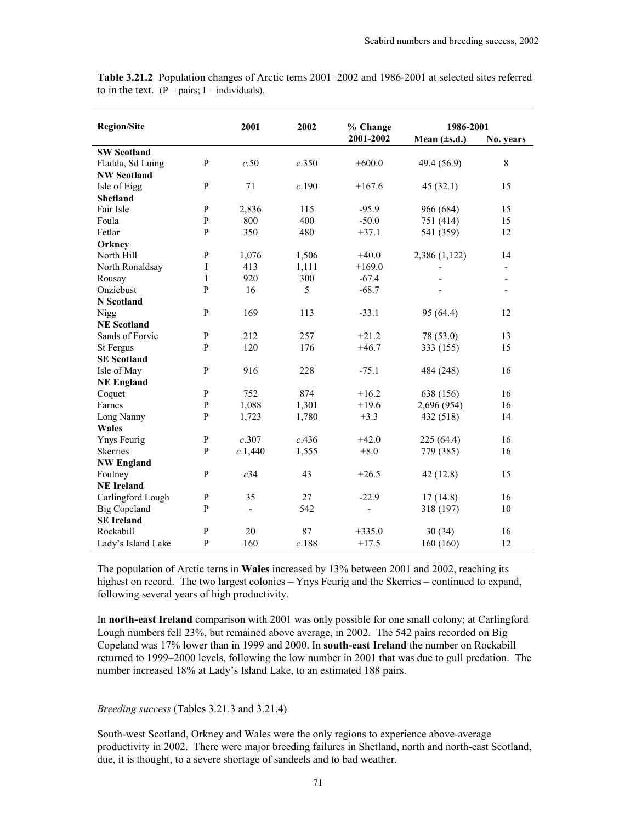|                     |              |         | 2002  |                |                   |                |
|---------------------|--------------|---------|-------|----------------|-------------------|----------------|
| <b>Region/Site</b>  |              | 2001    |       | % Change       | 1986-2001         |                |
|                     |              |         |       | 2001-2002      | Mean $(\pm s.d.)$ | No. years      |
| <b>SW Scotland</b>  |              |         |       |                |                   |                |
| Fladda, Sd Luing    | ${\bf P}$    | c.50    | c.350 | $+600.0$       | 49.4 (56.9)       | 8              |
| <b>NW Scotland</b>  |              |         |       |                |                   |                |
| Isle of Eigg        | $\mathbf{p}$ | 71      | c.190 | $+167.6$       | 45(32.1)          | 15             |
| <b>Shetland</b>     |              |         |       |                |                   |                |
| Fair Isle           | P            | 2,836   | 115   | $-95.9$        | 966 (684)         | 15             |
| Foula               | P            | 800     | 400   | $-50.0$        | 751 (414)         | 15             |
| Fetlar              | ${\bf P}$    | 350     | 480   | $+37.1$        | 541 (359)         | 12             |
| Orkney              |              |         |       |                |                   |                |
| North Hill          | ${\bf P}$    | 1,076   | 1,506 | $+40.0$        | 2,386 (1,122)     | 14             |
| North Ronaldsay     | I            | 413     | 1,111 | $+169.0$       |                   |                |
| Rousay              | T            | 920     | 300   | $-67.4$        |                   | $\blacksquare$ |
| Onziebust           | P            | 16      | 5     | $-68.7$        |                   | ÷,             |
| <b>N</b> Scotland   |              |         |       |                |                   |                |
| <b>Nigg</b>         | $\mathbf{P}$ | 169     | 113   | $-33.1$        | 95 (64.4)         | 12             |
| <b>NE</b> Scotland  |              |         |       |                |                   |                |
| Sands of Forvie     | $\mathbf{P}$ | 212     | 257   | $+21.2$        | 78 (53.0)         | 13             |
| St Fergus           | P            | 120     | 176   | $+46.7$        | 333 (155)         | 15             |
| <b>SE Scotland</b>  |              |         |       |                |                   |                |
| Isle of May         | P            | 916     | 228   | $-75.1$        | 484 (248)         | 16             |
| <b>NE England</b>   |              |         |       |                |                   |                |
| Coquet              | P            | 752     | 874   | $+16.2$        | 638 (156)         | 16             |
| Farnes              | ${\bf P}$    | 1,088   | 1,301 | $+19.6$        | 2,696 (954)       | 16             |
| Long Nanny          | $\, {\bf p}$ | 1,723   | 1,780 | $+3.3$         | 432 (518)         | 14             |
| <b>Wales</b>        |              |         |       |                |                   |                |
| Ynys Feurig         | $\mathbf{P}$ | c.307   | c.436 | $+42.0$        | 225(64.4)         | 16             |
| <b>Skerries</b>     | $\mathbf{P}$ | c.1,440 | 1,555 | $+8.0$         | 779 (385)         | 16             |
| <b>NW England</b>   |              |         |       |                |                   |                |
| Foulney             | ${\bf P}$    | c34     | 43    | $+26.5$        | 42 (12.8)         | 15             |
| <b>NE</b> Ireland   |              |         |       |                |                   |                |
| Carlingford Lough   | $\mathbf P$  | 35      | 27    | $-22.9$        | 17(14.8)          | 16             |
| <b>Big Copeland</b> | P            | L.      | 542   | $\blacksquare$ | 318 (197)         | 10             |
| <b>SE</b> Ireland   |              |         |       |                |                   |                |
| Rockabill           | ${\bf P}$    | 20      | 87    | $+335.0$       | 30(34)            | 16             |
| Lady's Island Lake  | P            | 160     | c.188 | $+17.5$        | 160 (160)         | 12             |

**Table 3.21.2** Population changes of Arctic terns 2001–2002 and 1986-2001 at selected sites referred to in the text.  $(P = pairs; I = individuals)$ .

The population of Arctic terns in **Wales** increased by 13% between 2001 and 2002, reaching its highest on record. The two largest colonies – Ynys Feurig and the Skerries – continued to expand, following several years of high productivity.

In **north-east Ireland** comparison with 2001 was only possible for one small colony; at Carlingford Lough numbers fell 23%, but remained above average, in 2002. The 542 pairs recorded on Big Copeland was 17% lower than in 1999 and 2000. In **south-east Ireland** the number on Rockabill returned to 1999–2000 levels, following the low number in 2001 that was due to gull predation. The number increased 18% at Lady's Island Lake, to an estimated 188 pairs.

*Breeding success* (Tables 3.21.3 and 3.21.4)

South-west Scotland, Orkney and Wales were the only regions to experience above-average productivity in 2002. There were major breeding failures in Shetland, north and north-east Scotland, due, it is thought, to a severe shortage of sandeels and to bad weather.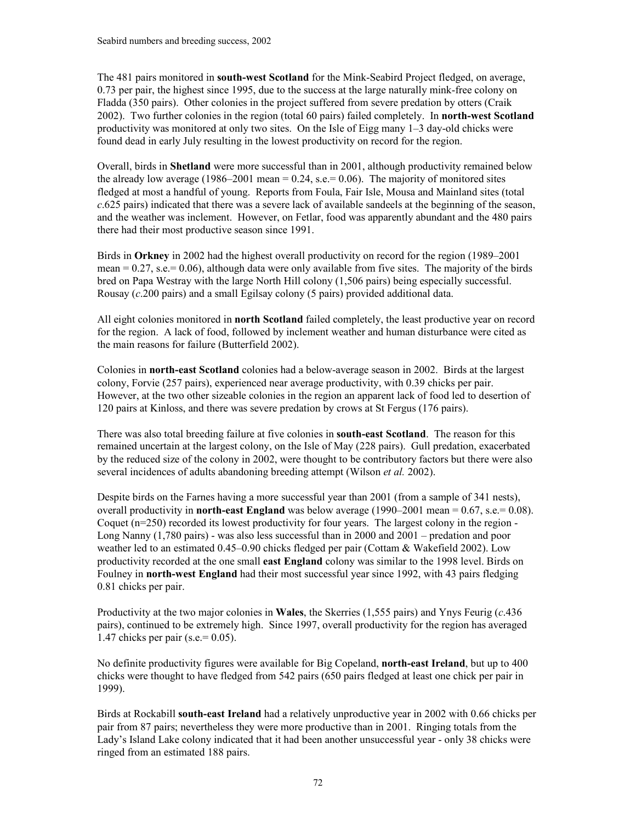The 481 pairs monitored in **south-west Scotland** for the Mink-Seabird Project fledged, on average, 0.73 per pair, the highest since 1995, due to the success at the large naturally mink-free colony on Fladda (350 pairs). Other colonies in the project suffered from severe predation by otters (Craik 2002). Two further colonies in the region (total 60 pairs) failed completely. In **north-west Scotland** productivity was monitored at only two sites. On the Isle of Eigg many 1–3 day-old chicks were found dead in early July resulting in the lowest productivity on record for the region.

Overall, birds in **Shetland** were more successful than in 2001, although productivity remained below the already low average (1986–2001 mean  $= 0.24$ , s.e.  $= 0.06$ ). The majority of monitored sites fledged at most a handful of young. Reports from Foula, Fair Isle, Mousa and Mainland sites (total *c*.625 pairs) indicated that there was a severe lack of available sandeels at the beginning of the season, and the weather was inclement. However, on Fetlar, food was apparently abundant and the 480 pairs there had their most productive season since 1991.

Birds in **Orkney** in 2002 had the highest overall productivity on record for the region (1989–2001 mean = 0.27, s.e.= 0.06), although data were only available from five sites. The majority of the birds bred on Papa Westray with the large North Hill colony (1,506 pairs) being especially successful. Rousay (*c*.200 pairs) and a small Egilsay colony (5 pairs) provided additional data.

All eight colonies monitored in **north Scotland** failed completely, the least productive year on record for the region. A lack of food, followed by inclement weather and human disturbance were cited as the main reasons for failure (Butterfield 2002).

Colonies in **north-east Scotland** colonies had a below-average season in 2002. Birds at the largest colony, Forvie (257 pairs), experienced near average productivity, with 0.39 chicks per pair. However, at the two other sizeable colonies in the region an apparent lack of food led to desertion of 120 pairs at Kinloss, and there was severe predation by crows at St Fergus (176 pairs).

There was also total breeding failure at five colonies in **south-east Scotland**. The reason for this remained uncertain at the largest colony, on the Isle of May (228 pairs). Gull predation, exacerbated by the reduced size of the colony in 2002, were thought to be contributory factors but there were also several incidences of adults abandoning breeding attempt (Wilson *et al.* 2002).

Despite birds on the Farnes having a more successful year than 2001 (from a sample of 341 nests), overall productivity in **north-east England** was below average (1990–2001 mean =  $0.67$ , s.e.  $= 0.08$ ). Coquet (n=250) recorded its lowest productivity for four years. The largest colony in the region - Long Nanny (1,780 pairs) - was also less successful than in 2000 and 2001 – predation and poor weather led to an estimated 0.45–0.90 chicks fledged per pair (Cottam & Wakefield 2002). Low productivity recorded at the one small **east England** colony was similar to the 1998 level. Birds on Foulney in **north-west England** had their most successful year since 1992, with 43 pairs fledging 0.81 chicks per pair.

Productivity at the two major colonies in **Wales**, the Skerries (1,555 pairs) and Ynys Feurig (*c*.436 pairs), continued to be extremely high. Since 1997, overall productivity for the region has averaged 1.47 chicks per pair (s.e.  $= 0.05$ ).

No definite productivity figures were available for Big Copeland, **north-east Ireland**, but up to 400 chicks were thought to have fledged from 542 pairs (650 pairs fledged at least one chick per pair in 1999).

Birds at Rockabill **south-east Ireland** had a relatively unproductive year in 2002 with 0.66 chicks per pair from 87 pairs; nevertheless they were more productive than in 2001. Ringing totals from the Lady's Island Lake colony indicated that it had been another unsuccessful year - only 38 chicks were ringed from an estimated 188 pairs.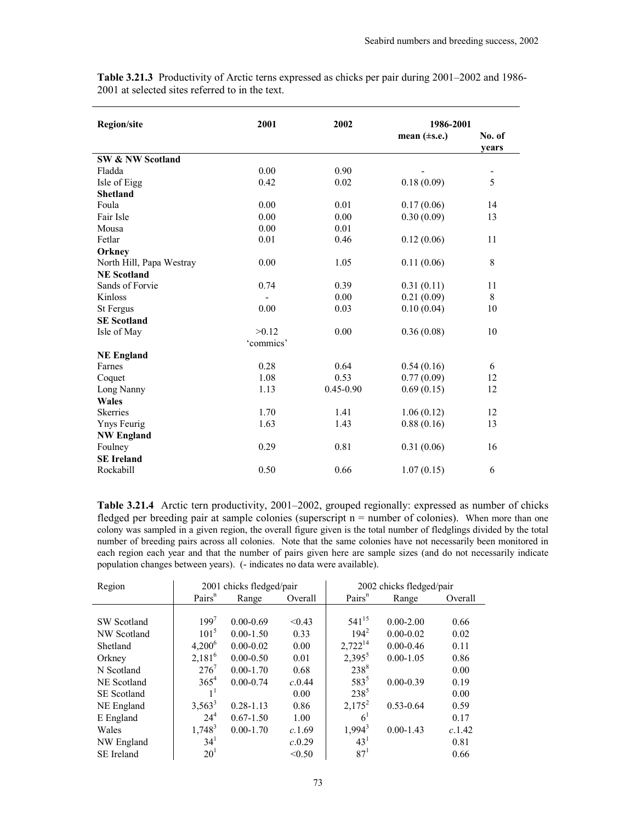| <b>Region/site</b>       | 2001      | 2002          | 1986-2001         |                 |  |
|--------------------------|-----------|---------------|-------------------|-----------------|--|
|                          |           |               | mean $(\pm s.e.)$ | No. of<br>years |  |
| SW & NW Scotland         |           |               |                   |                 |  |
| Fladda                   | 0.00      | 0.90          |                   |                 |  |
| Isle of Eigg             | 0.42      | 0.02          | 0.18(0.09)        | 5               |  |
| <b>Shetland</b>          |           |               |                   |                 |  |
| Foula                    | 0.00      | 0.01          | 0.17(0.06)        | 14              |  |
| Fair Isle                | 0.00      | 0.00          | 0.30(0.09)        | 13              |  |
| Mousa                    | 0.00      | 0.01          |                   |                 |  |
| Fetlar                   | 0.01      | 0.46          | 0.12(0.06)        | 11              |  |
| Orkney                   |           |               |                   |                 |  |
| North Hill, Papa Westray | 0.00      | 1.05          | 0.11(0.06)        | 8               |  |
| <b>NE</b> Scotland       |           |               |                   |                 |  |
| Sands of Forvie          | 0.74      | 0.39          | 0.31(0.11)        | 11              |  |
| <b>Kinloss</b>           |           | 0.00          | 0.21(0.09)        | 8               |  |
| St Fergus                | 0.00      | 0.03          | 0.10(0.04)        | 10              |  |
| <b>SE Scotland</b>       |           |               |                   |                 |  |
| Isle of May              | >0.12     | 0.00          | 0.36(0.08)        | 10              |  |
|                          | 'commics' |               |                   |                 |  |
| <b>NE</b> England        |           |               |                   |                 |  |
| Farnes                   | 0.28      | 0.64          | 0.54(0.16)        | 6               |  |
| Coquet                   | 1.08      | 0.53          | 0.77(0.09)        | 12              |  |
| Long Nanny               | 1.13      | $0.45 - 0.90$ | 0.69(0.15)        | 12              |  |
| <b>Wales</b>             |           |               |                   |                 |  |
| <b>Skerries</b>          | 1.70      | 1.41          | 1.06(0.12)        | 12              |  |
| Ynys Feurig              | 1.63      | 1.43          | 0.88(0.16)        | 13              |  |
| <b>NW England</b>        |           |               |                   |                 |  |
| Foulney                  | 0.29      | 0.81          | 0.31(0.06)        | 16              |  |
| <b>SE</b> Ireland        |           |               |                   |                 |  |
| Rockabill                | 0.50      | 0.66          | 1.07(0.15)        | 6               |  |

**Table 3.21.3** Productivity of Arctic terns expressed as chicks per pair during 2001–2002 and 1986- 2001 at selected sites referred to in the text.

**Table 3.21.4** Arctic tern productivity, 2001–2002, grouped regionally: expressed as number of chicks fledged per breeding pair at sample colonies (superscript  $n =$  number of colonies). When more than one colony was sampled in a given region, the overall figure given is the total number of fledglings divided by the total number of breeding pairs across all colonies. Note that the same colonies have not necessarily been monitored in each region each year and that the number of pairs given here are sample sizes (and do not necessarily indicate population changes between years). (- indicates no data were available).

| Region             | 2001 chicks fledged/pair |               |         |                    | 2002 chicks fledged/pair |         |
|--------------------|--------------------------|---------------|---------|--------------------|--------------------------|---------|
|                    | Pairs <sup>n</sup>       | Range         | Overall | Pairs <sup>n</sup> | Range                    | Overall |
|                    |                          |               |         |                    |                          |         |
| <b>SW</b> Scotland | $199^{7}$                | $0.00 - 0.69$ | < 0.43  | $541^{15}$         | $0.00 - 2.00$            | 0.66    |
| NW Scotland        | $101^5$                  | $0.00 - 1.50$ | 0.33    | $194^2$            | $0.00 - 0.02$            | 0.02    |
| Shetland           | $4,200^6$                | $0.00 - 0.02$ | 0.00    | $2,722^{14}$       | $0.00 - 0.46$            | 0.11    |
| Orkney             | $2,181^6$                | $0.00 - 0.50$ | 0.01    | $2,395^5$          | $0.00 - 1.05$            | 0.86    |
| N Scotland         | $276^7$                  | $0.00 - 1.70$ | 0.68    | $238^{8}$          |                          | 0.00    |
| NE Scotland        | $365^{4}$                | $0.00 - 0.74$ | c.0.44  | $583^{5}$          | $0.00 - 0.39$            | 0.19    |
| <b>SE</b> Scotland |                          |               | 0.00    | $238^{5}$          |                          | 0.00    |
| NE England         | $3,563^3$                | $0.28 - 1.13$ | 0.86    | $2,175^2$          | $0.53 - 0.64$            | 0.59    |
| E England          | $24^{4}$                 | $0.67 - 1.50$ | 1.00    | $6^1$              |                          | 0.17    |
| Wales              | $1,748^3$                | $0.00 - 1.70$ | c.1.69  | $1,994^3$          | $0.00 - 1.43$            | c.1.42  |
| NW England         | 34 <sup>1</sup>          |               | c.0.29  | 43 <sup>1</sup>    |                          | 0.81    |
| <b>SE</b> Ireland  | $20^{1}$                 |               | < 0.50  | $87^{1}$           |                          | 0.66    |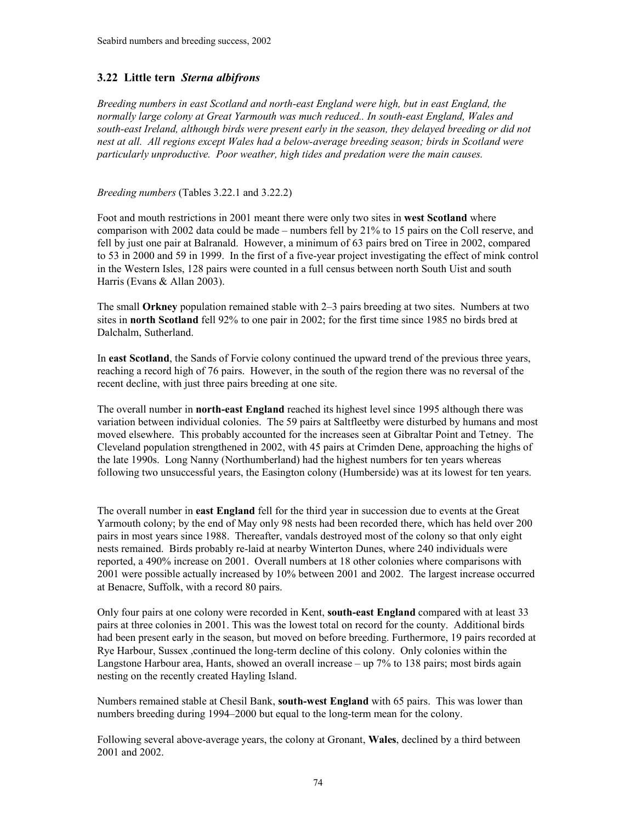# **3.22 Little tern** *Sterna albifrons*

*Breeding numbers in east Scotland and north-east England were high, but in east England, the normally large colony at Great Yarmouth was much reduced.. In south-east England, Wales and south-east Ireland, although birds were present early in the season, they delayed breeding or did not nest at all. All regions except Wales had a below-average breeding season; birds in Scotland were particularly unproductive. Poor weather, high tides and predation were the main causes.* 

### *Breeding numbers* (Tables 3.22.1 and 3.22.2)

Foot and mouth restrictions in 2001 meant there were only two sites in **west Scotland** where comparison with 2002 data could be made – numbers fell by 21% to 15 pairs on the Coll reserve, and fell by just one pair at Balranald. However, a minimum of 63 pairs bred on Tiree in 2002, compared to 53 in 2000 and 59 in 1999. In the first of a five-year project investigating the effect of mink control in the Western Isles, 128 pairs were counted in a full census between north South Uist and south Harris (Evans & Allan 2003).

The small **Orkney** population remained stable with 2–3 pairs breeding at two sites. Numbers at two sites in **north Scotland** fell 92% to one pair in 2002; for the first time since 1985 no birds bred at Dalchalm, Sutherland.

In **east Scotland**, the Sands of Forvie colony continued the upward trend of the previous three years, reaching a record high of 76 pairs. However, in the south of the region there was no reversal of the recent decline, with just three pairs breeding at one site.

The overall number in **north-east England** reached its highest level since 1995 although there was variation between individual colonies. The 59 pairs at Saltfleetby were disturbed by humans and most moved elsewhere. This probably accounted for the increases seen at Gibraltar Point and Tetney. The Cleveland population strengthened in 2002, with 45 pairs at Crimden Dene, approaching the highs of the late 1990s. Long Nanny (Northumberland) had the highest numbers for ten years whereas following two unsuccessful years, the Easington colony (Humberside) was at its lowest for ten years.

The overall number in **east England** fell for the third year in succession due to events at the Great Yarmouth colony; by the end of May only 98 nests had been recorded there, which has held over 200 pairs in most years since 1988. Thereafter, vandals destroyed most of the colony so that only eight nests remained. Birds probably re-laid at nearby Winterton Dunes, where 240 individuals were reported, a 490% increase on 2001. Overall numbers at 18 other colonies where comparisons with 2001 were possible actually increased by 10% between 2001 and 2002. The largest increase occurred at Benacre, Suffolk, with a record 80 pairs.

Only four pairs at one colony were recorded in Kent, **south-east England** compared with at least 33 pairs at three colonies in 2001. This was the lowest total on record for the county. Additional birds had been present early in the season, but moved on before breeding. Furthermore, 19 pairs recorded at Rye Harbour, Sussex ,continued the long-term decline of this colony. Only colonies within the Langstone Harbour area, Hants, showed an overall increase – up 7% to 138 pairs; most birds again nesting on the recently created Hayling Island.

Numbers remained stable at Chesil Bank, **south-west England** with 65 pairs. This was lower than numbers breeding during 1994–2000 but equal to the long-term mean for the colony.

Following several above-average years, the colony at Gronant, **Wales**, declined by a third between 2001 and 2002.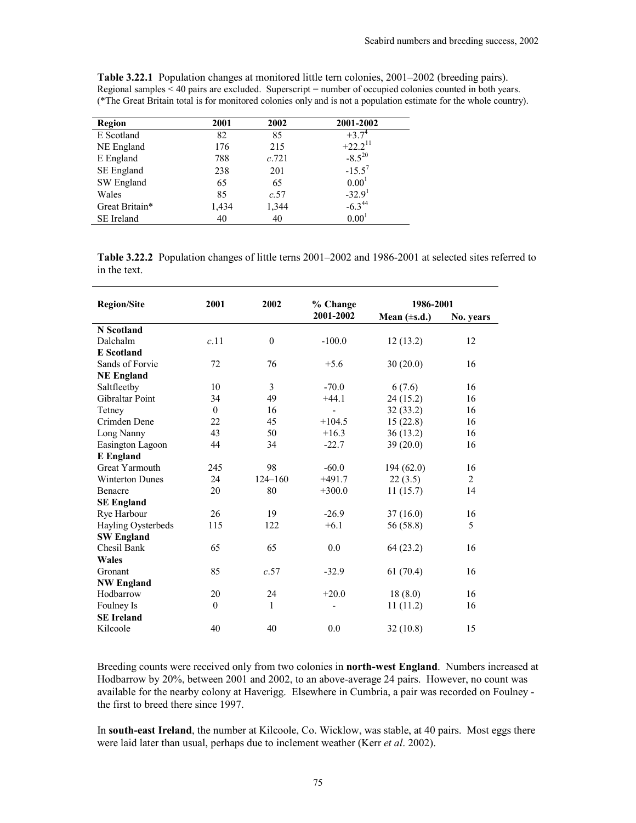**Table 3.22.1** Population changes at monitored little tern colonies, 2001–2002 (breeding pairs). Regional samples < 40 pairs are excluded. Superscript = number of occupied colonies counted in both years. (\*The Great Britain total is for monitored colonies only and is not a population estimate for the whole country).

| Region         | 2001  | 2002  | 2001-2002         |
|----------------|-------|-------|-------------------|
| E Scotland     | 82    | 85    | $+3.7^{4}$        |
| NE England     | 176   | 215   | $+22.2^{11}$      |
| E England      | 788   | c.721 | $-8.5^{20}$       |
| SE England     | 238   | 201   | $-15.5^{7}$       |
| SW England     | 65    | 65    | 0.00 <sup>1</sup> |
| Wales          | 85    | c.57  | $-32.91$          |
| Great Britain* | 1,434 | 1,344 | $-6.3^{44}$       |
| SE Ireland     | 40    | 40    | $0.00^{1}$        |

**Table 3.22.2** Population changes of little terns 2001–2002 and 1986-2001 at selected sites referred to in the text.

| <b>Region/Site</b>     | 2001         | 2002        | % Change       | 1986-2001         |                |
|------------------------|--------------|-------------|----------------|-------------------|----------------|
|                        |              |             | 2001-2002      | Mean $(\pm s.d.)$ | No. years      |
| N Scotland             |              |             |                |                   |                |
| Dalchalm               | c.11         | $\theta$    | $-100.0$       | 12(13.2)          | 12             |
| <b>E</b> Scotland      |              |             |                |                   |                |
| Sands of Forvie        | 72           | 76          | $+5.6$         | 30(20.0)          | 16             |
| <b>NE</b> England      |              |             |                |                   |                |
| Saltfleetby            | 10           | 3           | $-70.0$        | 6(7.6)            | 16             |
| Gibraltar Point        | 34           | 49          | $+44.1$        | 24 (15.2)         | 16             |
| Tetney                 | $\mathbf{0}$ | 16          | $\blacksquare$ | 32(33.2)          | 16             |
| Crimden Dene           | 22           | 45          | $+104.5$       | 15(22.8)          | 16             |
| Long Nanny             | 43           | 50          | $+16.3$        | 36(13.2)          | 16             |
| Easington Lagoon       | 44           | 34          | $-22.7$        | 39(20.0)          | 16             |
| <b>E</b> England       |              |             |                |                   |                |
| <b>Great Yarmouth</b>  | 245          | 98          | $-60.0$        | 194(62.0)         | 16             |
| <b>Winterton Dunes</b> | 24           | $124 - 160$ | $+491.7$       | 22(3.5)           | $\overline{2}$ |
| <b>Benacre</b>         | 20           | 80          | $+300.0$       | 11(15.7)          | 14             |
| <b>SE England</b>      |              |             |                |                   |                |
| Rye Harbour            | 26           | 19          | $-26.9$        | 37(16.0)          | 16             |
| Hayling Oysterbeds     | 115          | 122         | $+6.1$         | 56 (58.8)         | 5              |
| <b>SW England</b>      |              |             |                |                   |                |
| Chesil Bank            | 65           | 65          | 0.0            | 64(23.2)          | 16             |
| <b>Wales</b>           |              |             |                |                   |                |
| Gronant                | 85           | c.57        | $-32.9$        | 61(70.4)          | 16             |
| <b>NW England</b>      |              |             |                |                   |                |
| Hodbarrow              | 20           | 24          | $+20.0$        | 18(8.0)           | 16             |
| Foulney Is             | $\theta$     | 1           |                | 11(11.2)          | 16             |
| <b>SE</b> Ireland      |              |             |                |                   |                |
| Kilcoole               | 40           | 40          | 0.0            | 32(10.8)          | 15             |

Breeding counts were received only from two colonies in **north-west England**. Numbers increased at Hodbarrow by 20%, between 2001 and 2002, to an above-average 24 pairs. However, no count was available for the nearby colony at Haverigg. Elsewhere in Cumbria, a pair was recorded on Foulney the first to breed there since 1997.

In **south-east Ireland**, the number at Kilcoole, Co. Wicklow, was stable, at 40 pairs. Most eggs there were laid later than usual, perhaps due to inclement weather (Kerr *et al*. 2002).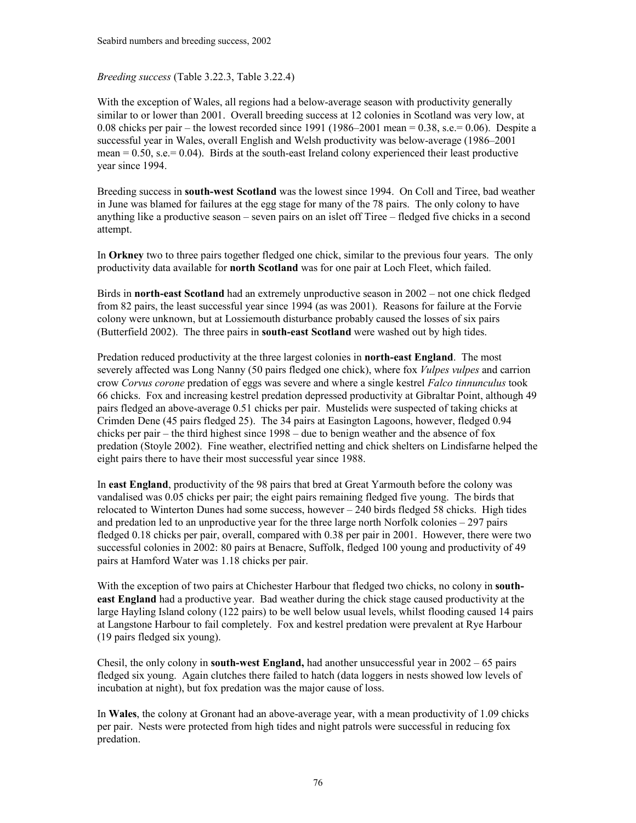*Breeding success* (Table 3.22.3, Table 3.22.4)

With the exception of Wales, all regions had a below-average season with productivity generally similar to or lower than 2001. Overall breeding success at 12 colonies in Scotland was very low, at 0.08 chicks per pair – the lowest recorded since 1991 (1986–2001 mean =  $0.38$ , s.e. =  $0.06$ ). Despite a successful year in Wales, overall English and Welsh productivity was below-average (1986–2001 mean  $= 0.50$ , s.e.  $= 0.04$ ). Birds at the south-east Ireland colony experienced their least productive year since 1994.

Breeding success in **south-west Scotland** was the lowest since 1994. On Coll and Tiree, bad weather in June was blamed for failures at the egg stage for many of the 78 pairs. The only colony to have anything like a productive season – seven pairs on an islet off Tiree – fledged five chicks in a second attempt.

In **Orkney** two to three pairs together fledged one chick, similar to the previous four years. The only productivity data available for **north Scotland** was for one pair at Loch Fleet, which failed.

Birds in **north-east Scotland** had an extremely unproductive season in 2002 – not one chick fledged from 82 pairs, the least successful year since 1994 (as was 2001). Reasons for failure at the Forvie colony were unknown, but at Lossiemouth disturbance probably caused the losses of six pairs (Butterfield 2002). The three pairs in **south-east Scotland** were washed out by high tides.

Predation reduced productivity at the three largest colonies in **north-east England**. The most severely affected was Long Nanny (50 pairs fledged one chick), where fox *Vulpes vulpes* and carrion crow *Corvus corone* predation of eggs was severe and where a single kestrel *Falco tinnunculus* took 66 chicks. Fox and increasing kestrel predation depressed productivity at Gibraltar Point, although 49 pairs fledged an above-average 0.51 chicks per pair. Mustelids were suspected of taking chicks at Crimden Dene (45 pairs fledged 25). The 34 pairs at Easington Lagoons, however, fledged 0.94 chicks per pair – the third highest since 1998 – due to benign weather and the absence of fox predation (Stoyle 2002). Fine weather, electrified netting and chick shelters on Lindisfarne helped the eight pairs there to have their most successful year since 1988.

In **east England**, productivity of the 98 pairs that bred at Great Yarmouth before the colony was vandalised was 0.05 chicks per pair; the eight pairs remaining fledged five young. The birds that relocated to Winterton Dunes had some success, however – 240 birds fledged 58 chicks. High tides and predation led to an unproductive year for the three large north Norfolk colonies – 297 pairs fledged 0.18 chicks per pair, overall, compared with 0.38 per pair in 2001. However, there were two successful colonies in 2002: 80 pairs at Benacre, Suffolk, fledged 100 young and productivity of 49 pairs at Hamford Water was 1.18 chicks per pair.

With the exception of two pairs at Chichester Harbour that fledged two chicks, no colony in **southeast England** had a productive year. Bad weather during the chick stage caused productivity at the large Hayling Island colony (122 pairs) to be well below usual levels, whilst flooding caused 14 pairs at Langstone Harbour to fail completely. Fox and kestrel predation were prevalent at Rye Harbour (19 pairs fledged six young).

Chesil, the only colony in **south-west England,** had another unsuccessful year in 2002 – 65 pairs fledged six young. Again clutches there failed to hatch (data loggers in nests showed low levels of incubation at night), but fox predation was the major cause of loss.

In **Wales**, the colony at Gronant had an above-average year, with a mean productivity of 1.09 chicks per pair. Nests were protected from high tides and night patrols were successful in reducing fox predation.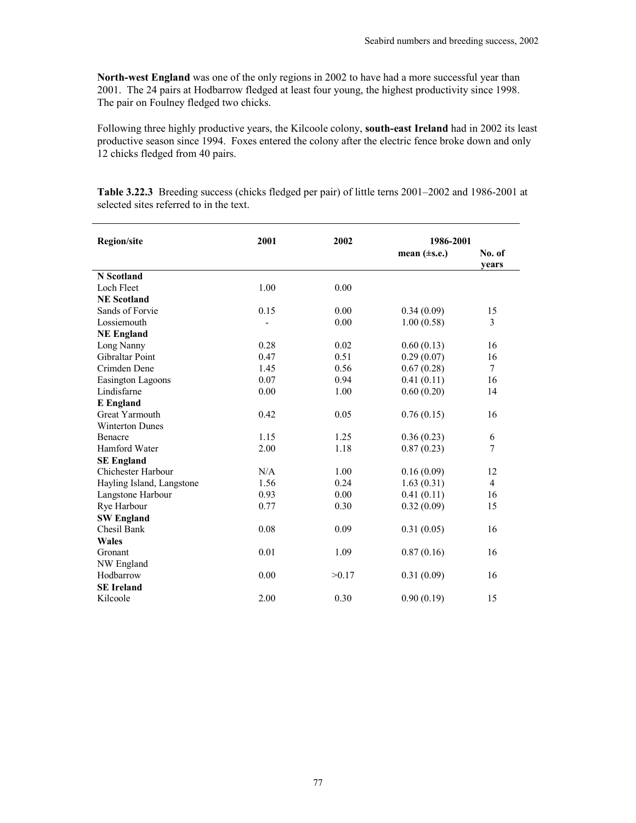**North-west England** was one of the only regions in 2002 to have had a more successful year than 2001. The 24 pairs at Hodbarrow fledged at least four young, the highest productivity since 1998. The pair on Foulney fledged two chicks.

Following three highly productive years, the Kilcoole colony, **south-east Ireland** had in 2002 its least productive season since 1994. Foxes entered the colony after the electric fence broke down and only 12 chicks fledged from 40 pairs.

**Table 3.22.3** Breeding success (chicks fledged per pair) of little terns 2001–2002 and 1986-2001 at selected sites referred to in the text.

| <b>Region/site</b>        | 2001 | 2002  | 1986-2001         |                |
|---------------------------|------|-------|-------------------|----------------|
|                           |      |       | mean $(\pm s.e.)$ | No. of         |
|                           |      |       |                   | years          |
| N Scotland                |      |       |                   |                |
| Loch Fleet                | 1.00 | 0.00  |                   |                |
| <b>NE Scotland</b>        |      |       |                   |                |
| Sands of Forvie           | 0.15 | 0.00  | 0.34(0.09)        | 15             |
| Lossiemouth               |      | 0.00  | 1.00(0.58)        | 3              |
| <b>NE</b> England         |      |       |                   |                |
| Long Nanny                | 0.28 | 0.02  | 0.60(0.13)        | 16             |
| Gibraltar Point           | 0.47 | 0.51  | 0.29(0.07)        | 16             |
| Crimden Dene              | 1.45 | 0.56  | 0.67(0.28)        | 7              |
| Easington Lagoons         | 0.07 | 0.94  | 0.41(0.11)        | 16             |
| Lindisfarne               | 0.00 | 1.00  | 0.60(0.20)        | 14             |
| <b>E</b> England          |      |       |                   |                |
| Great Yarmouth            | 0.42 | 0.05  | 0.76(0.15)        | 16             |
| <b>Winterton Dunes</b>    |      |       |                   |                |
| Benacre                   | 1.15 | 1.25  | 0.36(0.23)        | 6              |
| Hamford Water             | 2.00 | 1.18  | 0.87(0.23)        | 7              |
| <b>SE England</b>         |      |       |                   |                |
| Chichester Harbour        | N/A  | 1.00  | 0.16(0.09)        | 12             |
| Hayling Island, Langstone | 1.56 | 0.24  | 1.63(0.31)        | $\overline{4}$ |
| Langstone Harbour         | 0.93 | 0.00  | 0.41(0.11)        | 16             |
| Rye Harbour               | 0.77 | 0.30  | 0.32(0.09)        | 15             |
| <b>SW England</b>         |      |       |                   |                |
| Chesil Bank               | 0.08 | 0.09  | 0.31(0.05)        | 16             |
| <b>Wales</b>              |      |       |                   |                |
| Gronant                   | 0.01 | 1.09  | 0.87(0.16)        | 16             |
| NW England                |      |       |                   |                |
| Hodbarrow                 | 0.00 | >0.17 | 0.31(0.09)        | 16             |
| <b>SE</b> Ireland         |      |       |                   |                |
| Kilcoole                  | 2.00 | 0.30  | 0.90(0.19)        | 15             |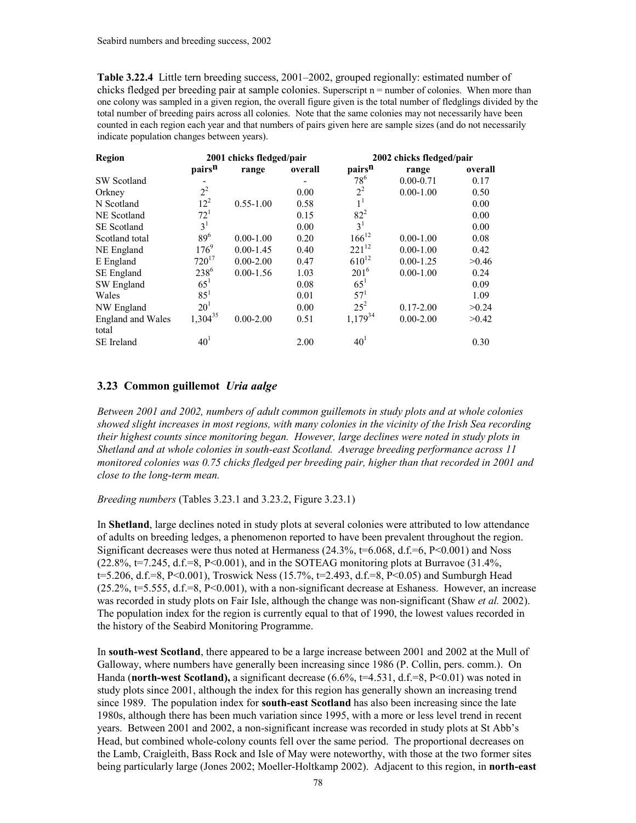**Table 3.22.4** Little tern breeding success, 2001–2002, grouped regionally: estimated number of chicks fledged per breeding pair at sample colonies. Superscript n = number of colonies. When more than one colony was sampled in a given region, the overall figure given is the total number of fledglings divided by the total number of breeding pairs across all colonies. Note that the same colonies may not necessarily have been counted in each region each year and that numbers of pairs given here are sample sizes (and do not necessarily indicate population changes between years).

| Region                   |                    | 2001 chicks fledged/pair |         | 2002 chicks fledged/pair |               |         |  |
|--------------------------|--------------------|--------------------------|---------|--------------------------|---------------|---------|--|
|                          | pairs <sup>n</sup> | range                    | overall | pairs <sup>n</sup>       | range         | overall |  |
| <b>SW</b> Scotland       |                    |                          |         | 78 <sup>6</sup>          | $0.00 - 0.71$ | 0.17    |  |
| Orkney                   | $2^2$              |                          | 0.00    | $2^2$                    | $0.00 - 1.00$ | 0.50    |  |
| N Scotland               | $12^{2}$           | $0.55 - 1.00$            | 0.58    | 1 <sup>1</sup>           |               | 0.00    |  |
| NE Scotland              | $72^{1}$           |                          | 0.15    | $82^{2}$                 |               | 0.00    |  |
| <b>SE</b> Scotland       | 3 <sup>1</sup>     |                          | 0.00    | 3 <sup>1</sup>           |               | 0.00    |  |
| Scotland total           | $89^{6}$           | $0.00 - 1.00$            | 0.20    | $166^{12}$               | $0.00 - 1.00$ | 0.08    |  |
| NE England               | $176^9$            | $0.00 - 1.45$            | 0.40    | $221^{12}$               | $0.00 - 1.00$ | 0.42    |  |
| E England                | $720^{17}$         | $0.00 - 2.00$            | 0.47    | $610^{12}$               | $0.00 - 1.25$ | >0.46   |  |
| SE England               | 238 <sup>6</sup>   | $0.00 - 1.56$            | 1.03    | $201^6$                  | $0.00 - 1.00$ | 0.24    |  |
| SW England               | $65^1$             |                          | 0.08    | $65^1$                   |               | 0.09    |  |
| Wales                    | 85 <sup>1</sup>    |                          | 0.01    | 57 <sup>1</sup>          |               | 1.09    |  |
| NW England               | $20^{1}$           |                          | 0.00    | $25^{2}$                 | $0.17 - 2.00$ | >0.24   |  |
| <b>England and Wales</b> | $1,304^{35}$       | $0.00 - 2.00$            | 0.51    | $1,179^{34}$             | $0.00 - 2.00$ | >0.42   |  |
| total                    |                    |                          |         |                          |               |         |  |
| SE Ireland               | 40 <sup>1</sup>    |                          | 2.00    | 40 <sup>1</sup>          |               | 0.30    |  |

# **3.23 Common guillemot** *Uria aalge*

*Between 2001 and 2002, numbers of adult common guillemots in study plots and at whole colonies showed slight increases in most regions, with many colonies in the vicinity of the Irish Sea recording their highest counts since monitoring began. However, large declines were noted in study plots in Shetland and at whole colonies in south-east Scotland. Average breeding performance across 11 monitored colonies was 0.75 chicks fledged per breeding pair, higher than that recorded in 2001 and close to the long-term mean.* 

*Breeding numbers* (Tables 3.23.1 and 3.23.2, Figure 3.23.1)

In **Shetland**, large declines noted in study plots at several colonies were attributed to low attendance of adults on breeding ledges, a phenomenon reported to have been prevalent throughout the region. Significant decreases were thus noted at Hermaness ( $24.3\%$ ,  $t=6.068$ , d.f. $=6$ , P<0.001) and Noss  $(22.8\%, t=7.245, d.f.=8, P<0.001)$ , and in the SOTEAG monitoring plots at Burravoe  $(31.4\%$ , t=5.206, d.f.=8, P<0.001), Troswick Ness (15.7%, t=2.493, d.f.=8, P<0.05) and Sumburgh Head (25.2%, t=5.555, d.f.=8, P<0.001), with a non-significant decrease at Eshaness. However, an increase was recorded in study plots on Fair Isle, although the change was non-significant (Shaw *et al.* 2002). The population index for the region is currently equal to that of 1990, the lowest values recorded in the history of the Seabird Monitoring Programme.

In **south-west Scotland**, there appeared to be a large increase between 2001 and 2002 at the Mull of Galloway, where numbers have generally been increasing since 1986 (P. Collin, pers. comm.). On Handa (**north-west Scotland**), a significant decrease (6.6%, t=4.531, d.f.=8, P<0.01) was noted in study plots since 2001, although the index for this region has generally shown an increasing trend since 1989. The population index for **south-east Scotland** has also been increasing since the late 1980s, although there has been much variation since 1995, with a more or less level trend in recent years. Between 2001 and 2002, a non-significant increase was recorded in study plots at St Abb's Head, but combined whole-colony counts fell over the same period. The proportional decreases on the Lamb, Craigleith, Bass Rock and Isle of May were noteworthy, with those at the two former sites being particularly large (Jones 2002; Moeller-Holtkamp 2002). Adjacent to this region, in **north-east**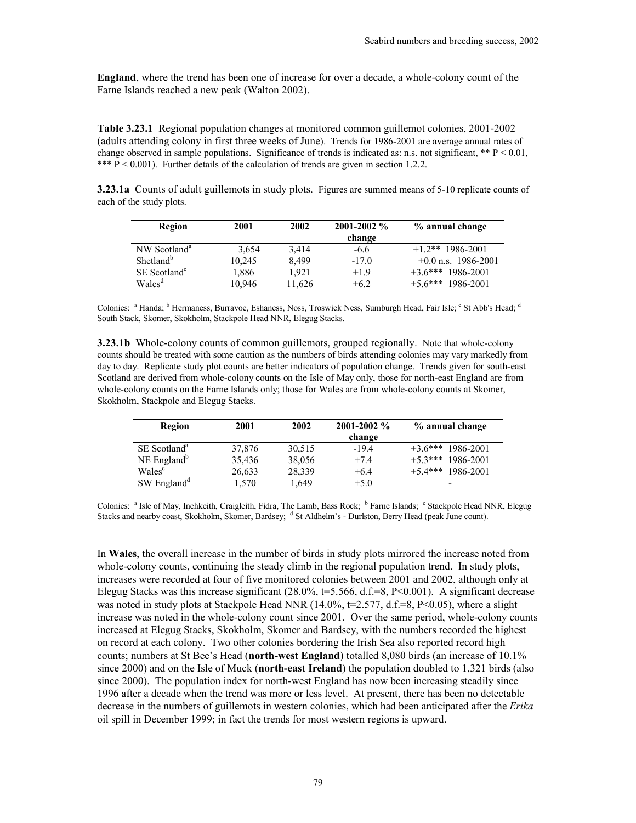**England**, where the trend has been one of increase for over a decade, a whole-colony count of the Farne Islands reached a new peak (Walton 2002).

**Table 3.23.1** Regional population changes at monitored common guillemot colonies, 2001-2002 (adults attending colony in first three weeks of June). Trends for 1986-2001 are average annual rates of change observed in sample populations. Significance of trends is indicated as: n.s. not significant, \*\*  $P < 0.01$ , \*\*\*  $P < 0.001$ ). Further details of the calculation of trends are given in section 1.2.2.

**3.23.1a** Counts of adult guillemots in study plots. Figures are summed means of 5-10 replicate counts of each of the study plots.

| Region                   | 2001   | 2002   | $2001 - 2002 \%$<br>change | % annual change        |
|--------------------------|--------|--------|----------------------------|------------------------|
| NW Scotland <sup>a</sup> | 3,654  | 3.414  | $-6.6$                     | $+1.2$ ** 1986-2001    |
| Shetland <sup>b</sup>    | 10,245 | 8,499  | $-17.0$                    | $+0.0$ n.s. 1986-2001  |
| SE Scotland <sup>c</sup> | 1,886  | 1.921  | $+1.9$                     | 1986-2001<br>$+3.6***$ |
| Wales <sup>d</sup>       | 10.946 | 11,626 | $+6.2$                     | 1986-2001<br>$+5.6***$ |

Colonies: <sup>a</sup> Handa; <sup>b</sup> Hermaness, Burravoe, Eshaness, Noss, Troswick Ness, Sumburgh Head, Fair Isle; ° St Abb's Head; <sup>d</sup> South Stack, Skomer, Skokholm, Stackpole Head NNR, Elegug Stacks.

**3.23.1b** Whole-colony counts of common guillemots, grouped regionally. Note that whole-colony counts should be treated with some caution as the numbers of birds attending colonies may vary markedly from day to day. Replicate study plot counts are better indicators of population change. Trends given for south-east Scotland are derived from whole-colony counts on the Isle of May only, those for north-east England are from whole-colony counts on the Farne Islands only; those for Wales are from whole-colony counts at Skomer, Skokholm, Stackpole and Elegug Stacks.

| Region                    | 2001   | 2002   | 2001-2002 % | % annual change        |
|---------------------------|--------|--------|-------------|------------------------|
|                           |        |        | change      |                        |
| SE Scotland <sup>a</sup>  | 37,876 | 30,515 | $-19.4$     | $+36***$<br>1986-2001  |
| $NE$ England <sup>b</sup> | 35,436 | 38,056 | $+7.4$      | $+5.3***$<br>1986-2001 |
| Wales <sup>c</sup>        | 26,633 | 28,339 | $+6.4$      | 1986-2001<br>$+54***$  |
| $SW$ England <sup>d</sup> | .570   | 1.649  | $+5.0$      | ۰                      |

Colonies: <sup>a</sup> Isle of May, Inchkeith, Craigleith, Fidra, The Lamb, Bass Rock; <sup>b</sup> Farne Islands; <sup>c</sup> Stackpole Head NNR, Elegug Stacks and nearby coast, Skokholm, Skomer, Bardsey; <sup>d</sup> St Aldhelm's - Durlston, Berry Head (peak June count).

In **Wales**, the overall increase in the number of birds in study plots mirrored the increase noted from whole-colony counts, continuing the steady climb in the regional population trend. In study plots, increases were recorded at four of five monitored colonies between 2001 and 2002, although only at Elegug Stacks was this increase significant  $(28.0\%$ , t=5.566, d.f.=8, P<0.001). A significant decrease was noted in study plots at Stackpole Head NNR  $(14.0\% , t=2.577, d.f.=8, P<0.05)$ , where a slight increase was noted in the whole-colony count since 2001. Over the same period, whole-colony counts increased at Elegug Stacks, Skokholm, Skomer and Bardsey, with the numbers recorded the highest on record at each colony. Two other colonies bordering the Irish Sea also reported record high counts; numbers at St Bee's Head (**north-west England**) totalled 8,080 birds (an increase of 10.1% since 2000) and on the Isle of Muck (**north-east Ireland**) the population doubled to 1,321 birds (also since 2000). The population index for north-west England has now been increasing steadily since 1996 after a decade when the trend was more or less level. At present, there has been no detectable decrease in the numbers of guillemots in western colonies, which had been anticipated after the *Erika*  oil spill in December 1999; in fact the trends for most western regions is upward.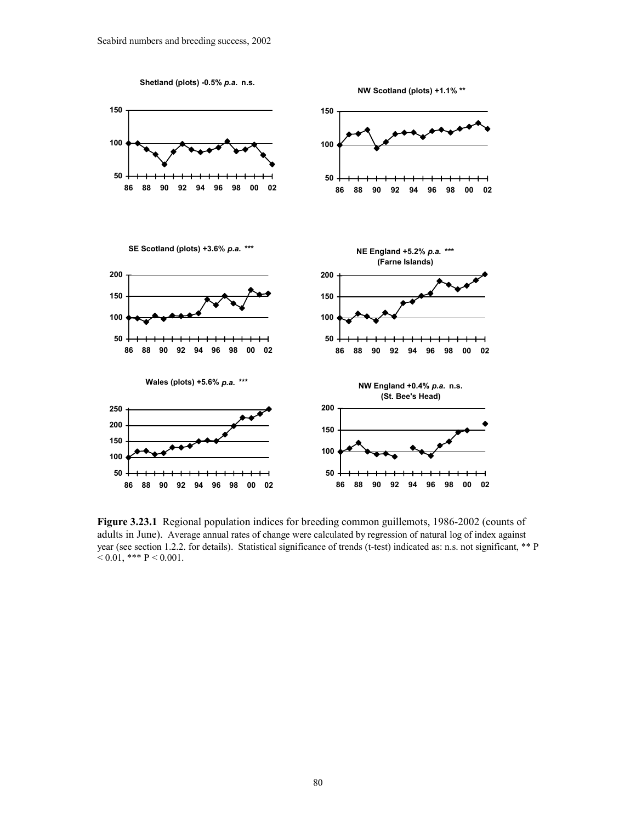

**Figure 3.23.1** Regional population indices for breeding common guillemots, 1986-2002 (counts of adults in June). Average annual rates of change were calculated by regression of natural log of index against year (see section 1.2.2. for details). Statistical significance of trends (t-test) indicated as: n.s. not significant, \*\* P  $< 0.01$ , \*\*\* P  $< 0.001$ .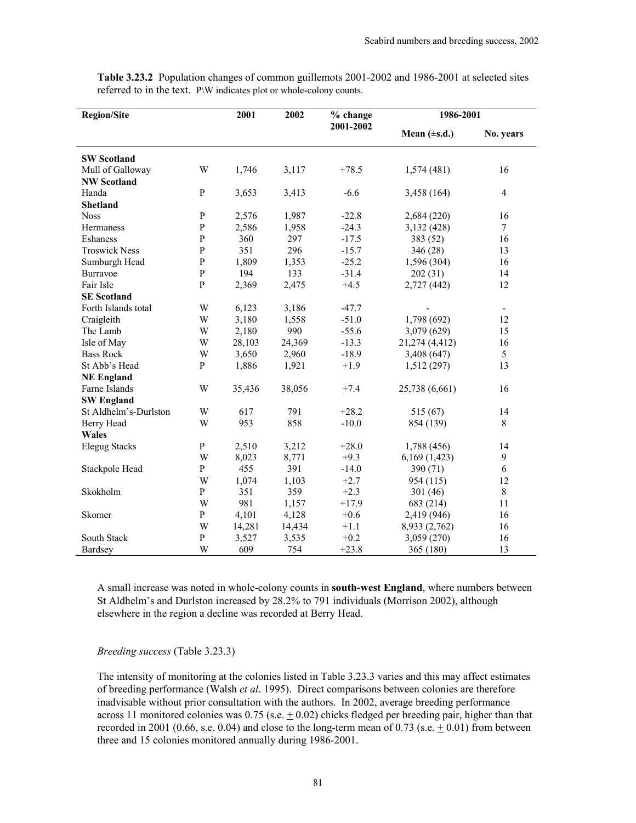| <b>Region/Site</b>    |              | 2001   | 2002   | % change  | 1986-2001         |                          |
|-----------------------|--------------|--------|--------|-----------|-------------------|--------------------------|
|                       |              |        |        | 2001-2002 | Mean $(\pm s.d.)$ | No. years                |
| <b>SW Scotland</b>    |              |        |        |           |                   |                          |
| Mull of Galloway      | W            | 1,746  | 3,117  | $+78.5$   | 1,574(481)        | 16                       |
| <b>NW Scotland</b>    |              |        |        |           |                   |                          |
| Handa                 | $\mathbf{P}$ | 3,653  | 3,413  | $-6.6$    | 3,458 (164)       | $\overline{4}$           |
| <b>Shetland</b>       |              |        |        |           |                   |                          |
| <b>Noss</b>           | $\mathbf{P}$ | 2,576  | 1,987  | $-22.8$   | 2,684 (220)       | 16                       |
| Hermaness             | $\mathbf{P}$ | 2,586  | 1,958  | $-24.3$   | 3,132 (428)       | $\tau$                   |
| Eshaness              | $\mathbf{P}$ | 360    | 297    | $-17.5$   | 383 (52)          | 16                       |
| <b>Troswick Ness</b>  | P            | 351    | 296    | $-15.7$   | 346 (28)          | 13                       |
| Sumburgh Head         | $\mathbf{P}$ | 1,809  | 1,353  | $-25.2$   | 1,596 (304)       | 16                       |
| Burravoe              | $\mathbf{P}$ | 194    | 133    | $-31.4$   | 202(31)           | 14                       |
| Fair Isle             | $\mathbf{P}$ | 2,369  | 2,475  | $+4.5$    | 2,727 (442)       | 12                       |
| <b>SE Scotland</b>    |              |        |        |           |                   |                          |
| Forth Islands total   | W            | 6,123  | 3,186  | $-47.7$   |                   | $\overline{\phantom{a}}$ |
| Craigleith            | W            | 3,180  | 1,558  | $-51.0$   | 1,798 (692)       | 12                       |
| The Lamb              | W            | 2,180  | 990    | $-55.6$   | 3,079 (629)       | 15                       |
| Isle of May           | W            | 28,103 | 24,369 | $-13.3$   | 21,274 (4,412)    | 16                       |
| <b>Bass Rock</b>      | W            | 3,650  | 2,960  | $-18.9$   | 3,408 (647)       | 5                        |
| St Abb's Head         | P            | 1,886  | 1,921  | $+1.9$    | 1,512 (297)       | 13                       |
| <b>NE</b> England     |              |        |        |           |                   |                          |
| Farne Islands         | W            | 35,436 | 38,056 | $+7.4$    | 25,738 (6,661)    | 16                       |
| <b>SW England</b>     |              |        |        |           |                   |                          |
| St Aldhelm's-Durlston | W            | 617    | 791    | $+28.2$   | 515 (67)          | 14                       |
| Berry Head            | W            | 953    | 858    | $-10.0$   | 854 (139)         | 8                        |
| Wales                 |              |        |        |           |                   |                          |
| <b>Elegug Stacks</b>  | ${\bf P}$    | 2,510  | 3,212  | $+28.0$   | 1,788 (456)       | 14                       |
|                       | W            | 8,023  | 8,771  | $+9.3$    | 6,169(1,423)      | 9                        |
| Stackpole Head        | ${\bf P}$    | 455    | 391    | $-14.0$   | 390 (71)          | 6                        |
|                       | W            | 1,074  | 1,103  | $+2.7$    | 954 (115)         | 12                       |
| Skokholm              | ${\bf P}$    | 351    | 359    | $+2.3$    | 301(46)           | $8\,$                    |
|                       | W            | 981    | 1,157  | $+17.9$   | 683 (214)         | 11                       |
| Skomer                | ${\bf P}$    | 4,101  | 4,128  | $+0.6$    | 2,419 (946)       | 16                       |
|                       | W            | 14,281 | 14,434 | $+1.1$    | 8,933 (2,762)     | 16                       |
| South Stack           | $\mathbf{P}$ | 3,527  | 3,535  | $+0.2$    | 3,059 (270)       | 16                       |
| Bardsey               | W            | 609    | 754    | $+23.8$   | 365 (180)         | 13                       |

**Table 3.23.2** Population changes of common guillemots 2001-2002 and 1986-2001 at selected sites referred to in the text. P\W indicates plot or whole-colony counts.

A small increase was noted in whole-colony counts in **south-west England**, where numbers between St Aldhelm's and Durlston increased by 28.2% to 791 individuals (Morrison 2002), although elsewhere in the region a decline was recorded at Berry Head.

### *Breeding success* (Table 3.23.3)

The intensity of monitoring at the colonies listed in Table 3.23.3 varies and this may affect estimates of breeding performance (Walsh *et al*. 1995). Direct comparisons between colonies are therefore inadvisable without prior consultation with the authors. In 2002, average breeding performance across 11 monitored colonies was 0.75 (s.e.  $\pm$  0.02) chicks fledged per breeding pair, higher than that recorded in 2001 (0.66, s.e. 0.04) and close to the long-term mean of 0.73 (s.e.  $\pm$  0.01) from between three and 15 colonies monitored annually during 1986-2001.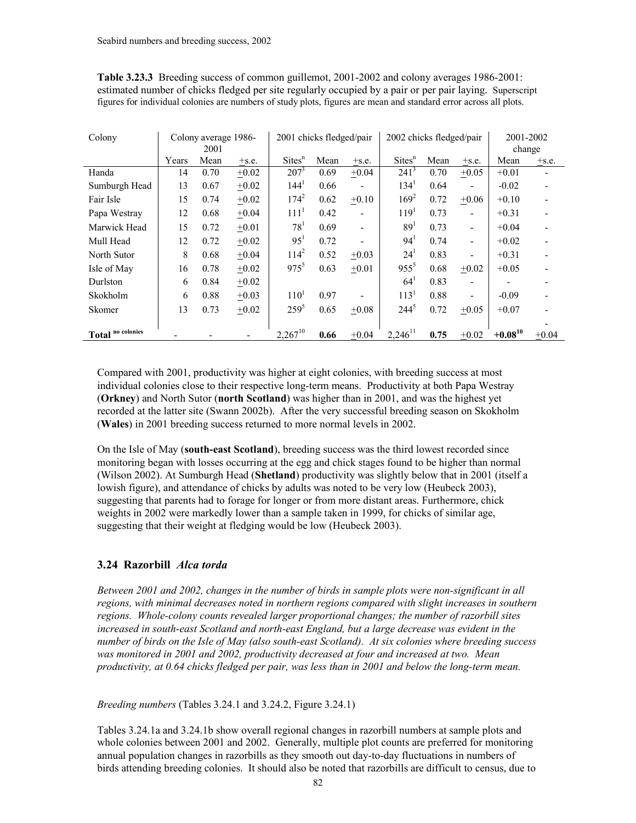| Colony                      | Colony average 1986-<br>2001 |      | 2001 chicks fledged/pair |                  | 2002 chicks fledged/pair |                |                  | 2001-2002<br>change |                          |              |                          |
|-----------------------------|------------------------------|------|--------------------------|------------------|--------------------------|----------------|------------------|---------------------|--------------------------|--------------|--------------------------|
|                             | Years                        | Mean | $+$ s.e.                 | $\text{Sites}^n$ | Mean                     | $+$ s.e.       | $\text{Sites}^n$ | Mean                | $+$ s.e.                 | Mean         | $\pm$ s.e.               |
| Handa                       | 14                           | 0.70 | $+0.02$                  | $207^3$          | 0.69                     | $+0.04$        | $241^3$          | 0.70                | $+0.05$                  | $+0.01$      |                          |
| Sumburgh Head               | 13                           | 0.67 | $+0.02$                  | $144^1$          | 0.66                     |                | 134 <sup>1</sup> | 0.64                | $\overline{a}$           | $-0.02$      |                          |
| Fair Isle                   | 15                           | 0.74 | $+0.02$                  | $174^2$          | 0.62                     | $+0.10$        | $169^2$          | 0.72                | $+0.06$                  | $+0.10$      | $\overline{\phantom{a}}$ |
| Papa Westray                | 12                           | 0.68 | $+0.04$                  | 111 <sup>1</sup> | 0.42                     |                | 119 <sup>1</sup> | 0.73                | $\blacksquare$           | $+0.31$      |                          |
| Marwick Head                | 15                           | 0.72 | $+0.01$                  | $78^{1}$         | 0.69                     | $\blacksquare$ | 89 <sup>1</sup>  | 0.73                | -                        | $+0.04$      |                          |
| Mull Head                   | 12                           | 0.72 | $+0.02$                  | $95^1$           | 0.72                     |                | 94 <sup>1</sup>  | 0.74                | $\overline{\phantom{0}}$ | $+0.02$      |                          |
| North Sutor                 | 8                            | 0.68 | ±0.04                    | $114^{2}$        | 0.52                     | $\pm 0.03$     | $24^{1}$         | 0.83                | ÷,                       | $+0.31$      |                          |
| Isle of May                 | 16                           | 0.78 | $+0.02$                  | $975^5$          | 0.63                     | $+0.01$        | $955^5$          | 0.68                | $+0.02$                  | $+0.05$      |                          |
| Durlston                    | 6                            | 0.84 | $+0.02$                  |                  |                          |                | $64^{1}$         | 0.83                | $\overline{\phantom{a}}$ |              |                          |
| Skokholm                    | 6                            | 0.88 | $+0.03$                  | $110^{1}$        | 0.97                     |                | 113 <sup>1</sup> | 0.88                |                          | $-0.09$      |                          |
| Skomer                      | 13                           | 0.73 | $+0.02$                  | $259^{5}$        | 0.65                     | $+0.08$        | $244^{5}$        | 0.72                | $+0.05$                  | $+0.07$      |                          |
|                             |                              |      |                          |                  |                          |                |                  |                     |                          |              |                          |
| no colonies<br><b>Total</b> |                              |      |                          | $2,267^{10}$     | 0.66                     | $+0.04$        | $2,246^{11}$     | 0.75                | $+0.02$                  | $+0.08^{10}$ | $+0.04$                  |

**Table 3.23.3** Breeding success of common guillemot, 2001-2002 and colony averages 1986-2001: estimated number of chicks fledged per site regularly occupied by a pair or per pair laying. Superscript figures for individual colonies are numbers of study plots, figures are mean and standard error across all plots.

Compared with 2001, productivity was higher at eight colonies, with breeding success at most individual colonies close to their respective long-term means. Productivity at both Papa Westray (**Orkney**) and North Sutor (**north Scotland**) was higher than in 2001, and was the highest yet recorded at the latter site (Swann 2002b). After the very successful breeding season on Skokholm (**Wales**) in 2001 breeding success returned to more normal levels in 2002.

On the Isle of May (**south-east Scotland**), breeding success was the third lowest recorded since monitoring began with losses occurring at the egg and chick stages found to be higher than normal (Wilson 2002). At Sumburgh Head (**Shetland**) productivity was slightly below that in 2001 (itself a lowish figure), and attendance of chicks by adults was noted to be very low (Heubeck 2003), suggesting that parents had to forage for longer or from more distant areas. Furthermore, chick weights in 2002 were markedly lower than a sample taken in 1999, for chicks of similar age, suggesting that their weight at fledging would be low (Heubeck 2003).

# **3.24 Razorbill** *Alca torda*

*Between 2001 and 2002, changes in the number of birds in sample plots were non-significant in all regions, with minimal decreases noted in northern regions compared with slight increases in southern regions. Whole-colony counts revealed larger proportional changes; the number of razorbill sites increased in south-east Scotland and north-east England, but a large decrease was evident in the number of birds on the Isle of May (also south-east Scotland). At six colonies where breeding success was monitored in 2001 and 2002, productivity decreased at four and increased at two. Mean productivity, at 0.64 chicks fledged per pair, was less than in 2001 and below the long-term mean.* 

*Breeding numbers* (Tables 3.24.1 and 3.24.2, Figure 3.24.1)

Tables 3.24.1a and 3.24.1b show overall regional changes in razorbill numbers at sample plots and whole colonies between 2001 and 2002. Generally, multiple plot counts are preferred for monitoring annual population changes in razorbills as they smooth out day-to-day fluctuations in numbers of birds attending breeding colonies. It should also be noted that razorbills are difficult to census, due to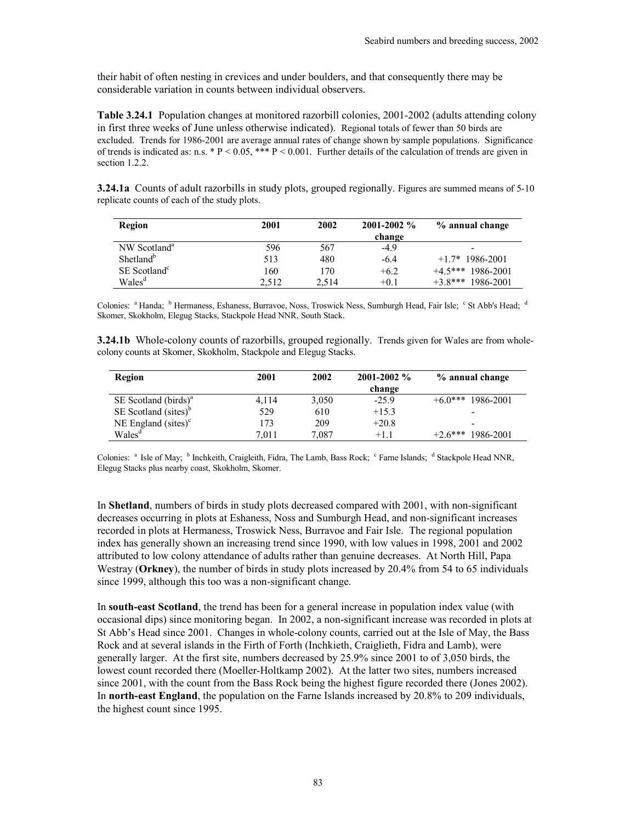their habit of often nesting in crevices and under boulders, and that consequently there may be considerable variation in counts between individual observers.

**Table 3.24.1** Population changes at monitored razorbill colonies, 2001-2002 (adults attending colony in first three weeks of June unless otherwise indicated). Regional totals of fewer than 50 birds are excluded. Trends for 1986-2001 are average annual rates of change shown by sample populations. Significance of trends is indicated as: n.s. \*  $P < 0.05$ , \*\*\*  $P < 0.001$ . Further details of the calculation of trends are given in section 1.2.2.

**3.24.1a** Counts of adult razorbills in study plots, grouped regionally. Figures are summed means of 5-10 replicate counts of each of the study plots.

| Region                                  | 2001  | 2002  | $2001 - 2002$ % | % annual change         |
|-----------------------------------------|-------|-------|-----------------|-------------------------|
|                                         |       |       | change          |                         |
| NW Scotland <sup>a</sup>                | 596   | 567   | $-4.9$          | -                       |
| Shetland <sup>b</sup>                   | 513   | 480   | $-6.4$          | $+1.7*$ 1986-2001       |
| $SE$ Scotland <sup><math>c</math></sup> | 160   | 170   | $+6.2$          | 1986-2001<br>$+4.5***$  |
| Wales <sup>d</sup>                      | 2.512 | 2.514 | $+0.1$          | 1986-2001<br>$+3.8$ *** |

Colonies: <sup>a</sup> Handa; <sup>b</sup> Hermaness, Eshaness, Burravoe, Noss, Troswick Ness, Sumburgh Head, Fair Isle; <sup>c</sup> St Abb's Head; <sup>d</sup> Skomer, Skokholm, Elegug Stacks, Stackpole Head NNR, South Stack.

**3.24.1b** Whole-colony counts of razorbills, grouped regionally. Trends given for Wales are from wholecolony counts at Skomer, Skokholm, Stackpole and Elegug Stacks.

| Region                  | 2001  | 2002  | 2001-2002 % | % annual change        |
|-------------------------|-------|-------|-------------|------------------------|
|                         |       |       | change      |                        |
| SE Scotland $(birds)^a$ | 4.114 | 3,050 | $-25.9$     | 1986-2001<br>$+6.0***$ |
| SE Scotland $(sites)^b$ | 529   | 610   | $+15.3$     | -                      |
| NE England $(sites)^c$  | 173   | 209   | $+20.8$     | ۰                      |
| Wales <sup>d</sup>      | 7,011 | 7,087 | $+1.1$      | $+2.6***$<br>1986-2001 |

Colonies: <sup>a</sup> Isle of May; <sup>b</sup> Inchkeith, Craigleith, Fidra, The Lamb, Bass Rock; <sup>c</sup> Farne Islands; <sup>d</sup> Stackpole Head NNR, Elegug Stacks plus nearby coast, Skokholm, Skomer.

In **Shetland**, numbers of birds in study plots decreased compared with 2001, with non-significant decreases occurring in plots at Eshaness, Noss and Sumburgh Head, and non-significant increases recorded in plots at Hermaness, Troswick Ness, Burravoe and Fair Isle. The regional population index has generally shown an increasing trend since 1990, with low values in 1998, 2001 and 2002 attributed to low colony attendance of adults rather than genuine decreases. At North Hill, Papa Westray (**Orkney**), the number of birds in study plots increased by 20.4% from 54 to 65 individuals since 1999, although this too was a non-significant change.

In **south-east Scotland**, the trend has been for a general increase in population index value (with occasional dips) since monitoring began. In 2002, a non-significant increase was recorded in plots at St Abb's Head since 2001. Changes in whole-colony counts, carried out at the Isle of May, the Bass Rock and at several islands in the Firth of Forth (Inchkieth, Craiglieth, Fidra and Lamb), were generally larger. At the first site, numbers decreased by 25.9% since 2001 to of 3,050 birds, the lowest count recorded there (Moeller-Holtkamp 2002). At the latter two sites, numbers increased since 2001, with the count from the Bass Rock being the highest figure recorded there (Jones 2002). In **north-east England**, the population on the Farne Islands increased by 20.8% to 209 individuals, the highest count since 1995.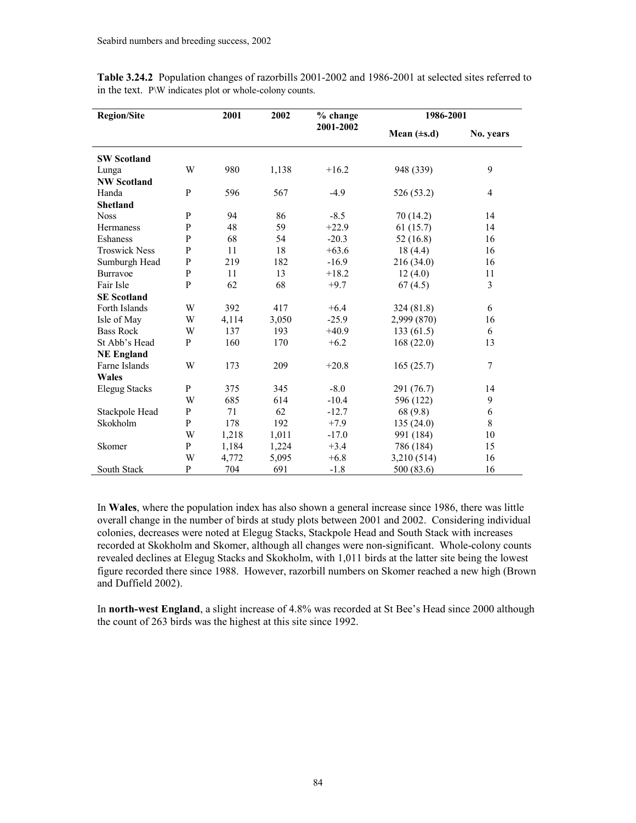| <b>Region/Site</b>   |             | 2001  | 2002  | % change  | 1986-2001        |                |  |  |
|----------------------|-------------|-------|-------|-----------|------------------|----------------|--|--|
|                      |             |       |       | 2001-2002 | Mean $(\pm s.d)$ | No. years      |  |  |
| <b>SW Scotland</b>   |             |       |       |           |                  |                |  |  |
| Lunga                | W           | 980   | 1,138 | $+16.2$   | 948 (339)        | 9              |  |  |
| <b>NW Scotland</b>   |             |       |       |           |                  |                |  |  |
| Handa                | ${\bf P}$   | 596   | 567   | $-4.9$    | 526 (53.2)       | $\overline{4}$ |  |  |
| <b>Shetland</b>      |             |       |       |           |                  |                |  |  |
| <b>Noss</b>          | $\mathbf P$ | 94    | 86    | $-8.5$    | 70 (14.2)        | 14             |  |  |
| Hermaness            | P           | 48    | 59    | $+22.9$   | 61(15.7)         | 14             |  |  |
| Eshaness             | P           | 68    | 54    | $-20.3$   | 52(16.8)         | 16             |  |  |
| <b>Troswick Ness</b> | P           | 11    | 18    | $+63.6$   | 18(4.4)          | 16             |  |  |
| Sumburgh Head        | $\mathbf P$ | 219   | 182   | $-16.9$   | 216(34.0)        | 16             |  |  |
| Burravoe             | P           | 11    | 13    | $+18.2$   | 12(4.0)          | 11             |  |  |
| Fair Isle            | ${\bf P}$   | 62    | 68    | $+9.7$    | 67(4.5)          | 3              |  |  |
| <b>SE Scotland</b>   |             |       |       |           |                  |                |  |  |
| Forth Islands        | W           | 392   | 417   | $+6.4$    | 324(81.8)        | 6              |  |  |
| Isle of May          | W           | 4,114 | 3,050 | $-25.9$   | 2,999 (870)      | 16             |  |  |
| <b>Bass Rock</b>     | W           | 137   | 193   | $+40.9$   | 133(61.5)        | 6              |  |  |
| St Abb's Head        | P           | 160   | 170   | $+6.2$    | 168(22.0)        | 13             |  |  |
| <b>NE</b> England    |             |       |       |           |                  |                |  |  |
| Farne Islands        | W           | 173   | 209   | $+20.8$   | 165(25.7)        | 7              |  |  |
| <b>Wales</b>         |             |       |       |           |                  |                |  |  |
| <b>Elegug Stacks</b> | P           | 375   | 345   | $-8.0$    | 291 (76.7)       | 14             |  |  |
|                      | W           | 685   | 614   | $-10.4$   | 596 (122)        | 9              |  |  |
| Stackpole Head       | P           | 71    | 62    | $-12.7$   | 68 (9.8)         | 6              |  |  |
| Skokholm             | P           | 178   | 192   | $+7.9$    | 135(24.0)        | 8              |  |  |
|                      | W           | 1,218 | 1,011 | $-17.0$   | 991 (184)        | 10             |  |  |
| Skomer               | P           | 1,184 | 1,224 | $+3.4$    | 786 (184)        | 15             |  |  |
|                      | W           | 4,772 | 5,095 | $+6.8$    | 3,210 (514)      | 16             |  |  |
| South Stack          | P           | 704   | 691   | $-1.8$    | 500 (83.6)       | 16             |  |  |

**Table 3.24.2** Population changes of razorbills 2001-2002 and 1986-2001 at selected sites referred to in the text. P\W indicates plot or whole-colony counts.

In **Wales**, where the population index has also shown a general increase since 1986, there was little overall change in the number of birds at study plots between 2001 and 2002. Considering individual colonies, decreases were noted at Elegug Stacks, Stackpole Head and South Stack with increases recorded at Skokholm and Skomer, although all changes were non-significant. Whole-colony counts revealed declines at Elegug Stacks and Skokholm, with 1,011 birds at the latter site being the lowest figure recorded there since 1988. However, razorbill numbers on Skomer reached a new high (Brown and Duffield 2002).

In **north-west England**, a slight increase of 4.8% was recorded at St Bee's Head since 2000 although the count of 263 birds was the highest at this site since 1992.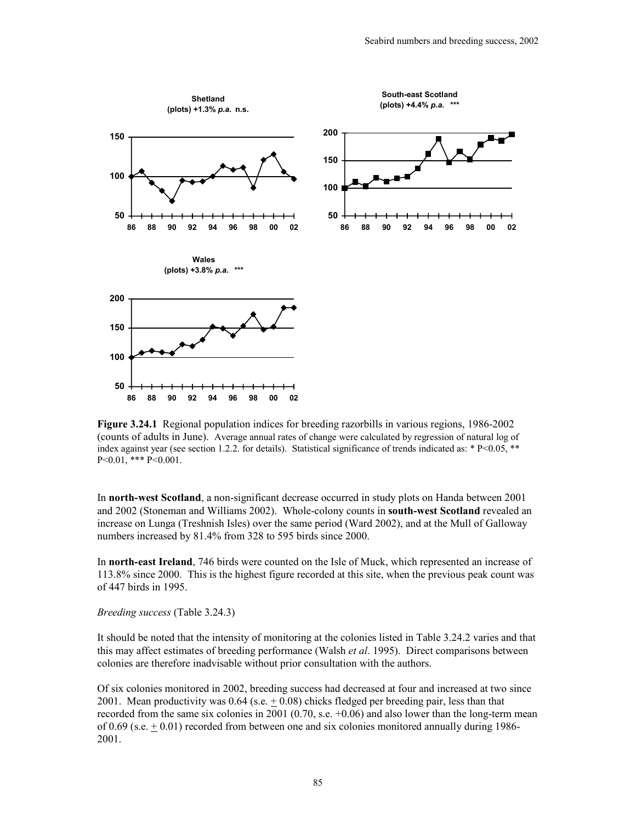

**Figure 3.24.1** Regional population indices for breeding razorbills in various regions, 1986-2002 (counts of adults in June). Average annual rates of change were calculated by regression of natural log of index against year (see section 1.2.2. for details). Statistical significance of trends indicated as: \* P<0.05, \*\* P<0.01, \*\*\* P<0.001.

In **north-west Scotland**, a non-significant decrease occurred in study plots on Handa between 2001 and 2002 (Stoneman and Williams 2002). Whole-colony counts in **south-west Scotland** revealed an increase on Lunga (Treshnish Isles) over the same period (Ward 2002), and at the Mull of Galloway numbers increased by 81.4% from 328 to 595 birds since 2000.

In **north-east Ireland**, 746 birds were counted on the Isle of Muck, which represented an increase of 113.8% since 2000. This is the highest figure recorded at this site, when the previous peak count was of 447 birds in 1995.

*Breeding success* (Table 3.24.3)

It should be noted that the intensity of monitoring at the colonies listed in Table 3.24.2 varies and that this may affect estimates of breeding performance (Walsh *et al*. 1995). Direct comparisons between colonies are therefore inadvisable without prior consultation with the authors.

Of six colonies monitored in 2002, breeding success had decreased at four and increased at two since 2001. Mean productivity was  $0.64$  (s.e.  $\pm$  0.08) chicks fledged per breeding pair, less than that recorded from the same six colonies in 2001 (0.70, s.e. +0.06) and also lower than the long-term mean of 0.69 (s.e.  $+$  0.01) recorded from between one and six colonies monitored annually during 1986-2001.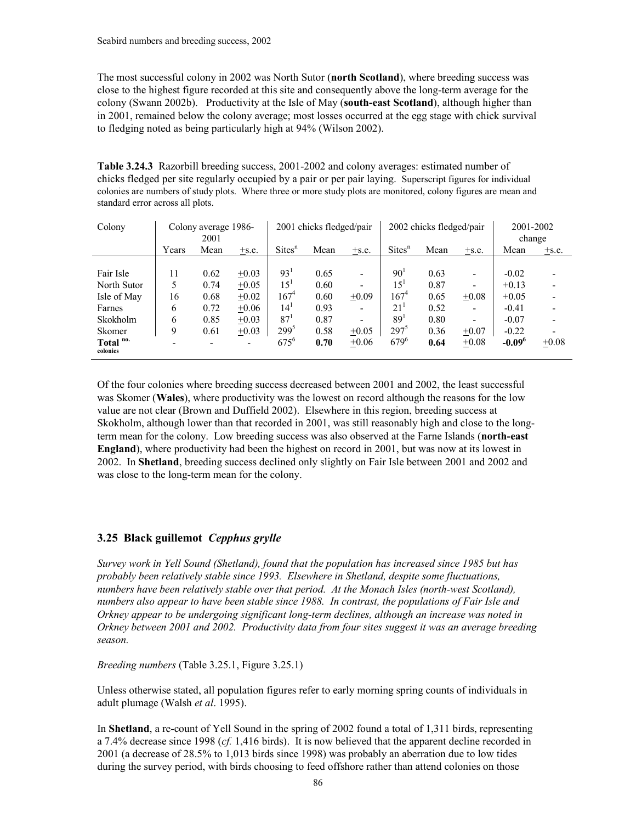The most successful colony in 2002 was North Sutor (**north Scotland**), where breeding success was close to the highest figure recorded at this site and consequently above the long-term average for the colony (Swann 2002b). Productivity at the Isle of May (**south-east Scotland**), although higher than in 2001, remained below the colony average; most losses occurred at the egg stage with chick survival to fledging noted as being particularly high at 94% (Wilson 2002).

**Table 3.24.3** Razorbill breeding success, 2001-2002 and colony averages: estimated number of chicks fledged per site regularly occupied by a pair or per pair laying. Superscript figures for individual colonies are numbers of study plots. Where three or more study plots are monitored, colony figures are mean and standard error across all plots.

| Colony                | Colony average 1986-<br>2001 |      | 2001 chicks fledged/pair |                  |      | 2002 chicks fledged/pair |                  |      | 2001-2002<br>change      |           |            |
|-----------------------|------------------------------|------|--------------------------|------------------|------|--------------------------|------------------|------|--------------------------|-----------|------------|
|                       | Years                        | Mean | $+$ s.e.                 | $\text{Sites}^n$ | Mean | $+$ s.e.                 | $\text{Sites}^n$ | Mean | $+$ s.e.                 | Mean      | $\pm$ s.e. |
|                       |                              |      |                          |                  |      |                          |                  |      |                          |           |            |
| Fair Isle             | 11                           | 0.62 | $+0.03$                  | 93 <sup>1</sup>  | 0.65 |                          | 90 <sup>1</sup>  | 0.63 | $\qquad \qquad -$        | $-0.02$   |            |
| North Sutor           | 5                            | 0.74 | $+0.05$                  | $15^{1}$         | 0.60 |                          | $15^{1}$         | 0.87 | $\qquad \qquad -$        | $+0.13$   |            |
| Isle of May           | 16                           | 0.68 | $+0.02$                  | $167^{4}$        | 0.60 | $+0.09$                  | $167^4$          | 0.65 | $+0.08$                  | $+0.05$   |            |
| Farnes                | 6                            | 0.72 | $+0.06$                  | 14 <sup>1</sup>  | 0.93 | ۰.                       | 21 <sup>1</sup>  | 0.52 | $\overline{\phantom{0}}$ | $-0.41$   |            |
| Skokholm              | 6                            | 0.85 | $+0.03$                  | 87 <sup>1</sup>  | 0.87 |                          | 89 <sup>1</sup>  | 0.80 | $\qquad \qquad -$        | $-0.07$   |            |
| Skomer                | 9                            | 0.61 | $+0.03$                  | $299^{5}$        | 0.58 | $+0.05$                  | $297^5$          | 0.36 | ±0.07                    | $-0.22$   |            |
| Total no.<br>colonies |                              |      |                          | 675 <sup>6</sup> | 0.70 | $+0.06$                  | 679 <sup>6</sup> | 0.64 | $+0.08$                  | $-0.09^6$ | $+0.08$    |

Of the four colonies where breeding success decreased between 2001 and 2002, the least successful was Skomer (**Wales**), where productivity was the lowest on record although the reasons for the low value are not clear (Brown and Duffield 2002). Elsewhere in this region, breeding success at Skokholm, although lower than that recorded in 2001, was still reasonably high and close to the longterm mean for the colony. Low breeding success was also observed at the Farne Islands (**north-east England**), where productivity had been the highest on record in 2001, but was now at its lowest in 2002. In **Shetland**, breeding success declined only slightly on Fair Isle between 2001 and 2002 and was close to the long-term mean for the colony.

# **3.25 Black guillemot** *Cepphus grylle*

*Survey work in Yell Sound (Shetland), found that the population has increased since 1985 but has probably been relatively stable since 1993. Elsewhere in Shetland, despite some fluctuations, numbers have been relatively stable over that period. At the Monach Isles (north-west Scotland), numbers also appear to have been stable since 1988. In contrast, the populations of Fair Isle and Orkney appear to be undergoing significant long-term declines, although an increase was noted in Orkney between 2001 and 2002. Productivity data from four sites suggest it was an average breeding season.* 

## *Breeding numbers* (Table 3.25.1, Figure 3.25.1)

Unless otherwise stated, all population figures refer to early morning spring counts of individuals in adult plumage (Walsh *et al*. 1995).

In **Shetland**, a re-count of Yell Sound in the spring of 2002 found a total of 1,311 birds, representing a 7.4% decrease since 1998 (*cf.* 1,416 birds). It is now believed that the apparent decline recorded in 2001 (a decrease of 28.5% to 1,013 birds since 1998) was probably an aberration due to low tides during the survey period, with birds choosing to feed offshore rather than attend colonies on those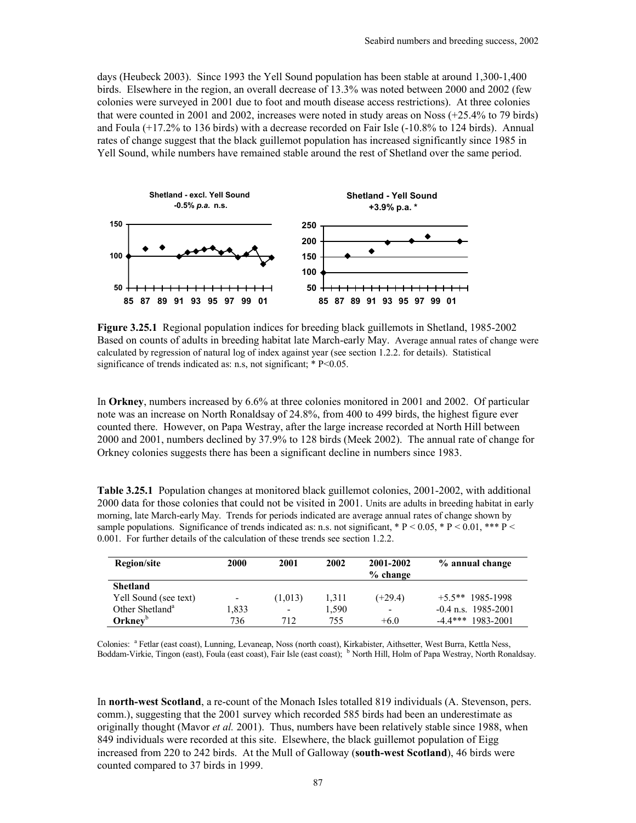days (Heubeck 2003). Since 1993 the Yell Sound population has been stable at around 1,300-1,400 birds. Elsewhere in the region, an overall decrease of 13.3% was noted between 2000 and 2002 (few colonies were surveyed in 2001 due to foot and mouth disease access restrictions). At three colonies that were counted in 2001 and 2002, increases were noted in study areas on Noss (+25.4% to 79 birds) and Foula (+17.2% to 136 birds) with a decrease recorded on Fair Isle (-10.8% to 124 birds). Annual rates of change suggest that the black guillemot population has increased significantly since 1985 in Yell Sound, while numbers have remained stable around the rest of Shetland over the same period.



**Figure 3.25.1** Regional population indices for breeding black guillemots in Shetland, 1985-2002 Based on counts of adults in breeding habitat late March-early May. Average annual rates of change were calculated by regression of natural log of index against year (see section 1.2.2. for details). Statistical significance of trends indicated as: n.s, not significant; \* P<0.05.

In **Orkney**, numbers increased by 6.6% at three colonies monitored in 2001 and 2002. Of particular note was an increase on North Ronaldsay of 24.8%, from 400 to 499 birds, the highest figure ever counted there. However, on Papa Westray, after the large increase recorded at North Hill between 2000 and 2001, numbers declined by 37.9% to 128 birds (Meek 2002). The annual rate of change for Orkney colonies suggests there has been a significant decline in numbers since 1983.

| <b>Table 3.25.1</b> Population changes at monitored black guillemot colonies, 2001-2002, with additional                     |
|------------------------------------------------------------------------------------------------------------------------------|
| 2000 data for those colonies that could not be visited in 2001. Units are adults in breeding habitat in early                |
| morning, late March-early May. Trends for periods indicated are average annual rates of change shown by                      |
| sample populations. Significance of trends indicated as: n.s. not significant, * $P \le 0.05$ , * $P \le 0.01$ , *** $P \le$ |
| $0.001$ . For further details of the calculation of these trends see section 1.2.2.                                          |

| <b>Region/site</b>          | 2000                     | 2001    | 2002<br>2001-2002<br>$%$ change |                          | % annual change         |  |  |
|-----------------------------|--------------------------|---------|---------------------------------|--------------------------|-------------------------|--|--|
| <b>Shetland</b>             |                          |         |                                 |                          |                         |  |  |
| Yell Sound (see text)       | $\overline{\phantom{0}}$ | (1,013) | 1.311                           | $(+29.4)$                | $+5.5**$ 1985-1998      |  |  |
| Other Shetland <sup>a</sup> | 1.833                    | ۰       | 1.590                           | $\overline{\phantom{0}}$ | $-0.4$ n.s. 1985-2001   |  |  |
| Orknev <sup>b</sup>         | 736                      | 712     | 755                             | $+6.0$                   | 1983-2001<br>$-4.4$ *** |  |  |

Colonies: <sup>a</sup> Fetlar (east coast), Lunning, Levaneap, Noss (north coast), Kirkabister, Aithsetter, West Burra, Kettla Ness, Boddam-Virkie, Tingon (east), Foula (east coast), Fair Isle (east coast); <sup>b</sup> North Hill, Holm of Papa Westray, North Ronaldsay.

In **north-west Scotland**, a re-count of the Monach Isles totalled 819 individuals (A. Stevenson, pers. comm.), suggesting that the 2001 survey which recorded 585 birds had been an underestimate as originally thought (Mavor *et al.* 2001). Thus, numbers have been relatively stable since 1988, when 849 individuals were recorded at this site. Elsewhere, the black guillemot population of Eigg increased from 220 to 242 birds. At the Mull of Galloway (**south-west Scotland**), 46 birds were counted compared to 37 birds in 1999.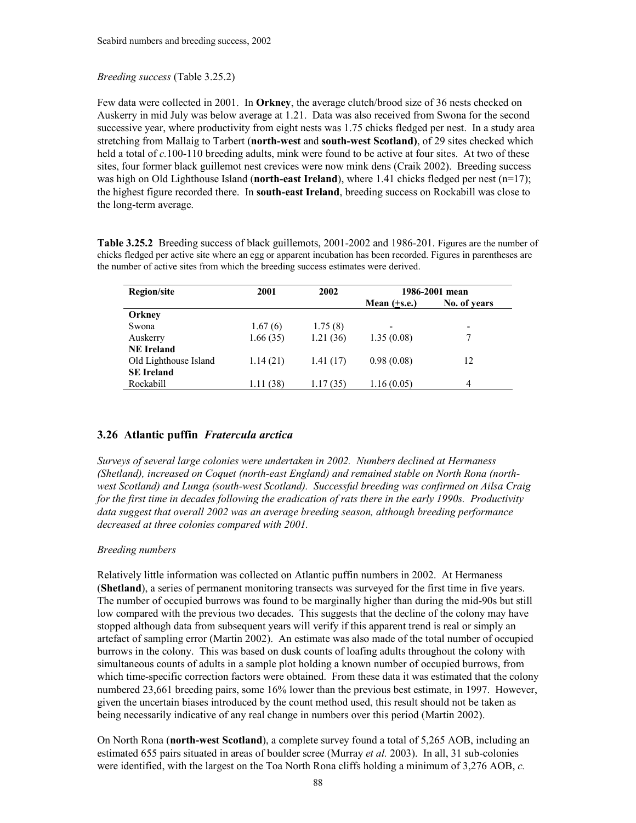#### *Breeding success* (Table 3.25.2)

Few data were collected in 2001. In **Orkney**, the average clutch/brood size of 36 nests checked on Auskerry in mid July was below average at 1.21. Data was also received from Swona for the second successive year, where productivity from eight nests was 1.75 chicks fledged per nest. In a study area stretching from Mallaig to Tarbert (**north-west** and **south-west Scotland)**, of 29 sites checked which held a total of *c.*100-110 breeding adults, mink were found to be active at four sites. At two of these sites, four former black guillemot nest crevices were now mink dens (Craik 2002). Breeding success was high on Old Lighthouse Island (**north-east Ireland**), where 1.41 chicks fledged per nest (n=17); the highest figure recorded there. In **south-east Ireland**, breeding success on Rockabill was close to the long-term average.

**Table 3.25.2** Breeding success of black guillemots, 2001-2002 and 1986-201. Figures are the number of chicks fledged per active site where an egg or apparent incubation has been recorded. Figures in parentheses are the number of active sites from which the breeding success estimates were derived.

| <b>Region/site</b>    | 2001     | 2002     | 1986-2001 mean |              |  |  |
|-----------------------|----------|----------|----------------|--------------|--|--|
|                       |          |          | Mean $(+s.e.)$ | No. of years |  |  |
| Orkney                |          |          |                |              |  |  |
| Swona                 | 1.67(6)  | 1.75(8)  | -              | -            |  |  |
| Auskerry              | 1.66(35) | 1.21(36) | 1.35(0.08)     |              |  |  |
| <b>NE</b> Ireland     |          |          |                |              |  |  |
| Old Lighthouse Island | 1.14(21) | 1.41(17) | 0.98(0.08)     | 12           |  |  |
| <b>SE</b> Ireland     |          |          |                |              |  |  |
| Rockabill             | 1.11(38) | 1.17(35) | 1.16(0.05)     | 4            |  |  |

## **3.26 Atlantic puffin** *Fratercula arctica*

*Surveys of several large colonies were undertaken in 2002. Numbers declined at Hermaness (Shetland), increased on Coquet (north-east England) and remained stable on North Rona (northwest Scotland) and Lunga (south-west Scotland). Successful breeding was confirmed on Ailsa Craig for the first time in decades following the eradication of rats there in the early 1990s. Productivity data suggest that overall 2002 was an average breeding season, although breeding performance decreased at three colonies compared with 2001.* 

## *Breeding numbers*

Relatively little information was collected on Atlantic puffin numbers in 2002. At Hermaness (**Shetland**), a series of permanent monitoring transects was surveyed for the first time in five years. The number of occupied burrows was found to be marginally higher than during the mid-90s but still low compared with the previous two decades. This suggests that the decline of the colony may have stopped although data from subsequent years will verify if this apparent trend is real or simply an artefact of sampling error (Martin 2002). An estimate was also made of the total number of occupied burrows in the colony. This was based on dusk counts of loafing adults throughout the colony with simultaneous counts of adults in a sample plot holding a known number of occupied burrows, from which time-specific correction factors were obtained. From these data it was estimated that the colony numbered 23,661 breeding pairs, some 16% lower than the previous best estimate, in 1997. However, given the uncertain biases introduced by the count method used, this result should not be taken as being necessarily indicative of any real change in numbers over this period (Martin 2002).

On North Rona (**north-west Scotland**), a complete survey found a total of 5,265 AOB, including an estimated 655 pairs situated in areas of boulder scree (Murray *et al.* 2003). In all, 31 sub-colonies were identified, with the largest on the Toa North Rona cliffs holding a minimum of 3,276 AOB, *c.*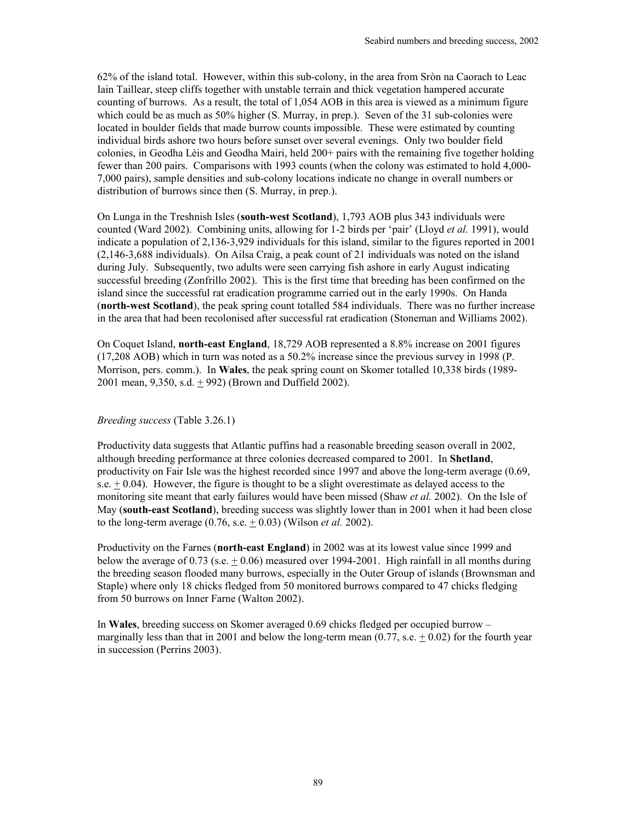62% of the island total. However, within this sub-colony, in the area from Sròn na Caorach to Leac Iain Taillear, steep cliffs together with unstable terrain and thick vegetation hampered accurate counting of burrows. As a result, the total of 1,054 AOB in this area is viewed as a minimum figure which could be as much as 50% higher (S. Murray, in prep.). Seven of the 31 sub-colonies were located in boulder fields that made burrow counts impossible. These were estimated by counting individual birds ashore two hours before sunset over several evenings. Only two boulder field colonies, in Geodha Lèis and Geodha Mairi, held 200+ pairs with the remaining five together holding fewer than 200 pairs. Comparisons with 1993 counts (when the colony was estimated to hold 4,000- 7,000 pairs), sample densities and sub-colony locations indicate no change in overall numbers or distribution of burrows since then (S. Murray, in prep.).

On Lunga in the Treshnish Isles (**south-west Scotland**), 1,793 AOB plus 343 individuals were counted (Ward 2002). Combining units, allowing for 1-2 birds per 'pair' (Lloyd *et al.* 1991), would indicate a population of 2,136-3,929 individuals for this island, similar to the figures reported in 2001 (2,146-3,688 individuals). On Ailsa Craig, a peak count of 21 individuals was noted on the island during July. Subsequently, two adults were seen carrying fish ashore in early August indicating successful breeding (Zonfrillo 2002). This is the first time that breeding has been confirmed on the island since the successful rat eradication programme carried out in the early 1990s. On Handa (**north-west Scotland**), the peak spring count totalled 584 individuals. There was no further increase in the area that had been recolonised after successful rat eradication (Stoneman and Williams 2002).

On Coquet Island, **north-east England**, 18,729 AOB represented a 8.8% increase on 2001 figures (17,208 AOB) which in turn was noted as a 50.2% increase since the previous survey in 1998 (P. Morrison, pers. comm.). In **Wales**, the peak spring count on Skomer totalled 10,338 birds (1989- 2001 mean, 9,350, s.d.  $\pm$  992) (Brown and Duffield 2002).

#### *Breeding success* (Table 3.26.1)

Productivity data suggests that Atlantic puffins had a reasonable breeding season overall in 2002, although breeding performance at three colonies decreased compared to 2001. In **Shetland**, productivity on Fair Isle was the highest recorded since 1997 and above the long-term average (0.69, s.e.  $+ 0.04$ ). However, the figure is thought to be a slight overestimate as delayed access to the monitoring site meant that early failures would have been missed (Shaw *et al.* 2002). On the Isle of May (**south-east Scotland**), breeding success was slightly lower than in 2001 when it had been close to the long-term average  $(0.76, s.e. + 0.03)$  (Wilson *et al.* 2002).

Productivity on the Farnes (**north-east England**) in 2002 was at its lowest value since 1999 and below the average of 0.73 (s.e.  $\pm$  0.06) measured over 1994-2001. High rainfall in all months during the breeding season flooded many burrows, especially in the Outer Group of islands (Brownsman and Staple) where only 18 chicks fledged from 50 monitored burrows compared to 47 chicks fledging from 50 burrows on Inner Farne (Walton 2002).

In **Wales**, breeding success on Skomer averaged 0.69 chicks fledged per occupied burrow – marginally less than that in 2001 and below the long-term mean  $(0.77, s.e. \pm 0.02)$  for the fourth year in succession (Perrins 2003).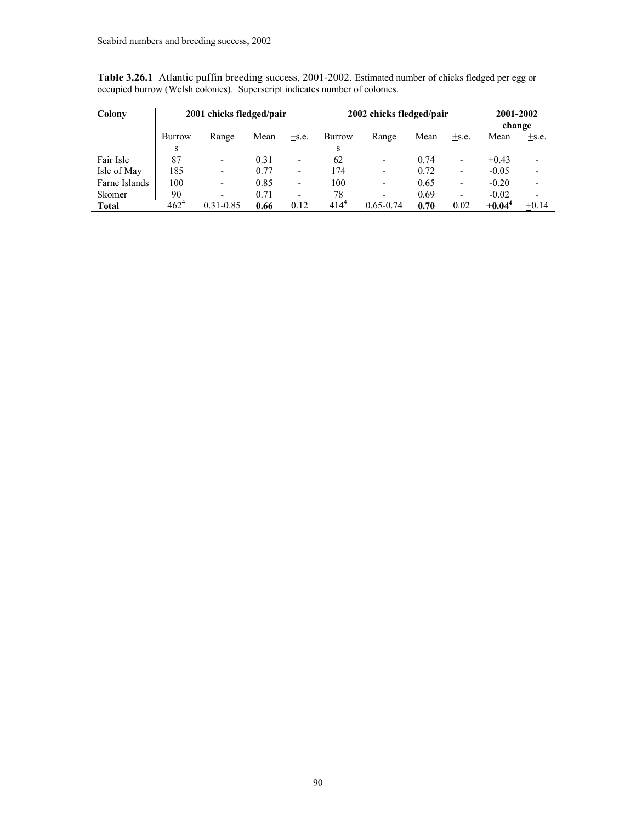| Colony        | 2001 chicks fledged/pair |                          |      |                          | 2002 chicks fledged/pair |                              |      |                          | 2001-2002<br>change |                          |
|---------------|--------------------------|--------------------------|------|--------------------------|--------------------------|------------------------------|------|--------------------------|---------------------|--------------------------|
|               | <b>Burrow</b>            | Range                    | Mean | $+$ s.e.                 | <b>Burrow</b>            | Range                        | Mean | $+$ s.e.                 | Mean                | $+$ s.e.                 |
|               | s                        |                          |      |                          | s                        |                              |      |                          |                     |                          |
| Fair Isle     | 87                       | $\overline{\phantom{0}}$ | 0.31 | $\overline{\phantom{0}}$ | 62                       |                              | 0.74 | $\overline{\phantom{0}}$ | $+0.43$             | ۰                        |
| Isle of May   | 185                      | ۰                        | 0.77 | $\overline{\phantom{0}}$ | 174                      | ٠                            | 0.72 | $\overline{\phantom{0}}$ | $-0.05$             | $\overline{\phantom{0}}$ |
| Farne Islands | 100                      | -                        | 0.85 | $\overline{\phantom{0}}$ | 100                      | $\overline{\phantom{0}}$     | 0.65 | $\qquad \qquad -$        | $-0.20$             | $\overline{\phantom{0}}$ |
| Skomer        | 90                       | $\overline{\phantom{0}}$ | 0.71 | $\overline{\phantom{a}}$ | 78                       | $\qquad \qquad \blacksquare$ | 0.69 | $\qquad \qquad -$        | $-0.02$             | $\overline{\phantom{0}}$ |
| Total         | $462^{4}$                | 0.31-0.85                | 0.66 | 0.12                     | $414^{4}$                | $0.65 - 0.74$                | 0.70 | 0.02                     | $+0.04^4$           | $+0.14$                  |

**Table 3.26.1** Atlantic puffin breeding success, 2001-2002. Estimated number of chicks fledged per egg or occupied burrow (Welsh colonies). Superscript indicates number of colonies.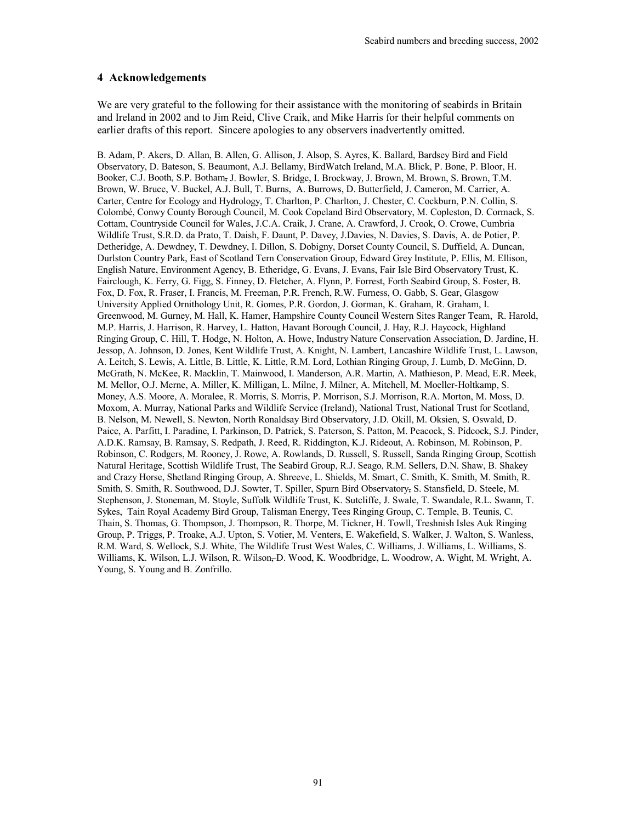#### **4 Acknowledgements**

We are very grateful to the following for their assistance with the monitoring of seabirds in Britain and Ireland in 2002 and to Jim Reid, Clive Craik, and Mike Harris for their helpful comments on earlier drafts of this report. Sincere apologies to any observers inadvertently omitted.

B. Adam, P. Akers, D. Allan, B. Allen, G. Allison, J. Alsop, S. Ayres, K. Ballard, Bardsey Bird and Field Observatory, D. Bateson, S. Beaumont, A.J. Bellamy, BirdWatch Ireland, M.A. Blick, P. Bone, P. Bloor, H. Booker, C.J. Booth, S.P. Botham, J. Bowler, S. Bridge, I. Brockway, J. Brown, M. Brown, S. Brown, T.M. Brown, W. Bruce, V. Buckel, A.J. Bull, T. Burns, A. Burrows, D. Butterfield, J. Cameron, M. Carrier, A. Carter, Centre for Ecology and Hydrology, T. Charlton, P. Charlton, J. Chester, C. Cockburn, P.N. Collin, S. Colombé, Conwy County Borough Council, M. Cook Copeland Bird Observatory, M. Copleston, D. Cormack, S. Cottam, Countryside Council for Wales, J.C.A. Craik, J. Crane, A. Crawford, J. Crook, O. Crowe, Cumbria Wildlife Trust, S.R.D. da Prato, T. Daish, F. Daunt, P. Davey, J.Davies, N. Davies, S. Davis, A. de Potier, P. Detheridge, A. Dewdney, T. Dewdney, I. Dillon, S. Dobigny, Dorset County Council, S. Duffield, A. Duncan, Durlston Country Park, East of Scotland Tern Conservation Group, Edward Grey Institute, P. Ellis, M. Ellison, English Nature, Environment Agency, B. Etheridge, G. Evans, J. Evans, Fair Isle Bird Observatory Trust, K. Fairclough, K. Ferry, G. Figg, S. Finney, D. Fletcher, A. Flynn, P. Forrest, Forth Seabird Group, S. Foster, B. Fox, D. Fox, R. Fraser, I. Francis, M. Freeman, P.R. French, R.W. Furness, O. Gabb, S. Gear, Glasgow University Applied Ornithology Unit, R. Gomes, P.R. Gordon, J. Gorman, K. Graham, R. Graham, I. Greenwood, M. Gurney, M. Hall, K. Hamer, Hampshire County Council Western Sites Ranger Team, R. Harold, M.P. Harris, J. Harrison, R. Harvey, L. Hatton, Havant Borough Council, J. Hay, R.J. Haycock, Highland Ringing Group, C. Hill, T. Hodge, N. Holton, A. Howe, Industry Nature Conservation Association, D. Jardine, H. Jessop, A. Johnson, D. Jones, Kent Wildlife Trust, A. Knight, N. Lambert, Lancashire Wildlife Trust, L. Lawson, A. Leitch, S. Lewis, A. Little, B. Little, K. Little, R.M. Lord, Lothian Ringing Group, J. Lumb, D. McGinn, D. McGrath, N. McKee, R. Macklin, T. Mainwood, I. Manderson, A.R. Martin, A. Mathieson, P. Mead, E.R. Meek, M. Mellor, O.J. Merne, A. Miller, K. Milligan, L. Milne, J. Milner, A. Mitchell, M. Moeller-Holtkamp, S. Money, A.S. Moore, A. Moralee, R. Morris, S. Morris, P. Morrison, S.J. Morrison, R.A. Morton, M. Moss, D. Moxom, A. Murray, National Parks and Wildlife Service (Ireland), National Trust, National Trust for Scotland, B. Nelson, M. Newell, S. Newton, North Ronaldsay Bird Observatory, J.D. Okill, M. Oksien, S. Oswald, D. Paice, A. Parfitt, I. Paradine, I. Parkinson, D. Patrick, S. Paterson, S. Patton, M. Peacock, S. Pidcock, S.J. Pinder, A.D.K. Ramsay, B. Ramsay, S. Redpath, J. Reed, R. Riddington, K.J. Rideout, A. Robinson, M. Robinson, P. Robinson, C. Rodgers, M. Rooney, J. Rowe, A. Rowlands, D. Russell, S. Russell, Sanda Ringing Group, Scottish Natural Heritage, Scottish Wildlife Trust, The Seabird Group, R.J. Seago, R.M. Sellers, D.N. Shaw, B. Shakey and Crazy Horse, Shetland Ringing Group, A. Shreeve, L. Shields, M. Smart, C. Smith, K. Smith, M. Smith, R. Smith, S. Smith, R. Southwood, D.J. Sowter, T. Spiller, Spurn Bird Observatory, S. Stansfield, D. Steele, M. Stephenson, J. Stoneman, M. Stoyle, Suffolk Wildlife Trust, K. Sutcliffe, J. Swale, T. Swandale, R.L. Swann, T. Sykes, Tain Royal Academy Bird Group, Talisman Energy, Tees Ringing Group, C. Temple, B. Teunis, C. Thain, S. Thomas, G. Thompson, J. Thompson, R. Thorpe, M. Tickner, H. Towll, Treshnish Isles Auk Ringing Group, P. Triggs, P. Troake, A.J. Upton, S. Votier, M. Venters, E. Wakefield, S. Walker, J. Walton, S. Wanless, R.M. Ward, S. Wellock, S.J. White, The Wildlife Trust West Wales, C. Williams, J. Williams, L. Williams, S. Williams, K. Wilson, L.J. Wilson, R. Wilson, D. Wood, K. Woodbridge, L. Woodrow, A. Wight, M. Wright, A. Young, S. Young and B. Zonfrillo.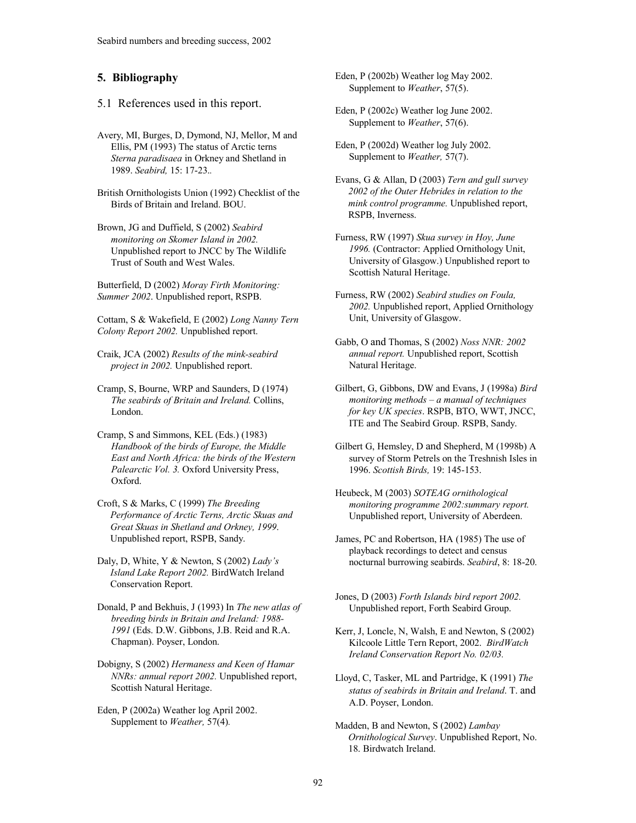### **5. Bibliography**

5.1 References used in this report.

Avery, MI, Burges, D, Dymond, NJ, Mellor, M and Ellis, PM (1993) The status of Arctic terns *Sterna paradisaea* in Orkney and Shetland in 1989. *Seabird,* 15: 17-23.*.*

British Ornithologists Union (1992) Checklist of the Birds of Britain and Ireland. BOU.

Brown, JG and Duffield, S (2002) *Seabird monitoring on Skomer Island in 2002.* Unpublished report to JNCC by The Wildlife Trust of South and West Wales.

Butterfield, D (2002) *Moray Firth Monitoring: Summer 2002*. Unpublished report, RSPB.

Cottam, S & Wakefield, E (2002) *Long Nanny Tern Colony Report 2002.* Unpublished report.

Craik, JCA (2002) *Results of the mink-seabird project in 2002.* Unpublished report.

Cramp, S, Bourne, WRP and Saunders, D (1974) *The seabirds of Britain and Ireland.* Collins, London.

Cramp, S and Simmons, KEL (Eds.) (1983) *Handbook of the birds of Europe, the Middle East and North Africa: the birds of the Western Palearctic Vol. 3.* Oxford University Press, Oxford.

Croft, S & Marks, C (1999) *The Breeding Performance of Arctic Terns, Arctic Skuas and Great Skuas in Shetland and Orkney, 1999*. Unpublished report, RSPB, Sandy.

Daly, D, White, Y & Newton, S (2002) *Lady's Island Lake Report 2002.* BirdWatch Ireland Conservation Report.

Donald, P and Bekhuis, J (1993) In *The new atlas of breeding birds in Britain and Ireland: 1988- 1991* (Eds. D.W. Gibbons, J.B. Reid and R.A. Chapman). Poyser, London.

Dobigny, S (2002) *Hermaness and Keen of Hamar NNRs: annual report 2002.* Unpublished report, Scottish Natural Heritage.

Eden, P (2002a) Weather log April 2002. Supplement to *Weather,* 57(4)*.* 

Eden, P (2002b) Weather log May 2002. Supplement to *Weather*, 57(5).

Eden, P (2002c) Weather log June 2002. Supplement to *Weather*, 57(6).

Eden, P (2002d) Weather log July 2002. Supplement to *Weather,* 57(7).

Evans, G & Allan, D (2003) *Tern and gull survey 2002 of the Outer Hebrides in relation to the mink control programme.* Unpublished report, RSPB, Inverness.

Furness, RW (1997) *Skua survey in Hoy, June 1996.* (Contractor: Applied Ornithology Unit, University of Glasgow.) Unpublished report to Scottish Natural Heritage.

Furness, RW (2002) *Seabird studies on Foula, 2002.* Unpublished report, Applied Ornithology Unit, University of Glasgow.

Gabb, O and Thomas, S (2002) *Noss NNR: 2002 annual report.* Unpublished report, Scottish Natural Heritage.

Gilbert, G, Gibbons, DW and Evans, J (1998a) *Bird monitoring methods – a manual of techniques for key UK species*. RSPB, BTO, WWT, JNCC, ITE and The Seabird Group. RSPB, Sandy.

Gilbert G, Hemsley, D and Shepherd, M (1998b) A survey of Storm Petrels on the Treshnish Isles in 1996. *Scottish Birds,* 19: 145-153.

Heubeck, M (2003) *SOTEAG ornithological monitoring programme 2002:summary report.* Unpublished report, University of Aberdeen.

James, PC and Robertson, HA (1985) The use of playback recordings to detect and census nocturnal burrowing seabirds. *Seabird*, 8: 18-20.

Jones, D (2003) *Forth Islands bird report 2002.*  Unpublished report, Forth Seabird Group.

Kerr, J, Loncle, N, Walsh, E and Newton, S (2002) Kilcoole Little Tern Report, 2002. *BirdWatch Ireland Conservation Report No. 02/03.* 

Lloyd, C, Tasker, ML and Partridge, K (1991) *The status of seabirds in Britain and Ireland*. T. and A.D. Poyser, London.

Madden, B and Newton, S (2002) *Lambay Ornithological Survey*. Unpublished Report, No. 18. Birdwatch Ireland.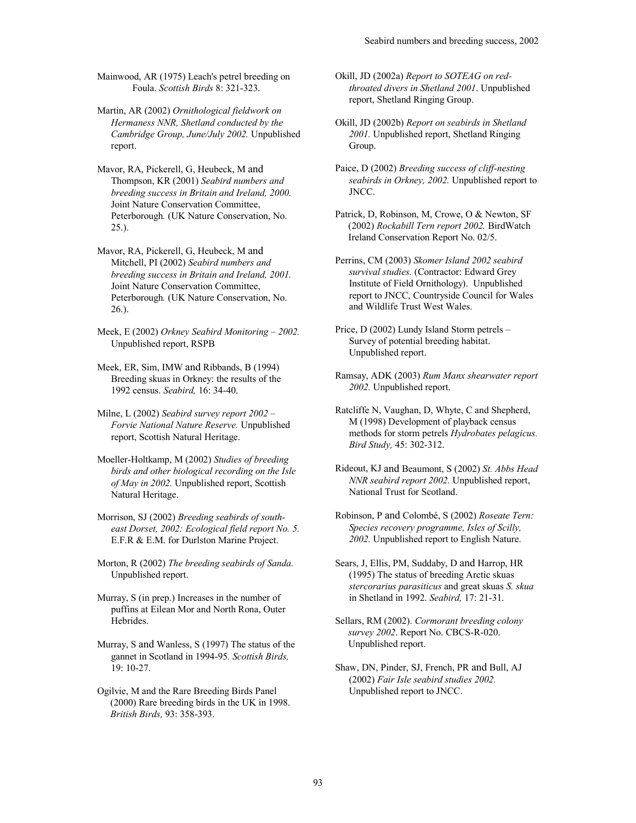Mainwood, AR (1975) Leach's petrel breeding on Foula. *Scottish Birds* 8: 321-323.

Martin, AR (2002) *Ornithological fieldwork on Hermaness NNR, Shetland conducted by the Cambridge Group, June/July 2002.* Unpublished report.

- Mavor, RA, Pickerell, G, Heubeck, M and Thompson, KR (2001) *Seabird numbers and breeding success in Britain and Ireland, 2000.*  Joint Nature Conservation Committee, Peterborough*.* (UK Nature Conservation, No. 25.).
- Mavor, RA, Pickerell, G, Heubeck, M and Mitchell, PI (2002) *Seabird numbers and breeding success in Britain and Ireland, 2001.*  Joint Nature Conservation Committee, Peterborough*.* (UK Nature Conservation, No. 26.).
- Meek, E (2002) *Orkney Seabird Monitoring 2002.* Unpublished report, RSPB
- Meek, ER, Sim, IMW and Ribbands, B (1994) Breeding skuas in Orkney: the results of the 1992 census. *Seabird,* 16: 34-40.
- Milne, L (2002) *Seabird survey report 2002 Forvie National Nature Reserve.* Unpublished report, Scottish Natural Heritage.
- Moeller-Holtkamp, M (2002) *Studies of breeding birds and other biological recording on the Isle of May in 2002.* Unpublished report, Scottish Natural Heritage.
- Morrison, SJ (2002) *Breeding seabirds of southeast Dorset, 2002: Ecological field report No. 5.* E.F.R & E.M. for Durlston Marine Project.
- Morton, R (2002) *The breeding seabirds of Sanda.* Unpublished report.
- Murray, S (in prep.) Increases in the number of puffins at Eilean Mor and North Rona, Outer Hebrides.
- Murray, S and Wanless, S (1997) The status of the gannet in Scotland in 1994-95*. Scottish Birds,* 19: 10-27.
- Ogilvie, M and the Rare Breeding Birds Panel (2000) Rare breeding birds in the UK in 1998. *British Birds,* 93: 358-393.
- Okill, JD (2002a) *Report to SOTEAG on redthroated divers in Shetland 2001*. Unpublished report, Shetland Ringing Group.
- Okill, JD (2002b) *Report on seabirds in Shetland 2001.* Unpublished report, Shetland Ringing Group.
- Paice, D (2002) *Breeding success of cliff-nesting seabirds in Orkney, 2002.* Unpublished report to JNCC.
- Patrick, D, Robinson, M, Crowe, O & Newton, SF (2002) *Rockabill Tern report 2002.* BirdWatch Ireland Conservation Report No. 02/5.
- Perrins, CM (2003) *Skomer Island 2002 seabird survival studies.* (Contractor: Edward Grey Institute of Field Ornithology). Unpublished report to JNCC, Countryside Council for Wales and Wildlife Trust West Wales.
- Price, D (2002) Lundy Island Storm petrels Survey of potential breeding habitat. Unpublished report.
- Ramsay, ADK (2003) *Rum Manx shearwater report 2002.* Unpublished report.
- Ratcliffe N, Vaughan, D, Whyte, C and Shepherd, M (1998) Development of playback census methods for storm petrels *Hydrobates pelagicus. Bird Study,* 45: 302-312.
- Rideout, KJ and Beaumont, S (2002) *St. Abbs Head NNR seabird report 2002.* Unpublished report, National Trust for Scotland.
- Robinson, P and Colombé, S (2002) *Roseate Tern: Species recovery programme, Isles of Scilly, 2002.* Unpublished report to English Nature.
- Sears, J, Ellis, PM, Suddaby, D and Harrop, HR (1995) The status of breeding Arctic skuas *stercorarius parasiticus* and great skuas *S. skua* in Shetland in 1992. *Seabird,* 17: 21-31.
- Sellars, RM (2002). *Cormorant breeding colony survey 2002*. Report No. CBCS-R-020. Unpublished report.
- Shaw, DN, Pinder, SJ, French, PR and Bull, AJ (2002) *Fair Isle seabird studies 2002.* Unpublished report to JNCC.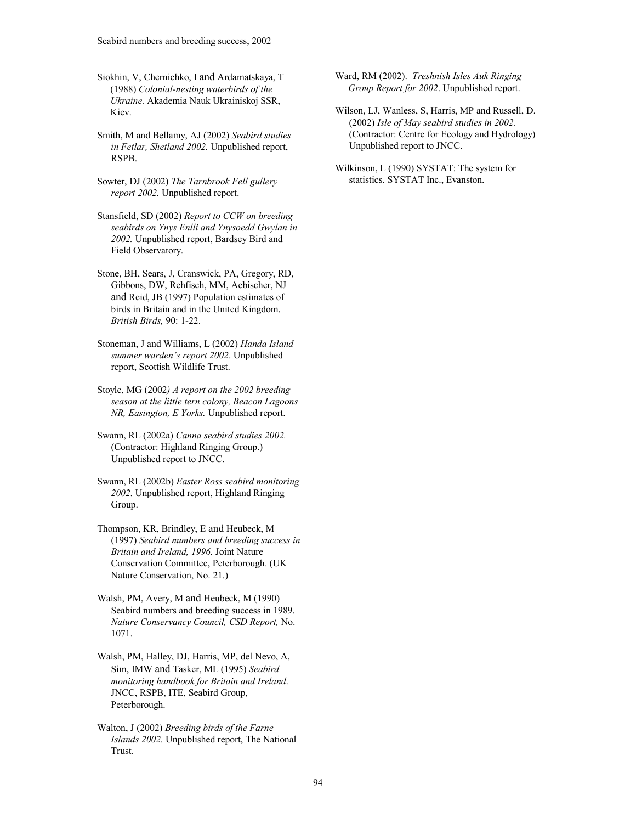- Siokhin, V, Chernichko, I and Ardamatskaya, T (1988) *Colonial-nesting waterbirds of the Ukraine.* Akademia Nauk Ukrainiskoj SSR, Kiev.
- Smith, M and Bellamy, AJ (2002) *Seabird studies in Fetlar, Shetland 2002.* Unpublished report, RSPB.
- Sowter, DJ (2002) *The Tarnbrook Fell gullery report 2002.* Unpublished report.
- Stansfield, SD (2002) *Report to CCW on breeding seabirds on Ynys Enlli and Ynysoedd Gwylan in 2002.* Unpublished report, Bardsey Bird and Field Observatory.
- Stone, BH, Sears, J, Cranswick, PA, Gregory, RD, Gibbons, DW, Rehfisch, MM, Aebischer, NJ and Reid, JB (1997) Population estimates of birds in Britain and in the United Kingdom. *British Birds,* 90: 1-22.
- Stoneman, J and Williams, L (2002) *Handa Island summer warden's report 2002*. Unpublished report, Scottish Wildlife Trust.
- Stoyle, MG (2002*) A report on the 2002 breeding season at the little tern colony, Beacon Lagoons NR, Easington, E Yorks.* Unpublished report.
- Swann, RL (2002a) *Canna seabird studies 2002.*  (Contractor: Highland Ringing Group.) Unpublished report to JNCC.
- Swann, RL (2002b) *Easter Ross seabird monitoring 2002*. Unpublished report, Highland Ringing Group.
- Thompson, KR, Brindley, E and Heubeck, M (1997) *Seabird numbers and breeding success in Britain and Ireland, 1996.* Joint Nature Conservation Committee, Peterborough*.* (UK Nature Conservation, No. 21.)
- Walsh, PM, Avery, M and Heubeck, M (1990) Seabird numbers and breeding success in 1989. *Nature Conservancy Council, CSD Report,* No. 1071.
- Walsh, PM, Halley, DJ, Harris, MP, del Nevo, A, Sim, IMW and Tasker, ML (1995) *Seabird monitoring handbook for Britain and Ireland*. JNCC, RSPB, ITE, Seabird Group, Peterborough.
- Walton, J (2002) *Breeding birds of the Farne Islands 2002.* Unpublished report, The National Trust.
- Ward, RM (2002). *Treshnish Isles Auk Ringing Group Report for 2002*. Unpublished report.
- Wilson, LJ, Wanless, S, Harris, MP and Russell, D. (2002) *Isle of May seabird studies in 2002.* (Contractor: Centre for Ecology and Hydrology) Unpublished report to JNCC.
- Wilkinson, L (1990) SYSTAT: The system for statistics. SYSTAT Inc., Evanston.